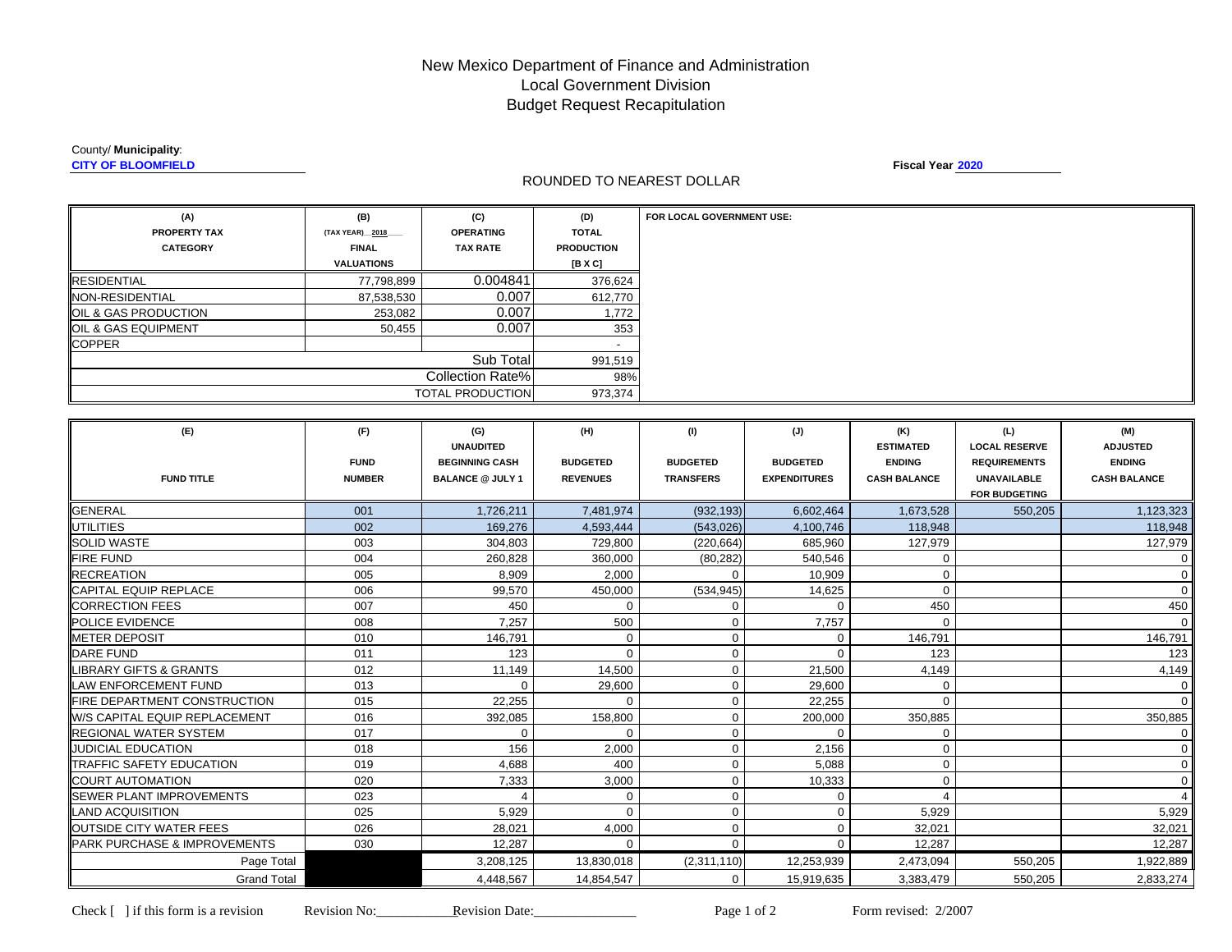# New Mexico Department of Finance and Administration Local Government DivisionBudget Request Recapitulation

### County/ **Municipality**:

**CITY OF BLOOMFIELD**

### ROUNDED TO NEAREST DOLLAR

**(A) (B) (C) (D) FOR LOCAL GOVERNMENT USE: PROPERTY TAX (TAX YEAR)\_\_2018\_\_\_\_ OPERATING TOTAL CATEGORY FINAL TAX RATE PRODUCTIONVALUATIONS [B X C] RESIDENTIAL**  77,798,899 0.004841 376,624 NON-RESIDENTIAL 87,538,530 0.007 612,770 OIL & GAS PRODUCTION 253,082 0.007 1,772 OIL & GAS EQUIPMENT 353 **COPPER**  $\sim$  -  $\sim$  -  $\sim$  -  $\sim$  -  $\sim$  -  $\sim$  -  $\sim$  -  $\sim$  -  $\sim$  -  $\sim$  -  $\sim$  -  $\sim$  -  $\sim$  -  $\sim$  -  $\sim$  -  $\sim$  -  $\sim$  -  $\sim$  -  $\sim$  -  $\sim$  -  $\sim$  -  $\sim$  -  $\sim$  -  $\sim$  -  $\sim$  -  $\sim$  -  $\sim$  -  $\sim$  -  $\sim$  -  $\sim$  -  $\sim$  -  $\sim$ 991,519 98% 973,374 Sub Total Collection Rate% TOTAL PRODUCTION

| (E)<br><b>FUND TITLE</b>                 | (F)<br><b>FUND</b><br><b>NUMBER</b> | (G)<br><b>UNAUDITED</b><br><b>BEGINNING CASH</b><br><b>BALANCE @ JULY 1</b> | (H)<br><b>BUDGETED</b><br><b>REVENUES</b> | (1)<br><b>BUDGETED</b><br><b>TRANSFERS</b> | (J)<br><b>BUDGETED</b><br><b>EXPENDITURES</b> | (K)<br><b>ESTIMATED</b><br><b>ENDING</b><br><b>CASH BALANCE</b> | (L)<br><b>LOCAL RESERVE</b><br><b>REQUIREMENTS</b><br><b>UNAVAILABLE</b><br><b>FOR BUDGETING</b> | (M)<br><b>ADJUSTED</b><br><b>ENDING</b><br><b>CASH BALANCE</b> |
|------------------------------------------|-------------------------------------|-----------------------------------------------------------------------------|-------------------------------------------|--------------------------------------------|-----------------------------------------------|-----------------------------------------------------------------|--------------------------------------------------------------------------------------------------|----------------------------------------------------------------|
| <b>GENERAL</b>                           | 001                                 | 1,726,211                                                                   | 7.481.974                                 | (932, 193)                                 | 6,602,464                                     | 1,673,528                                                       | 550.205                                                                                          | 1,123,323                                                      |
| UTILITIES                                | 002                                 | 169.276                                                                     | 4,593,444                                 | (543, 026)                                 | 4,100,746                                     | 118,948                                                         |                                                                                                  | 118,948                                                        |
| <b>I</b> ISOLID WASTE                    | 003                                 | 304,803                                                                     | 729,800                                   | (220, 664)                                 | 685,960                                       | 127,979                                                         |                                                                                                  | 127,979                                                        |
| <b>FIRE FUND</b>                         | 004                                 | 260,828                                                                     | 360,000                                   | (80, 282)                                  | 540.546                                       | $\mathbf 0$                                                     |                                                                                                  |                                                                |
| <b>RECREATION</b>                        | 005                                 | 8,909                                                                       | 2.000                                     | $\Omega$                                   | 10.909                                        | $\mathbf{0}$                                                    |                                                                                                  | $\mathbf 0$                                                    |
| <b>CAPITAL EQUIP REPLACE</b>             | 006                                 | 99,570                                                                      | 450,000                                   | (534, 945)                                 | 14,625                                        | $\Omega$                                                        |                                                                                                  | $\Omega$                                                       |
| <b>CORRECTION FEES</b>                   | 007                                 | 450                                                                         | $\mathbf 0$                               | 0                                          | $\Omega$                                      | 450                                                             |                                                                                                  | 450                                                            |
| <b>IPOLICE EVIDENCE</b>                  | 008                                 | 7.257                                                                       | 500                                       | $\mathbf 0$                                | 7,757                                         | $\Omega$                                                        |                                                                                                  | $\Omega$                                                       |
| <b>IMETER DEPOSIT</b>                    | 010                                 | 146,791                                                                     | $\mathbf 0$                               | $\mathbf 0$                                | 0                                             | 146,791                                                         |                                                                                                  | 146,791                                                        |
| <b>DARE FUND</b>                         | 011                                 | 123                                                                         | $\Omega$                                  | $\mathbf 0$                                | $\Omega$                                      | 123                                                             |                                                                                                  | 123                                                            |
| <b>LIBRARY GIFTS &amp; GRANTS</b>        | 012                                 | 11,149                                                                      | 14.500                                    | $\mathbf 0$                                | 21.500                                        | 4,149                                                           |                                                                                                  | 4,149                                                          |
| <b>ILAW ENFORCEMENT FUND</b>             | 013                                 | $\Omega$                                                                    | 29,600                                    | $\mathbf 0$                                | 29.600                                        | $\mathbf 0$                                                     |                                                                                                  | $\mathbf 0$                                                    |
| FIRE DEPARTMENT CONSTRUCTION             | 015                                 | 22,255                                                                      | $\Omega$                                  | $\mathbf 0$                                | 22,255                                        | $\Omega$                                                        |                                                                                                  | $\Omega$                                                       |
| <b>IW/S CAPITAL EQUIP REPLACEMENT</b>    | 016                                 | 392,085                                                                     | 158.800                                   | $\mathbf 0$                                | 200,000                                       | 350,885                                                         |                                                                                                  | 350,885                                                        |
| <b>IREGIONAL WATER SYSTEM</b>            | 017                                 | 0                                                                           | $\mathbf{0}$                              | $\mathbf 0$                                | 0                                             | 0                                                               |                                                                                                  | $\mathbf 0$                                                    |
| <b>IJUDICIAL EDUCATION</b>               | 018                                 | 156                                                                         | 2,000                                     | 0                                          | 2,156                                         | $\mathbf{0}$                                                    |                                                                                                  | $\Omega$                                                       |
| <b>ITRAFFIC SAFETY EDUCATION</b>         | 019                                 | 4.688                                                                       | 400                                       | $\mathbf 0$                                | 5.088                                         | $\mathbf{0}$                                                    |                                                                                                  | $\mathbf 0$                                                    |
| <b>ICOURT AUTOMATION</b>                 | 020                                 | 7,333                                                                       | 3.000                                     | $\mathbf 0$                                | 10.333                                        | $\mathbf 0$                                                     |                                                                                                  | $\mathbf 0$                                                    |
| <b>ISEWER PLANT IMPROVEMENTS</b>         | 023                                 |                                                                             | $\mathbf 0$                               | $\mathbf 0$                                | 0                                             | 4                                                               |                                                                                                  |                                                                |
| <b>ILAND ACQUISITION</b>                 | 025                                 | 5.929                                                                       | $\Omega$                                  | $\mathbf 0$                                | $\mathbf 0$                                   | 5,929                                                           |                                                                                                  | 5,929                                                          |
| <b>OUTSIDE CITY WATER FEES</b>           | 026                                 | 28.021                                                                      | 4.000                                     | $\mathbf 0$                                | $\mathbf 0$                                   | 32.021                                                          |                                                                                                  | 32.021                                                         |
| <b>IPARK PURCHASE &amp; IMPROVEMENTS</b> | 030                                 | 12,287                                                                      | $\Omega$                                  | $\Omega$                                   | $\Omega$                                      | 12,287                                                          |                                                                                                  | 12,287                                                         |
| Page Total                               |                                     | 3,208,125                                                                   | 13,830,018                                | (2,311,110)                                | 12,253,939                                    | 2,473,094                                                       | 550,205                                                                                          | 1,922,889                                                      |
| <b>Grand Total</b>                       |                                     | 4,448,567                                                                   | 14,854,547                                | $\Omega$                                   | 15,919,635                                    | 3,383,479                                                       | 550,205                                                                                          | 2,833,274                                                      |

Page 1 of 2

**Fiscal Year 2020**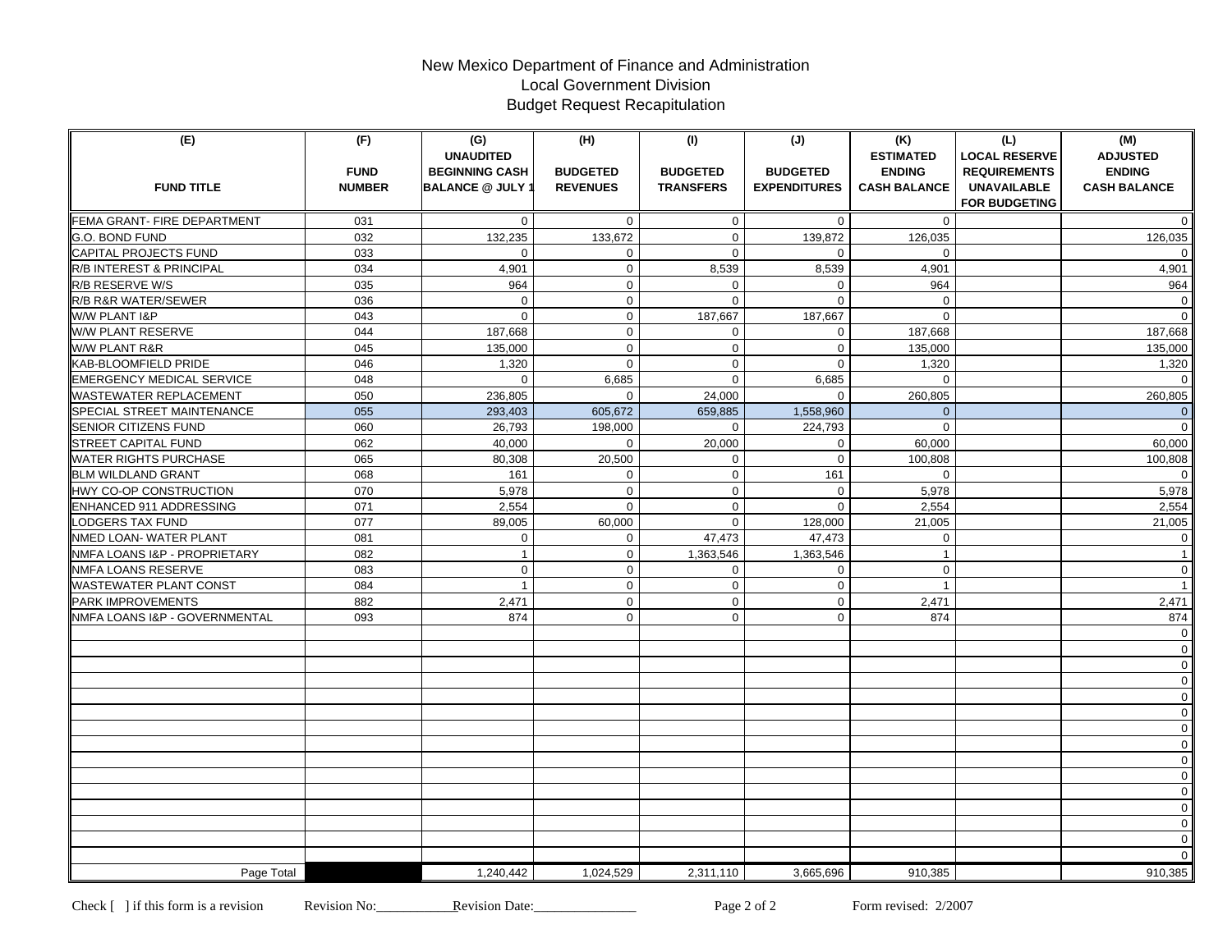# New Mexico Department of Finance and Administration Local Government Division Budget Request Recapitulation

| (E)<br><b>FUND TITLE</b>                     | (F)<br><b>FUND</b><br><b>NUMBER</b> | (G)<br><b>UNAUDITED</b><br><b>BEGINNING CASH</b><br><b>BALANCE @ JULY 1</b> | (H)<br><b>BUDGETED</b><br><b>REVENUES</b> | (1)<br><b>BUDGETED</b><br><b>TRANSFERS</b> | (J)<br><b>BUDGETED</b><br><b>EXPENDITURES</b> | (K)<br><b>ESTIMATED</b><br><b>ENDING</b><br><b>CASH BALANCE</b> | (L)<br><b>LOCAL RESERVE</b><br><b>REQUIREMENTS</b><br><b>UNAVAILABLE</b><br><b>FOR BUDGETING</b> | (M)<br><b>ADJUSTED</b><br><b>ENDING</b><br><b>CASH BALANCE</b> |
|----------------------------------------------|-------------------------------------|-----------------------------------------------------------------------------|-------------------------------------------|--------------------------------------------|-----------------------------------------------|-----------------------------------------------------------------|--------------------------------------------------------------------------------------------------|----------------------------------------------------------------|
| FEMA GRANT- FIRE DEPARTMENT                  | 031                                 | $\mathbf{0}$                                                                | $\mathbf{0}$                              | $\mathbf 0$                                | $\mathbf 0$                                   | $\Omega$                                                        |                                                                                                  | $\overline{0}$                                                 |
| G.O. BOND FUND                               | 032                                 | 132,235                                                                     | 133,672                                   | $\mathbf 0$                                | 139,872                                       | 126,035                                                         |                                                                                                  | 126,035                                                        |
| CAPITAL PROJECTS FUND                        | 033                                 | $\mathbf{0}$                                                                | 0                                         | $\mathbf 0$                                | 0                                             | 0                                                               |                                                                                                  | $\overline{0}$                                                 |
| R/B INTEREST & PRINCIPAL                     | 034                                 | 4,901                                                                       | $\Omega$                                  | 8,539                                      | 8,539                                         | 4,901                                                           |                                                                                                  | 4,901                                                          |
| <b>R/B RESERVE W/S</b>                       | 035                                 | 964                                                                         | $\mathbf 0$                               | $\mathbf 0$                                | $\mathbf 0$                                   | 964                                                             |                                                                                                  | 964                                                            |
| <b>R/B R&amp;R WATER/SEWER</b>               | 036                                 | $\mathbf 0$                                                                 | $\mathbf{0}$                              | $\mathbf 0$                                | $\mathbf 0$                                   | $\mathbf 0$                                                     |                                                                                                  | $\overline{0}$                                                 |
| W/W PLANT I&P                                | 043                                 | $\Omega$                                                                    | $\mathbf 0$                               | 187,667                                    | 187,667                                       | $\Omega$                                                        |                                                                                                  | $\overline{0}$                                                 |
| W/W PLANT RESERVE                            | 044                                 | 187,668                                                                     | $\mathbf 0$                               | 0                                          | 0                                             | 187,668                                                         |                                                                                                  | 187,668                                                        |
| W/W PLANT R&R                                | 045                                 | 135,000                                                                     | $\mathbf 0$                               | $\mathbf 0$                                | $\mathbf 0$                                   | 135,000                                                         |                                                                                                  | 135,000                                                        |
| KAB-BLOOMFIELD PRIDE                         | 046                                 | 1,320                                                                       | $\mathbf{0}$                              | $\mathbf 0$                                | $\mathbf 0$                                   | 1,320                                                           |                                                                                                  | 1,320                                                          |
| <b>EMERGENCY MEDICAL SERVICE</b>             | 048                                 | $\Omega$                                                                    | 6,685                                     | $\mathbf 0$                                | 6,685                                         | $\mathbf 0$                                                     |                                                                                                  | $\overline{0}$                                                 |
| <b>WASTEWATER REPLACEMENT</b>                | 050                                 | 236,805                                                                     | $\Omega$                                  | 24.000                                     | $\Omega$                                      | 260,805                                                         |                                                                                                  | 260,805                                                        |
| <b>SPECIAL STREET MAINTENANCE</b>            | 055                                 | 293,403                                                                     | 605,672                                   | 659,885                                    | 1,558,960                                     | $\overline{0}$                                                  |                                                                                                  | $\overline{0}$                                                 |
| <b>SENIOR CITIZENS FUND</b>                  | 060                                 | 26,793                                                                      | 198,000                                   | $\mathbf{0}$                               | 224,793                                       | $\mathbf 0$                                                     |                                                                                                  | $\overline{0}$                                                 |
| <b>STREET CAPITAL FUND</b>                   | 062                                 | 40,000                                                                      | $\mathbf 0$                               | 20,000                                     | $\mathbf 0$                                   | 60,000                                                          |                                                                                                  | 60,000                                                         |
| WATER RIGHTS PURCHASE                        | 065                                 | 80,308                                                                      | 20,500                                    | $\mathbf 0$                                | $\mathbf 0$                                   | 100,808                                                         |                                                                                                  | 100,808                                                        |
| <b>BLM WILDLAND GRANT</b>                    | 068                                 | 161                                                                         | 0                                         | $\mathbf 0$                                | 161                                           | $\mathbf 0$                                                     |                                                                                                  | $\overline{0}$                                                 |
| HWY CO-OP CONSTRUCTION                       | 070                                 | 5.978                                                                       | $\mathbf 0$                               | $\mathbf 0$                                | $\mathbf 0$                                   | 5.978                                                           |                                                                                                  | 5,978                                                          |
| ENHANCED 911 ADDRESSING                      | 071                                 | 2,554                                                                       | $\Omega$                                  | $\mathbf 0$                                | $\Omega$                                      | 2,554                                                           |                                                                                                  | 2,554                                                          |
| <b>LODGERS TAX FUND</b>                      | 077                                 | 89,005                                                                      | 60,000                                    | $\mathbf 0$                                | 128,000                                       | 21,005                                                          |                                                                                                  | 21,005                                                         |
| NMED LOAN- WATER PLANT                       | 081                                 | $\mathbf 0$                                                                 | $\mathbf 0$                               | 47,473                                     | 47.473                                        | $\mathbf 0$                                                     |                                                                                                  | $\overline{0}$                                                 |
| NMFA LOANS I&P - PROPRIETARY                 | 082                                 | $\mathbf{1}$                                                                | $\mathbf 0$                               | 1,363,546                                  | 1,363,546                                     | $\mathbf{1}$                                                    |                                                                                                  | $\mathbf{1}$                                                   |
| NMFA LOANS RESERVE<br>WASTEWATER PLANT CONST | 083<br>084                          | $\mathbf 0$<br>$\mathbf{1}$                                                 | $\mathbf 0$<br>$\mathbf 0$                | 0                                          | $\mathbf 0$<br>$\mathbf 0$                    | $\mathbf 0$<br>$\mathbf{1}$                                     |                                                                                                  | $\mathbf{0}$<br>$\overline{1}$                                 |
| <b>PARK IMPROVEMENTS</b>                     | 882                                 | 2,471                                                                       | $\mathbf 0$                               | $\mathbf 0$<br>$\mathbf 0$                 | $\mathbf 0$                                   | 2,471                                                           |                                                                                                  | 2,471                                                          |
| NMFA LOANS I&P - GOVERNMENTAL                | 093                                 | 874                                                                         | $\mathbf{0}$                              | $\mathbf{0}$                               | $\mathbf 0$                                   | 874                                                             |                                                                                                  | 874                                                            |
|                                              |                                     |                                                                             |                                           |                                            |                                               |                                                                 |                                                                                                  | $\mathbf{0}$                                                   |
|                                              |                                     |                                                                             |                                           |                                            |                                               |                                                                 |                                                                                                  | $\overline{0}$                                                 |
|                                              |                                     |                                                                             |                                           |                                            |                                               |                                                                 |                                                                                                  | $\mathbf 0$                                                    |
|                                              |                                     |                                                                             |                                           |                                            |                                               |                                                                 |                                                                                                  | $\mathbf 0$                                                    |
|                                              |                                     |                                                                             |                                           |                                            |                                               |                                                                 |                                                                                                  | $\mathbf 0$                                                    |
|                                              |                                     |                                                                             |                                           |                                            |                                               |                                                                 |                                                                                                  | $\mathsf{O}\xspace$                                            |
|                                              |                                     |                                                                             |                                           |                                            |                                               |                                                                 |                                                                                                  | $\overline{0}$                                                 |
|                                              |                                     |                                                                             |                                           |                                            |                                               |                                                                 |                                                                                                  | $\mathbf 0$                                                    |
|                                              |                                     |                                                                             |                                           |                                            |                                               |                                                                 |                                                                                                  | $\mathbf 0$                                                    |
|                                              |                                     |                                                                             |                                           |                                            |                                               |                                                                 |                                                                                                  | $\mathbf 0$                                                    |
|                                              |                                     |                                                                             |                                           |                                            |                                               |                                                                 |                                                                                                  | $\mathbf 0$                                                    |
|                                              |                                     |                                                                             |                                           |                                            |                                               |                                                                 |                                                                                                  | $\mathsf{O}\xspace$                                            |
|                                              |                                     |                                                                             |                                           |                                            |                                               |                                                                 |                                                                                                  | $\mathsf{O}\xspace$                                            |
|                                              |                                     |                                                                             |                                           |                                            |                                               |                                                                 |                                                                                                  | $\mathbf 0$                                                    |
|                                              |                                     |                                                                             |                                           |                                            |                                               |                                                                 |                                                                                                  | $\mathbf 0$                                                    |
| Page Total                                   |                                     | 1,240,442                                                                   | 1,024,529                                 | 2,311,110                                  | 3,665,696                                     | 910.385                                                         |                                                                                                  | 910,385                                                        |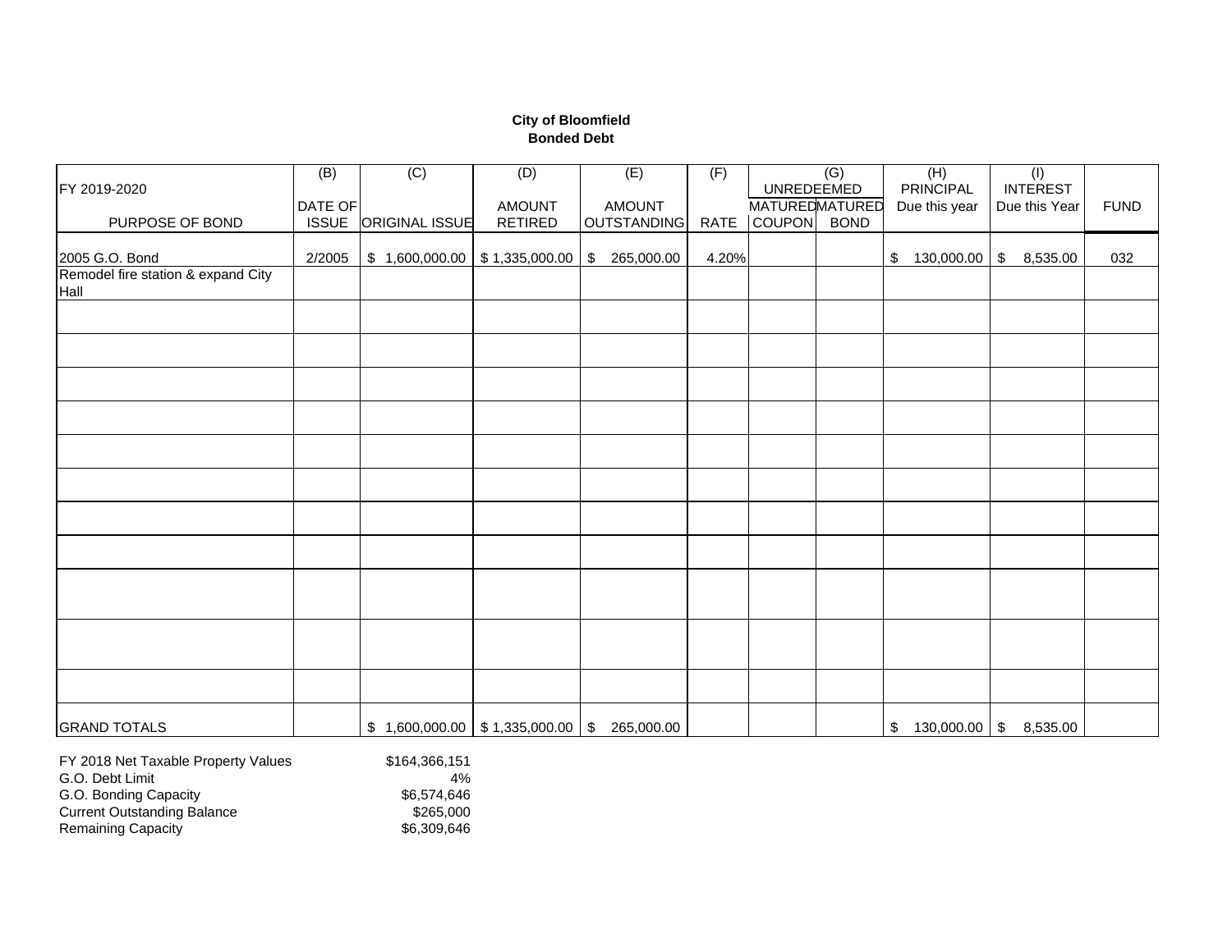### **City of Bloomfield Bonded Debt**

|                                            | (B)          | (C)                                 | (D)            | (E)                | (F)   |                       | $\overline{(G)}$ | (H)              | (1)                      |             |
|--------------------------------------------|--------------|-------------------------------------|----------------|--------------------|-------|-----------------------|------------------|------------------|--------------------------|-------------|
| FY 2019-2020                               |              |                                     |                |                    |       | UNREDEEMED            |                  | <b>PRINCIPAL</b> | <b>INTEREST</b>          |             |
|                                            | DATE OF      |                                     | <b>AMOUNT</b>  | <b>AMOUNT</b>      |       | <b>MATUREDMATURED</b> |                  | Due this year    | Due this Year            | <b>FUND</b> |
| PURPOSE OF BOND                            | <b>ISSUE</b> | <b>ORIGINAL ISSUE</b>               | <b>RETIRED</b> | <b>OUTSTANDING</b> |       | RATE COUPON BOND      |                  |                  |                          |             |
|                                            |              |                                     |                |                    |       |                       |                  |                  |                          |             |
| 2005 G.O. Bond                             | 2/2005       | \$1,600,000.00                      | \$1,335,000.00 | 265,000.00<br>\$   | 4.20% |                       |                  | 130,000.00<br>\$ | 8,535.00<br>$\sqrt{2}$   | 032         |
| Remodel fire station & expand City<br>Hall |              |                                     |                |                    |       |                       |                  |                  |                          |             |
|                                            |              |                                     |                |                    |       |                       |                  |                  |                          |             |
|                                            |              |                                     |                |                    |       |                       |                  |                  |                          |             |
|                                            |              |                                     |                |                    |       |                       |                  |                  |                          |             |
|                                            |              |                                     |                |                    |       |                       |                  |                  |                          |             |
|                                            |              |                                     |                |                    |       |                       |                  |                  |                          |             |
|                                            |              |                                     |                |                    |       |                       |                  |                  |                          |             |
|                                            |              |                                     |                |                    |       |                       |                  |                  |                          |             |
|                                            |              |                                     |                |                    |       |                       |                  |                  |                          |             |
|                                            |              |                                     |                |                    |       |                       |                  |                  |                          |             |
|                                            |              |                                     |                |                    |       |                       |                  |                  |                          |             |
|                                            |              |                                     |                |                    |       |                       |                  |                  |                          |             |
|                                            |              |                                     |                |                    |       |                       |                  |                  |                          |             |
|                                            |              |                                     |                |                    |       |                       |                  |                  |                          |             |
|                                            |              |                                     |                |                    |       |                       |                  |                  |                          |             |
|                                            |              |                                     |                |                    |       |                       |                  |                  |                          |             |
| <b>GRAND TOTALS</b>                        |              | $$1,600,000.00$ $$1,335,000.00$ $$$ |                | 265,000.00         |       |                       |                  | \$               | $130,000.00$ \$ 8,535.00 |             |

| FY 2018 Net Taxable Property Values | \$164,366,151 |
|-------------------------------------|---------------|
| G.O. Debt Limit                     | 4%            |
| G.O. Bonding Capacity               | \$6,574,646   |
| <b>Current Outstanding Balance</b>  | \$265,000     |
| <b>Remaining Capacity</b>           | \$6,309,646   |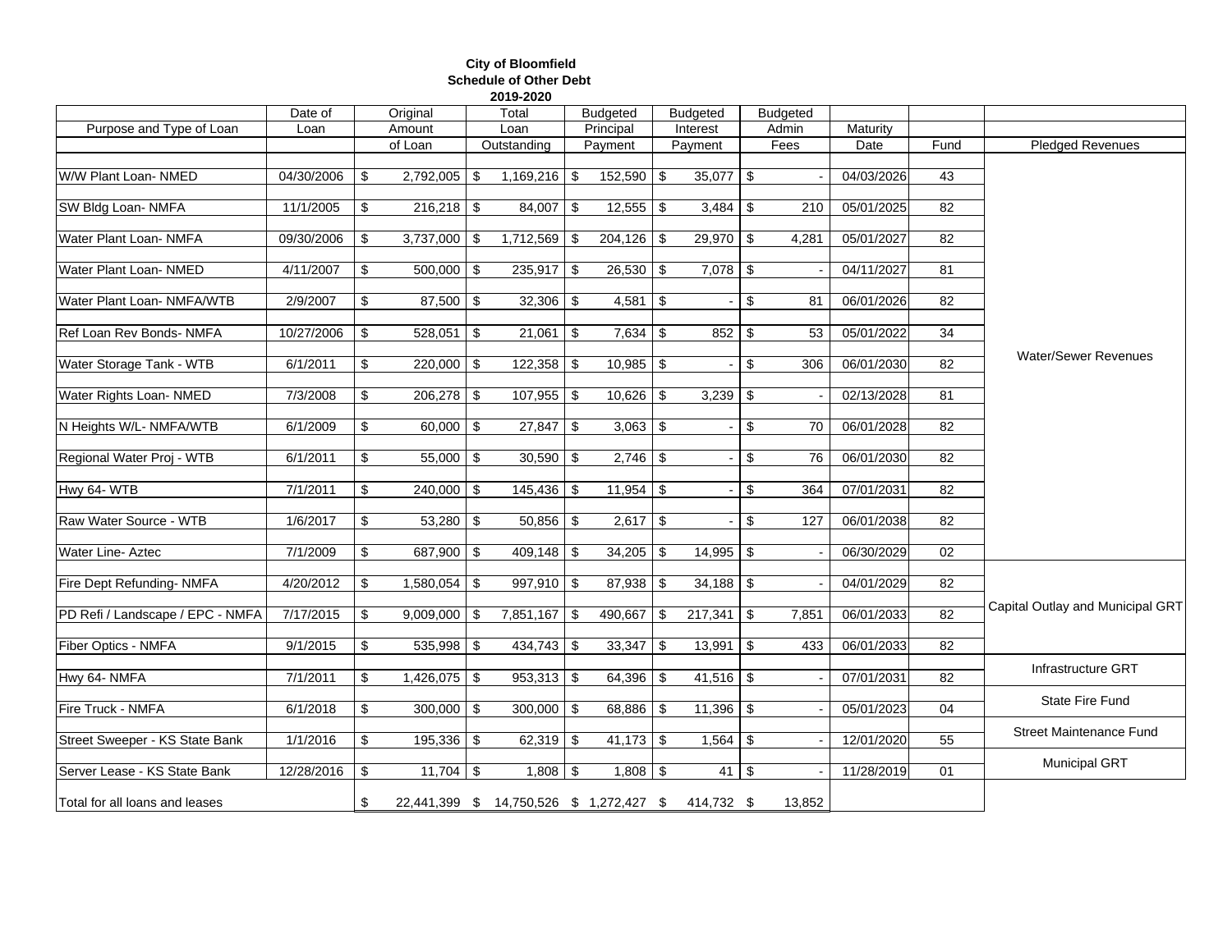### **City of Bloomfield Schedule of Other Debt 2019-2020**

| Purpose and Type of Loan         | Date of<br>Loan |                | Original<br>Amount |      | Total<br>Loan                            |      | <b>Budgeted</b><br>Principal | <b>Budgeted</b><br>Interest    |         | <b>Budgeted</b><br>Admin | Maturity   |      |                                  |
|----------------------------------|-----------------|----------------|--------------------|------|------------------------------------------|------|------------------------------|--------------------------------|---------|--------------------------|------------|------|----------------------------------|
|                                  |                 |                | of Loan            |      | Outstanding                              |      | Payment                      | Payment                        |         | Fees                     | Date       | Fund | Pledged Revenues                 |
|                                  |                 |                |                    |      |                                          |      |                              |                                |         |                          |            |      |                                  |
| W/W Plant Loan- NMED             | 04/30/2006      | \$             | 2,792,005          | \$   | $1,169,216$ \$                           |      | $152,590$ \$                 | $35,077$ \$                    |         |                          | 04/03/2026 | 43   |                                  |
| SW Bldg Loan- NMFA               | 11/1/2005       | \$             | $216,218$ \$       |      | 84,007 \$                                |      | $12,555$ \\$                 | $3,484$ \$                     |         | 210                      | 05/01/2025 | 82   |                                  |
| Water Plant Loan- NMFA           | 09/30/2006      | \$             | 3,737,000          | -\$  | 1,712,569                                | - \$ | 204,126 \$                   | 29,970                         | -\$     | 4,281                    | 05/01/2027 | 82   |                                  |
| Water Plant Loan- NMED           | 4/11/2007       | \$             | 500,000            | \$   | $235,917$ \$                             |      | $26,530$ \$                  |                                |         |                          | 04/11/2027 | 81   |                                  |
| Water Plant Loan- NMFA/WTB       | 2/9/2007        | \$             | 87,500             | \$   | 32,306                                   | -\$  | $4,581$ \$                   |                                | \$      | 81                       | 06/01/2026 | 82   |                                  |
| Ref Loan Rev Bonds- NMFA         | 10/27/2006      | \$             | 528,051            | -\$  | $21,061$ \ \$                            |      | $7,634$ \$                   | 852 \$                         |         | 53                       | 05/01/2022 | 34   |                                  |
| Water Storage Tank - WTB         | 6/1/2011        | \$             | 220,000            | - \$ | $122,358$ \$                             |      | $10,985$ \$                  |                                | $-1$ \$ | 306                      | 06/01/2030 | 82   | <b>Water/Sewer Revenues</b>      |
| Water Rights Loan- NMED          | 7/3/2008        | \$             | 206,278            | - \$ | $107,955$ \$                             |      | $10,626$ \$                  | 3,239                          | -\$     |                          | 02/13/2028 | 81   |                                  |
| N Heights W/L- NMFA/WTB          | 6/1/2009        | \$             | 60,000             | l \$ | $27,847$ \$                              |      | $3,063$ \$                   | $\sim$                         | \$      | 70                       | 06/01/2028 | 82   |                                  |
| Regional Water Proj - WTB        | 6/1/2011        | \$             | 55,000             | \$   | $30,590$ \$                              |      | $2,746$ \$                   | $\blacksquare$                 | \$      | 76                       | 06/01/2030 | 82   |                                  |
| Hwy 64-WTB                       | 7/1/2011        | \$             | 240,000            | \$   | $145,436$ \$                             |      | $11,954$ \$                  | $\blacksquare$                 | \$      | 364                      | 07/01/2031 | 82   |                                  |
| Raw Water Source - WTB           | 1/6/2017        | \$             | $53,280$ \$        |      | $50,856$ \$                              |      | $2,617$ \$                   | $\overline{\phantom{a}}$       | \$      | 127                      | 06/01/2038 | 82   |                                  |
| Water Line- Aztec                | 7/1/2009        | \$             | 687,900            | -\$  | $409,148$ \$                             |      |                              | $14,995$ \$                    |         |                          | 06/30/2029 | 02   |                                  |
| Fire Dept Refunding- NMFA        | 4/20/2012       | \$             | 1,580,054          | \$   | $997,910$ \$                             |      | $87,938$ \$                  |                                |         |                          | 04/01/2029 | 82   |                                  |
| PD Refi / Landscape / EPC - NMFA | 7/17/2015       | \$             | 9,009,000          | -\$  | $7,851,167$ \$                           |      | $490,667$ \$                 | 217,341                        | \$      | 7,851                    | 06/01/2033 | 82   | Capital Outlay and Municipal GRT |
| Fiber Optics - NMFA              | 9/1/2015        | \$             | $535,998$ \$       |      | $434,743$ \$                             |      | $33,347$ \\$                 | $13,991$ \$                    |         | 433                      | 06/01/2033 | 82   |                                  |
| Hwy 64- NMFA                     | 7/1/2011        | $\mathfrak{S}$ | 1,426,075          | - \$ | $953,313$ \$                             |      | $64,396$ \$                  | $41,516$ \\$                   |         |                          | 07/01/2031 | 82   | Infrastructure GRT               |
| Fire Truck - NMFA                | 6/1/2018        | \$             | 300,000            | -\$  | $300,000$ \$                             |      | 68,886 \$                    | $11,396$ \$                    |         |                          | 05/01/2023 | 04   | State Fire Fund                  |
| Street Sweeper - KS State Bank   | 1/1/2016        | \$             | 195,336 \$         |      | $62,319$ \$                              |      | $41,173$ \\$                 |                                |         | $\sim$                   | 12/01/2020 | 55   | Street Maintenance Fund          |
| Server Lease - KS State Bank     | 12/28/2016      | \$             | $11,704$ \$        |      | $1,808$ \$                               |      | $1,808$ \$                   | $41 \overline{\phantom{1}}$ \$ |         | $\blacksquare$           | 11/28/2019 | 01   | <b>Municipal GRT</b>             |
| Total for all loans and leases   |                 | \$             |                    |      | 22,441,399 \$ 14,750,526 \$ 1,272,427 \$ |      |                              | 414,732 \$                     |         | 13,852                   |            |      |                                  |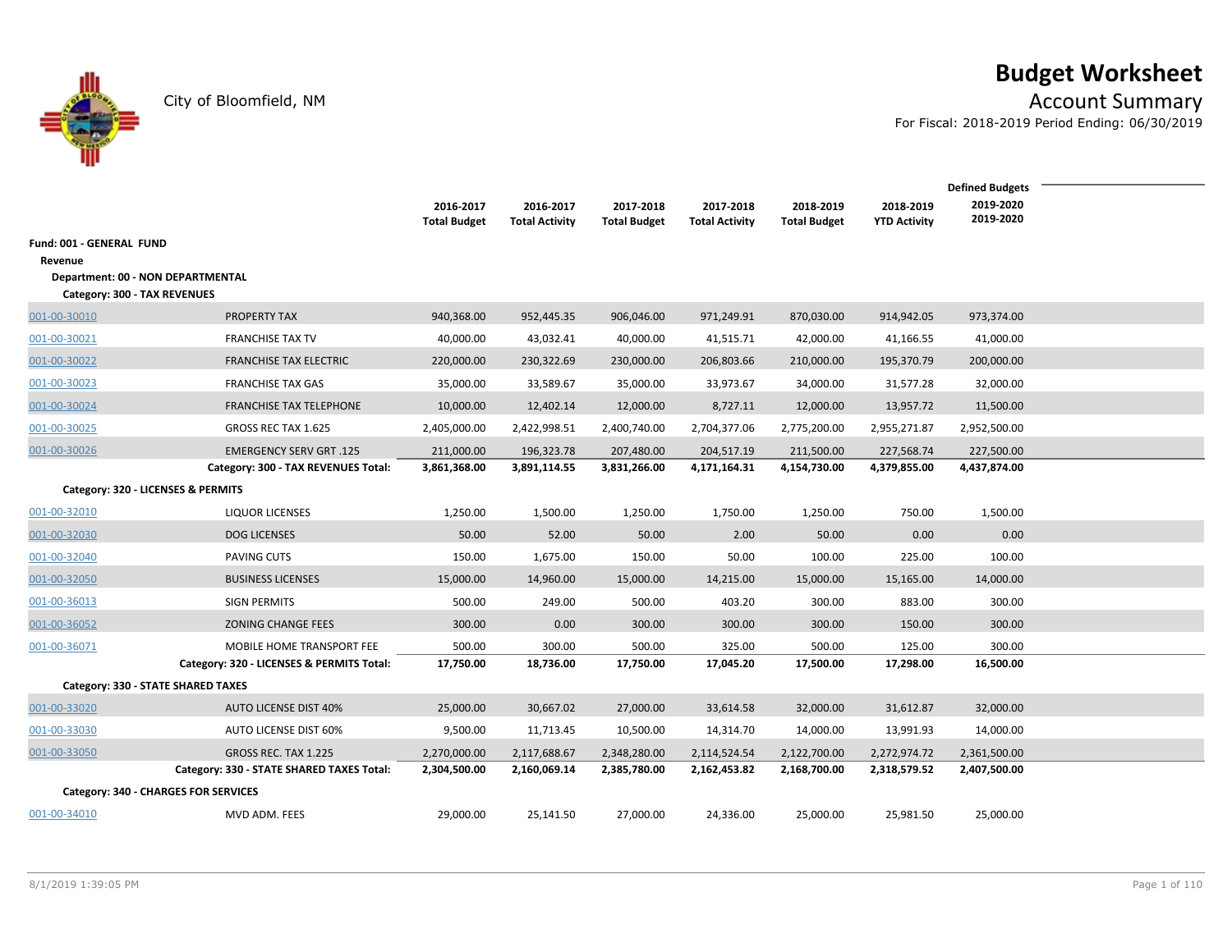# **Budget Worksheet**

City of Bloomfield, NM Account Summary

For Fiscal: 2018-2019 Period Ending: 06/30/2019

|                                    | <b>Defined Budgets</b>                    |                     |                       |                     |                       |                     |                     |              |
|------------------------------------|-------------------------------------------|---------------------|-----------------------|---------------------|-----------------------|---------------------|---------------------|--------------|
|                                    |                                           | 2016-2017           | 2016-2017             | 2017-2018           | 2017-2018             | 2018-2019           | 2018-2019           | 2019-2020    |
|                                    |                                           | <b>Total Budget</b> | <b>Total Activity</b> | <b>Total Budget</b> | <b>Total Activity</b> | <b>Total Budget</b> | <b>YTD Activity</b> | 2019-2020    |
| Fund: 001 - GENERAL FUND           |                                           |                     |                       |                     |                       |                     |                     |              |
| Revenue                            |                                           |                     |                       |                     |                       |                     |                     |              |
| Department: 00 - NON DEPARTMENTAL  |                                           |                     |                       |                     |                       |                     |                     |              |
| Category: 300 - TAX REVENUES       |                                           |                     |                       |                     |                       |                     |                     |              |
| 001-00-30010                       | PROPERTY TAX                              | 940,368.00          | 952,445.35            | 906,046.00          | 971,249.91            | 870,030.00          | 914,942.05          | 973,374.00   |
| 001-00-30021                       | <b>FRANCHISE TAX TV</b>                   | 40,000.00           | 43,032.41             | 40,000.00           | 41,515.71             | 42,000.00           | 41,166.55           | 41,000.00    |
| 001-00-30022                       | <b>FRANCHISE TAX ELECTRIC</b>             | 220,000.00          | 230,322.69            | 230,000.00          | 206,803.66            | 210,000.00          | 195,370.79          | 200,000.00   |
| 001-00-30023                       | <b>FRANCHISE TAX GAS</b>                  | 35,000.00           | 33,589.67             | 35,000.00           | 33,973.67             | 34,000.00           | 31,577.28           | 32,000.00    |
| 001-00-30024                       | <b>FRANCHISE TAX TELEPHONE</b>            | 10,000.00           | 12,402.14             | 12,000.00           | 8,727.11              | 12,000.00           | 13,957.72           | 11,500.00    |
| 001-00-30025                       | GROSS REC TAX 1.625                       | 2,405,000.00        | 2,422,998.51          | 2,400,740.00        | 2,704,377.06          | 2,775,200.00        | 2,955,271.87        | 2,952,500.00 |
| 001-00-30026                       | <b>EMERGENCY SERV GRT .125</b>            | 211,000.00          | 196,323.78            | 207,480.00          | 204,517.19            | 211,500.00          | 227,568.74          | 227,500.00   |
|                                    | Category: 300 - TAX REVENUES Total:       | 3,861,368.00        | 3,891,114.55          | 3,831,266.00        | 4,171,164.31          | 4,154,730.00        | 4,379,855.00        | 4,437,874.00 |
| Category: 320 - LICENSES & PERMITS |                                           |                     |                       |                     |                       |                     |                     |              |
| 001-00-32010                       | <b>LIQUOR LICENSES</b>                    | 1,250.00            | 1,500.00              | 1,250.00            | 1,750.00              | 1,250.00            | 750.00              | 1,500.00     |
| 001-00-32030                       | <b>DOG LICENSES</b>                       | 50.00               | 52.00                 | 50.00               | 2.00                  | 50.00               | 0.00                | 0.00         |
| 001-00-32040                       | PAVING CUTS                               | 150.00              | 1,675.00              | 150.00              | 50.00                 | 100.00              | 225.00              | 100.00       |
| 001-00-32050                       | <b>BUSINESS LICENSES</b>                  | 15,000.00           | 14,960.00             | 15,000.00           | 14,215.00             | 15,000.00           | 15,165.00           | 14,000.00    |
| 001-00-36013                       | <b>SIGN PERMITS</b>                       | 500.00              | 249.00                | 500.00              | 403.20                | 300.00              | 883.00              | 300.00       |
| 001-00-36052                       | <b>ZONING CHANGE FEES</b>                 | 300.00              | 0.00                  | 300.00              | 300.00                | 300.00              | 150.00              | 300.00       |
| 001-00-36071                       | MOBILE HOME TRANSPORT FEE                 | 500.00              | 300.00                | 500.00              | 325.00                | 500.00              | 125.00              | 300.00       |
|                                    | Category: 320 - LICENSES & PERMITS Total: | 17,750.00           | 18,736.00             | 17,750.00           | 17,045.20             | 17,500.00           | 17,298.00           | 16,500.00    |
| Category: 330 - STATE SHARED TAXES |                                           |                     |                       |                     |                       |                     |                     |              |
| 001-00-33020                       | <b>AUTO LICENSE DIST 40%</b>              | 25,000.00           | 30,667.02             | 27,000.00           | 33,614.58             | 32,000.00           | 31,612.87           | 32,000.00    |
| 001-00-33030                       | <b>AUTO LICENSE DIST 60%</b>              | 9,500.00            | 11,713.45             | 10,500.00           | 14,314.70             | 14,000.00           | 13,991.93           | 14,000.00    |
| 001-00-33050                       | GROSS REC. TAX 1.225                      | 2,270,000.00        | 2,117,688.67          | 2,348,280.00        | 2,114,524.54          | 2,122,700.00        | 2,272,974.72        | 2,361,500.00 |
|                                    | Category: 330 - STATE SHARED TAXES Total: | 2,304,500.00        | 2,160,069.14          | 2,385,780.00        | 2,162,453.82          | 2,168,700.00        | 2,318,579.52        | 2,407,500.00 |
|                                    | Category: 340 - CHARGES FOR SERVICES      |                     |                       |                     |                       |                     |                     |              |
| 001-00-34010                       | MVD ADM. FEES                             | 29,000.00           | 25,141.50             | 27,000.00           | 24,336.00             | 25,000.00           | 25,981.50           | 25,000.00    |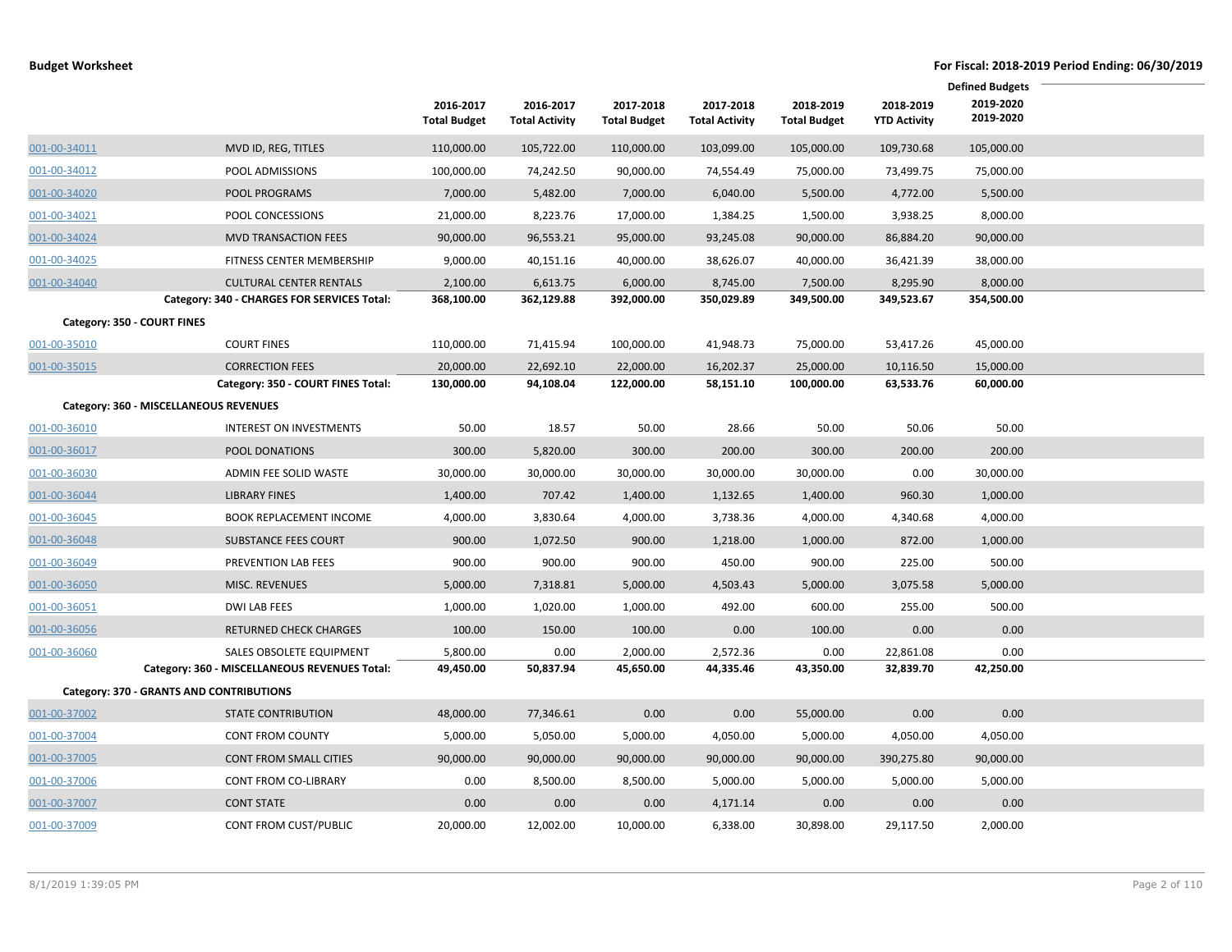|              |                                                 | 2016-2017<br><b>Total Budget</b> | 2016-2017<br><b>Total Activity</b> | 2017-2018<br><b>Total Budget</b> | 2017-2018<br><b>Total Activity</b> | 2018-2019<br><b>Total Budget</b> | 2018-2019<br><b>YTD Activity</b> | <b>Defined Budgets</b><br>2019-2020<br>2019-2020 |  |
|--------------|-------------------------------------------------|----------------------------------|------------------------------------|----------------------------------|------------------------------------|----------------------------------|----------------------------------|--------------------------------------------------|--|
| 001-00-34011 | MVD ID, REG, TITLES                             | 110,000.00                       | 105,722.00                         | 110,000.00                       | 103,099.00                         | 105,000.00                       | 109,730.68                       | 105,000.00                                       |  |
| 001-00-34012 | POOL ADMISSIONS                                 | 100,000.00                       | 74,242.50                          | 90,000.00                        | 74,554.49                          | 75,000.00                        | 73,499.75                        | 75,000.00                                        |  |
| 001-00-34020 | POOL PROGRAMS                                   | 7,000.00                         | 5,482.00                           | 7,000.00                         | 6,040.00                           | 5,500.00                         | 4,772.00                         | 5,500.00                                         |  |
| 001-00-34021 | POOL CONCESSIONS                                | 21,000.00                        | 8,223.76                           | 17,000.00                        | 1,384.25                           | 1,500.00                         | 3,938.25                         | 8,000.00                                         |  |
| 001-00-34024 | <b>MVD TRANSACTION FEES</b>                     | 90,000.00                        | 96,553.21                          | 95,000.00                        | 93,245.08                          | 90,000.00                        | 86,884.20                        | 90,000.00                                        |  |
| 001-00-34025 | FITNESS CENTER MEMBERSHIP                       | 9,000.00                         | 40,151.16                          | 40,000.00                        | 38,626.07                          | 40,000.00                        | 36,421.39                        | 38,000.00                                        |  |
| 001-00-34040 | <b>CULTURAL CENTER RENTALS</b>                  | 2,100.00                         | 6,613.75                           | 6,000.00                         | 8,745.00                           | 7,500.00                         | 8,295.90                         | 8,000.00                                         |  |
|              | Category: 340 - CHARGES FOR SERVICES Total:     | 368,100.00                       | 362,129.88                         | 392,000.00                       | 350,029.89                         | 349,500.00                       | 349,523.67                       | 354,500.00                                       |  |
|              | Category: 350 - COURT FINES                     |                                  |                                    |                                  |                                    |                                  |                                  |                                                  |  |
| 001-00-35010 | <b>COURT FINES</b>                              | 110,000.00                       | 71,415.94                          | 100,000.00                       | 41,948.73                          | 75,000.00                        | 53,417.26                        | 45,000.00                                        |  |
| 001-00-35015 | <b>CORRECTION FEES</b>                          | 20,000.00                        | 22,692.10                          | 22,000.00                        | 16,202.37                          | 25,000.00                        | 10,116.50                        | 15,000.00                                        |  |
|              | Category: 350 - COURT FINES Total:              | 130,000.00                       | 94,108.04                          | 122,000.00                       | 58,151.10                          | 100,000.00                       | 63,533.76                        | 60,000.00                                        |  |
|              | Category: 360 - MISCELLANEOUS REVENUES          |                                  |                                    |                                  |                                    |                                  |                                  |                                                  |  |
| 001-00-36010 | <b>INTEREST ON INVESTMENTS</b>                  | 50.00                            | 18.57                              | 50.00                            | 28.66                              | 50.00                            | 50.06                            | 50.00                                            |  |
| 001-00-36017 | POOL DONATIONS                                  | 300.00                           | 5,820.00                           | 300.00                           | 200.00                             | 300.00                           | 200.00                           | 200.00                                           |  |
| 001-00-36030 | ADMIN FEE SOLID WASTE                           | 30,000.00                        | 30,000.00                          | 30,000.00                        | 30,000.00                          | 30,000.00                        | 0.00                             | 30,000.00                                        |  |
| 001-00-36044 | <b>LIBRARY FINES</b>                            | 1,400.00                         | 707.42                             | 1,400.00                         | 1,132.65                           | 1,400.00                         | 960.30                           | 1,000.00                                         |  |
| 001-00-36045 | <b>BOOK REPLACEMENT INCOME</b>                  | 4,000.00                         | 3,830.64                           | 4,000.00                         | 3,738.36                           | 4,000.00                         | 4,340.68                         | 4,000.00                                         |  |
| 001-00-36048 | <b>SUBSTANCE FEES COURT</b>                     | 900.00                           | 1,072.50                           | 900.00                           | 1,218.00                           | 1,000.00                         | 872.00                           | 1,000.00                                         |  |
| 001-00-36049 | PREVENTION LAB FEES                             | 900.00                           | 900.00                             | 900.00                           | 450.00                             | 900.00                           | 225.00                           | 500.00                                           |  |
| 001-00-36050 | MISC. REVENUES                                  | 5,000.00                         | 7,318.81                           | 5,000.00                         | 4,503.43                           | 5,000.00                         | 3,075.58                         | 5,000.00                                         |  |
| 001-00-36051 | <b>DWI LAB FEES</b>                             | 1,000.00                         | 1,020.00                           | 1,000.00                         | 492.00                             | 600.00                           | 255.00                           | 500.00                                           |  |
| 001-00-36056 | <b>RETURNED CHECK CHARGES</b>                   | 100.00                           | 150.00                             | 100.00                           | 0.00                               | 100.00                           | 0.00                             | 0.00                                             |  |
| 001-00-36060 | SALES OBSOLETE EQUIPMENT                        | 5,800.00                         | 0.00                               | 2,000.00                         | 2,572.36                           | 0.00                             | 22,861.08                        | 0.00                                             |  |
|              | Category: 360 - MISCELLANEOUS REVENUES Total:   | 49,450.00                        | 50,837.94                          | 45,650.00                        | 44,335.46                          | 43,350.00                        | 32,839.70                        | 42,250.00                                        |  |
|              | <b>Category: 370 - GRANTS AND CONTRIBUTIONS</b> |                                  |                                    |                                  |                                    |                                  |                                  |                                                  |  |
| 001-00-37002 | <b>STATE CONTRIBUTION</b>                       | 48,000.00                        | 77,346.61                          | 0.00                             | 0.00                               | 55,000.00                        | 0.00                             | 0.00                                             |  |
| 001-00-37004 | <b>CONT FROM COUNTY</b>                         | 5,000.00                         | 5,050.00                           | 5,000.00                         | 4,050.00                           | 5,000.00                         | 4,050.00                         | 4,050.00                                         |  |
| 001-00-37005 | <b>CONT FROM SMALL CITIES</b>                   | 90,000.00                        | 90,000.00                          | 90,000.00                        | 90,000.00                          | 90,000.00                        | 390,275.80                       | 90,000.00                                        |  |
| 001-00-37006 | <b>CONT FROM CO-LIBRARY</b>                     | 0.00                             | 8,500.00                           | 8,500.00                         | 5,000.00                           | 5,000.00                         | 5,000.00                         | 5,000.00                                         |  |
| 001-00-37007 | <b>CONT STATE</b>                               | 0.00                             | 0.00                               | 0.00                             | 4,171.14                           | 0.00                             | 0.00                             | 0.00                                             |  |
| 001-00-37009 | CONT FROM CUST/PUBLIC                           | 20,000.00                        | 12,002.00                          | 10,000.00                        | 6,338.00                           | 30,898.00                        | 29,117.50                        | 2,000.00                                         |  |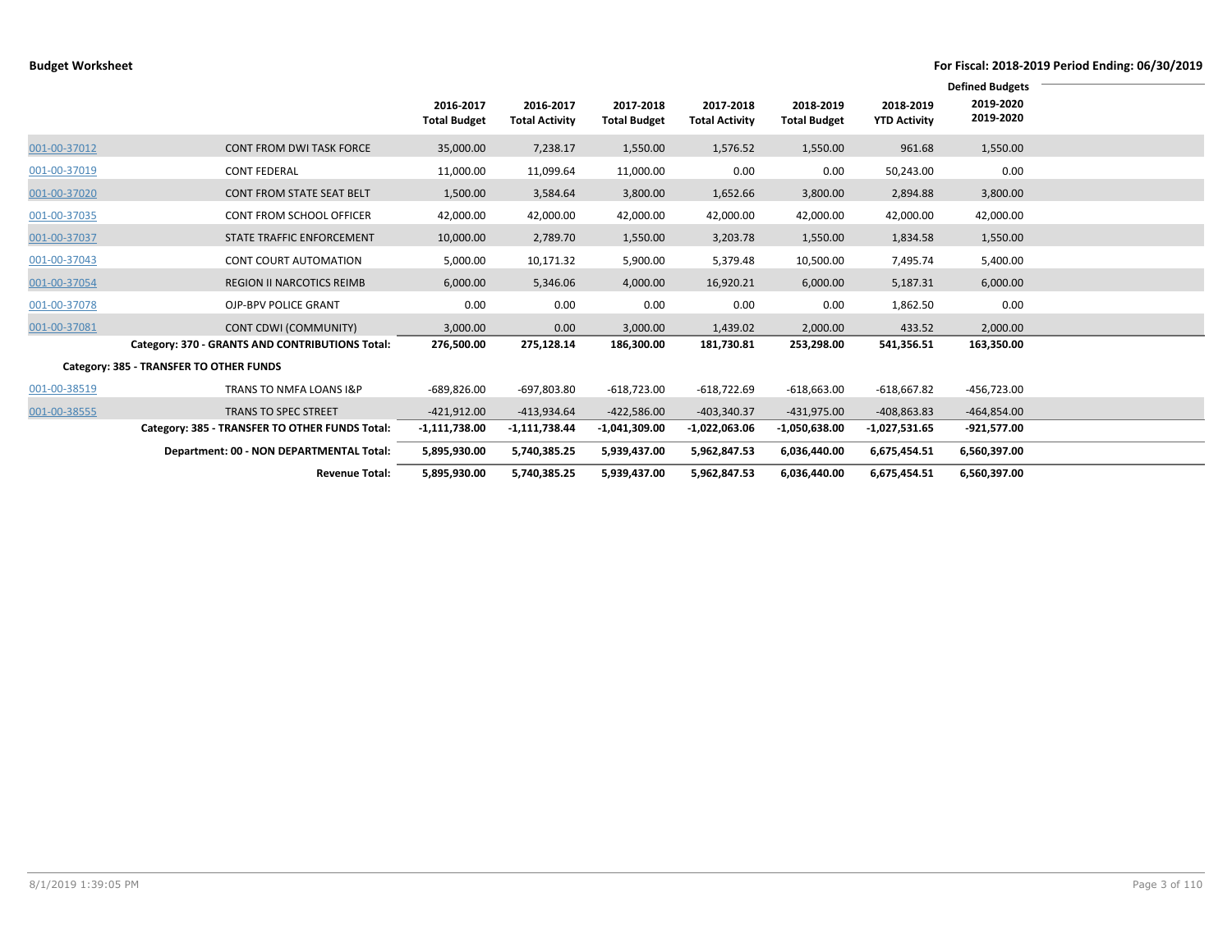|              |                                                 | 2016-2017<br><b>Total Budget</b> | 2016-2017<br><b>Total Activity</b> | 2017-2018<br><b>Total Budget</b> | 2017-2018<br><b>Total Activity</b> | 2018-2019<br><b>Total Budget</b> | 2018-2019<br><b>YTD Activity</b> | <b>Defined Budgets</b><br>2019-2020<br>2019-2020 |  |
|--------------|-------------------------------------------------|----------------------------------|------------------------------------|----------------------------------|------------------------------------|----------------------------------|----------------------------------|--------------------------------------------------|--|
| 001-00-37012 | <b>CONT FROM DWI TASK FORCE</b>                 | 35,000.00                        | 7,238.17                           | 1,550.00                         | 1,576.52                           | 1,550.00                         | 961.68                           | 1,550.00                                         |  |
| 001-00-37019 | <b>CONT FEDERAL</b>                             | 11,000.00                        | 11,099.64                          | 11,000.00                        | 0.00                               | 0.00                             | 50,243.00                        | 0.00                                             |  |
| 001-00-37020 | <b>CONT FROM STATE SEAT BELT</b>                | 1,500.00                         | 3,584.64                           | 3,800.00                         | 1,652.66                           | 3,800.00                         | 2,894.88                         | 3,800.00                                         |  |
| 001-00-37035 | CONT FROM SCHOOL OFFICER                        | 42,000.00                        | 42,000.00                          | 42,000.00                        | 42,000.00                          | 42,000.00                        | 42,000.00                        | 42,000.00                                        |  |
| 001-00-37037 | STATE TRAFFIC ENFORCEMENT                       | 10,000.00                        | 2,789.70                           | 1,550.00                         | 3,203.78                           | 1,550.00                         | 1,834.58                         | 1,550.00                                         |  |
| 001-00-37043 | <b>CONT COURT AUTOMATION</b>                    | 5,000.00                         | 10,171.32                          | 5,900.00                         | 5,379.48                           | 10,500.00                        | 7,495.74                         | 5,400.00                                         |  |
| 001-00-37054 | <b>REGION II NARCOTICS REIMB</b>                | 6,000.00                         | 5,346.06                           | 4,000.00                         | 16,920.21                          | 6,000.00                         | 5,187.31                         | 6,000.00                                         |  |
| 001-00-37078 | OJP-BPV POLICE GRANT                            | 0.00                             | 0.00                               | 0.00                             | 0.00                               | 0.00                             | 1,862.50                         | 0.00                                             |  |
| 001-00-37081 | CONT CDWI (COMMUNITY)                           | 3,000.00                         | 0.00                               | 3,000.00                         | 1,439.02                           | 2,000.00                         | 433.52                           | 2,000.00                                         |  |
|              | Category: 370 - GRANTS AND CONTRIBUTIONS Total: | 276,500.00                       | 275,128.14                         | 186,300.00                       | 181,730.81                         | 253,298.00                       | 541,356.51                       | 163,350.00                                       |  |
|              | Category: 385 - TRANSFER TO OTHER FUNDS         |                                  |                                    |                                  |                                    |                                  |                                  |                                                  |  |
| 001-00-38519 | <b>TRANS TO NMFA LOANS I&amp;P</b>              | $-689,826.00$                    | -697,803.80                        | $-618,723.00$                    | $-618,722.69$                      | $-618,663.00$                    | $-618,667.82$                    | $-456,723.00$                                    |  |
| 001-00-38555 | <b>TRANS TO SPEC STREET</b>                     | $-421,912.00$                    | $-413,934.64$                      | $-422,586.00$                    | $-403,340.37$                      | $-431.975.00$                    | $-408.863.83$                    | $-464.854.00$                                    |  |
|              | Category: 385 - TRANSFER TO OTHER FUNDS Total:  | -1,111,738.00                    | -1,111,738.44                      | $-1,041,309.00$                  | $-1,022,063.06$                    | -1,050,638.00                    | -1,027,531.65                    | -921,577.00                                      |  |
|              | Department: 00 - NON DEPARTMENTAL Total:        | 5,895,930.00                     | 5,740,385.25                       | 5,939,437.00                     | 5,962,847.53                       | 6,036,440.00                     | 6,675,454.51                     | 6,560,397.00                                     |  |
|              | <b>Revenue Total:</b>                           | 5,895,930.00                     | 5,740,385.25                       | 5,939,437.00                     | 5,962,847.53                       | 6,036,440.00                     | 6,675,454.51                     | 6,560,397.00                                     |  |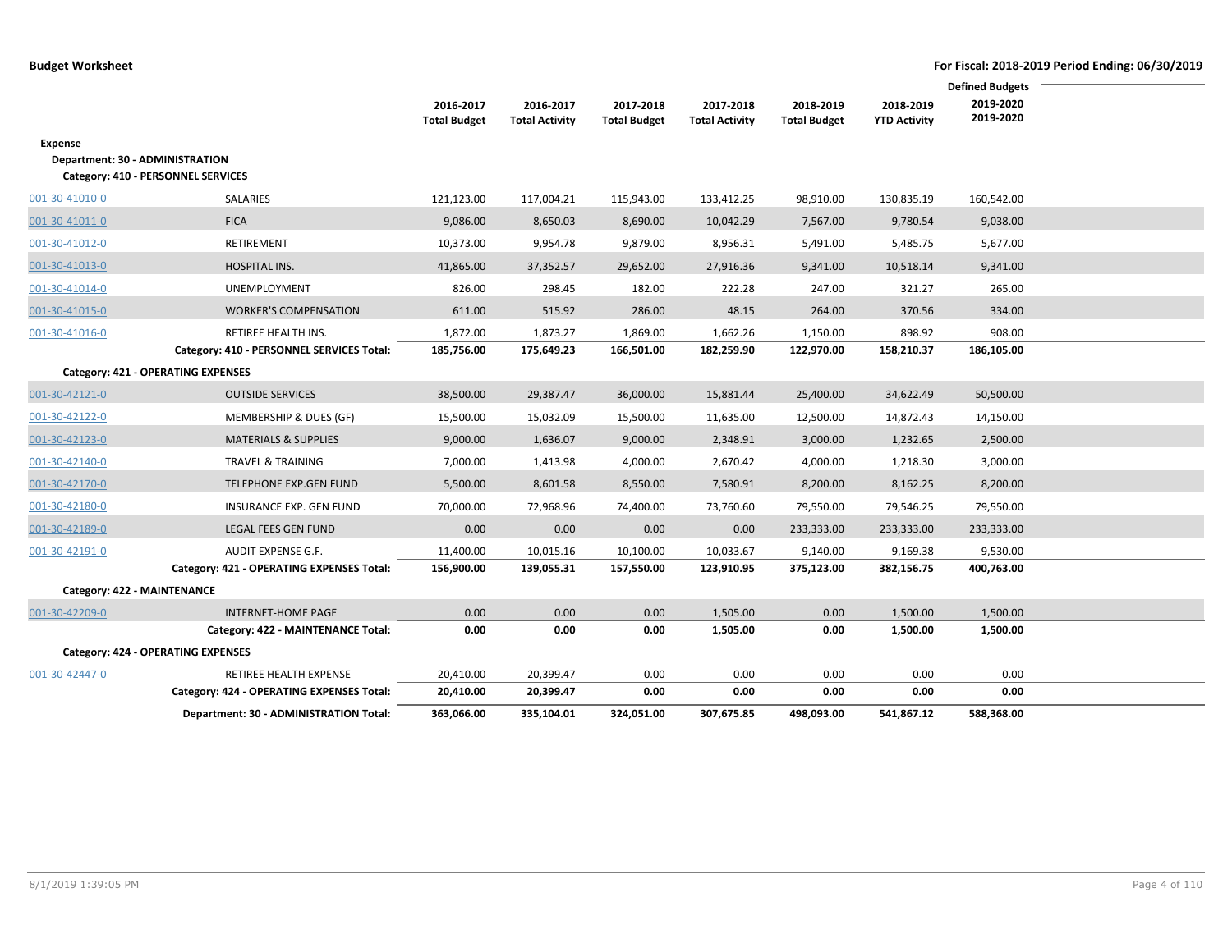|                                 |                                           | 2016-2017           | 2016-2017             | 2017-2018           | 2017-2018             | 2018-2019           | 2018-2019           | <b>Defined Budgets</b><br>2019-2020 |
|---------------------------------|-------------------------------------------|---------------------|-----------------------|---------------------|-----------------------|---------------------|---------------------|-------------------------------------|
|                                 |                                           | <b>Total Budget</b> | <b>Total Activity</b> | <b>Total Budget</b> | <b>Total Activity</b> | <b>Total Budget</b> | <b>YTD Activity</b> | 2019-2020                           |
| <b>Expense</b>                  |                                           |                     |                       |                     |                       |                     |                     |                                     |
| Department: 30 - ADMINISTRATION |                                           |                     |                       |                     |                       |                     |                     |                                     |
|                                 | Category: 410 - PERSONNEL SERVICES        |                     |                       |                     |                       |                     |                     |                                     |
| 001-30-41010-0                  | SALARIES                                  | 121,123.00          | 117,004.21            | 115,943.00          | 133,412.25            | 98,910.00           | 130,835.19          | 160,542.00                          |
| 001-30-41011-0                  | <b>FICA</b>                               | 9,086.00            | 8,650.03              | 8,690.00            | 10,042.29             | 7,567.00            | 9,780.54            | 9,038.00                            |
| 001-30-41012-0                  | RETIREMENT                                | 10,373.00           | 9,954.78              | 9,879.00            | 8,956.31              | 5,491.00            | 5,485.75            | 5,677.00                            |
| 001-30-41013-0                  | HOSPITAL INS.                             | 41,865.00           | 37,352.57             | 29,652.00           | 27,916.36             | 9,341.00            | 10,518.14           | 9,341.00                            |
| 001-30-41014-0                  | UNEMPLOYMENT                              | 826.00              | 298.45                | 182.00              | 222.28                | 247.00              | 321.27              | 265.00                              |
| 001-30-41015-0                  | <b>WORKER'S COMPENSATION</b>              | 611.00              | 515.92                | 286.00              | 48.15                 | 264.00              | 370.56              | 334.00                              |
| 001-30-41016-0                  | <b>RETIREE HEALTH INS.</b>                | 1,872.00            | 1,873.27              | 1,869.00            | 1,662.26              | 1,150.00            | 898.92              | 908.00                              |
|                                 | Category: 410 - PERSONNEL SERVICES Total: | 185,756.00          | 175,649.23            | 166,501.00          | 182,259.90            | 122,970.00          | 158,210.37          | 186,105.00                          |
|                                 | Category: 421 - OPERATING EXPENSES        |                     |                       |                     |                       |                     |                     |                                     |
| 001-30-42121-0                  | <b>OUTSIDE SERVICES</b>                   | 38,500.00           | 29,387.47             | 36,000.00           | 15,881.44             | 25,400.00           | 34,622.49           | 50,500.00                           |
| 001-30-42122-0                  | MEMBERSHIP & DUES (GF)                    | 15,500.00           | 15,032.09             | 15,500.00           | 11,635.00             | 12,500.00           | 14,872.43           | 14,150.00                           |
| 001-30-42123-0                  | <b>MATERIALS &amp; SUPPLIES</b>           | 9,000.00            | 1,636.07              | 9,000.00            | 2,348.91              | 3,000.00            | 1,232.65            | 2,500.00                            |
| 001-30-42140-0                  | <b>TRAVEL &amp; TRAINING</b>              | 7,000.00            | 1,413.98              | 4,000.00            | 2,670.42              | 4,000.00            | 1,218.30            | 3,000.00                            |
| 001-30-42170-0                  | TELEPHONE EXP.GEN FUND                    | 5,500.00            | 8,601.58              | 8,550.00            | 7,580.91              | 8,200.00            | 8,162.25            | 8,200.00                            |
| 001-30-42180-0                  | INSURANCE EXP. GEN FUND                   | 70,000.00           | 72,968.96             | 74,400.00           | 73,760.60             | 79,550.00           | 79,546.25           | 79,550.00                           |
| 001-30-42189-0                  | LEGAL FEES GEN FUND                       | 0.00                | 0.00                  | 0.00                | 0.00                  | 233,333.00          | 233,333.00          | 233,333.00                          |
| 001-30-42191-0                  | AUDIT EXPENSE G.F.                        | 11,400.00           | 10,015.16             | 10,100.00           | 10,033.67             | 9,140.00            | 9,169.38            | 9,530.00                            |
|                                 | Category: 421 - OPERATING EXPENSES Total: | 156,900.00          | 139,055.31            | 157,550.00          | 123,910.95            | 375,123.00          | 382,156.75          | 400,763.00                          |
| Category: 422 - MAINTENANCE     |                                           |                     |                       |                     |                       |                     |                     |                                     |
| 001-30-42209-0                  | <b>INTERNET-HOME PAGE</b>                 | 0.00                | 0.00                  | 0.00                | 1,505.00              | 0.00                | 1,500.00            | 1,500.00                            |
|                                 | Category: 422 - MAINTENANCE Total:        | 0.00                | 0.00                  | 0.00                | 1,505.00              | 0.00                | 1,500.00            | 1,500.00                            |
|                                 | <b>Category: 424 - OPERATING EXPENSES</b> |                     |                       |                     |                       |                     |                     |                                     |
| 001-30-42447-0                  | RETIREE HEALTH EXPENSE                    | 20,410.00           | 20,399.47             | 0.00                | 0.00                  | 0.00                | 0.00                | 0.00                                |
|                                 | Category: 424 - OPERATING EXPENSES Total: | 20,410.00           | 20,399.47             | 0.00                | 0.00                  | 0.00                | 0.00                | 0.00                                |
|                                 | Department: 30 - ADMINISTRATION Total:    | 363,066.00          | 335,104.01            | 324,051.00          | 307,675.85            | 498,093.00          | 541,867.12          | 588,368.00                          |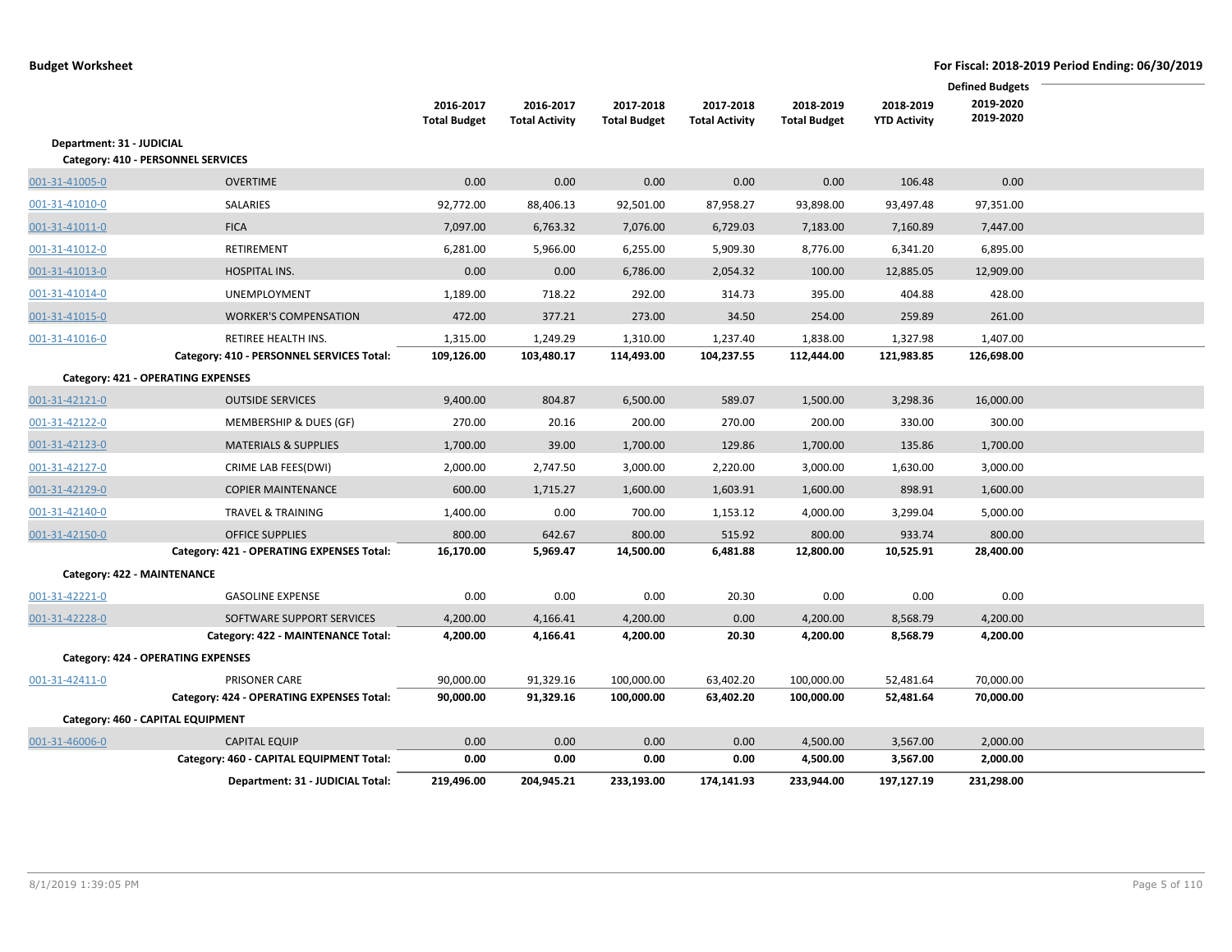|                             |                                           | 2016-2017<br><b>Total Budget</b> | 2016-2017<br><b>Total Activity</b> | 2017-2018<br><b>Total Budget</b> | 2017-2018<br><b>Total Activity</b> | 2018-2019<br><b>Total Budget</b> | 2018-2019<br><b>YTD Activity</b> | <b>Defined Budgets</b><br>2019-2020<br>2019-2020 |  |
|-----------------------------|-------------------------------------------|----------------------------------|------------------------------------|----------------------------------|------------------------------------|----------------------------------|----------------------------------|--------------------------------------------------|--|
| Department: 31 - JUDICIAL   |                                           |                                  |                                    |                                  |                                    |                                  |                                  |                                                  |  |
|                             | Category: 410 - PERSONNEL SERVICES        |                                  |                                    |                                  |                                    |                                  |                                  |                                                  |  |
| 001-31-41005-0              | <b>OVERTIME</b>                           | 0.00                             | 0.00                               | 0.00                             | 0.00                               | 0.00                             | 106.48                           | 0.00                                             |  |
| 001-31-41010-0              | SALARIES                                  | 92,772.00                        | 88,406.13                          | 92,501.00                        | 87,958.27                          | 93,898.00                        | 93,497.48                        | 97,351.00                                        |  |
| 001-31-41011-0              | <b>FICA</b>                               | 7,097.00                         | 6,763.32                           | 7,076.00                         | 6,729.03                           | 7,183.00                         | 7,160.89                         | 7,447.00                                         |  |
| 001-31-41012-0              | RETIREMENT                                | 6,281.00                         | 5,966.00                           | 6,255.00                         | 5,909.30                           | 8,776.00                         | 6,341.20                         | 6,895.00                                         |  |
| 001-31-41013-0              | <b>HOSPITAL INS.</b>                      | 0.00                             | 0.00                               | 6,786.00                         | 2,054.32                           | 100.00                           | 12,885.05                        | 12,909.00                                        |  |
| 001-31-41014-0              | <b>UNEMPLOYMENT</b>                       | 1,189.00                         | 718.22                             | 292.00                           | 314.73                             | 395.00                           | 404.88                           | 428.00                                           |  |
| 001-31-41015-0              | <b>WORKER'S COMPENSATION</b>              | 472.00                           | 377.21                             | 273.00                           | 34.50                              | 254.00                           | 259.89                           | 261.00                                           |  |
| 001-31-41016-0              | RETIREE HEALTH INS.                       | 1,315.00                         | 1,249.29                           | 1,310.00                         | 1,237.40                           | 1,838.00                         | 1,327.98                         | 1,407.00                                         |  |
|                             | Category: 410 - PERSONNEL SERVICES Total: | 109,126.00                       | 103,480.17                         | 114,493.00                       | 104,237.55                         | 112,444.00                       | 121,983.85                       | 126,698.00                                       |  |
|                             | <b>Category: 421 - OPERATING EXPENSES</b> |                                  |                                    |                                  |                                    |                                  |                                  |                                                  |  |
| 001-31-42121-0              | <b>OUTSIDE SERVICES</b>                   | 9,400.00                         | 804.87                             | 6,500.00                         | 589.07                             | 1,500.00                         | 3,298.36                         | 16,000.00                                        |  |
| 001-31-42122-0              | MEMBERSHIP & DUES (GF)                    | 270.00                           | 20.16                              | 200.00                           | 270.00                             | 200.00                           | 330.00                           | 300.00                                           |  |
| 001-31-42123-0              | <b>MATERIALS &amp; SUPPLIES</b>           | 1,700.00                         | 39.00                              | 1,700.00                         | 129.86                             | 1,700.00                         | 135.86                           | 1,700.00                                         |  |
| 001-31-42127-0              | CRIME LAB FEES(DWI)                       | 2,000.00                         | 2,747.50                           | 3,000.00                         | 2,220.00                           | 3,000.00                         | 1,630.00                         | 3,000.00                                         |  |
| 001-31-42129-0              | <b>COPIER MAINTENANCE</b>                 | 600.00                           | 1,715.27                           | 1,600.00                         | 1,603.91                           | 1,600.00                         | 898.91                           | 1,600.00                                         |  |
| 001-31-42140-0              | <b>TRAVEL &amp; TRAINING</b>              | 1,400.00                         | 0.00                               | 700.00                           | 1,153.12                           | 4,000.00                         | 3,299.04                         | 5,000.00                                         |  |
| 001-31-42150-0              | <b>OFFICE SUPPLIES</b>                    | 800.00                           | 642.67                             | 800.00                           | 515.92                             | 800.00                           | 933.74                           | 800.00                                           |  |
|                             | Category: 421 - OPERATING EXPENSES Total: | 16,170.00                        | 5,969.47                           | 14,500.00                        | 6,481.88                           | 12,800.00                        | 10,525.91                        | 28,400.00                                        |  |
| Category: 422 - MAINTENANCE |                                           |                                  |                                    |                                  |                                    |                                  |                                  |                                                  |  |
| 001-31-42221-0              | <b>GASOLINE EXPENSE</b>                   | 0.00                             | 0.00                               | 0.00                             | 20.30                              | 0.00                             | 0.00                             | 0.00                                             |  |
| 001-31-42228-0              | SOFTWARE SUPPORT SERVICES                 | 4,200.00                         | 4,166.41                           | 4,200.00                         | 0.00                               | 4,200.00                         | 8,568.79                         | 4,200.00                                         |  |
|                             | Category: 422 - MAINTENANCE Total:        | 4,200.00                         | 4,166.41                           | 4,200.00                         | 20.30                              | 4,200.00                         | 8,568.79                         | 4,200.00                                         |  |
|                             | Category: 424 - OPERATING EXPENSES        |                                  |                                    |                                  |                                    |                                  |                                  |                                                  |  |
| 001-31-42411-0              | <b>PRISONER CARE</b>                      | 90,000.00                        | 91,329.16                          | 100,000.00                       | 63,402.20                          | 100,000.00                       | 52,481.64                        | 70,000.00                                        |  |
|                             | Category: 424 - OPERATING EXPENSES Total: | 90,000.00                        | 91,329.16                          | 100,000.00                       | 63,402.20                          | 100,000.00                       | 52,481.64                        | 70,000.00                                        |  |
|                             | Category: 460 - CAPITAL EQUIPMENT         |                                  |                                    |                                  |                                    |                                  |                                  |                                                  |  |
| 001-31-46006-0              | <b>CAPITAL EQUIP</b>                      | 0.00                             | 0.00                               | 0.00                             | 0.00                               | 4,500.00                         | 3,567.00                         | 2,000.00                                         |  |
|                             | Category: 460 - CAPITAL EQUIPMENT Total:  | 0.00                             | 0.00                               | 0.00                             | 0.00                               | 4,500.00                         | 3,567.00                         | 2,000.00                                         |  |
|                             | Department: 31 - JUDICIAL Total:          | 219,496.00                       | 204,945.21                         | 233,193.00                       | 174,141.93                         | 233,944.00                       | 197,127.19                       | 231,298.00                                       |  |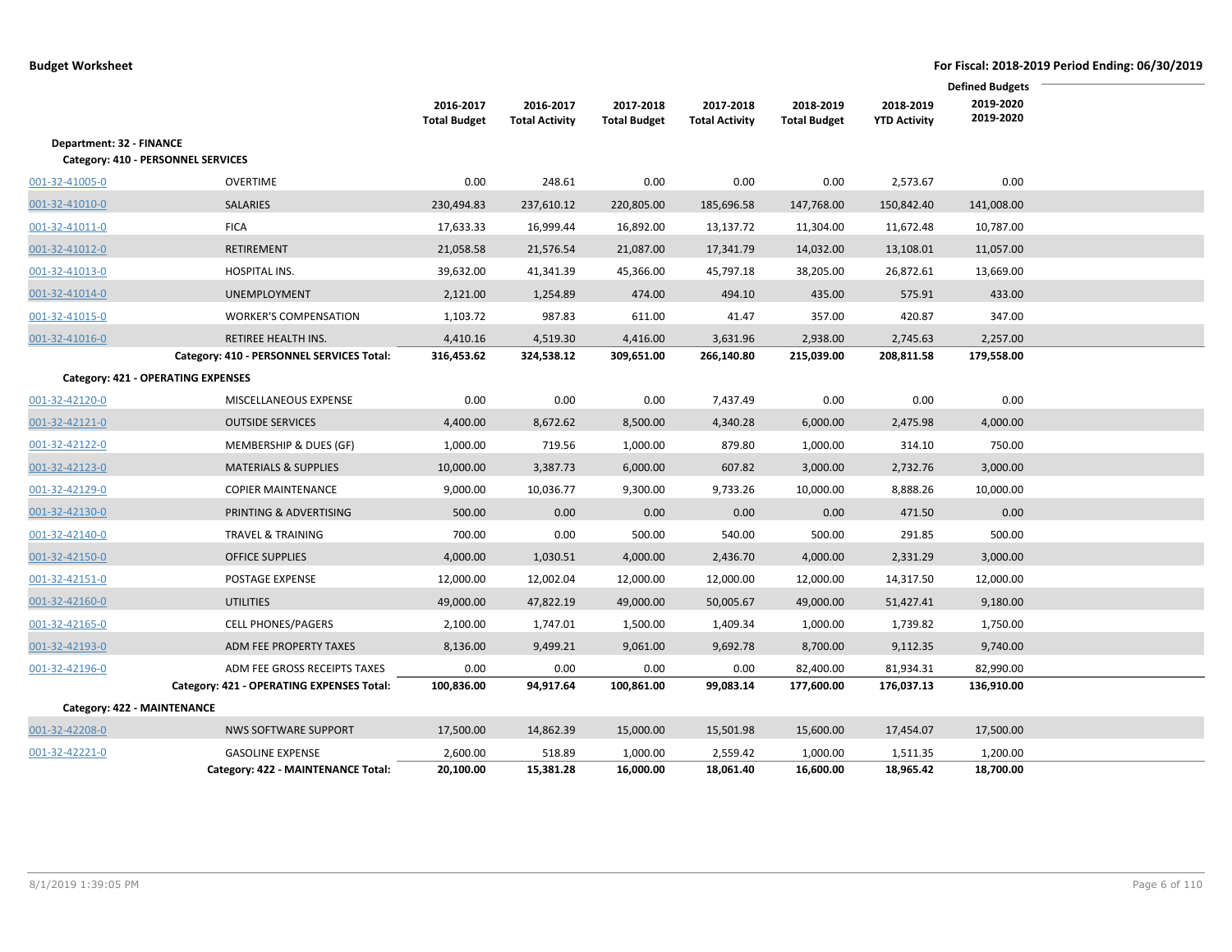|                             |                                           | 2016-2017<br><b>Total Budget</b> | 2016-2017<br><b>Total Activity</b> | 2017-2018<br><b>Total Budget</b> | 2017-2018<br><b>Total Activity</b> | 2018-2019<br><b>Total Budget</b> | 2018-2019<br><b>YTD Activity</b> | <b>Defined Budgets</b><br>2019-2020<br>2019-2020 |  |
|-----------------------------|-------------------------------------------|----------------------------------|------------------------------------|----------------------------------|------------------------------------|----------------------------------|----------------------------------|--------------------------------------------------|--|
|                             |                                           |                                  |                                    |                                  |                                    |                                  |                                  |                                                  |  |
| Department: 32 - FINANCE    | Category: 410 - PERSONNEL SERVICES        |                                  |                                    |                                  |                                    |                                  |                                  |                                                  |  |
| 001-32-41005-0              | <b>OVERTIME</b>                           | 0.00                             | 248.61                             | 0.00                             | 0.00                               | 0.00                             | 2,573.67                         | 0.00                                             |  |
| 001-32-41010-0              | <b>SALARIES</b>                           | 230,494.83                       | 237,610.12                         | 220,805.00                       | 185,696.58                         | 147,768.00                       | 150,842.40                       | 141,008.00                                       |  |
| 001-32-41011-0              | <b>FICA</b>                               | 17,633.33                        | 16,999.44                          | 16,892.00                        | 13,137.72                          | 11,304.00                        | 11,672.48                        | 10,787.00                                        |  |
| 001-32-41012-0              | RETIREMENT                                | 21,058.58                        | 21,576.54                          | 21,087.00                        | 17,341.79                          | 14,032.00                        | 13,108.01                        | 11,057.00                                        |  |
| 001-32-41013-0              | <b>HOSPITAL INS.</b>                      | 39,632.00                        | 41,341.39                          | 45,366.00                        | 45,797.18                          | 38,205.00                        | 26,872.61                        | 13,669.00                                        |  |
| 001-32-41014-0              | UNEMPLOYMENT                              | 2,121.00                         | 1,254.89                           | 474.00                           | 494.10                             | 435.00                           | 575.91                           | 433.00                                           |  |
| 001-32-41015-0              | <b>WORKER'S COMPENSATION</b>              | 1,103.72                         | 987.83                             | 611.00                           | 41.47                              | 357.00                           | 420.87                           | 347.00                                           |  |
| 001-32-41016-0              | RETIREE HEALTH INS.                       | 4,410.16                         | 4,519.30                           | 4,416.00                         | 3,631.96                           | 2,938.00                         | 2,745.63                         | 2,257.00                                         |  |
|                             | Category: 410 - PERSONNEL SERVICES Total: | 316,453.62                       | 324,538.12                         | 309,651.00                       | 266,140.80                         | 215,039.00                       | 208,811.58                       | 179,558.00                                       |  |
|                             | Category: 421 - OPERATING EXPENSES        |                                  |                                    |                                  |                                    |                                  |                                  |                                                  |  |
| 001-32-42120-0              | MISCELLANEOUS EXPENSE                     | 0.00                             | 0.00                               | 0.00                             | 7,437.49                           | 0.00                             | 0.00                             | 0.00                                             |  |
| 001-32-42121-0              | <b>OUTSIDE SERVICES</b>                   | 4,400.00                         | 8,672.62                           | 8,500.00                         | 4,340.28                           | 6,000.00                         | 2,475.98                         | 4,000.00                                         |  |
| 001-32-42122-0              | MEMBERSHIP & DUES (GF)                    | 1,000.00                         | 719.56                             | 1,000.00                         | 879.80                             | 1,000.00                         | 314.10                           | 750.00                                           |  |
| 001-32-42123-0              | <b>MATERIALS &amp; SUPPLIES</b>           | 10,000.00                        | 3,387.73                           | 6,000.00                         | 607.82                             | 3,000.00                         | 2,732.76                         | 3,000.00                                         |  |
| 001-32-42129-0              | <b>COPIER MAINTENANCE</b>                 | 9,000.00                         | 10,036.77                          | 9,300.00                         | 9,733.26                           | 10,000.00                        | 8,888.26                         | 10,000.00                                        |  |
| 001-32-42130-0              | PRINTING & ADVERTISING                    | 500.00                           | 0.00                               | 0.00                             | 0.00                               | 0.00                             | 471.50                           | 0.00                                             |  |
| 001-32-42140-0              | <b>TRAVEL &amp; TRAINING</b>              | 700.00                           | 0.00                               | 500.00                           | 540.00                             | 500.00                           | 291.85                           | 500.00                                           |  |
| 001-32-42150-0              | <b>OFFICE SUPPLIES</b>                    | 4,000.00                         | 1,030.51                           | 4,000.00                         | 2,436.70                           | 4,000.00                         | 2,331.29                         | 3,000.00                                         |  |
| 001-32-42151-0              | POSTAGE EXPENSE                           | 12,000.00                        | 12,002.04                          | 12,000.00                        | 12,000.00                          | 12,000.00                        | 14,317.50                        | 12,000.00                                        |  |
| 001-32-42160-0              | <b>UTILITIES</b>                          | 49,000.00                        | 47,822.19                          | 49,000.00                        | 50,005.67                          | 49,000.00                        | 51,427.41                        | 9,180.00                                         |  |
| 001-32-42165-0              | <b>CELL PHONES/PAGERS</b>                 | 2,100.00                         | 1,747.01                           | 1,500.00                         | 1,409.34                           | 1,000.00                         | 1,739.82                         | 1,750.00                                         |  |
| 001-32-42193-0              | ADM FEE PROPERTY TAXES                    | 8,136.00                         | 9,499.21                           | 9,061.00                         | 9,692.78                           | 8,700.00                         | 9,112.35                         | 9,740.00                                         |  |
| 001-32-42196-0              | ADM FEE GROSS RECEIPTS TAXES              | 0.00                             | 0.00                               | 0.00                             | 0.00                               | 82,400.00                        | 81,934.31                        | 82,990.00                                        |  |
|                             | Category: 421 - OPERATING EXPENSES Total: | 100,836.00                       | 94,917.64                          | 100,861.00                       | 99,083.14                          | 177,600.00                       | 176,037.13                       | 136,910.00                                       |  |
| Category: 422 - MAINTENANCE |                                           |                                  |                                    |                                  |                                    |                                  |                                  |                                                  |  |
| 001-32-42208-0              | <b>NWS SOFTWARE SUPPORT</b>               | 17,500.00                        | 14,862.39                          | 15,000.00                        | 15,501.98                          | 15,600.00                        | 17,454.07                        | 17,500.00                                        |  |
| 001-32-42221-0              | <b>GASOLINE EXPENSE</b>                   | 2,600.00                         | 518.89                             | 1,000.00                         | 2,559.42                           | 1,000.00                         | 1,511.35                         | 1,200.00                                         |  |
|                             | Category: 422 - MAINTENANCE Total:        | 20,100.00                        | 15,381.28                          | 16,000.00                        | 18,061.40                          | 16,600.00                        | 18,965.42                        | 18,700.00                                        |  |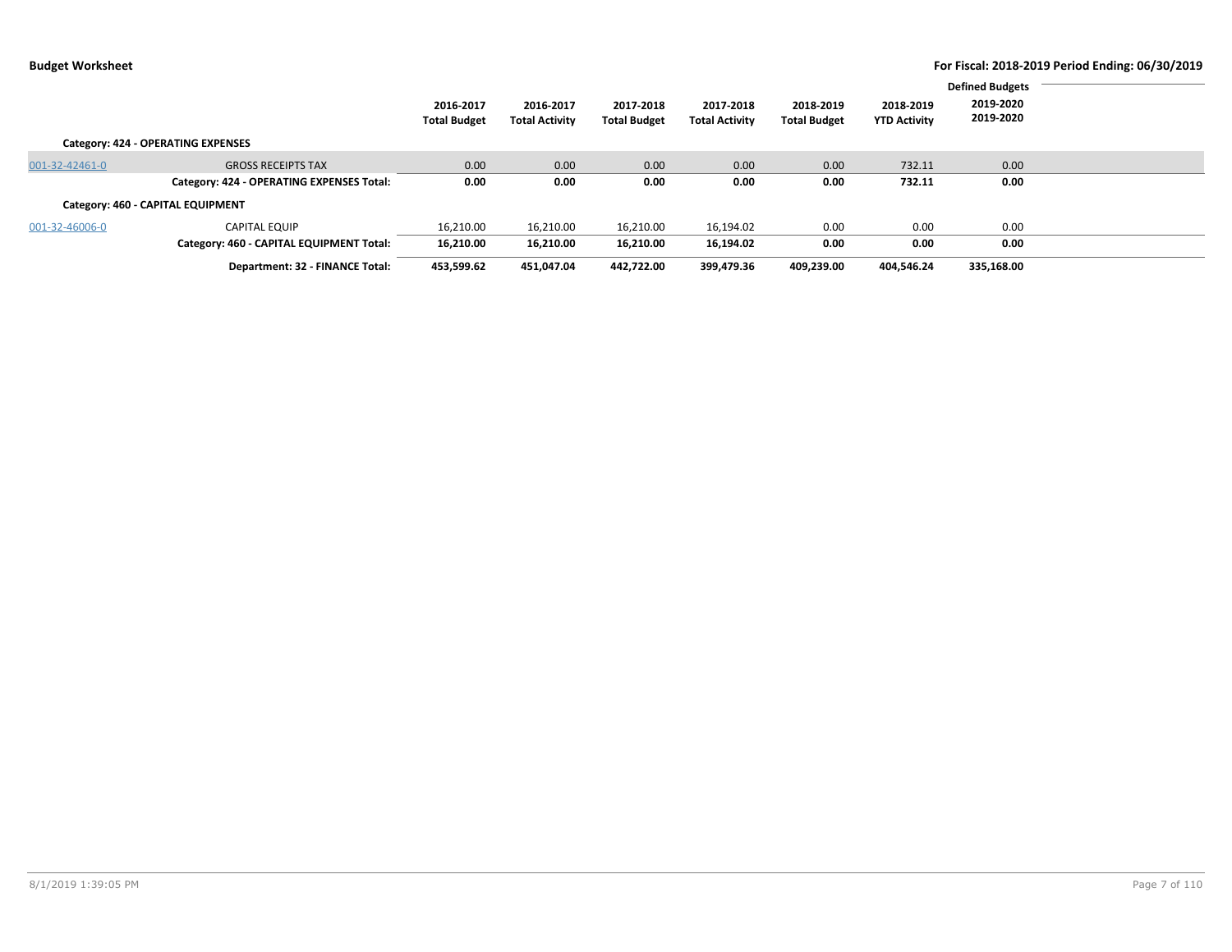|                |                                           |                     |                       |                     |                       |                     |                     | <b>Defined Budgets</b> |  |
|----------------|-------------------------------------------|---------------------|-----------------------|---------------------|-----------------------|---------------------|---------------------|------------------------|--|
|                |                                           | 2016-2017           | 2016-2017             | 2017-2018           | 2017-2018             | 2018-2019           | 2018-2019           | 2019-2020              |  |
|                |                                           | <b>Total Budget</b> | <b>Total Activity</b> | <b>Total Budget</b> | <b>Total Activity</b> | <b>Total Budget</b> | <b>YTD Activity</b> | 2019-2020              |  |
|                | Category: 424 - OPERATING EXPENSES        |                     |                       |                     |                       |                     |                     |                        |  |
| 001-32-42461-0 | <b>GROSS RECEIPTS TAX</b>                 | 0.00                | 0.00                  | 0.00                | 0.00                  | 0.00                | 732.11              | 0.00                   |  |
|                | Category: 424 - OPERATING EXPENSES Total: | 0.00                | 0.00                  | 0.00                | 0.00                  | 0.00                | 732.11              | 0.00                   |  |
|                | Category: 460 - CAPITAL EQUIPMENT         |                     |                       |                     |                       |                     |                     |                        |  |
| 001-32-46006-0 | <b>CAPITAL EQUIP</b>                      | 16,210.00           | 16,210.00             | 16,210.00           | 16,194.02             | 0.00                | 0.00                | 0.00                   |  |
|                | Category: 460 - CAPITAL EQUIPMENT Total:  | 16,210.00           | 16,210.00             | 16,210.00           | 16,194.02             | 0.00                | 0.00                | 0.00                   |  |
|                | Department: 32 - FINANCE Total:           | 453.599.62          | 451.047.04            | 442.722.00          | 399.479.36            | 409.239.00          | 404.546.24          | 335,168.00             |  |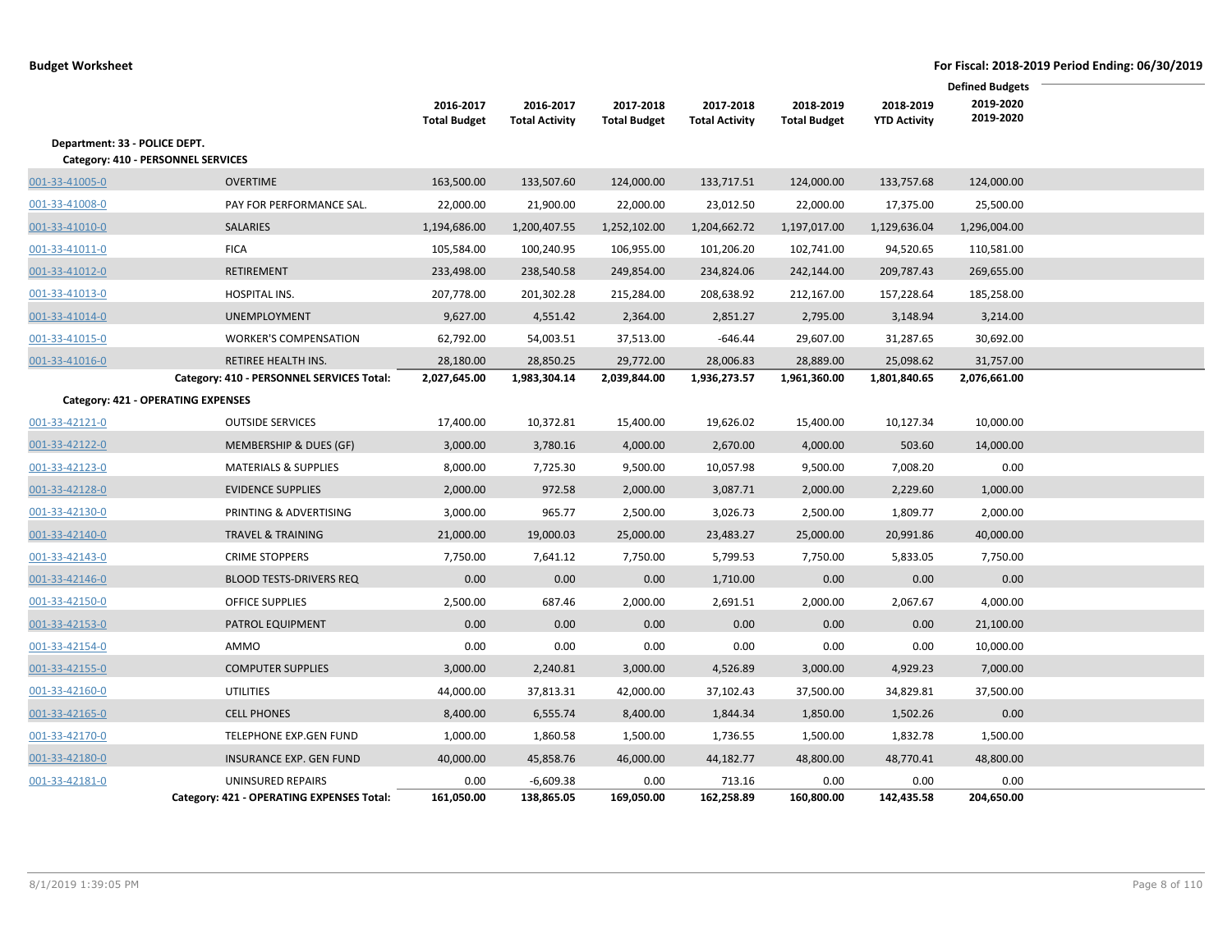|                               |                                           |                                  |                                    |                                  |                                    |                                  |                                  | <b>Defined Budgets</b> |  |
|-------------------------------|-------------------------------------------|----------------------------------|------------------------------------|----------------------------------|------------------------------------|----------------------------------|----------------------------------|------------------------|--|
|                               |                                           | 2016-2017<br><b>Total Budget</b> | 2016-2017<br><b>Total Activity</b> | 2017-2018<br><b>Total Budget</b> | 2017-2018<br><b>Total Activity</b> | 2018-2019<br><b>Total Budget</b> | 2018-2019<br><b>YTD Activity</b> | 2019-2020<br>2019-2020 |  |
| Department: 33 - POLICE DEPT. |                                           |                                  |                                    |                                  |                                    |                                  |                                  |                        |  |
|                               | Category: 410 - PERSONNEL SERVICES        |                                  |                                    |                                  |                                    |                                  |                                  |                        |  |
| 001-33-41005-0                | <b>OVERTIME</b>                           | 163,500.00                       | 133,507.60                         | 124,000.00                       | 133,717.51                         | 124,000.00                       | 133,757.68                       | 124,000.00             |  |
| 001-33-41008-0                | PAY FOR PERFORMANCE SAL.                  | 22,000.00                        | 21,900.00                          | 22,000.00                        | 23,012.50                          | 22,000.00                        | 17,375.00                        | 25,500.00              |  |
| 001-33-41010-0                | <b>SALARIES</b>                           | 1,194,686.00                     | 1,200,407.55                       | 1,252,102.00                     | 1,204,662.72                       | 1,197,017.00                     | 1,129,636.04                     | 1,296,004.00           |  |
| 001-33-41011-0                | <b>FICA</b>                               | 105,584.00                       | 100,240.95                         | 106,955.00                       | 101,206.20                         | 102,741.00                       | 94,520.65                        | 110,581.00             |  |
| 001-33-41012-0                | <b>RETIREMENT</b>                         | 233,498.00                       | 238,540.58                         | 249,854.00                       | 234,824.06                         | 242,144.00                       | 209,787.43                       | 269,655.00             |  |
| 001-33-41013-0                | <b>HOSPITAL INS.</b>                      | 207,778.00                       | 201,302.28                         | 215,284.00                       | 208,638.92                         | 212,167.00                       | 157,228.64                       | 185,258.00             |  |
| 001-33-41014-0                | <b>UNEMPLOYMENT</b>                       | 9,627.00                         | 4,551.42                           | 2,364.00                         | 2,851.27                           | 2,795.00                         | 3,148.94                         | 3,214.00               |  |
| 001-33-41015-0                | <b>WORKER'S COMPENSATION</b>              | 62,792.00                        | 54,003.51                          | 37,513.00                        | $-646.44$                          | 29,607.00                        | 31,287.65                        | 30,692.00              |  |
| 001-33-41016-0                | <b>RETIREE HEALTH INS.</b>                | 28,180.00                        | 28,850.25                          | 29,772.00                        | 28,006.83                          | 28,889.00                        | 25,098.62                        | 31,757.00              |  |
|                               | Category: 410 - PERSONNEL SERVICES Total: | 2,027,645.00                     | 1,983,304.14                       | 2,039,844.00                     | 1,936,273.57                       | 1,961,360.00                     | 1,801,840.65                     | 2,076,661.00           |  |
|                               | Category: 421 - OPERATING EXPENSES        |                                  |                                    |                                  |                                    |                                  |                                  |                        |  |
| 001-33-42121-0                | <b>OUTSIDE SERVICES</b>                   | 17,400.00                        | 10,372.81                          | 15,400.00                        | 19,626.02                          | 15,400.00                        | 10,127.34                        | 10,000.00              |  |
| 001-33-42122-0                | <b>MEMBERSHIP &amp; DUES (GF)</b>         | 3,000.00                         | 3,780.16                           | 4,000.00                         | 2,670.00                           | 4,000.00                         | 503.60                           | 14,000.00              |  |
| 001-33-42123-0                | <b>MATERIALS &amp; SUPPLIES</b>           | 8,000.00                         | 7,725.30                           | 9,500.00                         | 10,057.98                          | 9,500.00                         | 7,008.20                         | 0.00                   |  |
| 001-33-42128-0                | <b>EVIDENCE SUPPLIES</b>                  | 2,000.00                         | 972.58                             | 2,000.00                         | 3,087.71                           | 2,000.00                         | 2,229.60                         | 1,000.00               |  |
| 001-33-42130-0                | PRINTING & ADVERTISING                    | 3,000.00                         | 965.77                             | 2,500.00                         | 3,026.73                           | 2,500.00                         | 1,809.77                         | 2,000.00               |  |
| 001-33-42140-0                | <b>TRAVEL &amp; TRAINING</b>              | 21,000.00                        | 19,000.03                          | 25,000.00                        | 23,483.27                          | 25,000.00                        | 20,991.86                        | 40,000.00              |  |
| 001-33-42143-0                | <b>CRIME STOPPERS</b>                     | 7,750.00                         | 7,641.12                           | 7,750.00                         | 5,799.53                           | 7,750.00                         | 5,833.05                         | 7,750.00               |  |
| 001-33-42146-0                | <b>BLOOD TESTS-DRIVERS REQ</b>            | 0.00                             | 0.00                               | 0.00                             | 1,710.00                           | 0.00                             | 0.00                             | 0.00                   |  |
| 001-33-42150-0                | <b>OFFICE SUPPLIES</b>                    | 2,500.00                         | 687.46                             | 2,000.00                         | 2,691.51                           | 2,000.00                         | 2,067.67                         | 4,000.00               |  |
| 001-33-42153-0                | PATROL EQUIPMENT                          | 0.00                             | 0.00                               | 0.00                             | 0.00                               | 0.00                             | 0.00                             | 21,100.00              |  |
| 001-33-42154-0                | AMMO                                      | 0.00                             | 0.00                               | 0.00                             | 0.00                               | 0.00                             | 0.00                             | 10,000.00              |  |
| 001-33-42155-0                | <b>COMPUTER SUPPLIES</b>                  | 3,000.00                         | 2,240.81                           | 3,000.00                         | 4,526.89                           | 3,000.00                         | 4,929.23                         | 7,000.00               |  |
| 001-33-42160-0                | <b>UTILITIES</b>                          | 44,000.00                        | 37,813.31                          | 42,000.00                        | 37,102.43                          | 37,500.00                        | 34,829.81                        | 37,500.00              |  |
| 001-33-42165-0                | <b>CELL PHONES</b>                        | 8,400.00                         | 6,555.74                           | 8,400.00                         | 1,844.34                           | 1,850.00                         | 1,502.26                         | 0.00                   |  |
| 001-33-42170-0                | TELEPHONE EXP.GEN FUND                    | 1,000.00                         | 1,860.58                           | 1,500.00                         | 1,736.55                           | 1,500.00                         | 1,832.78                         | 1,500.00               |  |
| 001-33-42180-0                | <b>INSURANCE EXP. GEN FUND</b>            | 40,000.00                        | 45,858.76                          | 46,000.00                        | 44,182.77                          | 48,800.00                        | 48,770.41                        | 48,800.00              |  |
| 001-33-42181-0                | UNINSURED REPAIRS                         | 0.00                             | $-6,609.38$                        | 0.00                             | 713.16                             | 0.00                             | 0.00                             | 0.00                   |  |
|                               | Category: 421 - OPERATING EXPENSES Total: | 161,050.00                       | 138,865.05                         | 169,050.00                       | 162,258.89                         | 160,800.00                       | 142,435.58                       | 204,650.00             |  |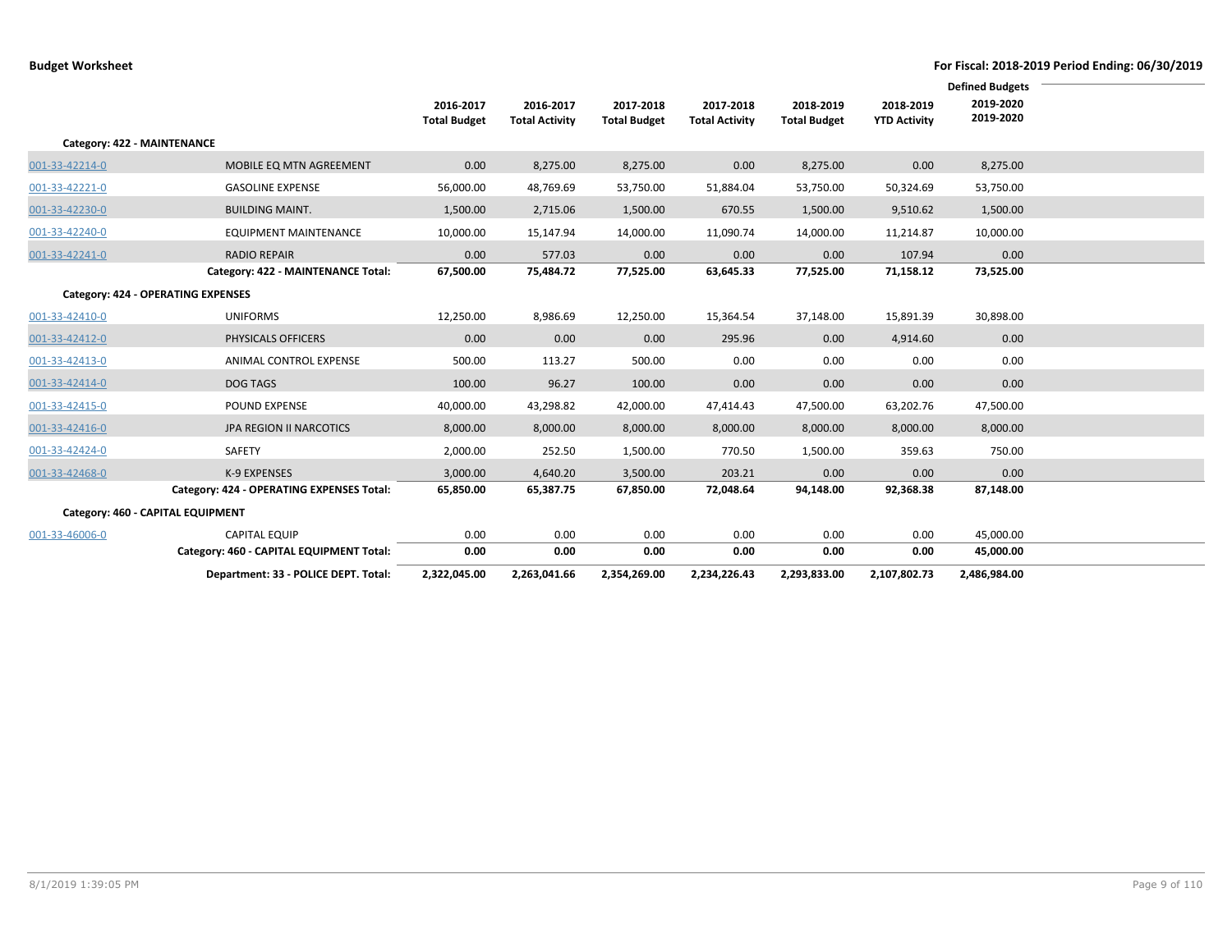|                             |                                           |                                  |                                    |                                  |                                    |                                  |                                  | <b>Defined Budgets</b> |  |
|-----------------------------|-------------------------------------------|----------------------------------|------------------------------------|----------------------------------|------------------------------------|----------------------------------|----------------------------------|------------------------|--|
|                             |                                           | 2016-2017<br><b>Total Budget</b> | 2016-2017<br><b>Total Activity</b> | 2017-2018<br><b>Total Budget</b> | 2017-2018<br><b>Total Activity</b> | 2018-2019<br><b>Total Budget</b> | 2018-2019<br><b>YTD Activity</b> | 2019-2020<br>2019-2020 |  |
| Category: 422 - MAINTENANCE |                                           |                                  |                                    |                                  |                                    |                                  |                                  |                        |  |
| 001-33-42214-0              | MOBILE EQ MTN AGREEMENT                   | 0.00                             | 8,275.00                           | 8,275.00                         | 0.00                               | 8,275.00                         | 0.00                             | 8,275.00               |  |
| 001-33-42221-0              | <b>GASOLINE EXPENSE</b>                   | 56,000.00                        | 48,769.69                          | 53,750.00                        | 51,884.04                          | 53,750.00                        | 50,324.69                        | 53,750.00              |  |
| 001-33-42230-0              | <b>BUILDING MAINT.</b>                    | 1,500.00                         | 2,715.06                           | 1,500.00                         | 670.55                             | 1,500.00                         | 9,510.62                         | 1,500.00               |  |
| 001-33-42240-0              | <b>EQUIPMENT MAINTENANCE</b>              | 10,000.00                        | 15,147.94                          | 14,000.00                        | 11,090.74                          | 14,000.00                        | 11,214.87                        | 10,000.00              |  |
| 001-33-42241-0              | <b>RADIO REPAIR</b>                       | 0.00                             | 577.03                             | 0.00                             | 0.00                               | 0.00                             | 107.94                           | 0.00                   |  |
|                             | Category: 422 - MAINTENANCE Total:        | 67,500.00                        | 75,484.72                          | 77,525.00                        | 63,645.33                          | 77,525.00                        | 71,158.12                        | 73,525.00              |  |
|                             | Category: 424 - OPERATING EXPENSES        |                                  |                                    |                                  |                                    |                                  |                                  |                        |  |
| 001-33-42410-0              | <b>UNIFORMS</b>                           | 12,250.00                        | 8,986.69                           | 12,250.00                        | 15,364.54                          | 37,148.00                        | 15,891.39                        | 30,898.00              |  |
| 001-33-42412-0              | PHYSICALS OFFICERS                        | 0.00                             | 0.00                               | 0.00                             | 295.96                             | 0.00                             | 4,914.60                         | 0.00                   |  |
| 001-33-42413-0              | <b>ANIMAL CONTROL EXPENSE</b>             | 500.00                           | 113.27                             | 500.00                           | 0.00                               | 0.00                             | 0.00                             | 0.00                   |  |
| 001-33-42414-0              | <b>DOG TAGS</b>                           | 100.00                           | 96.27                              | 100.00                           | 0.00                               | 0.00                             | 0.00                             | 0.00                   |  |
| 001-33-42415-0              | POUND EXPENSE                             | 40,000.00                        | 43,298.82                          | 42,000.00                        | 47,414.43                          | 47,500.00                        | 63,202.76                        | 47,500.00              |  |
| 001-33-42416-0              | JPA REGION II NARCOTICS                   | 8,000.00                         | 8,000.00                           | 8,000.00                         | 8,000.00                           | 8,000.00                         | 8,000.00                         | 8,000.00               |  |
| 001-33-42424-0              | SAFETY                                    | 2,000.00                         | 252.50                             | 1,500.00                         | 770.50                             | 1,500.00                         | 359.63                           | 750.00                 |  |
| 001-33-42468-0              | K-9 EXPENSES                              | 3,000.00                         | 4,640.20                           | 3,500.00                         | 203.21                             | 0.00                             | 0.00                             | 0.00                   |  |
|                             | Category: 424 - OPERATING EXPENSES Total: | 65,850.00                        | 65,387.75                          | 67,850.00                        | 72,048.64                          | 94,148.00                        | 92,368.38                        | 87,148.00              |  |
|                             | Category: 460 - CAPITAL EQUIPMENT         |                                  |                                    |                                  |                                    |                                  |                                  |                        |  |
| 001-33-46006-0              | <b>CAPITAL EQUIP</b>                      | 0.00                             | 0.00                               | 0.00                             | 0.00                               | 0.00                             | 0.00                             | 45,000.00              |  |
|                             | Category: 460 - CAPITAL EQUIPMENT Total:  | 0.00                             | 0.00                               | 0.00                             | 0.00                               | 0.00                             | 0.00                             | 45,000.00              |  |
|                             | Department: 33 - POLICE DEPT. Total:      | 2,322,045.00                     | 2,263,041.66                       | 2,354,269.00                     | 2,234,226.43                       | 2,293,833.00                     | 2,107,802.73                     | 2,486,984.00           |  |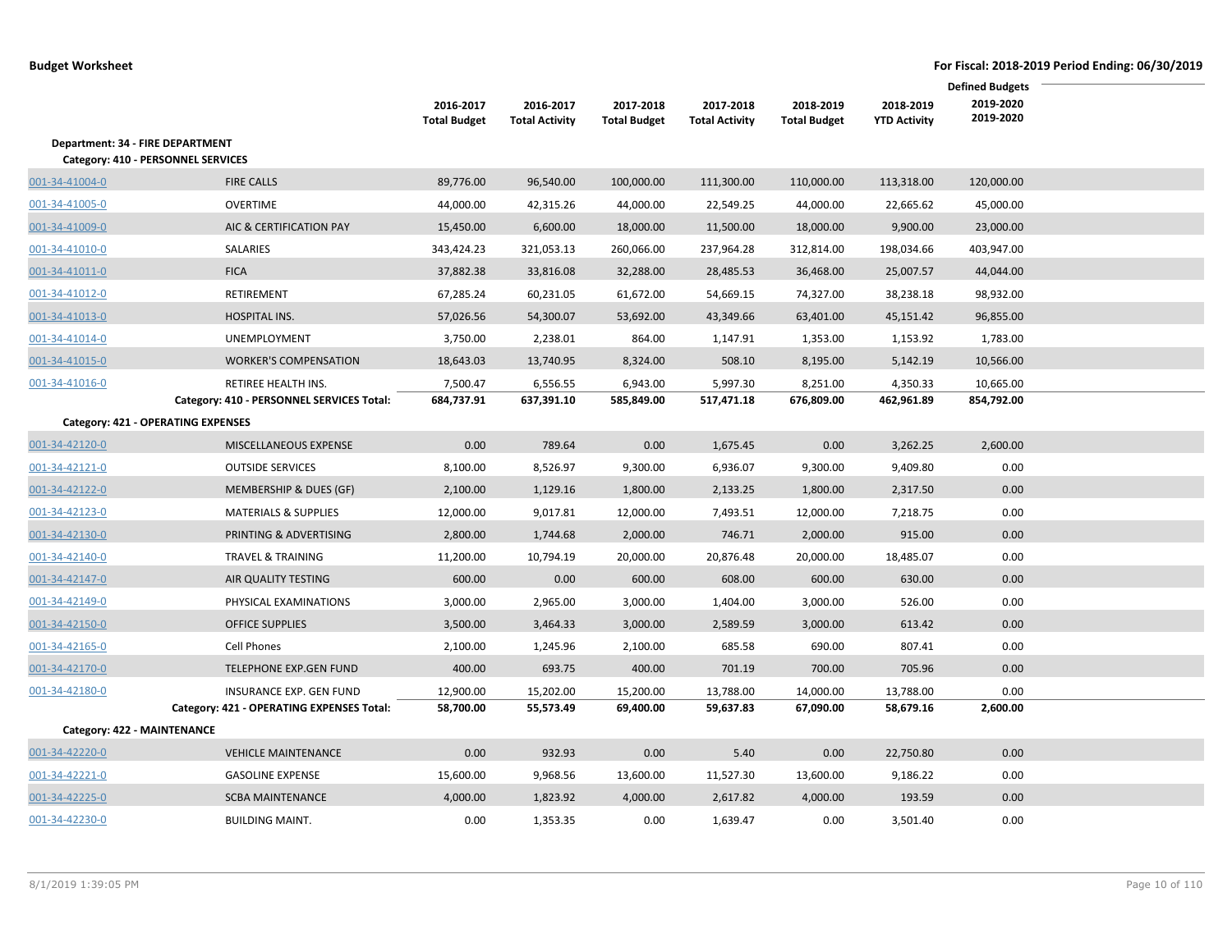|                                         |                                           |                                  |                                    |                                  |                                    |                                  |                                  | <b>Defined Budgets</b> |  |
|-----------------------------------------|-------------------------------------------|----------------------------------|------------------------------------|----------------------------------|------------------------------------|----------------------------------|----------------------------------|------------------------|--|
|                                         |                                           | 2016-2017<br><b>Total Budget</b> | 2016-2017<br><b>Total Activity</b> | 2017-2018<br><b>Total Budget</b> | 2017-2018<br><b>Total Activity</b> | 2018-2019<br><b>Total Budget</b> | 2018-2019<br><b>YTD Activity</b> | 2019-2020<br>2019-2020 |  |
| <b>Department: 34 - FIRE DEPARTMENT</b> |                                           |                                  |                                    |                                  |                                    |                                  |                                  |                        |  |
|                                         | Category: 410 - PERSONNEL SERVICES        |                                  |                                    |                                  |                                    |                                  |                                  |                        |  |
| 001-34-41004-0                          | <b>FIRE CALLS</b>                         | 89,776.00                        | 96,540.00                          | 100,000.00                       | 111,300.00                         | 110,000.00                       | 113,318.00                       | 120,000.00             |  |
| 001-34-41005-0                          | <b>OVERTIME</b>                           | 44,000.00                        | 42,315.26                          | 44,000.00                        | 22,549.25                          | 44,000.00                        | 22,665.62                        | 45,000.00              |  |
| 001-34-41009-0                          | AIC & CERTIFICATION PAY                   | 15,450.00                        | 6,600.00                           | 18,000.00                        | 11,500.00                          | 18,000.00                        | 9,900.00                         | 23,000.00              |  |
| 001-34-41010-0                          | SALARIES                                  | 343,424.23                       | 321,053.13                         | 260,066.00                       | 237,964.28                         | 312,814.00                       | 198,034.66                       | 403,947.00             |  |
| 001-34-41011-0                          | <b>FICA</b>                               | 37,882.38                        | 33,816.08                          | 32,288.00                        | 28,485.53                          | 36,468.00                        | 25,007.57                        | 44,044.00              |  |
| 001-34-41012-0                          | RETIREMENT                                | 67,285.24                        | 60,231.05                          | 61,672.00                        | 54,669.15                          | 74,327.00                        | 38,238.18                        | 98,932.00              |  |
| 001-34-41013-0                          | HOSPITAL INS.                             | 57,026.56                        | 54,300.07                          | 53,692.00                        | 43,349.66                          | 63,401.00                        | 45,151.42                        | 96,855.00              |  |
| 001-34-41014-0                          | <b>UNEMPLOYMENT</b>                       | 3,750.00                         | 2,238.01                           | 864.00                           | 1,147.91                           | 1,353.00                         | 1,153.92                         | 1,783.00               |  |
| 001-34-41015-0                          | <b>WORKER'S COMPENSATION</b>              | 18,643.03                        | 13,740.95                          | 8,324.00                         | 508.10                             | 8,195.00                         | 5,142.19                         | 10,566.00              |  |
| 001-34-41016-0                          | RETIREE HEALTH INS.                       | 7,500.47                         | 6,556.55                           | 6,943.00                         | 5,997.30                           | 8,251.00                         | 4,350.33                         | 10,665.00              |  |
|                                         | Category: 410 - PERSONNEL SERVICES Total: | 684,737.91                       | 637,391.10                         | 585,849.00                       | 517,471.18                         | 676,809.00                       | 462,961.89                       | 854,792.00             |  |
|                                         | <b>Category: 421 - OPERATING EXPENSES</b> |                                  |                                    |                                  |                                    |                                  |                                  |                        |  |
| 001-34-42120-0                          | <b>MISCELLANEOUS EXPENSE</b>              | 0.00                             | 789.64                             | 0.00                             | 1,675.45                           | 0.00                             | 3,262.25                         | 2,600.00               |  |
| 001-34-42121-0                          | <b>OUTSIDE SERVICES</b>                   | 8,100.00                         | 8,526.97                           | 9,300.00                         | 6,936.07                           | 9,300.00                         | 9,409.80                         | 0.00                   |  |
| 001-34-42122-0                          | <b>MEMBERSHIP &amp; DUES (GF)</b>         | 2,100.00                         | 1,129.16                           | 1,800.00                         | 2,133.25                           | 1,800.00                         | 2,317.50                         | 0.00                   |  |
| 001-34-42123-0                          | <b>MATERIALS &amp; SUPPLIES</b>           | 12,000.00                        | 9,017.81                           | 12,000.00                        | 7,493.51                           | 12,000.00                        | 7,218.75                         | 0.00                   |  |
| 001-34-42130-0                          | PRINTING & ADVERTISING                    | 2,800.00                         | 1,744.68                           | 2,000.00                         | 746.71                             | 2,000.00                         | 915.00                           | 0.00                   |  |
| 001-34-42140-0                          | <b>TRAVEL &amp; TRAINING</b>              | 11,200.00                        | 10,794.19                          | 20,000.00                        | 20,876.48                          | 20,000.00                        | 18,485.07                        | 0.00                   |  |
| 001-34-42147-0                          | AIR QUALITY TESTING                       | 600.00                           | 0.00                               | 600.00                           | 608.00                             | 600.00                           | 630.00                           | 0.00                   |  |
| 001-34-42149-0                          | PHYSICAL EXAMINATIONS                     | 3,000.00                         | 2,965.00                           | 3,000.00                         | 1,404.00                           | 3,000.00                         | 526.00                           | 0.00                   |  |
| 001-34-42150-0                          | <b>OFFICE SUPPLIES</b>                    | 3,500.00                         | 3,464.33                           | 3,000.00                         | 2,589.59                           | 3,000.00                         | 613.42                           | 0.00                   |  |
| 001-34-42165-0                          | <b>Cell Phones</b>                        | 2,100.00                         | 1,245.96                           | 2,100.00                         | 685.58                             | 690.00                           | 807.41                           | 0.00                   |  |
| 001-34-42170-0                          | <b>TELEPHONE EXP.GEN FUND</b>             | 400.00                           | 693.75                             | 400.00                           | 701.19                             | 700.00                           | 705.96                           | 0.00                   |  |
| 001-34-42180-0                          | <b>INSURANCE EXP. GEN FUND</b>            | 12,900.00                        | 15,202.00                          | 15,200.00                        | 13,788.00                          | 14,000.00                        | 13,788.00                        | 0.00                   |  |
|                                         | Category: 421 - OPERATING EXPENSES Total: | 58,700.00                        | 55,573.49                          | 69,400.00                        | 59,637.83                          | 67,090.00                        | 58,679.16                        | 2,600.00               |  |
| Category: 422 - MAINTENANCE             |                                           |                                  |                                    |                                  |                                    |                                  |                                  |                        |  |
| 001-34-42220-0                          | <b>VEHICLE MAINTENANCE</b>                | 0.00                             | 932.93                             | 0.00                             | 5.40                               | 0.00                             | 22,750.80                        | 0.00                   |  |
| 001-34-42221-0                          | <b>GASOLINE EXPENSE</b>                   | 15,600.00                        | 9,968.56                           | 13,600.00                        | 11,527.30                          | 13,600.00                        | 9,186.22                         | 0.00                   |  |
| 001-34-42225-0                          | <b>SCBA MAINTENANCE</b>                   | 4,000.00                         | 1,823.92                           | 4,000.00                         | 2,617.82                           | 4,000.00                         | 193.59                           | 0.00                   |  |
| 001-34-42230-0                          | <b>BUILDING MAINT.</b>                    | 0.00                             | 1,353.35                           | 0.00                             | 1,639.47                           | 0.00                             | 3,501.40                         | 0.00                   |  |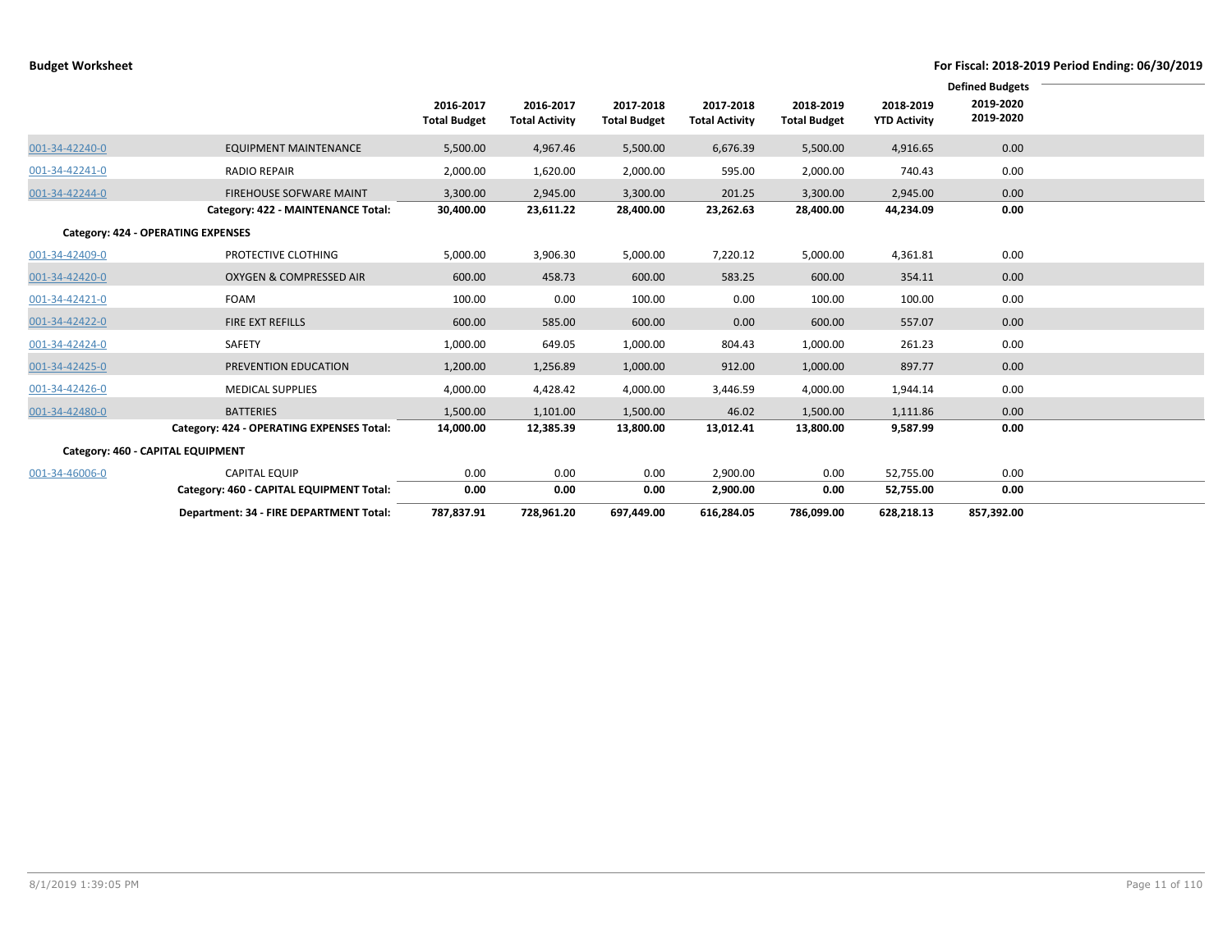|                |                                           |                     |                       |                     |                       |                     |                     | <b>Defined Budgets</b> |  |
|----------------|-------------------------------------------|---------------------|-----------------------|---------------------|-----------------------|---------------------|---------------------|------------------------|--|
|                |                                           | 2016-2017           | 2016-2017             | 2017-2018           | 2017-2018             | 2018-2019           | 2018-2019           | 2019-2020              |  |
|                |                                           | <b>Total Budget</b> | <b>Total Activity</b> | <b>Total Budget</b> | <b>Total Activity</b> | <b>Total Budget</b> | <b>YTD Activity</b> | 2019-2020              |  |
| 001-34-42240-0 | <b>EQUIPMENT MAINTENANCE</b>              | 5,500.00            | 4,967.46              | 5,500.00            | 6,676.39              | 5,500.00            | 4,916.65            | 0.00                   |  |
| 001-34-42241-0 | <b>RADIO REPAIR</b>                       | 2,000.00            | 1,620.00              | 2,000.00            | 595.00                | 2,000.00            | 740.43              | 0.00                   |  |
| 001-34-42244-0 | FIREHOUSE SOFWARE MAINT                   | 3,300.00            | 2,945.00              | 3,300.00            | 201.25                | 3,300.00            | 2,945.00            | 0.00                   |  |
|                | Category: 422 - MAINTENANCE Total:        | 30,400.00           | 23,611.22             | 28,400.00           | 23,262.63             | 28,400.00           | 44,234.09           | 0.00                   |  |
|                | Category: 424 - OPERATING EXPENSES        |                     |                       |                     |                       |                     |                     |                        |  |
| 001-34-42409-0 | PROTECTIVE CLOTHING                       | 5,000.00            | 3,906.30              | 5,000.00            | 7,220.12              | 5,000.00            | 4,361.81            | 0.00                   |  |
| 001-34-42420-0 | <b>OXYGEN &amp; COMPRESSED AIR</b>        | 600.00              | 458.73                | 600.00              | 583.25                | 600.00              | 354.11              | 0.00                   |  |
| 001-34-42421-0 | FOAM                                      | 100.00              | 0.00                  | 100.00              | 0.00                  | 100.00              | 100.00              | 0.00                   |  |
| 001-34-42422-0 | FIRE EXT REFILLS                          | 600.00              | 585.00                | 600.00              | 0.00                  | 600.00              | 557.07              | 0.00                   |  |
| 001-34-42424-0 | <b>SAFETY</b>                             | 1,000.00            | 649.05                | 1,000.00            | 804.43                | 1,000.00            | 261.23              | 0.00                   |  |
| 001-34-42425-0 | PREVENTION EDUCATION                      | 1,200.00            | 1,256.89              | 1,000.00            | 912.00                | 1,000.00            | 897.77              | 0.00                   |  |
| 001-34-42426-0 | <b>MEDICAL SUPPLIES</b>                   | 4,000.00            | 4,428.42              | 4,000.00            | 3,446.59              | 4,000.00            | 1,944.14            | 0.00                   |  |
| 001-34-42480-0 | <b>BATTERIES</b>                          | 1,500.00            | 1,101.00              | 1,500.00            | 46.02                 | 1,500.00            | 1,111.86            | 0.00                   |  |
|                | Category: 424 - OPERATING EXPENSES Total: | 14,000.00           | 12,385.39             | 13,800.00           | 13,012.41             | 13,800.00           | 9,587.99            | 0.00                   |  |
|                | Category: 460 - CAPITAL EQUIPMENT         |                     |                       |                     |                       |                     |                     |                        |  |
| 001-34-46006-0 | <b>CAPITAL EQUIP</b>                      | 0.00                | 0.00                  | 0.00                | 2,900.00              | 0.00                | 52,755.00           | 0.00                   |  |
|                | Category: 460 - CAPITAL EQUIPMENT Total:  | 0.00                | 0.00                  | 0.00                | 2,900.00              | 0.00                | 52,755.00           | 0.00                   |  |
|                | Department: 34 - FIRE DEPARTMENT Total:   | 787,837.91          | 728,961.20            | 697,449.00          | 616,284.05            | 786,099.00          | 628,218.13          | 857,392.00             |  |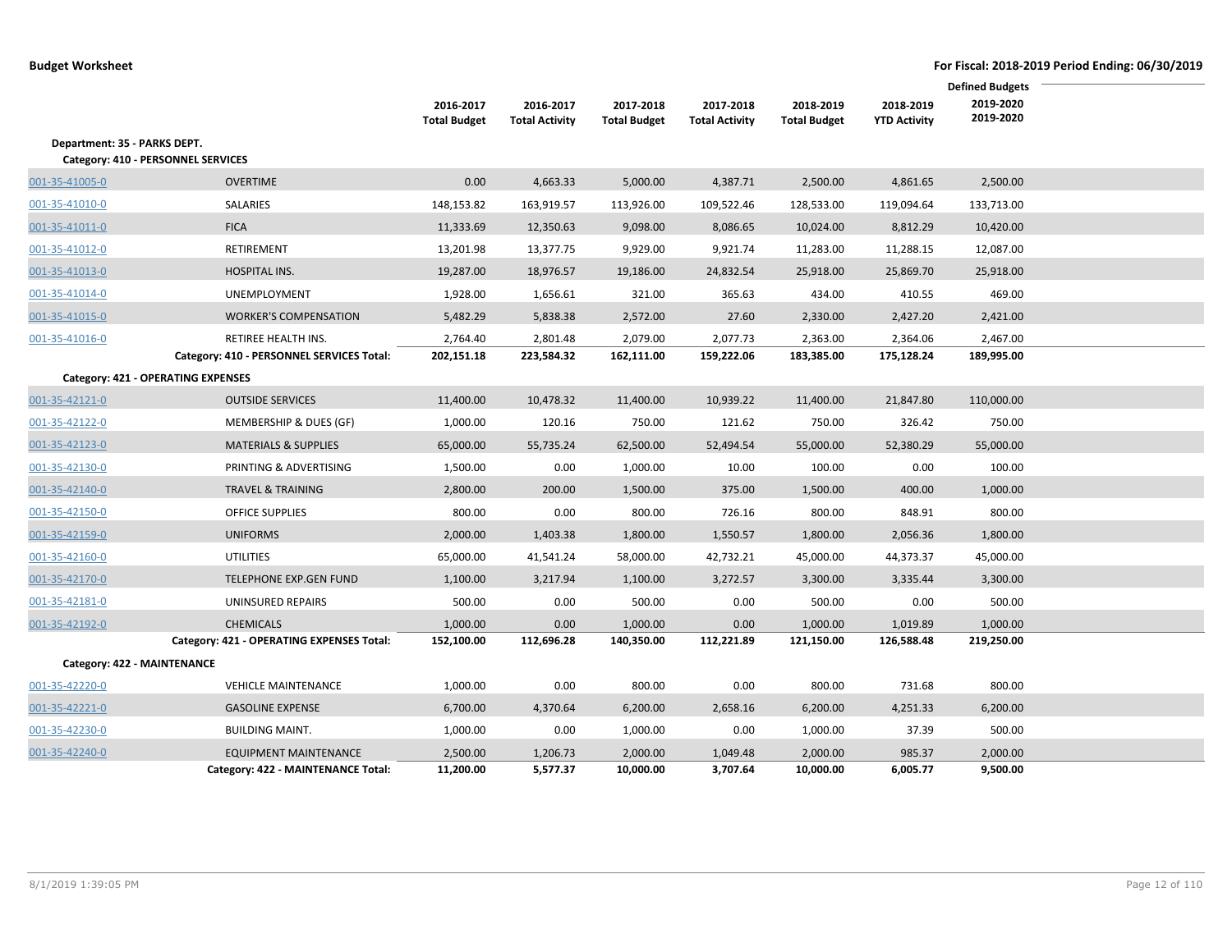|                                    |                                           | 2016-2017           | 2016-2017             | 2017-2018           | 2017-2018             | 2018-2019           | 2018-2019           | <b>Defined Budgets</b><br>2019-2020 |  |
|------------------------------------|-------------------------------------------|---------------------|-----------------------|---------------------|-----------------------|---------------------|---------------------|-------------------------------------|--|
|                                    |                                           | <b>Total Budget</b> | <b>Total Activity</b> | <b>Total Budget</b> | <b>Total Activity</b> | <b>Total Budget</b> | <b>YTD Activity</b> | 2019-2020                           |  |
| Department: 35 - PARKS DEPT.       |                                           |                     |                       |                     |                       |                     |                     |                                     |  |
| Category: 410 - PERSONNEL SERVICES |                                           |                     |                       |                     |                       |                     |                     |                                     |  |
| 001-35-41005-0                     | <b>OVERTIME</b>                           | 0.00                | 4,663.33              | 5,000.00            | 4,387.71              | 2,500.00            | 4,861.65            | 2,500.00                            |  |
| 001-35-41010-0                     | SALARIES                                  | 148,153.82          | 163,919.57            | 113,926.00          | 109,522.46            | 128,533.00          | 119,094.64          | 133,713.00                          |  |
| 001-35-41011-0                     | <b>FICA</b>                               | 11,333.69           | 12,350.63             | 9,098.00            | 8,086.65              | 10,024.00           | 8,812.29            | 10,420.00                           |  |
| 001-35-41012-0                     | RETIREMENT                                | 13,201.98           | 13,377.75             | 9,929.00            | 9,921.74              | 11,283.00           | 11,288.15           | 12,087.00                           |  |
| 001-35-41013-0                     | HOSPITAL INS.                             | 19,287.00           | 18,976.57             | 19,186.00           | 24,832.54             | 25,918.00           | 25,869.70           | 25,918.00                           |  |
| 001-35-41014-0                     | UNEMPLOYMENT                              | 1,928.00            | 1,656.61              | 321.00              | 365.63                | 434.00              | 410.55              | 469.00                              |  |
| 001-35-41015-0                     | <b>WORKER'S COMPENSATION</b>              | 5,482.29            | 5,838.38              | 2,572.00            | 27.60                 | 2,330.00            | 2,427.20            | 2,421.00                            |  |
| 001-35-41016-0                     | RETIREE HEALTH INS.                       | 2,764.40            | 2,801.48              | 2,079.00            | 2,077.73              | 2,363.00            | 2,364.06            | 2,467.00                            |  |
|                                    | Category: 410 - PERSONNEL SERVICES Total: | 202,151.18          | 223,584.32            | 162,111.00          | 159,222.06            | 183,385.00          | 175,128.24          | 189,995.00                          |  |
| Category: 421 - OPERATING EXPENSES |                                           |                     |                       |                     |                       |                     |                     |                                     |  |
| 001-35-42121-0                     | <b>OUTSIDE SERVICES</b>                   | 11,400.00           | 10,478.32             | 11,400.00           | 10,939.22             | 11,400.00           | 21,847.80           | 110,000.00                          |  |
| 001-35-42122-0                     | MEMBERSHIP & DUES (GF)                    | 1,000.00            | 120.16                | 750.00              | 121.62                | 750.00              | 326.42              | 750.00                              |  |
| 001-35-42123-0                     | <b>MATERIALS &amp; SUPPLIES</b>           | 65,000.00           | 55,735.24             | 62,500.00           | 52,494.54             | 55,000.00           | 52,380.29           | 55,000.00                           |  |
| 001-35-42130-0                     | PRINTING & ADVERTISING                    | 1,500.00            | 0.00                  | 1,000.00            | 10.00                 | 100.00              | 0.00                | 100.00                              |  |
| 001-35-42140-0                     | <b>TRAVEL &amp; TRAINING</b>              | 2,800.00            | 200.00                | 1,500.00            | 375.00                | 1,500.00            | 400.00              | 1,000.00                            |  |
| 001-35-42150-0                     | <b>OFFICE SUPPLIES</b>                    | 800.00              | 0.00                  | 800.00              | 726.16                | 800.00              | 848.91              | 800.00                              |  |
| 001-35-42159-0                     | <b>UNIFORMS</b>                           | 2,000.00            | 1,403.38              | 1,800.00            | 1,550.57              | 1,800.00            | 2,056.36            | 1,800.00                            |  |
| 001-35-42160-0                     | <b>UTILITIES</b>                          | 65,000.00           | 41,541.24             | 58,000.00           | 42,732.21             | 45,000.00           | 44,373.37           | 45,000.00                           |  |
| 001-35-42170-0                     | <b>TELEPHONE EXP.GEN FUND</b>             | 1,100.00            | 3,217.94              | 1,100.00            | 3,272.57              | 3,300.00            | 3,335.44            | 3,300.00                            |  |
| 001-35-42181-0                     | <b>UNINSURED REPAIRS</b>                  | 500.00              | 0.00                  | 500.00              | 0.00                  | 500.00              | 0.00                | 500.00                              |  |
| 001-35-42192-0                     | <b>CHEMICALS</b>                          | 1,000.00            | 0.00                  | 1,000.00            | 0.00                  | 1,000.00            | 1,019.89            | 1,000.00                            |  |
|                                    | Category: 421 - OPERATING EXPENSES Total: | 152,100.00          | 112,696.28            | 140,350.00          | 112,221.89            | 121,150.00          | 126,588.48          | 219,250.00                          |  |
| Category: 422 - MAINTENANCE        |                                           |                     |                       |                     |                       |                     |                     |                                     |  |
| 001-35-42220-0                     | <b>VEHICLE MAINTENANCE</b>                | 1,000.00            | 0.00                  | 800.00              | 0.00                  | 800.00              | 731.68              | 800.00                              |  |
| 001-35-42221-0                     | <b>GASOLINE EXPENSE</b>                   | 6,700.00            | 4,370.64              | 6,200.00            | 2,658.16              | 6,200.00            | 4,251.33            | 6,200.00                            |  |
| 001-35-42230-0                     | <b>BUILDING MAINT.</b>                    | 1,000.00            | 0.00                  | 1,000.00            | 0.00                  | 1,000.00            | 37.39               | 500.00                              |  |
| 001-35-42240-0                     | <b>EQUIPMENT MAINTENANCE</b>              | 2,500.00            | 1,206.73              | 2,000.00            | 1,049.48              | 2,000.00            | 985.37              | 2,000.00                            |  |
|                                    | Category: 422 - MAINTENANCE Total:        | 11,200.00           | 5,577.37              | 10,000.00           | 3,707.64              | 10,000.00           | 6,005.77            | 9,500.00                            |  |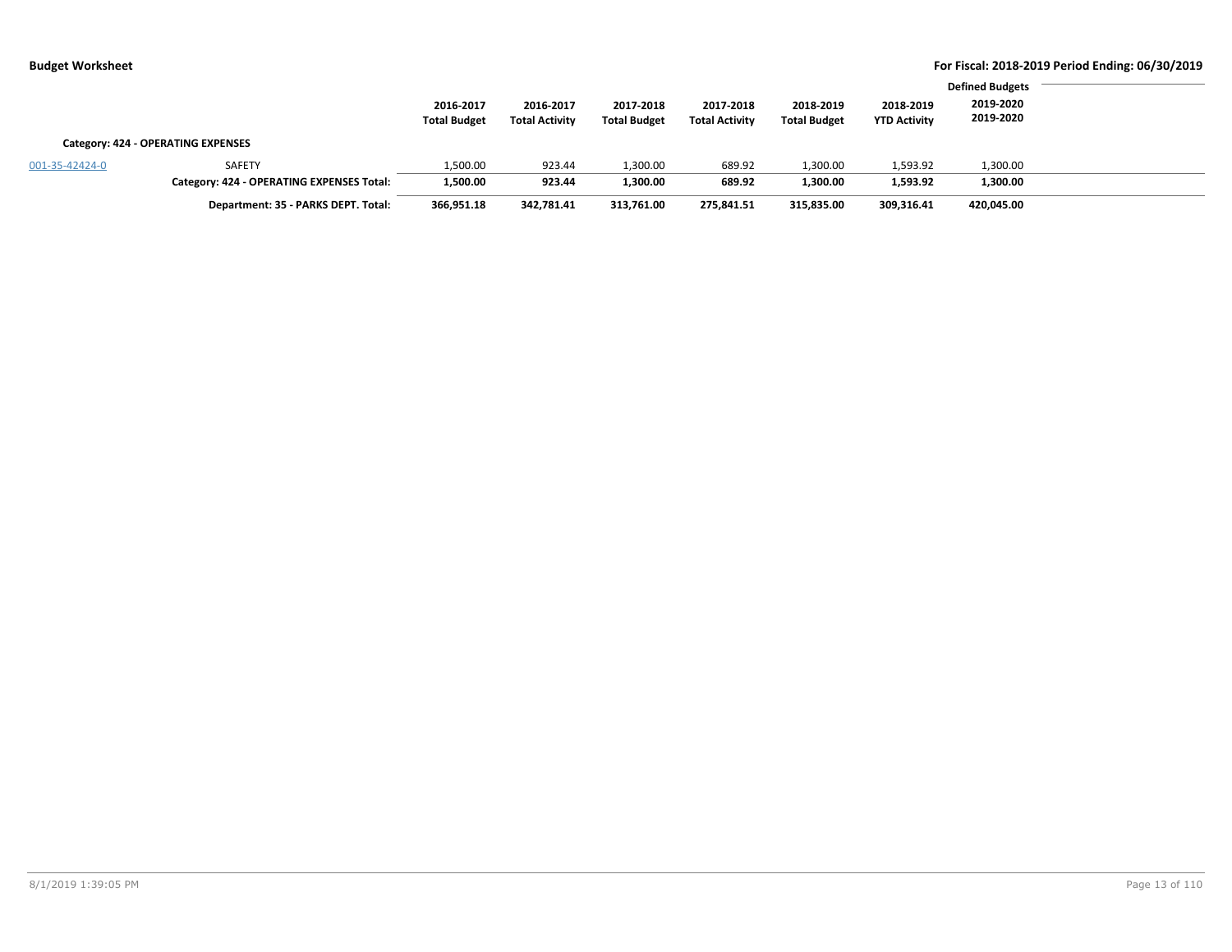|                |                                           |                                  |                                    |                                  |                                    |                                  |                                  | <b>Defined Budgets</b> |  |
|----------------|-------------------------------------------|----------------------------------|------------------------------------|----------------------------------|------------------------------------|----------------------------------|----------------------------------|------------------------|--|
|                |                                           | 2016-2017<br><b>Total Budget</b> | 2016-2017<br><b>Total Activity</b> | 2017-2018<br><b>Total Budget</b> | 2017-2018<br><b>Total Activity</b> | 2018-2019<br><b>Total Budget</b> | 2018-2019<br><b>YTD Activity</b> | 2019-2020<br>2019-2020 |  |
|                | Category: 424 - OPERATING EXPENSES        |                                  |                                    |                                  |                                    |                                  |                                  |                        |  |
| 001-35-42424-0 | <b>SAFETY</b>                             | 1,500.00                         | 923.44                             | 1,300.00                         | 689.92                             | 1,300.00                         | 1,593.92                         | 1,300.00               |  |
|                | Category: 424 - OPERATING EXPENSES Total: | 1,500.00                         | 923.44                             | 1,300.00                         | 689.92                             | 1,300.00                         | 1,593.92                         | 1,300.00               |  |
|                | Department: 35 - PARKS DEPT. Total:       | 366,951.18                       | 342,781.41                         | 313,761.00                       | 275,841.51                         | 315,835.00                       | 309,316.41                       | 420,045.00             |  |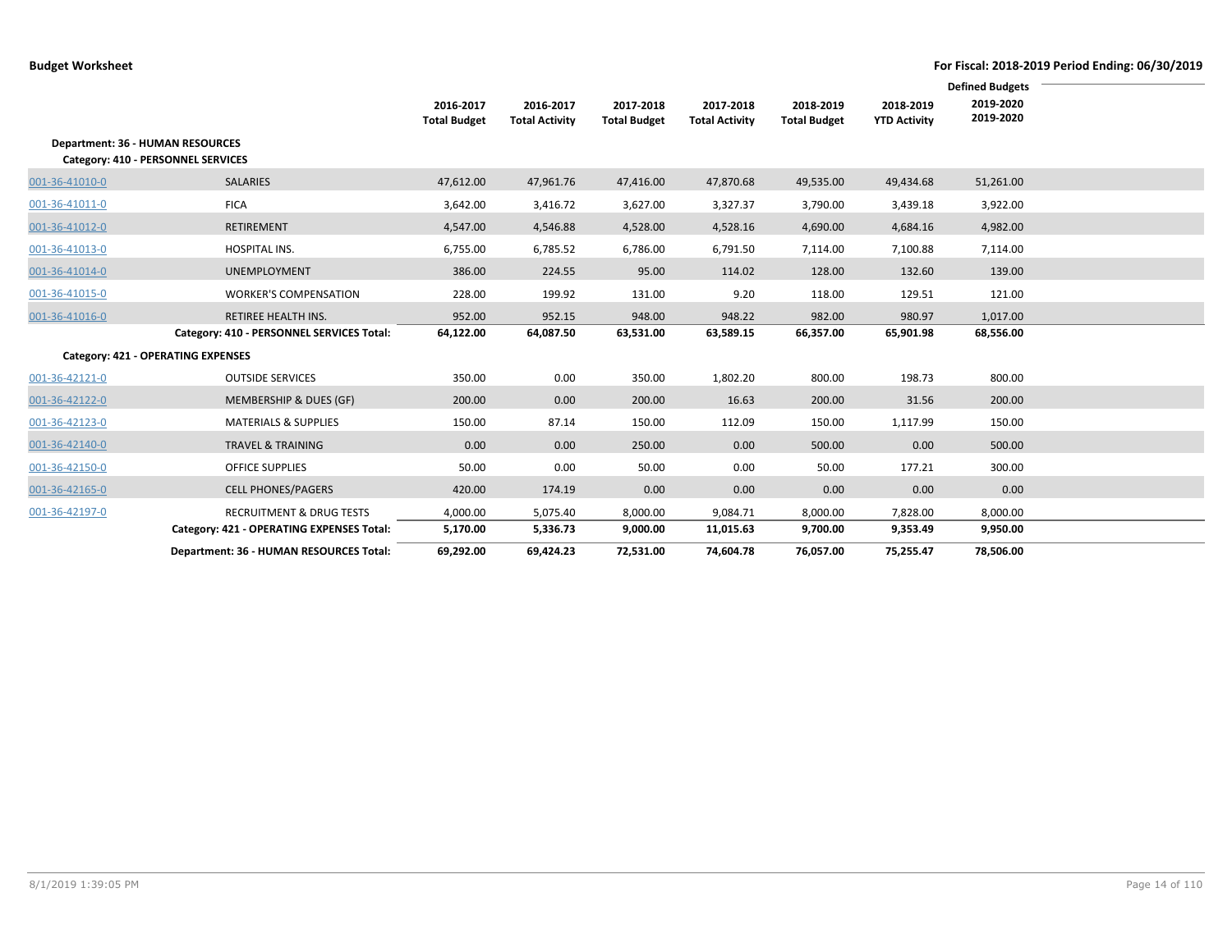|                |                                           |                     |                       |                     |                       |                     |                     | <b>Defined Budgets</b> |  |
|----------------|-------------------------------------------|---------------------|-----------------------|---------------------|-----------------------|---------------------|---------------------|------------------------|--|
|                |                                           | 2016-2017           | 2016-2017             | 2017-2018           | 2017-2018             | 2018-2019           | 2018-2019           | 2019-2020              |  |
|                |                                           | <b>Total Budget</b> | <b>Total Activity</b> | <b>Total Budget</b> | <b>Total Activity</b> | <b>Total Budget</b> | <b>YTD Activity</b> | 2019-2020              |  |
|                | <b>Department: 36 - HUMAN RESOURCES</b>   |                     |                       |                     |                       |                     |                     |                        |  |
|                | Category: 410 - PERSONNEL SERVICES        |                     |                       |                     |                       |                     |                     |                        |  |
| 001-36-41010-0 | <b>SALARIES</b>                           | 47,612.00           | 47,961.76             | 47,416.00           | 47,870.68             | 49,535.00           | 49,434.68           | 51,261.00              |  |
| 001-36-41011-0 | <b>FICA</b>                               | 3,642.00            | 3,416.72              | 3,627.00            | 3,327.37              | 3,790.00            | 3,439.18            | 3,922.00               |  |
| 001-36-41012-0 | RETIREMENT                                | 4,547.00            | 4,546.88              | 4,528.00            | 4,528.16              | 4,690.00            | 4,684.16            | 4,982.00               |  |
| 001-36-41013-0 | <b>HOSPITAL INS.</b>                      | 6,755.00            | 6,785.52              | 6,786.00            | 6,791.50              | 7,114.00            | 7,100.88            | 7,114.00               |  |
| 001-36-41014-0 | <b>UNEMPLOYMENT</b>                       | 386.00              | 224.55                | 95.00               | 114.02                | 128.00              | 132.60              | 139.00                 |  |
| 001-36-41015-0 | <b>WORKER'S COMPENSATION</b>              | 228.00              | 199.92                | 131.00              | 9.20                  | 118.00              | 129.51              | 121.00                 |  |
| 001-36-41016-0 | RETIREE HEALTH INS.                       | 952.00              | 952.15                | 948.00              | 948.22                | 982.00              | 980.97              | 1,017.00               |  |
|                | Category: 410 - PERSONNEL SERVICES Total: | 64,122.00           | 64,087.50             | 63,531.00           | 63,589.15             | 66,357.00           | 65,901.98           | 68,556.00              |  |
|                | Category: 421 - OPERATING EXPENSES        |                     |                       |                     |                       |                     |                     |                        |  |
| 001-36-42121-0 | <b>OUTSIDE SERVICES</b>                   | 350.00              | 0.00                  | 350.00              | 1,802.20              | 800.00              | 198.73              | 800.00                 |  |
| 001-36-42122-0 | MEMBERSHIP & DUES (GF)                    | 200.00              | 0.00                  | 200.00              | 16.63                 | 200.00              | 31.56               | 200.00                 |  |
| 001-36-42123-0 | <b>MATERIALS &amp; SUPPLIES</b>           | 150.00              | 87.14                 | 150.00              | 112.09                | 150.00              | 1,117.99            | 150.00                 |  |
| 001-36-42140-0 | <b>TRAVEL &amp; TRAINING</b>              | 0.00                | 0.00                  | 250.00              | 0.00                  | 500.00              | 0.00                | 500.00                 |  |
| 001-36-42150-0 | <b>OFFICE SUPPLIES</b>                    | 50.00               | 0.00                  | 50.00               | 0.00                  | 50.00               | 177.21              | 300.00                 |  |
| 001-36-42165-0 | <b>CELL PHONES/PAGERS</b>                 | 420.00              | 174.19                | 0.00                | 0.00                  | 0.00                | 0.00                | 0.00                   |  |
| 001-36-42197-0 | <b>RECRUITMENT &amp; DRUG TESTS</b>       | 4,000.00            | 5,075.40              | 8,000.00            | 9,084.71              | 8,000.00            | 7,828.00            | 8,000.00               |  |
|                | Category: 421 - OPERATING EXPENSES Total: | 5,170.00            | 5,336.73              | 9,000.00            | 11,015.63             | 9,700.00            | 9,353.49            | 9,950.00               |  |
|                | Department: 36 - HUMAN RESOURCES Total:   | 69,292.00           | 69,424.23             | 72,531.00           | 74,604.78             | 76,057.00           | 75,255.47           | 78,506.00              |  |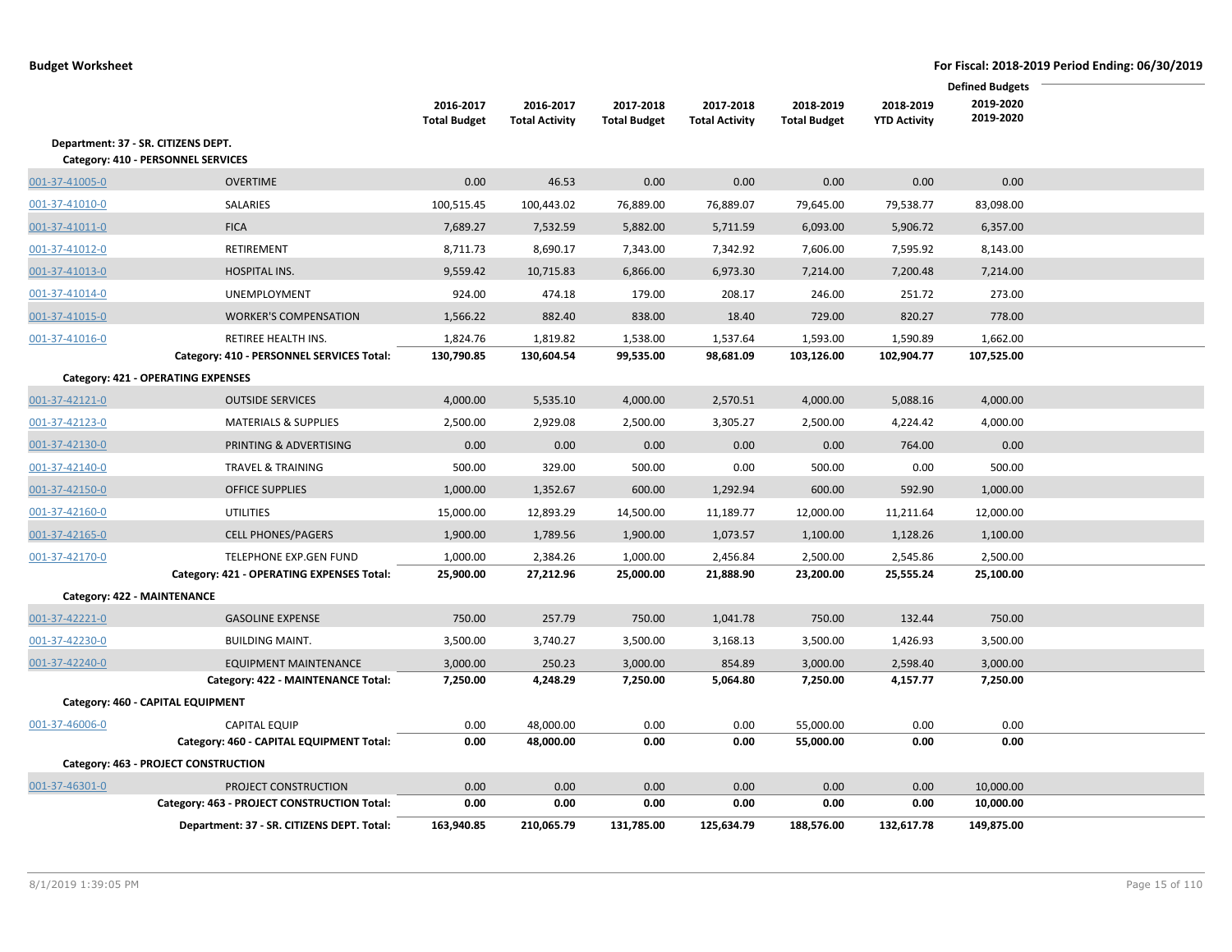|                |                                                                           |                                  |                                    |                                  |                                    |                                  |                                  | <b>Defined Budgets</b> |  |
|----------------|---------------------------------------------------------------------------|----------------------------------|------------------------------------|----------------------------------|------------------------------------|----------------------------------|----------------------------------|------------------------|--|
|                |                                                                           | 2016-2017<br><b>Total Budget</b> | 2016-2017<br><b>Total Activity</b> | 2017-2018<br><b>Total Budget</b> | 2017-2018<br><b>Total Activity</b> | 2018-2019<br><b>Total Budget</b> | 2018-2019<br><b>YTD Activity</b> | 2019-2020<br>2019-2020 |  |
|                | Department: 37 - SR. CITIZENS DEPT.<br>Category: 410 - PERSONNEL SERVICES |                                  |                                    |                                  |                                    |                                  |                                  |                        |  |
| 001-37-41005-0 | <b>OVERTIME</b>                                                           | 0.00                             | 46.53                              | 0.00                             | 0.00                               | 0.00                             | 0.00                             | 0.00                   |  |
| 001-37-41010-0 | SALARIES                                                                  | 100,515.45                       | 100,443.02                         | 76,889.00                        | 76,889.07                          | 79,645.00                        | 79,538.77                        | 83,098.00              |  |
| 001-37-41011-0 | <b>FICA</b>                                                               | 7,689.27                         | 7,532.59                           | 5,882.00                         | 5,711.59                           | 6,093.00                         | 5,906.72                         | 6,357.00               |  |
| 001-37-41012-0 | <b>RETIREMENT</b>                                                         | 8,711.73                         | 8,690.17                           | 7,343.00                         | 7,342.92                           | 7,606.00                         | 7,595.92                         | 8,143.00               |  |
| 001-37-41013-0 | HOSPITAL INS.                                                             | 9,559.42                         | 10,715.83                          | 6,866.00                         | 6,973.30                           | 7,214.00                         | 7,200.48                         | 7,214.00               |  |
| 001-37-41014-0 | UNEMPLOYMENT                                                              | 924.00                           | 474.18                             | 179.00                           | 208.17                             | 246.00                           | 251.72                           | 273.00                 |  |
| 001-37-41015-0 | <b>WORKER'S COMPENSATION</b>                                              | 1,566.22                         | 882.40                             | 838.00                           | 18.40                              | 729.00                           | 820.27                           | 778.00                 |  |
| 001-37-41016-0 | RETIREE HEALTH INS.                                                       | 1,824.76                         | 1,819.82                           | 1,538.00                         | 1,537.64                           | 1,593.00                         | 1,590.89                         | 1,662.00               |  |
|                | Category: 410 - PERSONNEL SERVICES Total:                                 | 130,790.85                       | 130,604.54                         | 99,535.00                        | 98,681.09                          | 103,126.00                       | 102,904.77                       | 107,525.00             |  |
|                | Category: 421 - OPERATING EXPENSES                                        |                                  |                                    |                                  |                                    |                                  |                                  |                        |  |
| 001-37-42121-0 | <b>OUTSIDE SERVICES</b>                                                   | 4,000.00                         | 5,535.10                           | 4,000.00                         | 2,570.51                           | 4,000.00                         | 5,088.16                         | 4,000.00               |  |
| 001-37-42123-0 | <b>MATERIALS &amp; SUPPLIES</b>                                           | 2,500.00                         | 2,929.08                           | 2,500.00                         | 3,305.27                           | 2,500.00                         | 4,224.42                         | 4,000.00               |  |
| 001-37-42130-0 | PRINTING & ADVERTISING                                                    | 0.00                             | 0.00                               | 0.00                             | 0.00                               | 0.00                             | 764.00                           | 0.00                   |  |
| 001-37-42140-0 | <b>TRAVEL &amp; TRAINING</b>                                              | 500.00                           | 329.00                             | 500.00                           | 0.00                               | 500.00                           | 0.00                             | 500.00                 |  |
| 001-37-42150-0 | <b>OFFICE SUPPLIES</b>                                                    | 1,000.00                         | 1,352.67                           | 600.00                           | 1,292.94                           | 600.00                           | 592.90                           | 1,000.00               |  |
| 001-37-42160-0 | <b>UTILITIES</b>                                                          | 15,000.00                        | 12,893.29                          | 14,500.00                        | 11,189.77                          | 12,000.00                        | 11,211.64                        | 12,000.00              |  |
| 001-37-42165-0 | <b>CELL PHONES/PAGERS</b>                                                 | 1,900.00                         | 1,789.56                           | 1,900.00                         | 1,073.57                           | 1,100.00                         | 1,128.26                         | 1,100.00               |  |
| 001-37-42170-0 | TELEPHONE EXP.GEN FUND                                                    | 1,000.00                         | 2,384.26                           | 1,000.00                         | 2,456.84                           | 2,500.00                         | 2,545.86                         | 2,500.00               |  |
|                | Category: 421 - OPERATING EXPENSES Total:                                 | 25,900.00                        | 27,212.96                          | 25,000.00                        | 21,888.90                          | 23,200.00                        | 25,555.24                        | 25,100.00              |  |
|                | Category: 422 - MAINTENANCE                                               |                                  |                                    |                                  |                                    |                                  |                                  |                        |  |
| 001-37-42221-0 | <b>GASOLINE EXPENSE</b>                                                   | 750.00                           | 257.79                             | 750.00                           | 1,041.78                           | 750.00                           | 132.44                           | 750.00                 |  |
| 001-37-42230-0 | <b>BUILDING MAINT.</b>                                                    | 3,500.00                         | 3,740.27                           | 3,500.00                         | 3,168.13                           | 3,500.00                         | 1,426.93                         | 3,500.00               |  |
| 001-37-42240-0 | <b>EQUIPMENT MAINTENANCE</b>                                              | 3,000.00                         | 250.23                             | 3,000.00                         | 854.89                             | 3,000.00                         | 2,598.40                         | 3,000.00               |  |
|                | Category: 422 - MAINTENANCE Total:                                        | 7,250.00                         | 4,248.29                           | 7,250.00                         | 5,064.80                           | 7,250.00                         | 4,157.77                         | 7,250.00               |  |
|                | Category: 460 - CAPITAL EQUIPMENT                                         |                                  |                                    |                                  |                                    |                                  |                                  |                        |  |
| 001-37-46006-0 | <b>CAPITAL EQUIP</b>                                                      | 0.00                             | 48,000.00                          | 0.00                             | 0.00                               | 55,000.00                        | 0.00                             | 0.00                   |  |
|                | Category: 460 - CAPITAL EQUIPMENT Total:                                  | 0.00                             | 48,000.00                          | 0.00                             | 0.00                               | 55,000.00                        | 0.00                             | 0.00                   |  |
|                | Category: 463 - PROJECT CONSTRUCTION                                      |                                  |                                    |                                  |                                    |                                  |                                  |                        |  |
| 001-37-46301-0 | PROJECT CONSTRUCTION<br>Category: 463 - PROJECT CONSTRUCTION Total:       | 0.00<br>0.00                     | 0.00<br>0.00                       | 0.00<br>0.00                     | 0.00<br>0.00                       | 0.00<br>0.00                     | 0.00<br>0.00                     | 10,000.00<br>10,000.00 |  |
|                | Department: 37 - SR. CITIZENS DEPT. Total:                                | 163,940.85                       | 210,065.79                         | 131,785.00                       | 125,634.79                         | 188,576.00                       | 132,617.78                       | 149,875.00             |  |
|                |                                                                           |                                  |                                    |                                  |                                    |                                  |                                  |                        |  |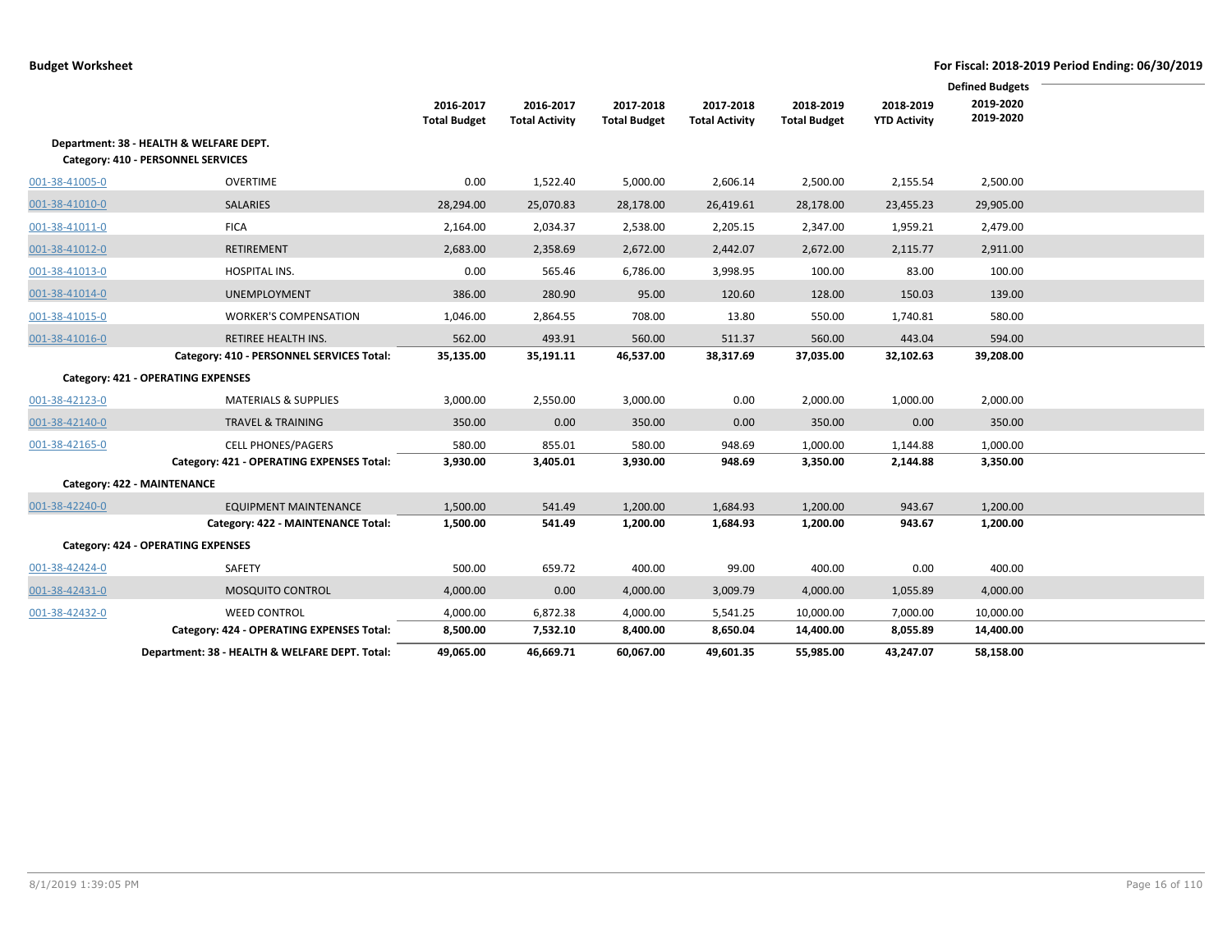|                |                                                |                     |                       |                     |                       |                     |                     | <b>Defined Budgets</b> |  |
|----------------|------------------------------------------------|---------------------|-----------------------|---------------------|-----------------------|---------------------|---------------------|------------------------|--|
|                |                                                | 2016-2017           | 2016-2017             | 2017-2018           | 2017-2018             | 2018-2019           | 2018-2019           | 2019-2020              |  |
|                |                                                | <b>Total Budget</b> | <b>Total Activity</b> | <b>Total Budget</b> | <b>Total Activity</b> | <b>Total Budget</b> | <b>YTD Activity</b> | 2019-2020              |  |
|                | Department: 38 - HEALTH & WELFARE DEPT.        |                     |                       |                     |                       |                     |                     |                        |  |
|                | Category: 410 - PERSONNEL SERVICES             |                     |                       |                     |                       |                     |                     |                        |  |
| 001-38-41005-0 | OVERTIME                                       | 0.00                | 1,522.40              | 5,000.00            | 2,606.14              | 2,500.00            | 2,155.54            | 2,500.00               |  |
| 001-38-41010-0 | <b>SALARIES</b>                                | 28,294.00           | 25,070.83             | 28,178.00           | 26,419.61             | 28,178.00           | 23,455.23           | 29,905.00              |  |
| 001-38-41011-0 | <b>FICA</b>                                    | 2,164.00            | 2,034.37              | 2,538.00            | 2,205.15              | 2,347.00            | 1,959.21            | 2,479.00               |  |
| 001-38-41012-0 | RETIREMENT                                     | 2,683.00            | 2,358.69              | 2,672.00            | 2,442.07              | 2,672.00            | 2,115.77            | 2,911.00               |  |
|                |                                                |                     |                       |                     |                       |                     |                     |                        |  |
| 001-38-41013-0 | <b>HOSPITAL INS.</b>                           | 0.00                | 565.46                | 6,786.00            | 3,998.95              | 100.00              | 83.00               | 100.00                 |  |
| 001-38-41014-0 | UNEMPLOYMENT                                   | 386.00              | 280.90                | 95.00               | 120.60                | 128.00              | 150.03              | 139.00                 |  |
| 001-38-41015-0 | <b>WORKER'S COMPENSATION</b>                   | 1,046.00            | 2,864.55              | 708.00              | 13.80                 | 550.00              | 1,740.81            | 580.00                 |  |
| 001-38-41016-0 | RETIREE HEALTH INS.                            | 562.00              | 493.91                | 560.00              | 511.37                | 560.00              | 443.04              | 594.00                 |  |
|                | Category: 410 - PERSONNEL SERVICES Total:      | 35,135.00           | 35,191.11             | 46,537.00           | 38,317.69             | 37,035.00           | 32,102.63           | 39,208.00              |  |
|                | Category: 421 - OPERATING EXPENSES             |                     |                       |                     |                       |                     |                     |                        |  |
| 001-38-42123-0 | <b>MATERIALS &amp; SUPPLIES</b>                | 3,000.00            | 2,550.00              | 3,000.00            | 0.00                  | 2,000.00            | 1,000.00            | 2,000.00               |  |
| 001-38-42140-0 | TRAVEL & TRAINING                              | 350.00              | 0.00                  | 350.00              | 0.00                  | 350.00              | 0.00                | 350.00                 |  |
| 001-38-42165-0 | <b>CELL PHONES/PAGERS</b>                      | 580.00              | 855.01                | 580.00              | 948.69                | 1,000.00            | 1,144.88            | 1,000.00               |  |
|                | Category: 421 - OPERATING EXPENSES Total:      | 3,930.00            | 3,405.01              | 3,930.00            | 948.69                | 3,350.00            | 2,144.88            | 3,350.00               |  |
|                | Category: 422 - MAINTENANCE                    |                     |                       |                     |                       |                     |                     |                        |  |
| 001-38-42240-0 | <b>EQUIPMENT MAINTENANCE</b>                   | 1,500.00            | 541.49                | 1,200.00            | 1,684.93              | 1,200.00            | 943.67              | 1,200.00               |  |
|                | Category: 422 - MAINTENANCE Total:             | 1,500.00            | 541.49                | 1,200.00            | 1,684.93              | 1,200.00            | 943.67              | 1,200.00               |  |
|                | Category: 424 - OPERATING EXPENSES             |                     |                       |                     |                       |                     |                     |                        |  |
| 001-38-42424-0 | SAFETY                                         | 500.00              | 659.72                | 400.00              | 99.00                 | 400.00              | 0.00                | 400.00                 |  |
| 001-38-42431-0 | <b>MOSQUITO CONTROL</b>                        | 4,000.00            | 0.00                  | 4,000.00            | 3,009.79              | 4,000.00            | 1,055.89            | 4,000.00               |  |
| 001-38-42432-0 | <b>WEED CONTROL</b>                            | 4,000.00            | 6,872.38              | 4,000.00            | 5,541.25              | 10,000.00           | 7,000.00            | 10,000.00              |  |
|                | Category: 424 - OPERATING EXPENSES Total:      | 8,500.00            | 7,532.10              | 8,400.00            | 8,650.04              | 14,400.00           | 8,055.89            | 14,400.00              |  |
|                | Department: 38 - HEALTH & WELFARE DEPT. Total: | 49,065.00           | 46,669.71             | 60,067.00           | 49,601.35             | 55.985.00           | 43.247.07           | 58,158.00              |  |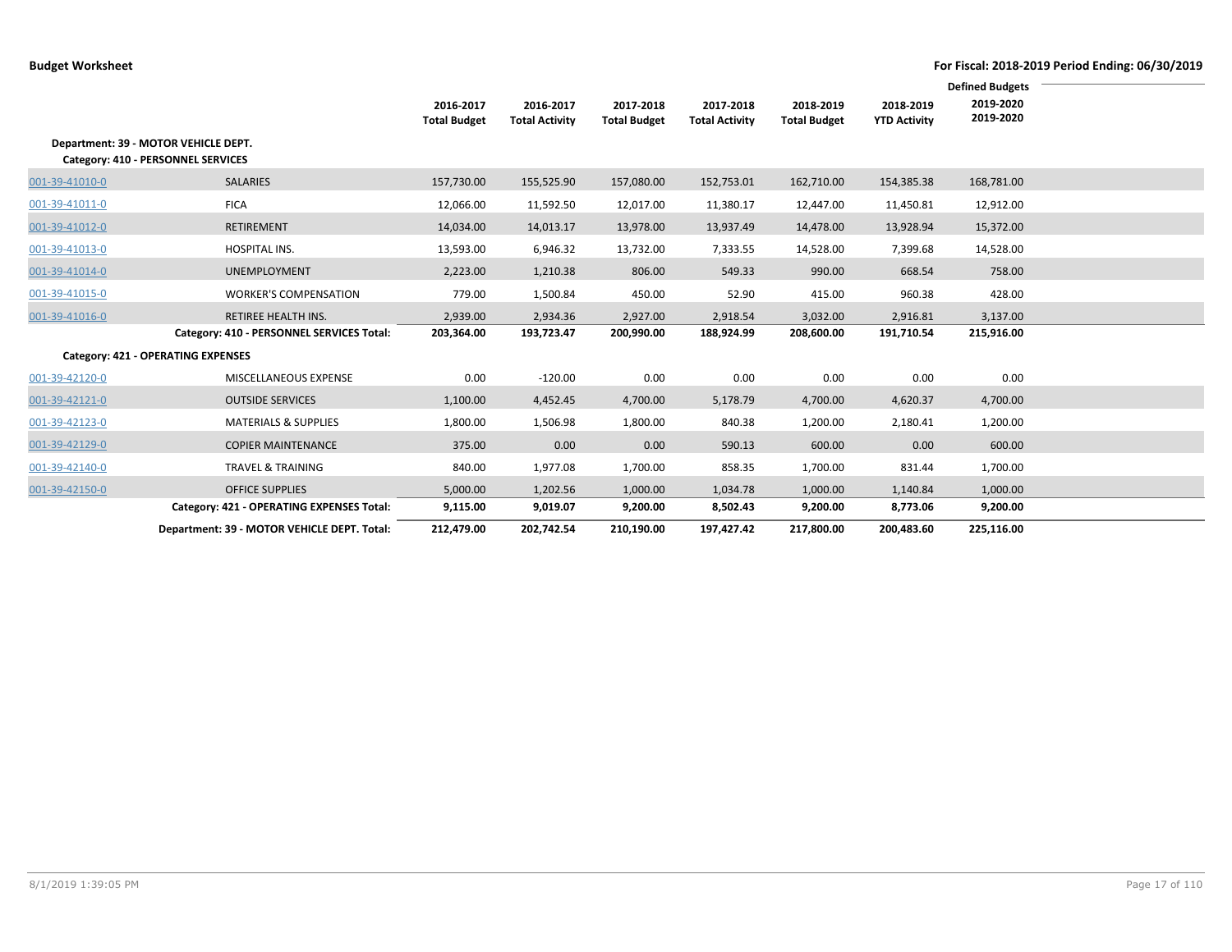|                |                                             |                     |                       |                     |                       |                     |                     | <b>Defined Budgets</b> |  |
|----------------|---------------------------------------------|---------------------|-----------------------|---------------------|-----------------------|---------------------|---------------------|------------------------|--|
|                |                                             | 2016-2017           | 2016-2017             | 2017-2018           | 2017-2018             | 2018-2019           | 2018-2019           | 2019-2020              |  |
|                |                                             | <b>Total Budget</b> | <b>Total Activity</b> | <b>Total Budget</b> | <b>Total Activity</b> | <b>Total Budget</b> | <b>YTD Activity</b> | 2019-2020              |  |
|                | Department: 39 - MOTOR VEHICLE DEPT.        |                     |                       |                     |                       |                     |                     |                        |  |
|                | Category: 410 - PERSONNEL SERVICES          |                     |                       |                     |                       |                     |                     |                        |  |
| 001-39-41010-0 | <b>SALARIES</b>                             | 157,730.00          | 155,525.90            | 157,080.00          | 152,753.01            | 162,710.00          | 154,385.38          | 168,781.00             |  |
| 001-39-41011-0 | <b>FICA</b>                                 | 12,066.00           | 11,592.50             | 12,017.00           | 11,380.17             | 12,447.00           | 11,450.81           | 12,912.00              |  |
| 001-39-41012-0 | RETIREMENT                                  | 14,034.00           | 14,013.17             | 13,978.00           | 13,937.49             | 14,478.00           | 13,928.94           | 15,372.00              |  |
| 001-39-41013-0 | HOSPITAL INS.                               | 13,593.00           | 6,946.32              | 13,732.00           | 7,333.55              | 14,528.00           | 7,399.68            | 14,528.00              |  |
| 001-39-41014-0 | <b>UNEMPLOYMENT</b>                         | 2,223.00            | 1,210.38              | 806.00              | 549.33                | 990.00              | 668.54              | 758.00                 |  |
| 001-39-41015-0 | <b>WORKER'S COMPENSATION</b>                | 779.00              | 1,500.84              | 450.00              | 52.90                 | 415.00              | 960.38              | 428.00                 |  |
| 001-39-41016-0 | RETIREE HEALTH INS.                         | 2,939.00            | 2,934.36              | 2,927.00            | 2,918.54              | 3,032.00            | 2,916.81            | 3,137.00               |  |
|                | Category: 410 - PERSONNEL SERVICES Total:   | 203,364.00          | 193,723.47            | 200,990.00          | 188,924.99            | 208,600.00          | 191,710.54          | 215,916.00             |  |
|                | Category: 421 - OPERATING EXPENSES          |                     |                       |                     |                       |                     |                     |                        |  |
| 001-39-42120-0 | <b>MISCELLANEOUS EXPENSE</b>                | 0.00                | $-120.00$             | 0.00                | 0.00                  | 0.00                | 0.00                | 0.00                   |  |
| 001-39-42121-0 | <b>OUTSIDE SERVICES</b>                     | 1,100.00            | 4,452.45              | 4,700.00            | 5,178.79              | 4,700.00            | 4,620.37            | 4,700.00               |  |
| 001-39-42123-0 | <b>MATERIALS &amp; SUPPLIES</b>             | 1,800.00            | 1,506.98              | 1,800.00            | 840.38                | 1,200.00            | 2,180.41            | 1,200.00               |  |
| 001-39-42129-0 | <b>COPIER MAINTENANCE</b>                   | 375.00              | 0.00                  | 0.00                | 590.13                | 600.00              | 0.00                | 600.00                 |  |
| 001-39-42140-0 | TRAVEL & TRAINING                           | 840.00              | 1,977.08              | 1,700.00            | 858.35                | 1,700.00            | 831.44              | 1,700.00               |  |
| 001-39-42150-0 | <b>OFFICE SUPPLIES</b>                      | 5,000.00            | 1,202.56              | 1,000.00            | 1,034.78              | 1,000.00            | 1,140.84            | 1,000.00               |  |
|                | Category: 421 - OPERATING EXPENSES Total:   | 9,115.00            | 9,019.07              | 9,200.00            | 8,502.43              | 9,200.00            | 8,773.06            | 9,200.00               |  |
|                | Department: 39 - MOTOR VEHICLE DEPT. Total: | 212,479.00          | 202,742.54            | 210,190.00          | 197,427.42            | 217,800.00          | 200,483.60          | 225,116.00             |  |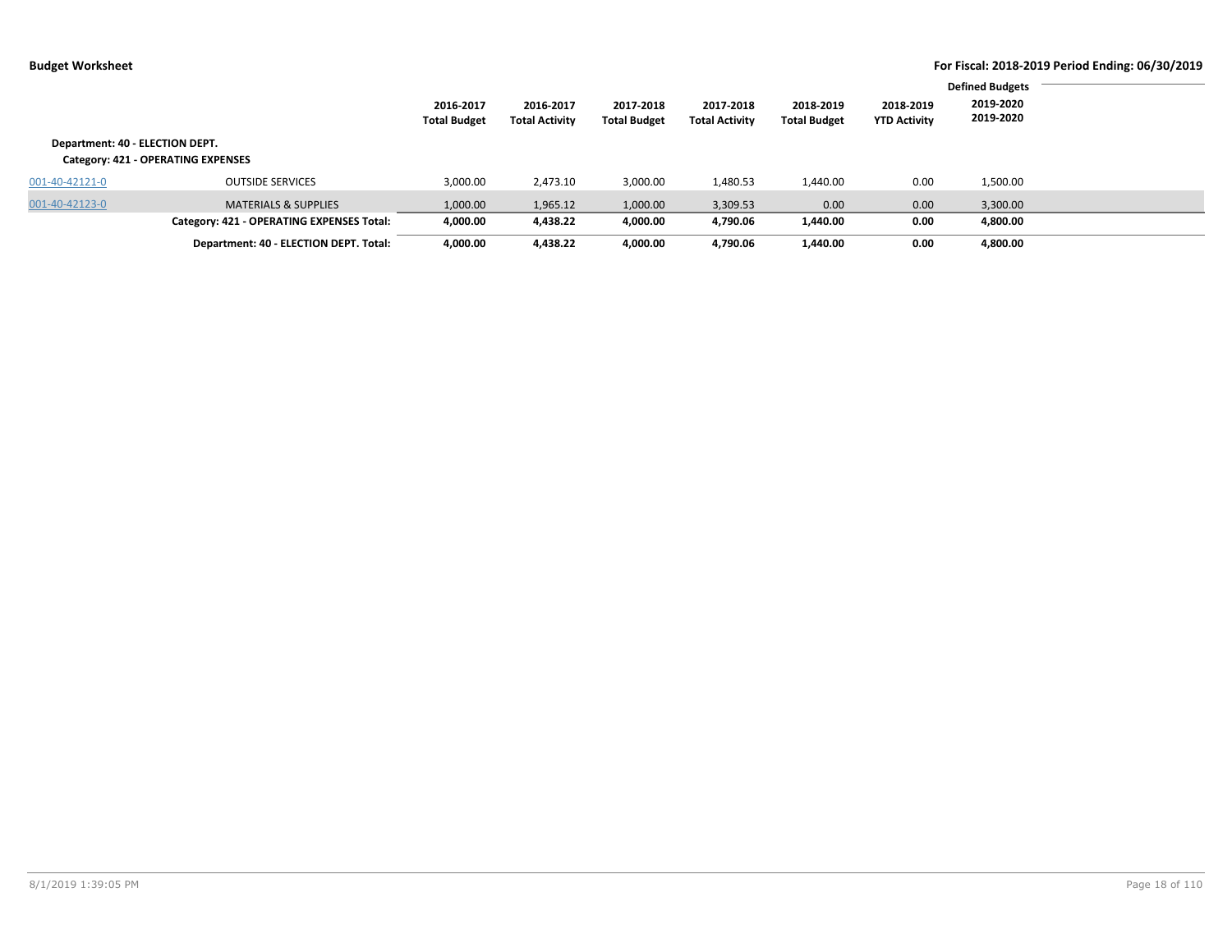|                                 |                                           | 2016-2017<br><b>Total Budget</b> | 2016-2017<br><b>Total Activity</b> | 2017-2018<br><b>Total Budget</b> | 2017-2018<br><b>Total Activity</b> | 2018-2019<br><b>Total Budget</b> | 2018-2019<br><b>YTD Activity</b> | <b>Defined Budgets</b><br>2019-2020<br>2019-2020 |  |
|---------------------------------|-------------------------------------------|----------------------------------|------------------------------------|----------------------------------|------------------------------------|----------------------------------|----------------------------------|--------------------------------------------------|--|
| Department: 40 - ELECTION DEPT. | Category: 421 - OPERATING EXPENSES        |                                  |                                    |                                  |                                    |                                  |                                  |                                                  |  |
| 001-40-42121-0                  | <b>OUTSIDE SERVICES</b>                   | 3,000.00                         | 2.473.10                           | 3,000.00                         | 1,480.53                           | 1,440.00                         | 0.00                             | 1,500.00                                         |  |
| 001-40-42123-0                  | <b>MATERIALS &amp; SUPPLIES</b>           | 1,000.00                         | 1,965.12                           | 1,000.00                         | 3,309.53                           | 0.00                             | 0.00                             | 3,300.00                                         |  |
|                                 | Category: 421 - OPERATING EXPENSES Total: | 4,000.00                         | 4,438.22                           | 4,000.00                         | 4,790.06                           | 1,440.00                         | 0.00                             | 4,800.00                                         |  |
|                                 | Department: 40 - ELECTION DEPT. Total:    | 4,000.00                         | 4,438.22                           | 4,000.00                         | 4,790.06                           | 1,440.00                         | 0.00                             | 4,800.00                                         |  |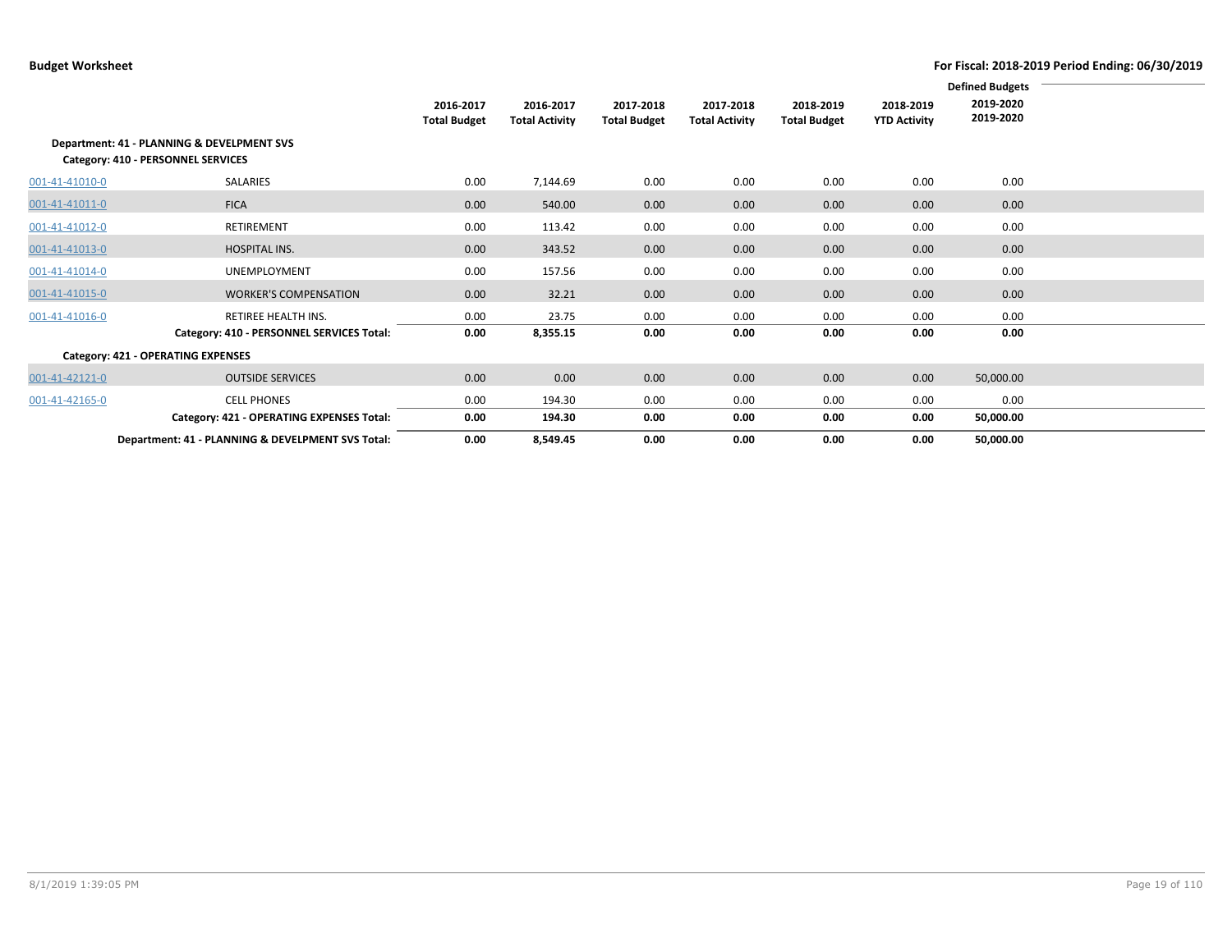|                |                                                                                  |                                  |                                    |                                  |                                    |                                  |                                  | <b>Defined Budgets</b> |  |
|----------------|----------------------------------------------------------------------------------|----------------------------------|------------------------------------|----------------------------------|------------------------------------|----------------------------------|----------------------------------|------------------------|--|
|                |                                                                                  | 2016-2017<br><b>Total Budget</b> | 2016-2017<br><b>Total Activity</b> | 2017-2018<br><b>Total Budget</b> | 2017-2018<br><b>Total Activity</b> | 2018-2019<br><b>Total Budget</b> | 2018-2019<br><b>YTD Activity</b> | 2019-2020<br>2019-2020 |  |
|                | Department: 41 - PLANNING & DEVELPMENT SVS<br>Category: 410 - PERSONNEL SERVICES |                                  |                                    |                                  |                                    |                                  |                                  |                        |  |
| 001-41-41010-0 | SALARIES                                                                         | 0.00                             | 7,144.69                           | 0.00                             | 0.00                               | 0.00                             | 0.00                             | 0.00                   |  |
| 001-41-41011-0 | <b>FICA</b>                                                                      | 0.00                             | 540.00                             | 0.00                             | 0.00                               | 0.00                             | 0.00                             | 0.00                   |  |
| 001-41-41012-0 | RETIREMENT                                                                       | 0.00                             | 113.42                             | 0.00                             | 0.00                               | 0.00                             | 0.00                             | 0.00                   |  |
| 001-41-41013-0 | HOSPITAL INS.                                                                    | 0.00                             | 343.52                             | 0.00                             | 0.00                               | 0.00                             | 0.00                             | 0.00                   |  |
| 001-41-41014-0 | <b>UNEMPLOYMENT</b>                                                              | 0.00                             | 157.56                             | 0.00                             | 0.00                               | 0.00                             | 0.00                             | 0.00                   |  |
| 001-41-41015-0 | <b>WORKER'S COMPENSATION</b>                                                     | 0.00                             | 32.21                              | 0.00                             | 0.00                               | 0.00                             | 0.00                             | 0.00                   |  |
| 001-41-41016-0 | RETIREE HEALTH INS.                                                              | 0.00                             | 23.75                              | 0.00                             | 0.00                               | 0.00                             | 0.00                             | 0.00                   |  |
|                | Category: 410 - PERSONNEL SERVICES Total:                                        | 0.00                             | 8,355.15                           | 0.00                             | 0.00                               | 0.00                             | 0.00                             | 0.00                   |  |
|                | Category: 421 - OPERATING EXPENSES                                               |                                  |                                    |                                  |                                    |                                  |                                  |                        |  |
| 001-41-42121-0 | <b>OUTSIDE SERVICES</b>                                                          | 0.00                             | 0.00                               | 0.00                             | 0.00                               | 0.00                             | 0.00                             | 50,000.00              |  |
| 001-41-42165-0 | <b>CELL PHONES</b>                                                               | 0.00                             | 194.30                             | 0.00                             | 0.00                               | 0.00                             | 0.00                             | 0.00                   |  |
|                | Category: 421 - OPERATING EXPENSES Total:                                        | 0.00                             | 194.30                             | 0.00                             | 0.00                               | 0.00                             | 0.00                             | 50,000.00              |  |
|                | Department: 41 - PLANNING & DEVELPMENT SVS Total:                                | 0.00                             | 8,549.45                           | 0.00                             | 0.00                               | 0.00                             | 0.00                             | 50,000.00              |  |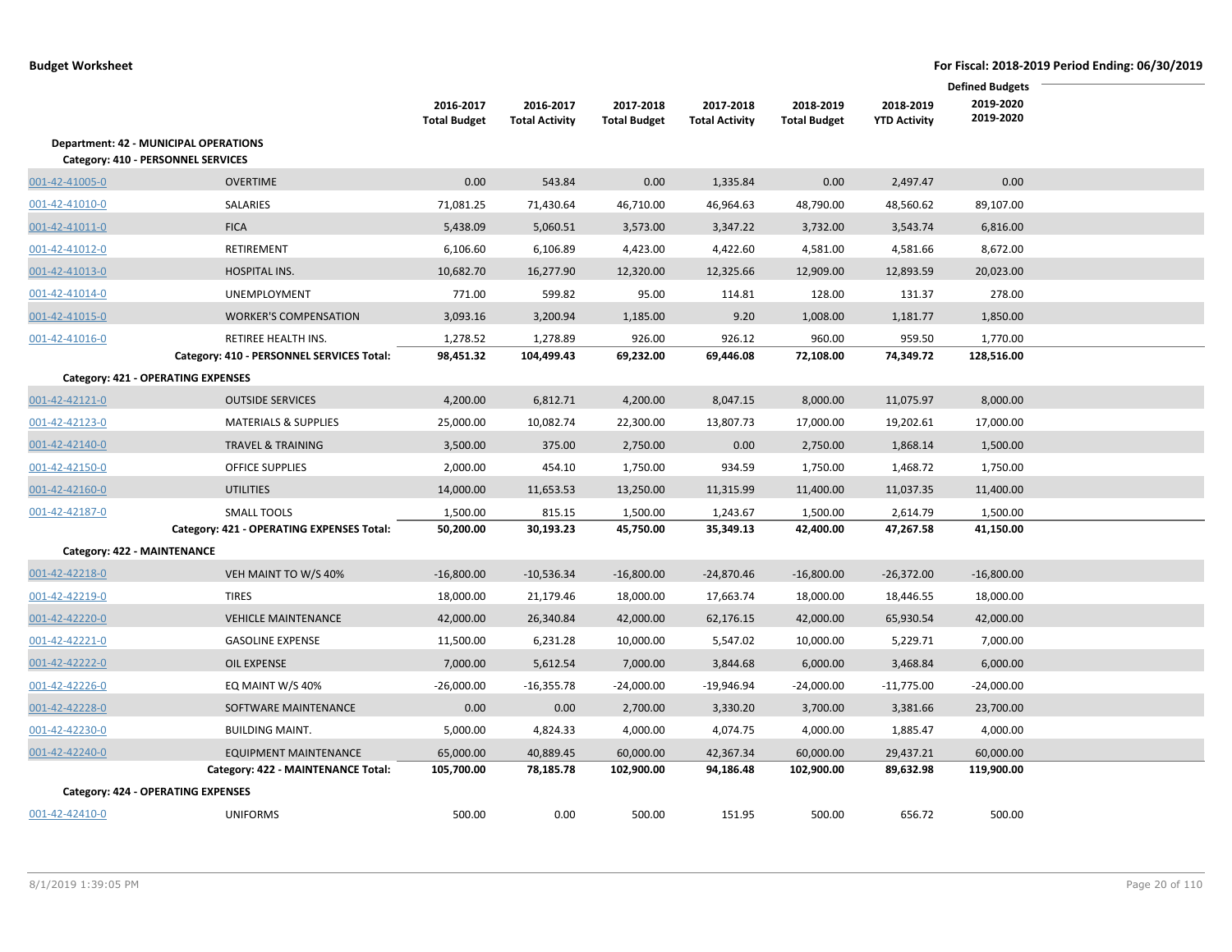|                             |                                                                                    |                     |                       |                     |                       |                     |                     | <b>Defined Budgets</b> |  |
|-----------------------------|------------------------------------------------------------------------------------|---------------------|-----------------------|---------------------|-----------------------|---------------------|---------------------|------------------------|--|
|                             |                                                                                    | 2016-2017           | 2016-2017             | 2017-2018           | 2017-2018             | 2018-2019           | 2018-2019           | 2019-2020<br>2019-2020 |  |
|                             |                                                                                    | <b>Total Budget</b> | <b>Total Activity</b> | <b>Total Budget</b> | <b>Total Activity</b> | <b>Total Budget</b> | <b>YTD Activity</b> |                        |  |
|                             | <b>Department: 42 - MUNICIPAL OPERATIONS</b><br>Category: 410 - PERSONNEL SERVICES |                     |                       |                     |                       |                     |                     |                        |  |
| 001-42-41005-0              | <b>OVERTIME</b>                                                                    | 0.00                | 543.84                | 0.00                | 1,335.84              | 0.00                | 2,497.47            | 0.00                   |  |
| 001-42-41010-0              | <b>SALARIES</b>                                                                    | 71,081.25           | 71,430.64             | 46,710.00           | 46,964.63             | 48,790.00           | 48,560.62           | 89,107.00              |  |
| 001-42-41011-0              | <b>FICA</b>                                                                        | 5,438.09            | 5,060.51              | 3,573.00            | 3,347.22              | 3,732.00            | 3,543.74            | 6,816.00               |  |
| 001-42-41012-0              | RETIREMENT                                                                         | 6,106.60            | 6,106.89              | 4,423.00            | 4,422.60              | 4,581.00            | 4,581.66            | 8,672.00               |  |
| 001-42-41013-0              | HOSPITAL INS.                                                                      | 10,682.70           | 16,277.90             | 12,320.00           | 12,325.66             | 12,909.00           | 12,893.59           | 20,023.00              |  |
| 001-42-41014-0              | <b>UNEMPLOYMENT</b>                                                                | 771.00              | 599.82                | 95.00               | 114.81                | 128.00              | 131.37              | 278.00                 |  |
| 001-42-41015-0              | <b>WORKER'S COMPENSATION</b>                                                       | 3,093.16            | 3,200.94              | 1,185.00            | 9.20                  | 1,008.00            | 1,181.77            | 1,850.00               |  |
| 001-42-41016-0              | RETIREE HEALTH INS.                                                                | 1,278.52            | 1,278.89              | 926.00              | 926.12                | 960.00              | 959.50              | 1,770.00               |  |
|                             | Category: 410 - PERSONNEL SERVICES Total:                                          | 98,451.32           | 104,499.43            | 69,232.00           | 69,446.08             | 72,108.00           | 74,349.72           | 128,516.00             |  |
|                             | <b>Category: 421 - OPERATING EXPENSES</b>                                          |                     |                       |                     |                       |                     |                     |                        |  |
| 001-42-42121-0              | <b>OUTSIDE SERVICES</b>                                                            | 4,200.00            | 6,812.71              | 4,200.00            | 8,047.15              | 8,000.00            | 11,075.97           | 8,000.00               |  |
| 001-42-42123-0              | <b>MATERIALS &amp; SUPPLIES</b>                                                    | 25,000.00           | 10,082.74             | 22,300.00           | 13,807.73             | 17,000.00           | 19,202.61           | 17,000.00              |  |
| 001-42-42140-0              | <b>TRAVEL &amp; TRAINING</b>                                                       | 3,500.00            | 375.00                | 2,750.00            | 0.00                  | 2,750.00            | 1,868.14            | 1,500.00               |  |
| 001-42-42150-0              | <b>OFFICE SUPPLIES</b>                                                             | 2,000.00            | 454.10                | 1,750.00            | 934.59                | 1,750.00            | 1,468.72            | 1,750.00               |  |
| 001-42-42160-0              | <b>UTILITIES</b>                                                                   | 14,000.00           | 11,653.53             | 13,250.00           | 11,315.99             | 11,400.00           | 11,037.35           | 11,400.00              |  |
| 001-42-42187-0              | <b>SMALL TOOLS</b>                                                                 | 1,500.00            | 815.15                | 1,500.00            | 1,243.67              | 1,500.00            | 2,614.79            | 1,500.00               |  |
|                             | Category: 421 - OPERATING EXPENSES Total:                                          | 50,200.00           | 30,193.23             | 45,750.00           | 35,349.13             | 42,400.00           | 47,267.58           | 41,150.00              |  |
| Category: 422 - MAINTENANCE |                                                                                    |                     |                       |                     |                       |                     |                     |                        |  |
| 001-42-42218-0              | VEH MAINT TO W/S 40%                                                               | $-16,800.00$        | $-10,536.34$          | $-16,800.00$        | $-24,870.46$          | $-16,800.00$        | $-26,372.00$        | $-16,800.00$           |  |
| 001-42-42219-0              | <b>TIRES</b>                                                                       | 18,000.00           | 21,179.46             | 18,000.00           | 17,663.74             | 18,000.00           | 18,446.55           | 18,000.00              |  |
| 001-42-42220-0              | <b>VEHICLE MAINTENANCE</b>                                                         | 42,000.00           | 26,340.84             | 42,000.00           | 62,176.15             | 42,000.00           | 65,930.54           | 42,000.00              |  |
| 001-42-42221-0              | <b>GASOLINE EXPENSE</b>                                                            | 11,500.00           | 6,231.28              | 10,000.00           | 5,547.02              | 10,000.00           | 5,229.71            | 7,000.00               |  |
| 001-42-42222-0              | OIL EXPENSE                                                                        | 7,000.00            | 5,612.54              | 7,000.00            | 3,844.68              | 6,000.00            | 3,468.84            | 6,000.00               |  |
| 001-42-42226-0              | EQ MAINT W/S 40%                                                                   | $-26,000.00$        | $-16,355.78$          | $-24,000.00$        | $-19,946.94$          | $-24,000.00$        | $-11,775.00$        | $-24,000.00$           |  |
| 001-42-42228-0              | SOFTWARE MAINTENANCE                                                               | 0.00                | 0.00                  | 2,700.00            | 3,330.20              | 3,700.00            | 3,381.66            | 23,700.00              |  |
| 001-42-42230-0              | <b>BUILDING MAINT.</b>                                                             | 5,000.00            | 4,824.33              | 4,000.00            | 4,074.75              | 4,000.00            | 1,885.47            | 4,000.00               |  |
| 001-42-42240-0              | <b>EQUIPMENT MAINTENANCE</b>                                                       | 65,000.00           | 40,889.45             | 60,000.00           | 42,367.34             | 60,000.00           | 29,437.21           | 60,000.00              |  |
|                             | Category: 422 - MAINTENANCE Total:                                                 | 105,700.00          | 78,185.78             | 102,900.00          | 94,186.48             | 102,900.00          | 89,632.98           | 119,900.00             |  |
|                             | <b>Category: 424 - OPERATING EXPENSES</b>                                          |                     |                       |                     |                       |                     |                     |                        |  |
| 001-42-42410-0              | <b>UNIFORMS</b>                                                                    | 500.00              | 0.00                  | 500.00              | 151.95                | 500.00              | 656.72              | 500.00                 |  |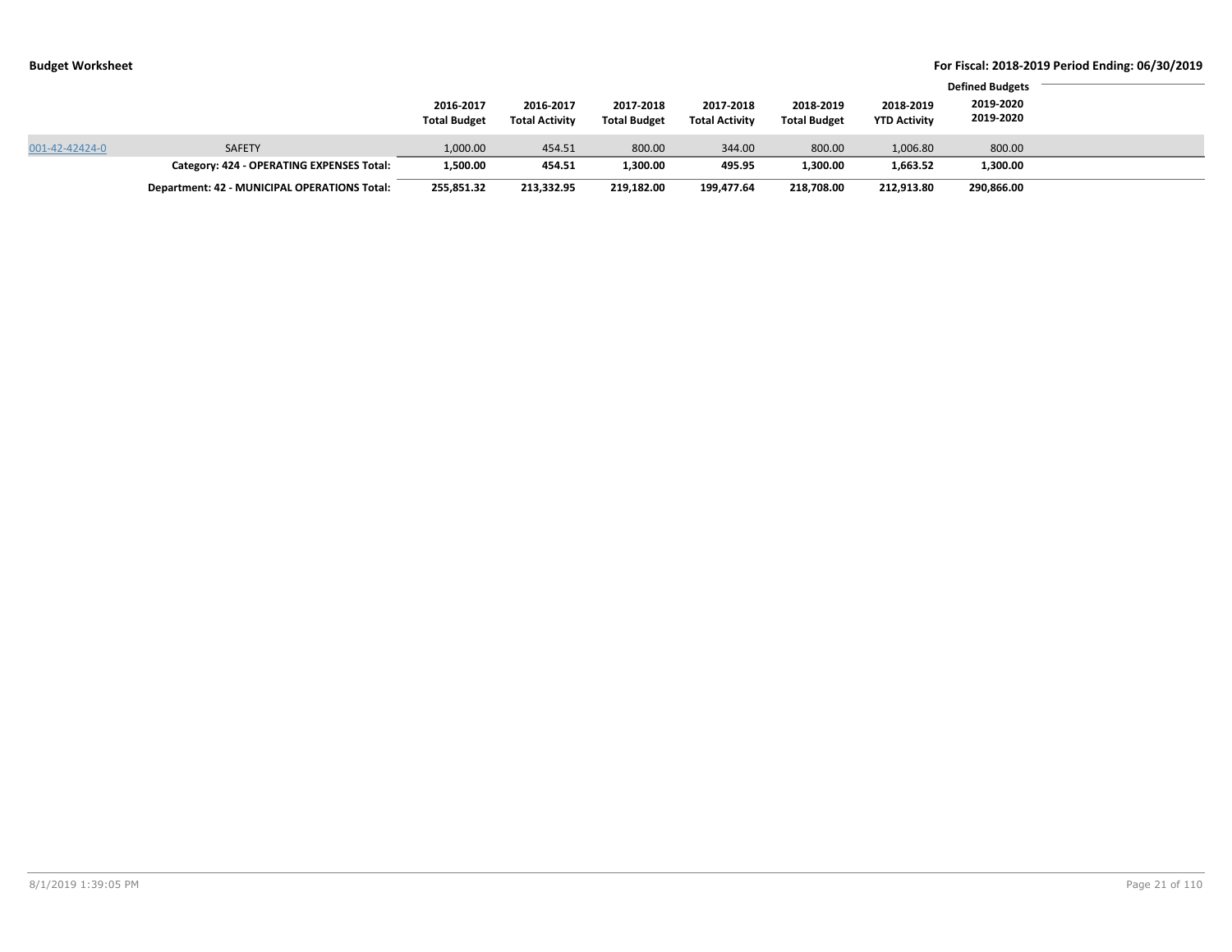|                | Department: 42 - MUNICIPAL OPERATIONS Total: | 255,851.32                       | 213,332.95                         | 219,182.00                       | 199.477.64                         | 218.708.00                       | 212,913.80                       | 290,866.00                                       |  |
|----------------|----------------------------------------------|----------------------------------|------------------------------------|----------------------------------|------------------------------------|----------------------------------|----------------------------------|--------------------------------------------------|--|
|                | Category: 424 - OPERATING EXPENSES Total:    | 1,500.00                         | 454.51                             | 1,300.00                         | 495.95                             | 1,300.00                         | 1,663.52                         | 1,300.00                                         |  |
| 001-42-42424-0 | <b>SAFETY</b>                                | 1,000.00                         | 454.51                             | 800.00                           | 344.00                             | 800.00                           | 1,006.80                         | 800.00                                           |  |
|                |                                              | 2016-2017<br><b>Total Budget</b> | 2016-2017<br><b>Total Activity</b> | 2017-2018<br><b>Total Budget</b> | 2017-2018<br><b>Total Activity</b> | 2018-2019<br><b>Total Budget</b> | 2018-2019<br><b>YTD Activity</b> | <b>Defined Budgets</b><br>2019-2020<br>2019-2020 |  |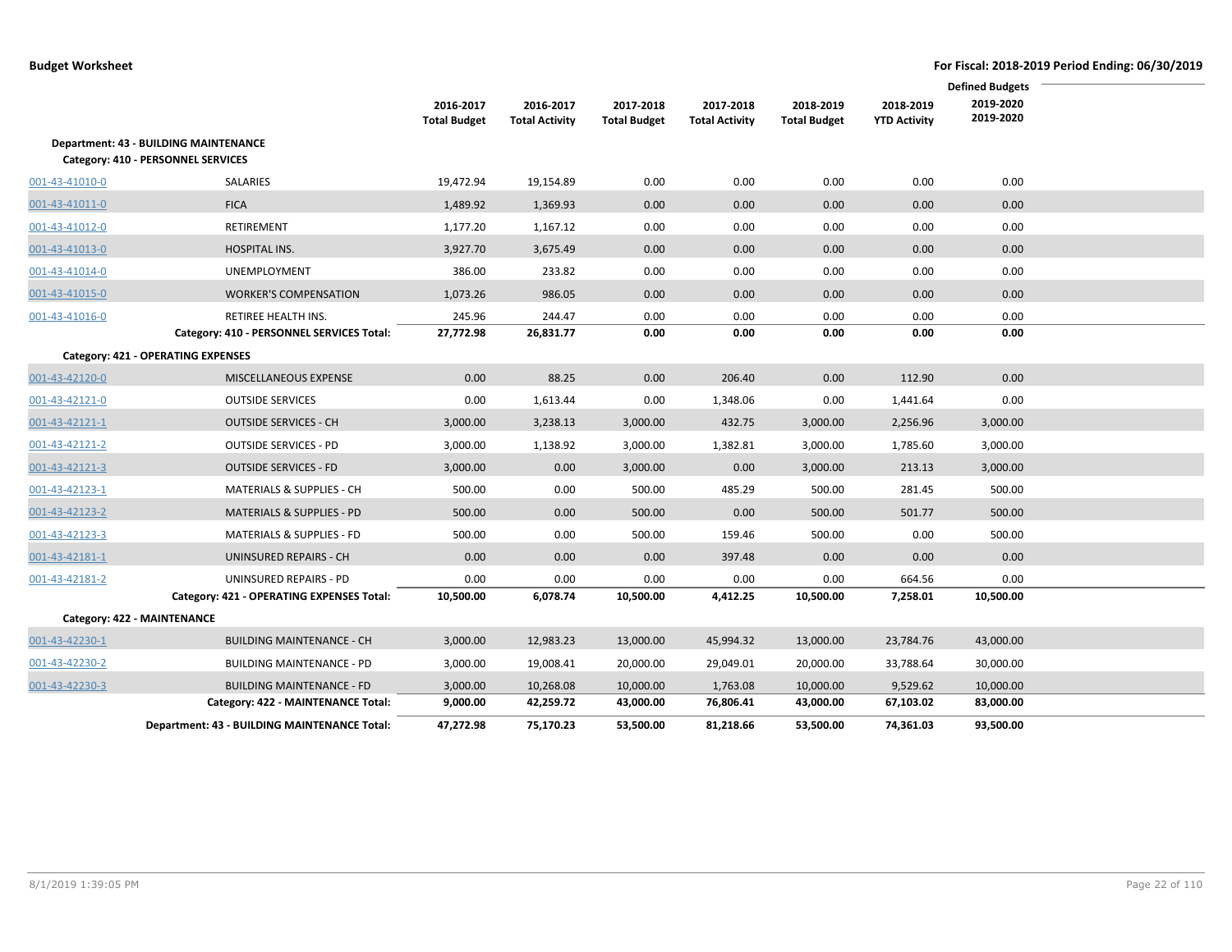|                |                                                     |                                  |                                    |                                  |                                    |                                  |                                  | <b>Defined Budgets</b><br>2019-2020 |  |
|----------------|-----------------------------------------------------|----------------------------------|------------------------------------|----------------------------------|------------------------------------|----------------------------------|----------------------------------|-------------------------------------|--|
|                |                                                     | 2016-2017<br><b>Total Budget</b> | 2016-2017<br><b>Total Activity</b> | 2017-2018<br><b>Total Budget</b> | 2017-2018<br><b>Total Activity</b> | 2018-2019<br><b>Total Budget</b> | 2018-2019<br><b>YTD Activity</b> | 2019-2020                           |  |
|                | <b>Department: 43 - BUILDING MAINTENANCE</b>        |                                  |                                    |                                  |                                    |                                  |                                  |                                     |  |
|                | Category: 410 - PERSONNEL SERVICES                  |                                  |                                    |                                  |                                    |                                  |                                  |                                     |  |
| 001-43-41010-0 | SALARIES                                            | 19,472.94                        | 19,154.89                          | 0.00                             | 0.00                               | 0.00                             | 0.00                             | 0.00                                |  |
| 001-43-41011-0 | <b>FICA</b>                                         | 1,489.92                         | 1,369.93                           | 0.00                             | 0.00                               | 0.00                             | 0.00                             | 0.00                                |  |
| 001-43-41012-0 | <b>RETIREMENT</b>                                   | 1,177.20                         | 1,167.12                           | 0.00                             | 0.00                               | 0.00                             | 0.00                             | 0.00                                |  |
| 001-43-41013-0 | HOSPITAL INS.                                       | 3,927.70                         | 3,675.49                           | 0.00                             | 0.00                               | 0.00                             | 0.00                             | 0.00                                |  |
| 001-43-41014-0 | UNEMPLOYMENT                                        | 386.00                           | 233.82                             | 0.00                             | 0.00                               | 0.00                             | 0.00                             | 0.00                                |  |
| 001-43-41015-0 | <b>WORKER'S COMPENSATION</b>                        | 1,073.26                         | 986.05                             | 0.00                             | 0.00                               | 0.00                             | 0.00                             | 0.00                                |  |
| 001-43-41016-0 | RETIREE HEALTH INS.                                 | 245.96                           | 244.47                             | 0.00                             | 0.00                               | 0.00                             | 0.00                             | 0.00                                |  |
|                | Category: 410 - PERSONNEL SERVICES Total:           | 27,772.98                        | 26,831.77                          | 0.00                             | 0.00                               | 0.00                             | 0.00                             | 0.00                                |  |
|                | Category: 421 - OPERATING EXPENSES                  |                                  |                                    |                                  |                                    |                                  |                                  |                                     |  |
| 001-43-42120-0 | MISCELLANEOUS EXPENSE                               | 0.00                             | 88.25                              | 0.00                             | 206.40                             | 0.00                             | 112.90                           | 0.00                                |  |
| 001-43-42121-0 | <b>OUTSIDE SERVICES</b>                             | 0.00                             | 1,613.44                           | 0.00                             | 1,348.06                           | 0.00                             | 1,441.64                         | 0.00                                |  |
| 001-43-42121-1 | <b>OUTSIDE SERVICES - CH</b>                        | 3,000.00                         | 3,238.13                           | 3,000.00                         | 432.75                             | 3,000.00                         | 2,256.96                         | 3,000.00                            |  |
| 001-43-42121-2 | <b>OUTSIDE SERVICES - PD</b>                        | 3,000.00                         | 1,138.92                           | 3,000.00                         | 1,382.81                           | 3,000.00                         | 1,785.60                         | 3,000.00                            |  |
| 001-43-42121-3 | <b>OUTSIDE SERVICES - FD</b>                        | 3,000.00                         | 0.00                               | 3,000.00                         | 0.00                               | 3,000.00                         | 213.13                           | 3,000.00                            |  |
| 001-43-42123-1 | MATERIALS & SUPPLIES - CH                           | 500.00                           | 0.00                               | 500.00                           | 485.29                             | 500.00                           | 281.45                           | 500.00                              |  |
| 001-43-42123-2 | <b>MATERIALS &amp; SUPPLIES - PD</b>                | 500.00                           | 0.00                               | 500.00                           | 0.00                               | 500.00                           | 501.77                           | 500.00                              |  |
| 001-43-42123-3 | <b>MATERIALS &amp; SUPPLIES - FD</b>                | 500.00                           | 0.00                               | 500.00                           | 159.46                             | 500.00                           | 0.00                             | 500.00                              |  |
| 001-43-42181-1 | UNINSURED REPAIRS - CH                              | 0.00                             | 0.00                               | 0.00                             | 397.48                             | 0.00                             | 0.00                             | 0.00                                |  |
| 001-43-42181-2 | UNINSURED REPAIRS - PD                              | 0.00                             | 0.00                               | 0.00                             | 0.00                               | 0.00                             | 664.56                           | 0.00                                |  |
|                | Category: 421 - OPERATING EXPENSES Total:           | 10,500.00                        | 6,078.74                           | 10,500.00                        | 4,412.25                           | 10,500.00                        | 7,258.01                         | 10,500.00                           |  |
|                | Category: 422 - MAINTENANCE                         |                                  |                                    |                                  |                                    |                                  |                                  |                                     |  |
| 001-43-42230-1 | <b>BUILDING MAINTENANCE - CH</b>                    | 3,000.00                         | 12,983.23                          | 13,000.00                        | 45,994.32                          | 13,000.00                        | 23,784.76                        | 43,000.00                           |  |
| 001-43-42230-2 | <b>BUILDING MAINTENANCE - PD</b>                    | 3,000.00                         | 19,008.41                          | 20,000.00                        | 29,049.01                          | 20,000.00                        | 33,788.64                        | 30,000.00                           |  |
| 001-43-42230-3 | <b>BUILDING MAINTENANCE - FD</b>                    | 3,000.00                         | 10,268.08                          | 10,000.00                        | 1,763.08                           | 10,000.00                        | 9,529.62                         | 10,000.00                           |  |
|                | Category: 422 - MAINTENANCE Total:                  | 9,000.00                         | 42,259.72                          | 43,000.00                        | 76,806.41                          | 43,000.00                        | 67,103.02                        | 83,000.00                           |  |
|                | <b>Department: 43 - BUILDING MAINTENANCE Total:</b> | 47,272.98                        | 75,170.23                          | 53,500.00                        | 81,218.66                          | 53,500.00                        | 74,361.03                        | 93,500.00                           |  |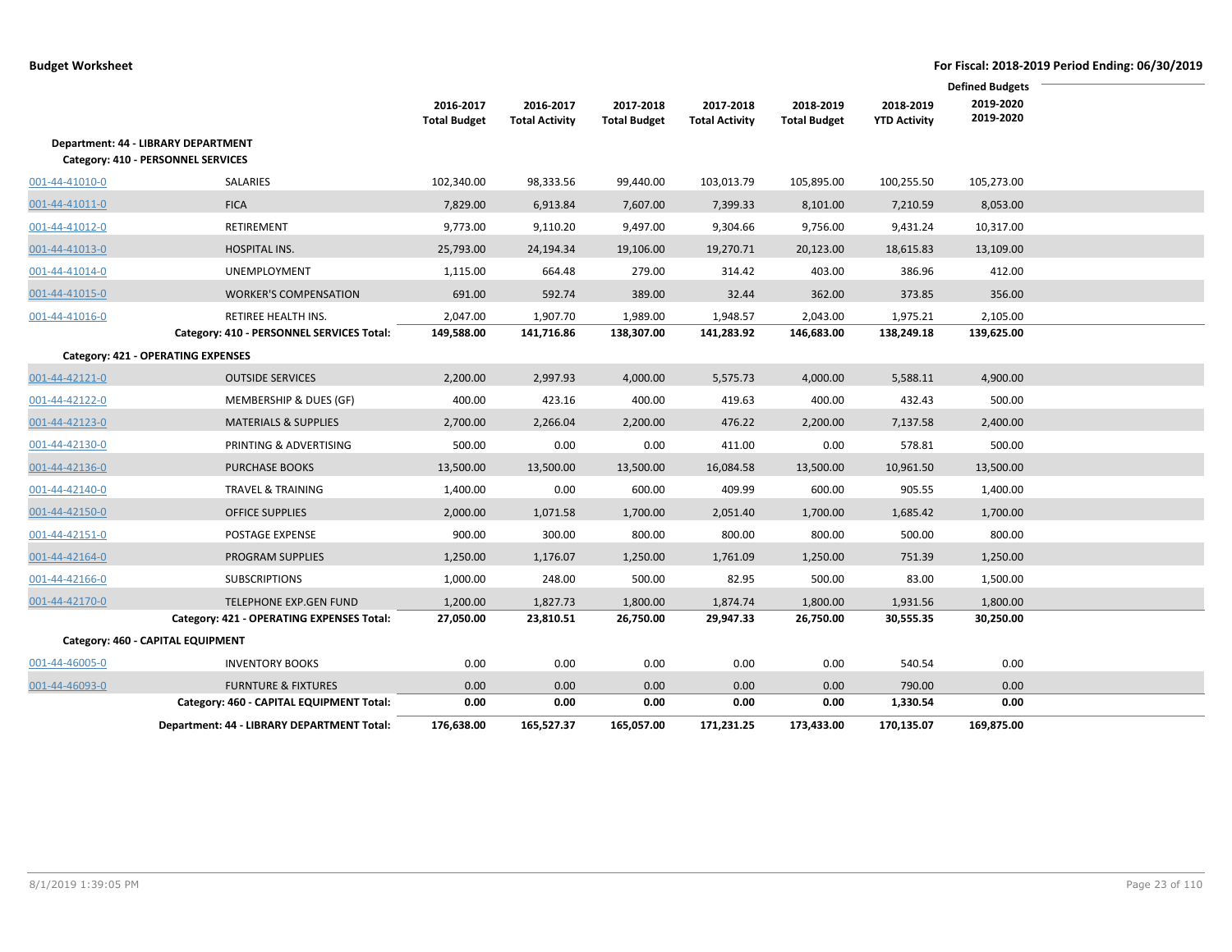|                |                                            |                     |                       |                     |                       |                     |                     | <b>Defined Budgets</b> |  |
|----------------|--------------------------------------------|---------------------|-----------------------|---------------------|-----------------------|---------------------|---------------------|------------------------|--|
|                |                                            | 2016-2017           | 2016-2017             | 2017-2018           | 2017-2018             | 2018-2019           | 2018-2019           | 2019-2020              |  |
|                |                                            | <b>Total Budget</b> | <b>Total Activity</b> | <b>Total Budget</b> | <b>Total Activity</b> | <b>Total Budget</b> | <b>YTD Activity</b> | 2019-2020              |  |
|                | Department: 44 - LIBRARY DEPARTMENT        |                     |                       |                     |                       |                     |                     |                        |  |
|                | Category: 410 - PERSONNEL SERVICES         |                     |                       |                     |                       |                     |                     |                        |  |
| 001-44-41010-0 | SALARIES                                   | 102,340.00          | 98,333.56             | 99,440.00           | 103,013.79            | 105,895.00          | 100,255.50          | 105,273.00             |  |
| 001-44-41011-0 | <b>FICA</b>                                | 7,829.00            | 6,913.84              | 7,607.00            | 7,399.33              | 8,101.00            | 7,210.59            | 8,053.00               |  |
| 001-44-41012-0 | <b>RETIREMENT</b>                          | 9,773.00            | 9,110.20              | 9,497.00            | 9,304.66              | 9,756.00            | 9,431.24            | 10,317.00              |  |
| 001-44-41013-0 | HOSPITAL INS.                              | 25,793.00           | 24,194.34             | 19,106.00           | 19,270.71             | 20,123.00           | 18,615.83           | 13,109.00              |  |
| 001-44-41014-0 | <b>UNEMPLOYMENT</b>                        | 1,115.00            | 664.48                | 279.00              | 314.42                | 403.00              | 386.96              | 412.00                 |  |
| 001-44-41015-0 | <b>WORKER'S COMPENSATION</b>               | 691.00              | 592.74                | 389.00              | 32.44                 | 362.00              | 373.85              | 356.00                 |  |
| 001-44-41016-0 | <b>RETIREE HEALTH INS.</b>                 | 2,047.00            | 1,907.70              | 1,989.00            | 1,948.57              | 2,043.00            | 1,975.21            | 2,105.00               |  |
|                | Category: 410 - PERSONNEL SERVICES Total:  | 149,588.00          | 141,716.86            | 138,307.00          | 141,283.92            | 146,683.00          | 138,249.18          | 139,625.00             |  |
|                | Category: 421 - OPERATING EXPENSES         |                     |                       |                     |                       |                     |                     |                        |  |
| 001-44-42121-0 | <b>OUTSIDE SERVICES</b>                    | 2,200.00            | 2,997.93              | 4,000.00            | 5,575.73              | 4,000.00            | 5,588.11            | 4,900.00               |  |
| 001-44-42122-0 | MEMBERSHIP & DUES (GF)                     | 400.00              | 423.16                | 400.00              | 419.63                | 400.00              | 432.43              | 500.00                 |  |
| 001-44-42123-0 | <b>MATERIALS &amp; SUPPLIES</b>            | 2,700.00            | 2,266.04              | 2,200.00            | 476.22                | 2,200.00            | 7,137.58            | 2,400.00               |  |
| 001-44-42130-0 | PRINTING & ADVERTISING                     | 500.00              | 0.00                  | 0.00                | 411.00                | 0.00                | 578.81              | 500.00                 |  |
| 001-44-42136-0 | <b>PURCHASE BOOKS</b>                      | 13,500.00           | 13,500.00             | 13,500.00           | 16,084.58             | 13,500.00           | 10,961.50           | 13,500.00              |  |
| 001-44-42140-0 | TRAVEL & TRAINING                          | 1,400.00            | 0.00                  | 600.00              | 409.99                | 600.00              | 905.55              | 1,400.00               |  |
| 001-44-42150-0 | <b>OFFICE SUPPLIES</b>                     | 2,000.00            | 1,071.58              | 1,700.00            | 2,051.40              | 1,700.00            | 1,685.42            | 1,700.00               |  |
| 001-44-42151-0 | POSTAGE EXPENSE                            | 900.00              | 300.00                | 800.00              | 800.00                | 800.00              | 500.00              | 800.00                 |  |
| 001-44-42164-0 | PROGRAM SUPPLIES                           | 1,250.00            | 1,176.07              | 1,250.00            | 1,761.09              | 1,250.00            | 751.39              | 1,250.00               |  |
| 001-44-42166-0 | <b>SUBSCRIPTIONS</b>                       | 1,000.00            | 248.00                | 500.00              | 82.95                 | 500.00              | 83.00               | 1,500.00               |  |
| 001-44-42170-0 | <b>TELEPHONE EXP.GEN FUND</b>              | 1,200.00            | 1,827.73              | 1,800.00            | 1,874.74              | 1,800.00            | 1,931.56            | 1,800.00               |  |
|                | Category: 421 - OPERATING EXPENSES Total:  | 27,050.00           | 23,810.51             | 26,750.00           | 29,947.33             | 26,750.00           | 30,555.35           | 30,250.00              |  |
|                | Category: 460 - CAPITAL EQUIPMENT          |                     |                       |                     |                       |                     |                     |                        |  |
| 001-44-46005-0 | <b>INVENTORY BOOKS</b>                     | 0.00                | 0.00                  | 0.00                | 0.00                  | 0.00                | 540.54              | 0.00                   |  |
| 001-44-46093-0 | <b>FURNTURE &amp; FIXTURES</b>             | 0.00                | 0.00                  | 0.00                | 0.00                  | 0.00                | 790.00              | 0.00                   |  |
|                | Category: 460 - CAPITAL EQUIPMENT Total:   | 0.00                | 0.00                  | 0.00                | 0.00                  | 0.00                | 1,330.54            | 0.00                   |  |
|                | Department: 44 - LIBRARY DEPARTMENT Total: | 176,638.00          | 165,527.37            | 165,057.00          | 171,231.25            | 173,433.00          | 170,135.07          | 169,875.00             |  |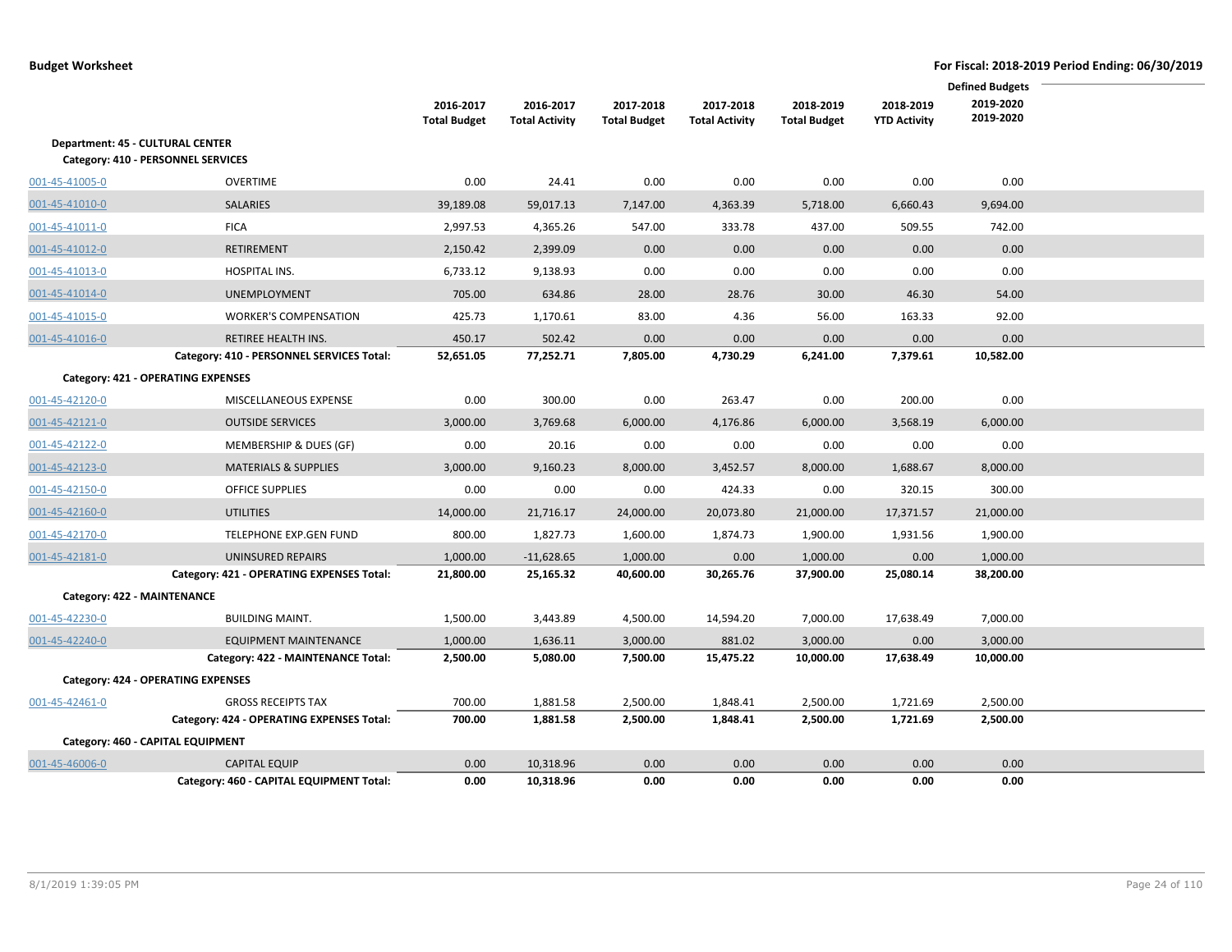|                                         |                                                                  |                                  |                                    |                                  |                                    |                                  |                                  | <b>Defined Budgets</b> |  |
|-----------------------------------------|------------------------------------------------------------------|----------------------------------|------------------------------------|----------------------------------|------------------------------------|----------------------------------|----------------------------------|------------------------|--|
|                                         |                                                                  | 2016-2017<br><b>Total Budget</b> | 2016-2017<br><b>Total Activity</b> | 2017-2018<br><b>Total Budget</b> | 2017-2018<br><b>Total Activity</b> | 2018-2019<br><b>Total Budget</b> | 2018-2019<br><b>YTD Activity</b> | 2019-2020<br>2019-2020 |  |
| <b>Department: 45 - CULTURAL CENTER</b> | Category: 410 - PERSONNEL SERVICES                               |                                  |                                    |                                  |                                    |                                  |                                  |                        |  |
| 001-45-41005-0                          | <b>OVERTIME</b>                                                  | 0.00                             | 24.41                              | 0.00                             | 0.00                               | 0.00                             | 0.00                             | 0.00                   |  |
| 001-45-41010-0                          | <b>SALARIES</b>                                                  | 39,189.08                        | 59,017.13                          | 7,147.00                         | 4,363.39                           | 5,718.00                         | 6,660.43                         | 9,694.00               |  |
| 001-45-41011-0                          | <b>FICA</b>                                                      | 2,997.53                         | 4,365.26                           | 547.00                           | 333.78                             | 437.00                           | 509.55                           | 742.00                 |  |
| 001-45-41012-0                          | RETIREMENT                                                       | 2,150.42                         | 2,399.09                           | 0.00                             | 0.00                               | 0.00                             | 0.00                             | 0.00                   |  |
| 001-45-41013-0                          | HOSPITAL INS.                                                    | 6,733.12                         | 9,138.93                           | 0.00                             | 0.00                               | 0.00                             | 0.00                             | 0.00                   |  |
| 001-45-41014-0                          | <b>UNEMPLOYMENT</b>                                              | 705.00                           | 634.86                             | 28.00                            | 28.76                              | 30.00                            | 46.30                            | 54.00                  |  |
| 001-45-41015-0                          | <b>WORKER'S COMPENSATION</b>                                     | 425.73                           | 1,170.61                           | 83.00                            | 4.36                               | 56.00                            | 163.33                           | 92.00                  |  |
| 001-45-41016-0                          | RETIREE HEALTH INS.                                              | 450.17                           | 502.42                             | 0.00                             | 0.00                               | 0.00                             | 0.00                             | 0.00                   |  |
|                                         | Category: 410 - PERSONNEL SERVICES Total:                        | 52,651.05                        | 77,252.71                          | 7,805.00                         | 4,730.29                           | 6,241.00                         | 7,379.61                         | 10,582.00              |  |
|                                         | <b>Category: 421 - OPERATING EXPENSES</b>                        |                                  |                                    |                                  |                                    |                                  |                                  |                        |  |
| 001-45-42120-0                          | MISCELLANEOUS EXPENSE                                            | 0.00                             | 300.00                             | 0.00                             | 263.47                             | 0.00                             | 200.00                           | 0.00                   |  |
| 001-45-42121-0                          | <b>OUTSIDE SERVICES</b>                                          | 3,000.00                         | 3,769.68                           | 6,000.00                         | 4,176.86                           | 6,000.00                         | 3,568.19                         | 6,000.00               |  |
| 001-45-42122-0                          | MEMBERSHIP & DUES (GF)                                           | 0.00                             | 20.16                              | 0.00                             | 0.00                               | 0.00                             | 0.00                             | 0.00                   |  |
| 001-45-42123-0                          | <b>MATERIALS &amp; SUPPLIES</b>                                  | 3,000.00                         | 9,160.23                           | 8,000.00                         | 3,452.57                           | 8,000.00                         | 1,688.67                         | 8,000.00               |  |
| 001-45-42150-0                          | <b>OFFICE SUPPLIES</b>                                           | 0.00                             | 0.00                               | 0.00                             | 424.33                             | 0.00                             | 320.15                           | 300.00                 |  |
| 001-45-42160-0                          | <b>UTILITIES</b>                                                 | 14,000.00                        | 21,716.17                          | 24,000.00                        | 20,073.80                          | 21,000.00                        | 17,371.57                        | 21,000.00              |  |
| 001-45-42170-0                          | TELEPHONE EXP.GEN FUND                                           | 800.00                           | 1,827.73                           | 1,600.00                         | 1,874.73                           | 1,900.00                         | 1,931.56                         | 1,900.00               |  |
| 001-45-42181-0                          | UNINSURED REPAIRS                                                | 1,000.00                         | $-11,628.65$                       | 1,000.00                         | 0.00                               | 1,000.00                         | 0.00                             | 1,000.00               |  |
|                                         | Category: 421 - OPERATING EXPENSES Total:                        | 21,800.00                        | 25,165.32                          | 40,600.00                        | 30,265.76                          | 37,900.00                        | 25,080.14                        | 38,200.00              |  |
| Category: 422 - MAINTENANCE             |                                                                  |                                  |                                    |                                  |                                    |                                  |                                  |                        |  |
| 001-45-42230-0                          | <b>BUILDING MAINT.</b>                                           | 1,500.00                         | 3,443.89                           | 4,500.00                         | 14,594.20                          | 7,000.00                         | 17,638.49                        | 7,000.00               |  |
| 001-45-42240-0                          | <b>EQUIPMENT MAINTENANCE</b>                                     | 1,000.00                         | 1,636.11                           | 3,000.00                         | 881.02                             | 3,000.00                         | 0.00                             | 3,000.00               |  |
|                                         | Category: 422 - MAINTENANCE Total:                               | 2,500.00                         | 5,080.00                           | 7,500.00                         | 15,475.22                          | 10,000.00                        | 17,638.49                        | 10,000.00              |  |
|                                         | <b>Category: 424 - OPERATING EXPENSES</b>                        |                                  |                                    |                                  |                                    |                                  |                                  |                        |  |
| 001-45-42461-0                          | <b>GROSS RECEIPTS TAX</b>                                        | 700.00                           | 1,881.58                           | 2,500.00                         | 1,848.41                           | 2,500.00                         | 1,721.69                         | 2,500.00               |  |
|                                         | Category: 424 - OPERATING EXPENSES Total:                        | 700.00                           | 1,881.58                           | 2,500.00                         | 1,848.41                           | 2,500.00                         | 1,721.69                         | 2,500.00               |  |
|                                         | Category: 460 - CAPITAL EQUIPMENT                                |                                  |                                    |                                  |                                    |                                  |                                  |                        |  |
| 001-45-46006-0                          | <b>CAPITAL EQUIP</b><br>Category: 460 - CAPITAL EQUIPMENT Total: | 0.00<br>0.00                     | 10,318.96<br>10,318.96             | 0.00<br>0.00                     | 0.00<br>0.00                       | 0.00<br>0.00                     | 0.00<br>0.00                     | 0.00<br>0.00           |  |
|                                         |                                                                  |                                  |                                    |                                  |                                    |                                  |                                  |                        |  |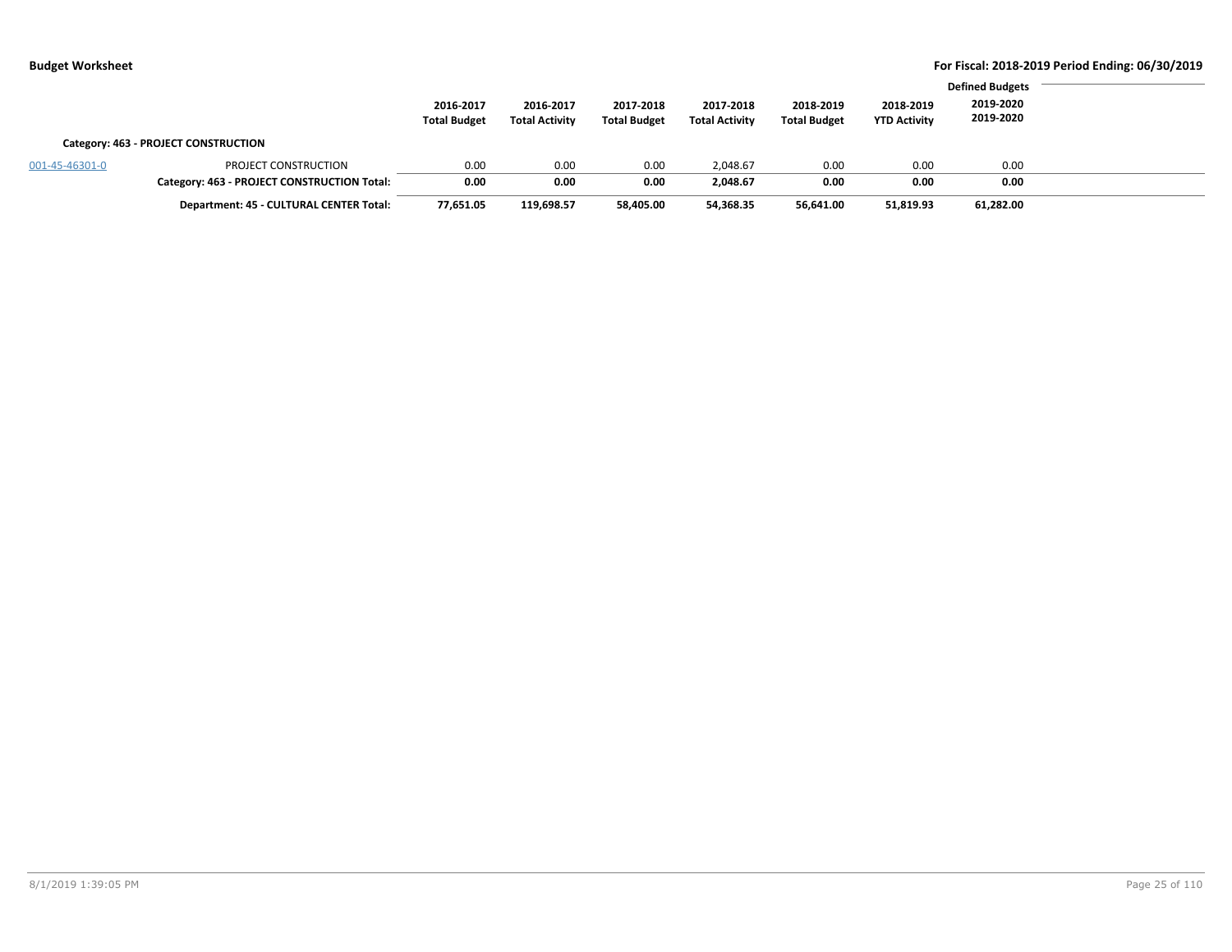|                |                                             |                                  |                                    |                                  |                                    |                                  |                                  | <b>Defined Budgets</b> |  |
|----------------|---------------------------------------------|----------------------------------|------------------------------------|----------------------------------|------------------------------------|----------------------------------|----------------------------------|------------------------|--|
|                |                                             | 2016-2017<br><b>Total Budget</b> | 2016-2017<br><b>Total Activity</b> | 2017-2018<br><b>Total Budget</b> | 2017-2018<br><b>Total Activity</b> | 2018-2019<br><b>Total Budget</b> | 2018-2019<br><b>YTD Activity</b> | 2019-2020<br>2019-2020 |  |
|                | Category: 463 - PROJECT CONSTRUCTION        |                                  |                                    |                                  |                                    |                                  |                                  |                        |  |
| 001-45-46301-0 | PROJECT CONSTRUCTION                        | 0.00                             | 0.00                               | 0.00                             | 2,048.67                           | 0.00                             | 0.00                             | 0.00                   |  |
|                | Category: 463 - PROJECT CONSTRUCTION Total: | 0.00                             | 0.00                               | 0.00                             | 2,048.67                           | 0.00                             | 0.00                             | 0.00                   |  |
|                | Department: 45 - CULTURAL CENTER Total:     | 77,651.05                        | 119,698.57                         | 58,405.00                        | 54,368.35                          | 56,641.00                        | 51,819.93                        | 61,282.00              |  |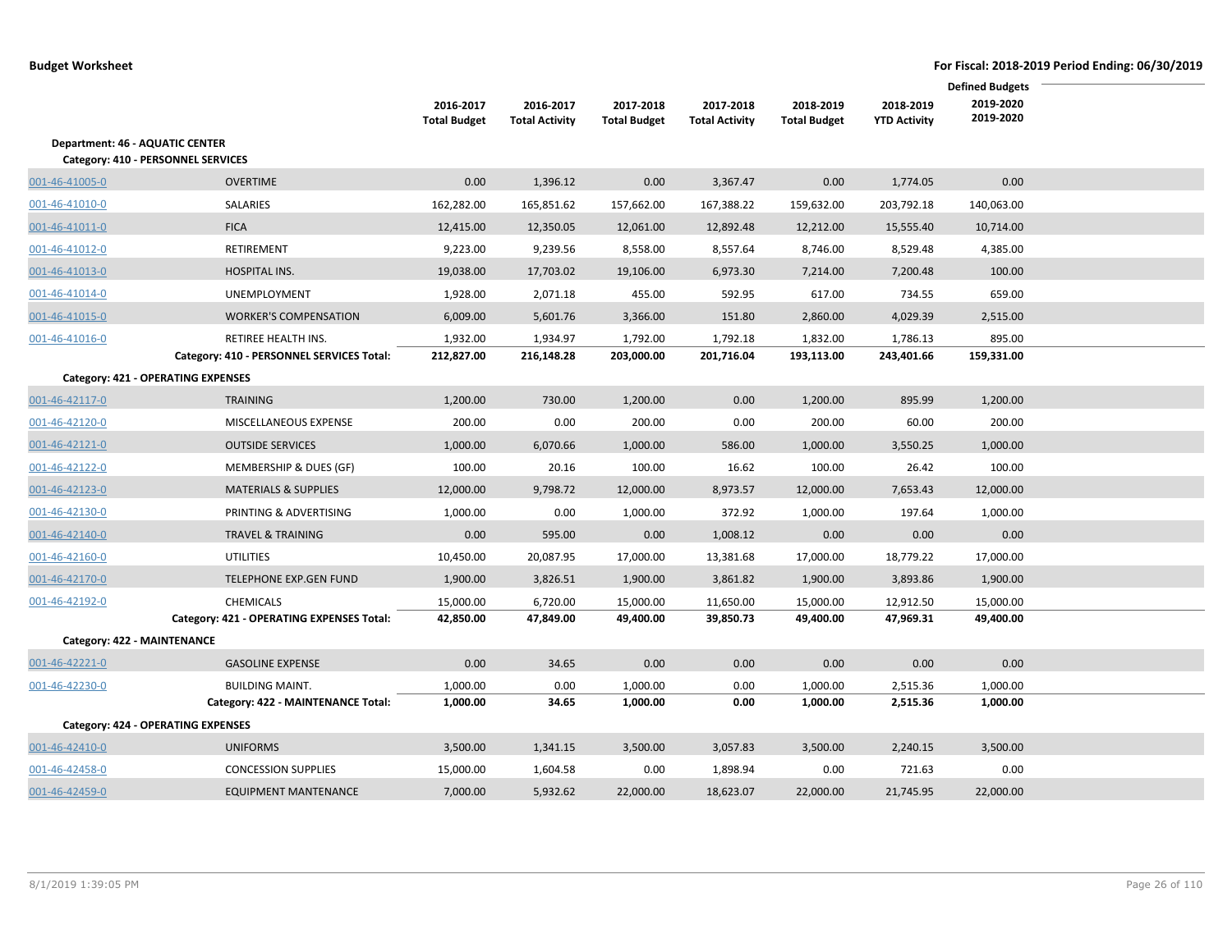|                                           |                                           | 2016-2017<br><b>Total Budget</b> | 2016-2017<br><b>Total Activity</b> | 2017-2018<br><b>Total Budget</b> | 2017-2018<br><b>Total Activity</b> | 2018-2019<br><b>Total Budget</b> | 2018-2019<br><b>YTD Activity</b> | <b>Defined Budgets</b><br>2019-2020<br>2019-2020 |  |
|-------------------------------------------|-------------------------------------------|----------------------------------|------------------------------------|----------------------------------|------------------------------------|----------------------------------|----------------------------------|--------------------------------------------------|--|
| <b>Department: 46 - AQUATIC CENTER</b>    |                                           |                                  |                                    |                                  |                                    |                                  |                                  |                                                  |  |
| Category: 410 - PERSONNEL SERVICES        |                                           |                                  |                                    |                                  |                                    |                                  |                                  |                                                  |  |
| 001-46-41005-0                            | <b>OVERTIME</b>                           | 0.00                             | 1,396.12                           | 0.00                             | 3,367.47                           | 0.00                             | 1,774.05                         | 0.00                                             |  |
| 001-46-41010-0                            | SALARIES                                  | 162,282.00                       | 165,851.62                         | 157,662.00                       | 167,388.22                         | 159,632.00                       | 203,792.18                       | 140,063.00                                       |  |
| 001-46-41011-0                            | <b>FICA</b>                               | 12,415.00                        | 12,350.05                          | 12,061.00                        | 12,892.48                          | 12,212.00                        | 15,555.40                        | 10,714.00                                        |  |
| 001-46-41012-0                            | RETIREMENT                                | 9,223.00                         | 9,239.56                           | 8,558.00                         | 8,557.64                           | 8,746.00                         | 8,529.48                         | 4,385.00                                         |  |
| 001-46-41013-0                            | HOSPITAL INS.                             | 19,038.00                        | 17,703.02                          | 19,106.00                        | 6,973.30                           | 7,214.00                         | 7,200.48                         | 100.00                                           |  |
| 001-46-41014-0                            | UNEMPLOYMENT                              | 1,928.00                         | 2,071.18                           | 455.00                           | 592.95                             | 617.00                           | 734.55                           | 659.00                                           |  |
| 001-46-41015-0                            | <b>WORKER'S COMPENSATION</b>              | 6,009.00                         | 5,601.76                           | 3,366.00                         | 151.80                             | 2,860.00                         | 4,029.39                         | 2,515.00                                         |  |
| 001-46-41016-0                            | RETIREE HEALTH INS.                       | 1,932.00                         | 1,934.97                           | 1,792.00                         | 1,792.18                           | 1,832.00                         | 1,786.13                         | 895.00                                           |  |
|                                           | Category: 410 - PERSONNEL SERVICES Total: | 212,827.00                       | 216,148.28                         | 203,000.00                       | 201,716.04                         | 193,113.00                       | 243,401.66                       | 159,331.00                                       |  |
| Category: 421 - OPERATING EXPENSES        |                                           |                                  |                                    |                                  |                                    |                                  |                                  |                                                  |  |
| 001-46-42117-0                            | <b>TRAINING</b>                           | 1,200.00                         | 730.00                             | 1,200.00                         | 0.00                               | 1,200.00                         | 895.99                           | 1,200.00                                         |  |
| 001-46-42120-0                            | MISCELLANEOUS EXPENSE                     | 200.00                           | 0.00                               | 200.00                           | 0.00                               | 200.00                           | 60.00                            | 200.00                                           |  |
| 001-46-42121-0                            | <b>OUTSIDE SERVICES</b>                   | 1,000.00                         | 6,070.66                           | 1,000.00                         | 586.00                             | 1,000.00                         | 3,550.25                         | 1,000.00                                         |  |
| 001-46-42122-0                            | MEMBERSHIP & DUES (GF)                    | 100.00                           | 20.16                              | 100.00                           | 16.62                              | 100.00                           | 26.42                            | 100.00                                           |  |
| 001-46-42123-0                            | <b>MATERIALS &amp; SUPPLIES</b>           | 12,000.00                        | 9,798.72                           | 12,000.00                        | 8,973.57                           | 12,000.00                        | 7,653.43                         | 12,000.00                                        |  |
| 001-46-42130-0                            | PRINTING & ADVERTISING                    | 1,000.00                         | 0.00                               | 1,000.00                         | 372.92                             | 1,000.00                         | 197.64                           | 1,000.00                                         |  |
| 001-46-42140-0                            | <b>TRAVEL &amp; TRAINING</b>              | 0.00                             | 595.00                             | 0.00                             | 1,008.12                           | 0.00                             | 0.00                             | 0.00                                             |  |
| 001-46-42160-0                            | <b>UTILITIES</b>                          | 10,450.00                        | 20,087.95                          | 17,000.00                        | 13,381.68                          | 17,000.00                        | 18,779.22                        | 17,000.00                                        |  |
| 001-46-42170-0                            | <b>TELEPHONE EXP.GEN FUND</b>             | 1,900.00                         | 3,826.51                           | 1,900.00                         | 3,861.82                           | 1,900.00                         | 3,893.86                         | 1,900.00                                         |  |
| 001-46-42192-0                            | <b>CHEMICALS</b>                          | 15,000.00                        | 6,720.00                           | 15,000.00                        | 11,650.00                          | 15,000.00                        | 12,912.50                        | 15,000.00                                        |  |
|                                           | Category: 421 - OPERATING EXPENSES Total: | 42,850.00                        | 47,849.00                          | 49,400.00                        | 39,850.73                          | 49,400.00                        | 47,969.31                        | 49,400.00                                        |  |
| Category: 422 - MAINTENANCE               |                                           |                                  |                                    |                                  |                                    |                                  |                                  |                                                  |  |
| 001-46-42221-0                            | <b>GASOLINE EXPENSE</b>                   | 0.00                             | 34.65                              | 0.00                             | 0.00                               | 0.00                             | 0.00                             | 0.00                                             |  |
| 001-46-42230-0                            | <b>BUILDING MAINT.</b>                    | 1,000.00                         | 0.00                               | 1,000.00                         | 0.00                               | 1,000.00                         | 2,515.36                         | 1,000.00                                         |  |
|                                           | Category: 422 - MAINTENANCE Total:        | 1,000.00                         | 34.65                              | 1,000.00                         | 0.00                               | 1,000.00                         | 2,515.36                         | 1,000.00                                         |  |
| <b>Category: 424 - OPERATING EXPENSES</b> |                                           |                                  |                                    |                                  |                                    |                                  |                                  |                                                  |  |
| 001-46-42410-0                            | <b>UNIFORMS</b>                           | 3,500.00                         | 1,341.15                           | 3,500.00                         | 3,057.83                           | 3,500.00                         | 2,240.15                         | 3,500.00                                         |  |
| 001-46-42458-0                            | <b>CONCESSION SUPPLIES</b>                | 15,000.00                        | 1,604.58                           | 0.00                             | 1,898.94                           | 0.00                             | 721.63                           | 0.00                                             |  |
| 001-46-42459-0                            | <b>EQUIPMENT MANTENANCE</b>               | 7,000.00                         | 5,932.62                           | 22,000.00                        | 18,623.07                          | 22,000.00                        | 21,745.95                        | 22,000.00                                        |  |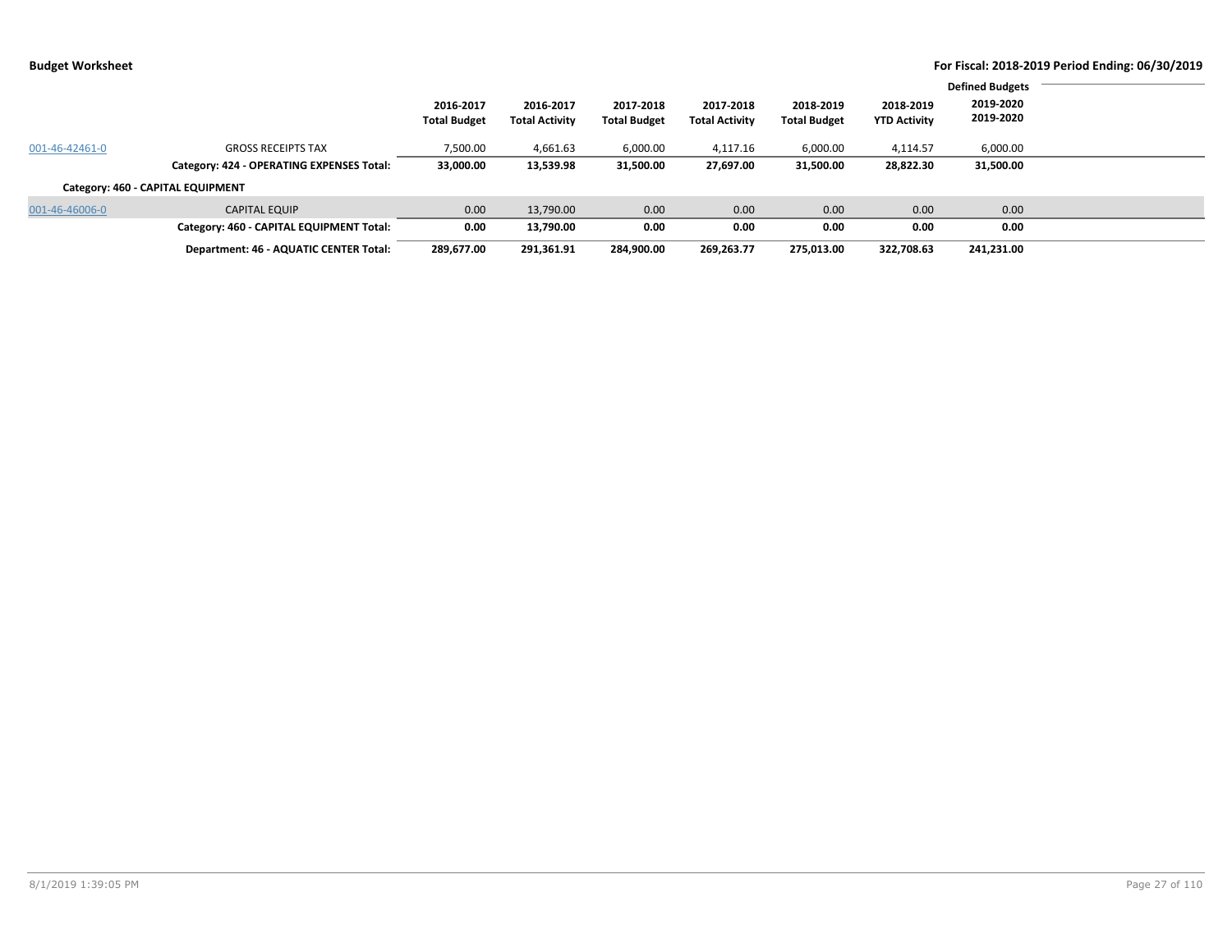|                |                                           | 2016-2017<br><b>Total Budget</b> | 2016-2017<br><b>Total Activity</b> | 2017-2018<br><b>Total Budget</b> | 2017-2018<br><b>Total Activity</b> | 2018-2019<br><b>Total Budget</b> | 2018-2019<br><b>YTD Activity</b> | <b>Defined Budgets</b><br>2019-2020<br>2019-2020 |  |
|----------------|-------------------------------------------|----------------------------------|------------------------------------|----------------------------------|------------------------------------|----------------------------------|----------------------------------|--------------------------------------------------|--|
| 001-46-42461-0 | <b>GROSS RECEIPTS TAX</b>                 | 7,500.00                         | 4,661.63                           | 6,000.00                         | 4,117.16                           | 6,000.00                         | 4,114.57                         | 6,000.00                                         |  |
|                | Category: 424 - OPERATING EXPENSES Total: | 33,000.00                        | 13,539.98                          | 31,500.00                        | 27,697.00                          | 31,500.00                        | 28,822.30                        | 31,500.00                                        |  |
|                | Category: 460 - CAPITAL EQUIPMENT         |                                  |                                    |                                  |                                    |                                  |                                  |                                                  |  |
| 001-46-46006-0 | <b>CAPITAL EQUIP</b>                      | 0.00                             | 13,790.00                          | 0.00                             | 0.00                               | 0.00                             | 0.00                             | 0.00                                             |  |
|                | Category: 460 - CAPITAL EQUIPMENT Total:  | 0.00                             | 13,790.00                          | 0.00                             | 0.00                               | 0.00                             | 0.00                             | 0.00                                             |  |
|                | Department: 46 - AQUATIC CENTER Total:    | 289,677.00                       | 291,361.91                         | 284,900.00                       | 269,263.77                         | 275,013.00                       | 322,708.63                       | 241,231.00                                       |  |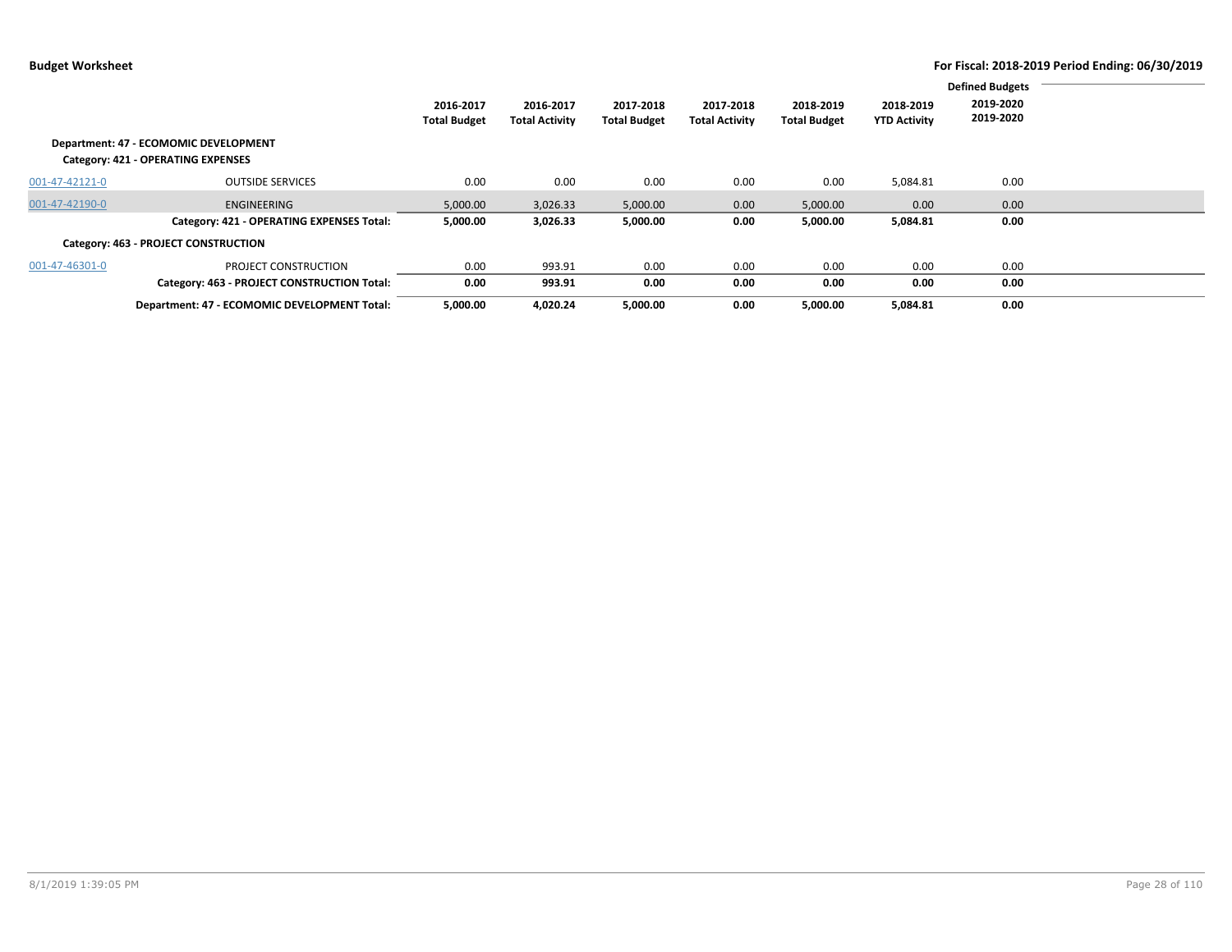|                |                                              |                     |                       |                     |                       |                     |                     | <b>Defined Budgets</b> |  |
|----------------|----------------------------------------------|---------------------|-----------------------|---------------------|-----------------------|---------------------|---------------------|------------------------|--|
|                |                                              | 2016-2017           | 2016-2017             | 2017-2018           | 2017-2018             | 2018-2019           | 2018-2019           | 2019-2020<br>2019-2020 |  |
|                |                                              | <b>Total Budget</b> | <b>Total Activity</b> | <b>Total Budget</b> | <b>Total Activity</b> | <b>Total Budget</b> | <b>YTD Activity</b> |                        |  |
|                | Department: 47 - ECOMOMIC DEVELOPMENT        |                     |                       |                     |                       |                     |                     |                        |  |
|                | Category: 421 - OPERATING EXPENSES           |                     |                       |                     |                       |                     |                     |                        |  |
| 001-47-42121-0 | <b>OUTSIDE SERVICES</b>                      | 0.00                | 0.00                  | 0.00                | 0.00                  | 0.00                | 5,084.81            | 0.00                   |  |
| 001-47-42190-0 | ENGINEERING                                  | 5,000.00            | 3,026.33              | 5,000.00            | 0.00                  | 5,000.00            | 0.00                | 0.00                   |  |
|                | Category: 421 - OPERATING EXPENSES Total:    | 5,000.00            | 3,026.33              | 5,000.00            | 0.00                  | 5,000.00            | 5,084.81            | 0.00                   |  |
|                | Category: 463 - PROJECT CONSTRUCTION         |                     |                       |                     |                       |                     |                     |                        |  |
| 001-47-46301-0 | PROJECT CONSTRUCTION                         | 0.00                | 993.91                | 0.00                | 0.00                  | 0.00                | 0.00                | 0.00                   |  |
|                | Category: 463 - PROJECT CONSTRUCTION Total:  | 0.00                | 993.91                | 0.00                | 0.00                  | 0.00                | 0.00                | 0.00                   |  |
|                | Department: 47 - ECOMOMIC DEVELOPMENT Total: | 5,000.00            | 4,020.24              | 5,000.00            | 0.00                  | 5,000.00            | 5,084.81            | 0.00                   |  |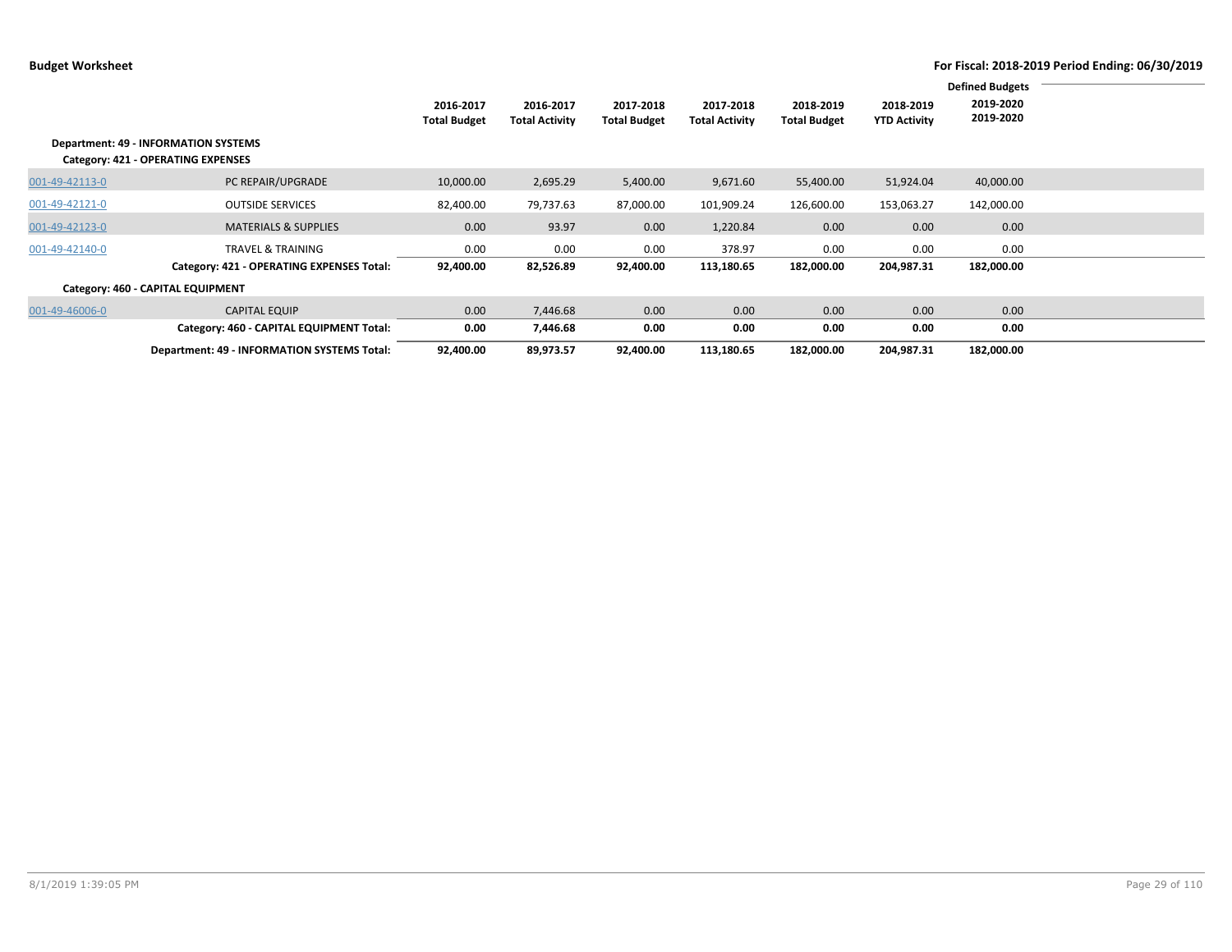|                |                                                                                   | 2016-2017           | 2016-2017             | 2017-2018           | 2017-2018             | 2018-2019           | 2018-2019           | <b>Defined Budgets</b><br>2019-2020 |  |
|----------------|-----------------------------------------------------------------------------------|---------------------|-----------------------|---------------------|-----------------------|---------------------|---------------------|-------------------------------------|--|
|                |                                                                                   | <b>Total Budget</b> | <b>Total Activity</b> | <b>Total Budget</b> | <b>Total Activity</b> | <b>Total Budget</b> | <b>YTD Activity</b> | 2019-2020                           |  |
|                | <b>Department: 49 - INFORMATION SYSTEMS</b><br>Category: 421 - OPERATING EXPENSES |                     |                       |                     |                       |                     |                     |                                     |  |
| 001-49-42113-0 | PC REPAIR/UPGRADE                                                                 | 10,000.00           | 2,695.29              | 5,400.00            | 9,671.60              | 55,400.00           | 51,924.04           | 40,000.00                           |  |
| 001-49-42121-0 | <b>OUTSIDE SERVICES</b>                                                           | 82,400.00           | 79,737.63             | 87,000.00           | 101,909.24            | 126,600.00          | 153,063.27          | 142,000.00                          |  |
| 001-49-42123-0 | <b>MATERIALS &amp; SUPPLIES</b>                                                   | 0.00                | 93.97                 | 0.00                | 1,220.84              | 0.00                | 0.00                | 0.00                                |  |
| 001-49-42140-0 | <b>TRAVEL &amp; TRAINING</b>                                                      | 0.00                | 0.00                  | 0.00                | 378.97                | 0.00                | 0.00                | 0.00                                |  |
|                | Category: 421 - OPERATING EXPENSES Total:                                         | 92,400.00           | 82,526.89             | 92,400.00           | 113,180.65            | 182,000.00          | 204,987.31          | 182,000.00                          |  |
|                | Category: 460 - CAPITAL EQUIPMENT                                                 |                     |                       |                     |                       |                     |                     |                                     |  |
| 001-49-46006-0 | <b>CAPITAL EQUIP</b>                                                              | 0.00                | 7,446.68              | 0.00                | 0.00                  | 0.00                | 0.00                | 0.00                                |  |
|                | Category: 460 - CAPITAL EQUIPMENT Total:                                          | 0.00                | 7,446.68              | 0.00                | 0.00                  | 0.00                | 0.00                | 0.00                                |  |
|                | <b>Department: 49 - INFORMATION SYSTEMS Total:</b>                                | 92,400.00           | 89,973.57             | 92,400.00           | 113,180.65            | 182,000.00          | 204,987.31          | 182,000.00                          |  |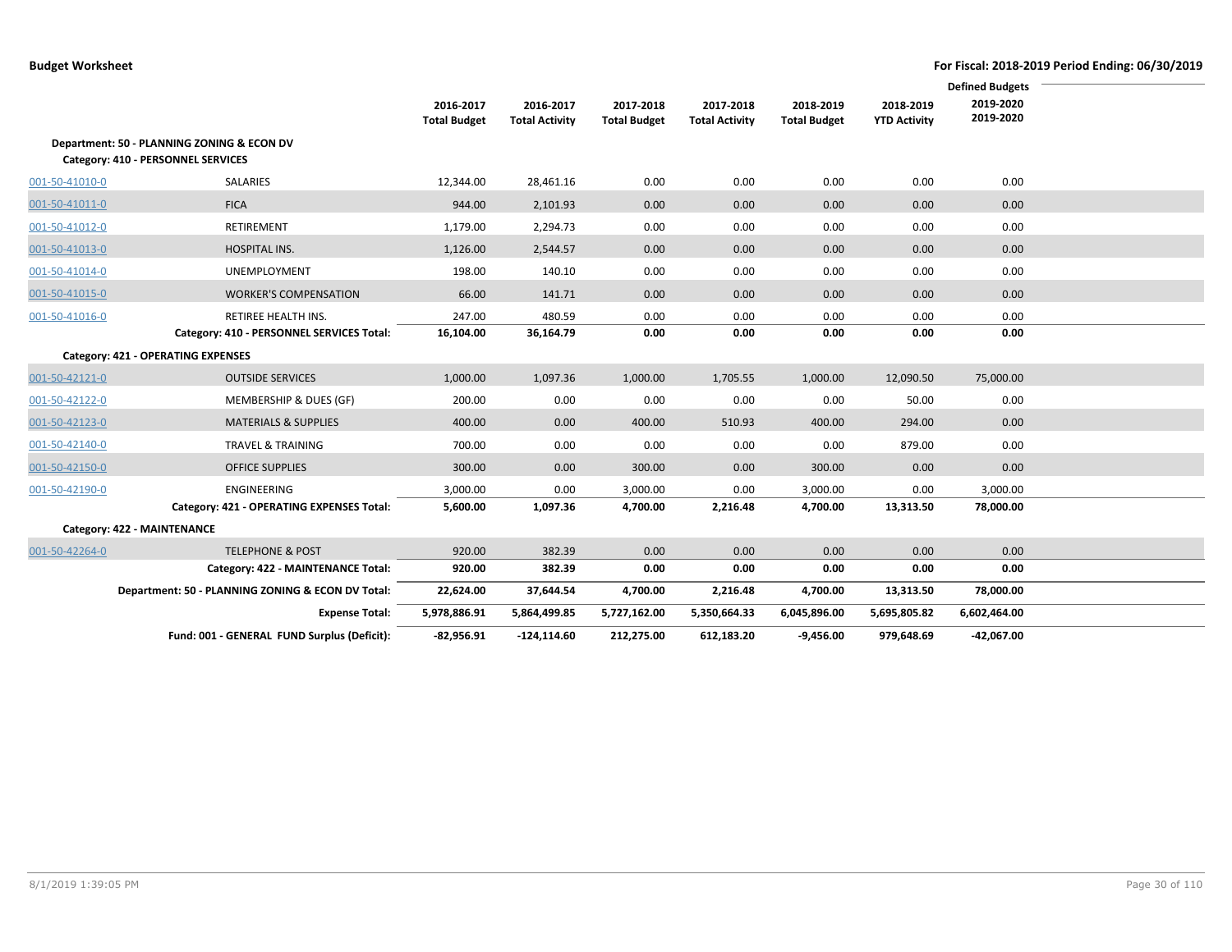|                |                                                   |                     |                       |                     |                       |                     |                     | <b>Defined Budgets</b> |  |
|----------------|---------------------------------------------------|---------------------|-----------------------|---------------------|-----------------------|---------------------|---------------------|------------------------|--|
|                |                                                   | 2016-2017           | 2016-2017             | 2017-2018           | 2017-2018             | 2018-2019           | 2018-2019           | 2019-2020<br>2019-2020 |  |
|                |                                                   | <b>Total Budget</b> | <b>Total Activity</b> | <b>Total Budget</b> | <b>Total Activity</b> | <b>Total Budget</b> | <b>YTD Activity</b> |                        |  |
|                | Department: 50 - PLANNING ZONING & ECON DV        |                     |                       |                     |                       |                     |                     |                        |  |
|                | Category: 410 - PERSONNEL SERVICES                |                     |                       |                     |                       |                     |                     |                        |  |
| 001-50-41010-0 | SALARIES                                          | 12,344.00           | 28,461.16             | 0.00                | 0.00                  | 0.00                | 0.00                | 0.00                   |  |
| 001-50-41011-0 | <b>FICA</b>                                       | 944.00              | 2,101.93              | 0.00                | 0.00                  | 0.00                | 0.00                | 0.00                   |  |
| 001-50-41012-0 | RETIREMENT                                        | 1,179.00            | 2,294.73              | 0.00                | 0.00                  | 0.00                | 0.00                | 0.00                   |  |
| 001-50-41013-0 | HOSPITAL INS.                                     | 1,126.00            | 2,544.57              | 0.00                | 0.00                  | 0.00                | 0.00                | 0.00                   |  |
| 001-50-41014-0 | <b>UNEMPLOYMENT</b>                               | 198.00              | 140.10                | 0.00                | 0.00                  | 0.00                | 0.00                | 0.00                   |  |
| 001-50-41015-0 | <b>WORKER'S COMPENSATION</b>                      | 66.00               | 141.71                | 0.00                | 0.00                  | 0.00                | 0.00                | 0.00                   |  |
| 001-50-41016-0 | RETIREE HEALTH INS.                               | 247.00              | 480.59                | 0.00                | 0.00                  | 0.00                | 0.00                | 0.00                   |  |
|                | Category: 410 - PERSONNEL SERVICES Total:         | 16,104.00           | 36,164.79             | 0.00                | 0.00                  | 0.00                | 0.00                | 0.00                   |  |
|                | Category: 421 - OPERATING EXPENSES                |                     |                       |                     |                       |                     |                     |                        |  |
| 001-50-42121-0 | <b>OUTSIDE SERVICES</b>                           | 1,000.00            | 1,097.36              | 1,000.00            | 1,705.55              | 1,000.00            | 12,090.50           | 75,000.00              |  |
| 001-50-42122-0 | MEMBERSHIP & DUES (GF)                            | 200.00              | 0.00                  | 0.00                | 0.00                  | 0.00                | 50.00               | 0.00                   |  |
| 001-50-42123-0 | <b>MATERIALS &amp; SUPPLIES</b>                   | 400.00              | 0.00                  | 400.00              | 510.93                | 400.00              | 294.00              | 0.00                   |  |
| 001-50-42140-0 | <b>TRAVEL &amp; TRAINING</b>                      | 700.00              | 0.00                  | 0.00                | 0.00                  | 0.00                | 879.00              | 0.00                   |  |
| 001-50-42150-0 | <b>OFFICE SUPPLIES</b>                            | 300.00              | 0.00                  | 300.00              | 0.00                  | 300.00              | 0.00                | 0.00                   |  |
| 001-50-42190-0 | ENGINEERING                                       | 3,000.00            | 0.00                  | 3,000.00            | 0.00                  | 3,000.00            | 0.00                | 3,000.00               |  |
|                | Category: 421 - OPERATING EXPENSES Total:         | 5,600.00            | 1,097.36              | 4,700.00            | 2,216.48              | 4,700.00            | 13,313.50           | 78,000.00              |  |
|                | Category: 422 - MAINTENANCE                       |                     |                       |                     |                       |                     |                     |                        |  |
| 001-50-42264-0 | <b>TELEPHONE &amp; POST</b>                       | 920.00              | 382.39                | 0.00                | 0.00                  | 0.00                | 0.00                | 0.00                   |  |
|                | Category: 422 - MAINTENANCE Total:                | 920.00              | 382.39                | 0.00                | 0.00                  | 0.00                | 0.00                | 0.00                   |  |
|                | Department: 50 - PLANNING ZONING & ECON DV Total: | 22,624.00           | 37,644.54             | 4,700.00            | 2,216.48              | 4,700.00            | 13,313.50           | 78,000.00              |  |
|                | <b>Expense Total:</b>                             | 5,978,886.91        | 5,864,499.85          | 5,727,162.00        | 5,350,664.33          | 6,045,896.00        | 5,695,805.82        | 6,602,464.00           |  |
|                | Fund: 001 - GENERAL FUND Surplus (Deficit):       | $-82,956.91$        | $-124, 114.60$        | 212,275.00          | 612,183.20            | $-9,456.00$         | 979.648.69          | $-42,067.00$           |  |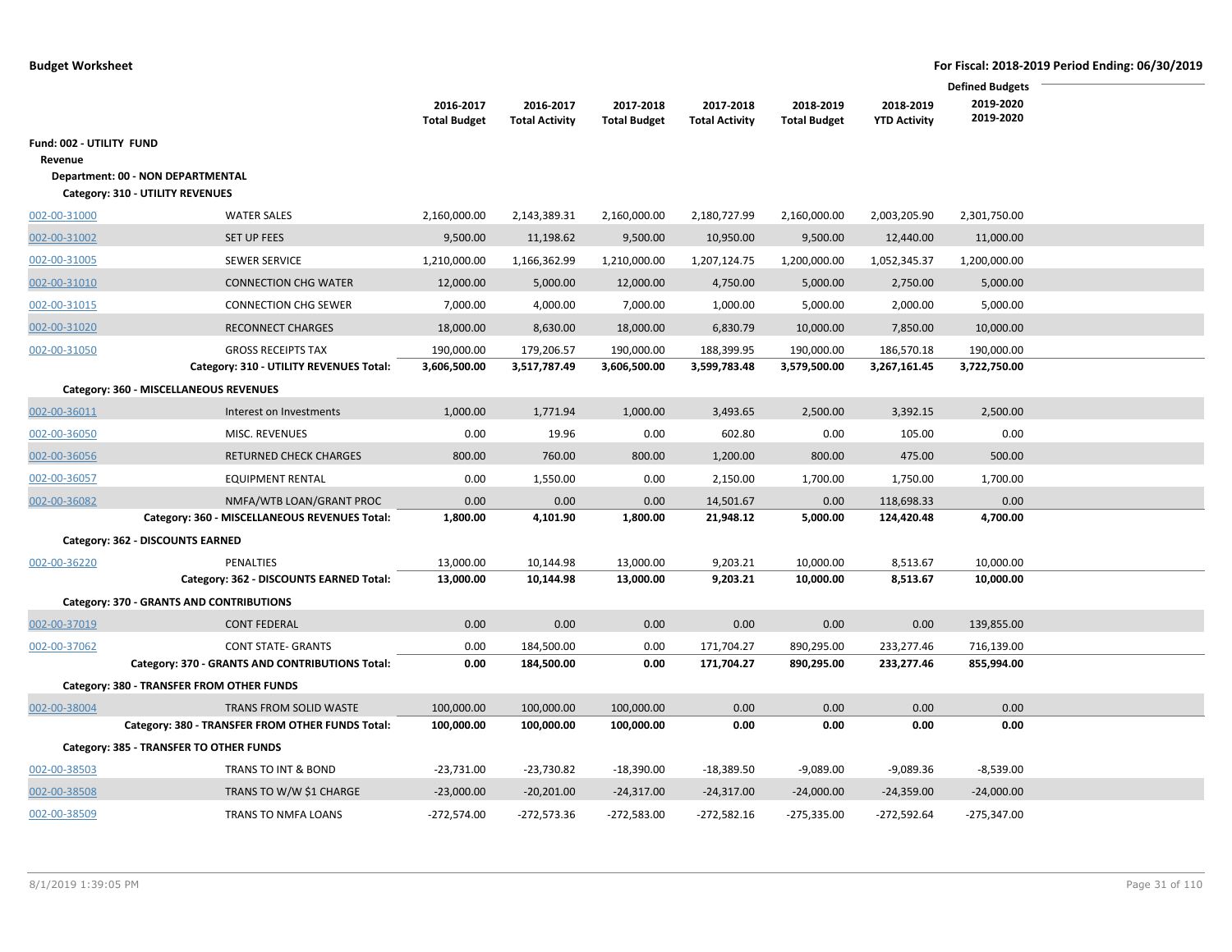|                          |                                                  |                     |                       |                     |                       |                     |                     | <b>Defined Budgets</b> |
|--------------------------|--------------------------------------------------|---------------------|-----------------------|---------------------|-----------------------|---------------------|---------------------|------------------------|
|                          |                                                  | 2016-2017           | 2016-2017             | 2017-2018           | 2017-2018             | 2018-2019           | 2018-2019           | 2019-2020              |
|                          |                                                  | <b>Total Budget</b> | <b>Total Activity</b> | <b>Total Budget</b> | <b>Total Activity</b> | <b>Total Budget</b> | <b>YTD Activity</b> | 2019-2020              |
| Fund: 002 - UTILITY FUND |                                                  |                     |                       |                     |                       |                     |                     |                        |
| Revenue                  | Department: 00 - NON DEPARTMENTAL                |                     |                       |                     |                       |                     |                     |                        |
|                          | Category: 310 - UTILITY REVENUES                 |                     |                       |                     |                       |                     |                     |                        |
| 002-00-31000             | <b>WATER SALES</b>                               | 2,160,000.00        | 2,143,389.31          | 2,160,000.00        | 2,180,727.99          | 2,160,000.00        | 2,003,205.90        | 2,301,750.00           |
| 002-00-31002             | <b>SET UP FEES</b>                               | 9,500.00            | 11,198.62             | 9,500.00            | 10,950.00             | 9,500.00            | 12,440.00           | 11,000.00              |
| 002-00-31005             | <b>SEWER SERVICE</b>                             | 1,210,000.00        | 1,166,362.99          | 1,210,000.00        | 1,207,124.75          | 1,200,000.00        | 1,052,345.37        | 1,200,000.00           |
| 002-00-31010             | <b>CONNECTION CHG WATER</b>                      | 12,000.00           | 5,000.00              | 12,000.00           | 4,750.00              | 5,000.00            | 2,750.00            | 5,000.00               |
| 002-00-31015             | <b>CONNECTION CHG SEWER</b>                      | 7,000.00            | 4,000.00              | 7,000.00            | 1,000.00              | 5,000.00            | 2,000.00            | 5,000.00               |
| 002-00-31020             | <b>RECONNECT CHARGES</b>                         | 18,000.00           | 8,630.00              | 18,000.00           | 6,830.79              | 10,000.00           | 7,850.00            | 10,000.00              |
| 002-00-31050             | <b>GROSS RECEIPTS TAX</b>                        | 190,000.00          | 179,206.57            | 190,000.00          | 188,399.95            | 190,000.00          | 186,570.18          | 190,000.00             |
|                          | Category: 310 - UTILITY REVENUES Total:          | 3,606,500.00        | 3,517,787.49          | 3,606,500.00        | 3,599,783.48          | 3,579,500.00        | 3,267,161.45        | 3,722,750.00           |
|                          | Category: 360 - MISCELLANEOUS REVENUES           |                     |                       |                     |                       |                     |                     |                        |
| 002-00-36011             | Interest on Investments                          | 1,000.00            | 1,771.94              | 1,000.00            | 3,493.65              | 2,500.00            | 3,392.15            | 2,500.00               |
| 002-00-36050             | <b>MISC. REVENUES</b>                            | 0.00                | 19.96                 | 0.00                | 602.80                | 0.00                | 105.00              | 0.00                   |
| 002-00-36056             | <b>RETURNED CHECK CHARGES</b>                    | 800.00              | 760.00                | 800.00              | 1,200.00              | 800.00              | 475.00              | 500.00                 |
| 002-00-36057             | <b>EQUIPMENT RENTAL</b>                          | 0.00                | 1,550.00              | 0.00                | 2,150.00              | 1,700.00            | 1,750.00            | 1,700.00               |
| 002-00-36082             | NMFA/WTB LOAN/GRANT PROC                         | 0.00                | 0.00                  | 0.00                | 14,501.67             | 0.00                | 118,698.33          | 0.00                   |
|                          | Category: 360 - MISCELLANEOUS REVENUES Total:    | 1,800.00            | 4,101.90              | 1,800.00            | 21,948.12             | 5,000.00            | 124,420.48          | 4,700.00               |
|                          | Category: 362 - DISCOUNTS EARNED                 |                     |                       |                     |                       |                     |                     |                        |
| 002-00-36220             | PENALTIES                                        | 13,000.00           | 10,144.98             | 13,000.00           | 9,203.21              | 10,000.00           | 8,513.67            | 10,000.00              |
|                          | Category: 362 - DISCOUNTS EARNED Total:          | 13,000.00           | 10,144.98             | 13,000.00           | 9,203.21              | 10,000.00           | 8,513.67            | 10,000.00              |
|                          | Category: 370 - GRANTS AND CONTRIBUTIONS         |                     |                       |                     |                       |                     |                     |                        |
| 002-00-37019             | <b>CONT FEDERAL</b>                              | 0.00                | 0.00                  | 0.00                | 0.00                  | 0.00                | 0.00                | 139,855.00             |
| 002-00-37062             | <b>CONT STATE- GRANTS</b>                        | 0.00                | 184,500.00            | 0.00                | 171,704.27            | 890,295.00          | 233,277.46          | 716,139.00             |
|                          | Category: 370 - GRANTS AND CONTRIBUTIONS Total:  | 0.00                | 184,500.00            | 0.00                | 171,704.27            | 890,295.00          | 233,277.46          | 855,994.00             |
|                          | Category: 380 - TRANSFER FROM OTHER FUNDS        |                     |                       |                     |                       |                     |                     |                        |
| 002-00-38004             | TRANS FROM SOLID WASTE                           | 100,000.00          | 100,000.00            | 100,000.00          | 0.00                  | 0.00                | 0.00                | 0.00                   |
|                          | Category: 380 - TRANSFER FROM OTHER FUNDS Total: | 100,000.00          | 100,000.00            | 100,000.00          | 0.00                  | 0.00                | 0.00                | 0.00                   |
|                          | Category: 385 - TRANSFER TO OTHER FUNDS          |                     |                       |                     |                       |                     |                     |                        |
| 002-00-38503             | TRANS TO INT & BOND                              | $-23,731.00$        | $-23,730.82$          | $-18,390.00$        | $-18,389.50$          | $-9,089.00$         | $-9,089.36$         | $-8,539.00$            |
| 002-00-38508             | TRANS TO W/W \$1 CHARGE                          | $-23,000.00$        | $-20,201.00$          | $-24,317.00$        | $-24,317.00$          | $-24,000.00$        | $-24,359.00$        | $-24,000.00$           |
| 002-00-38509             | TRANS TO NMFA LOANS                              | $-272,574.00$       | -272,573.36           | $-272,583.00$       | $-272,582.16$         | -275,335.00         | $-272,592.64$       | -275,347.00            |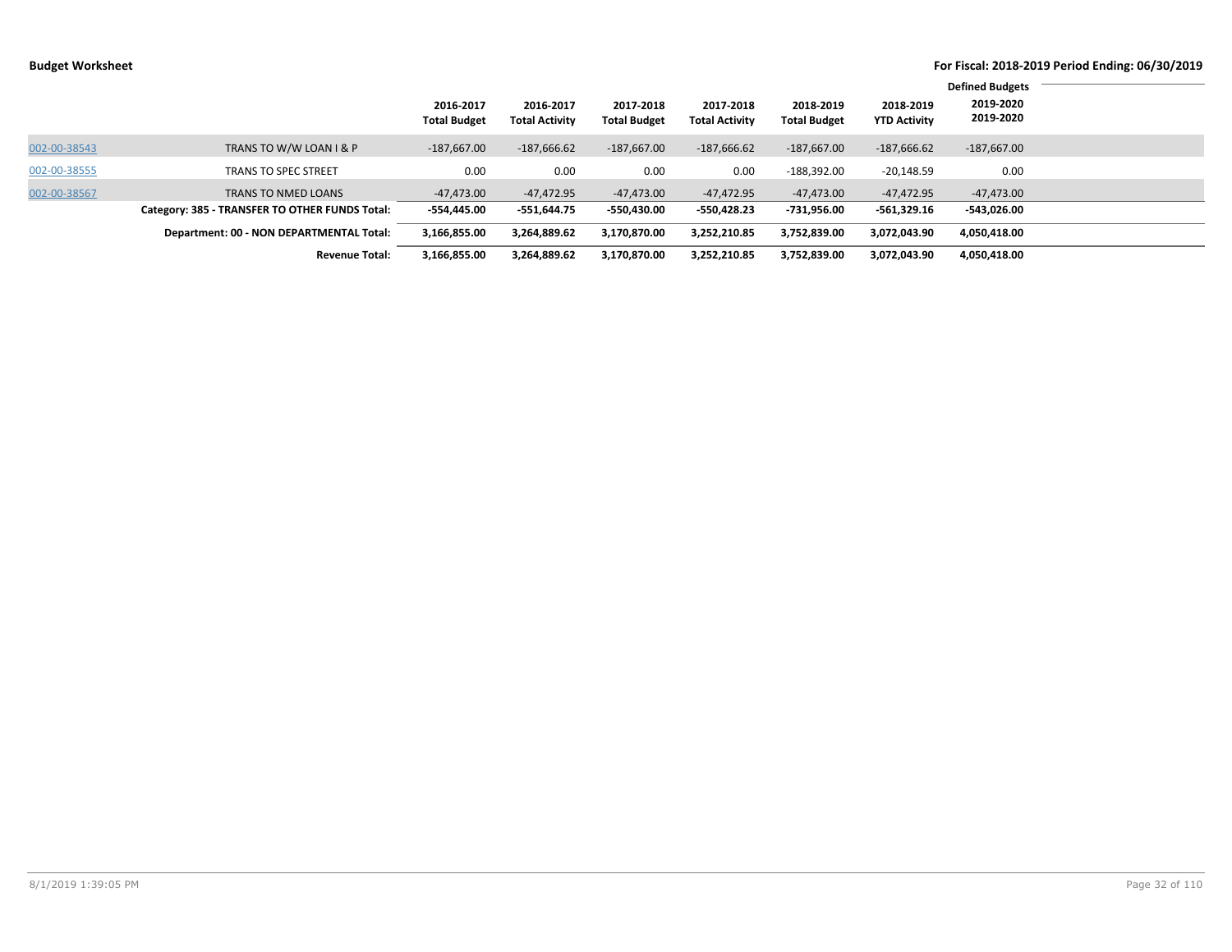|              |                                                | 2016-2017<br><b>Total Budget</b> | 2016-2017<br><b>Total Activity</b> | 2017-2018<br><b>Total Budget</b> | 2017-2018<br><b>Total Activity</b> | 2018-2019<br><b>Total Budget</b> | 2018-2019<br><b>YTD Activity</b> | <b>Defined Budgets</b><br>2019-2020<br>2019-2020 |  |
|--------------|------------------------------------------------|----------------------------------|------------------------------------|----------------------------------|------------------------------------|----------------------------------|----------------------------------|--------------------------------------------------|--|
| 002-00-38543 | TRANS TO W/W LOAN I & P                        | $-187,667.00$                    | $-187,666.62$                      | $-187,667.00$                    | $-187,666.62$                      | $-187,667.00$                    | $-187,666.62$                    | $-187,667.00$                                    |  |
| 002-00-38555 | <b>TRANS TO SPEC STREET</b>                    | 0.00                             | 0.00                               | 0.00                             | 0.00                               | $-188,392.00$                    | $-20,148.59$                     | 0.00                                             |  |
| 002-00-38567 | <b>TRANS TO NMED LOANS</b>                     | $-47,473.00$                     | -47,472.95                         | $-47,473.00$                     | $-47,472.95$                       | $-47.473.00$                     | -47,472.95                       | $-47,473.00$                                     |  |
|              | Category: 385 - TRANSFER TO OTHER FUNDS Total: | -554.445.00                      | -551,644.75                        | -550,430.00                      | -550,428.23                        | -731,956.00                      | $-561,329.16$                    | -543,026.00                                      |  |
|              | Department: 00 - NON DEPARTMENTAL Total:       | 3,166,855.00                     | 3,264,889.62                       | 3,170,870.00                     | 3,252,210.85                       | 3,752,839.00                     | 3.072.043.90                     | 4,050,418.00                                     |  |
|              | <b>Revenue Total:</b>                          | 3,166,855.00                     | 3,264,889.62                       | 3,170,870.00                     | 3,252,210.85                       | 3,752,839.00                     | 3,072,043.90                     | 4,050,418.00                                     |  |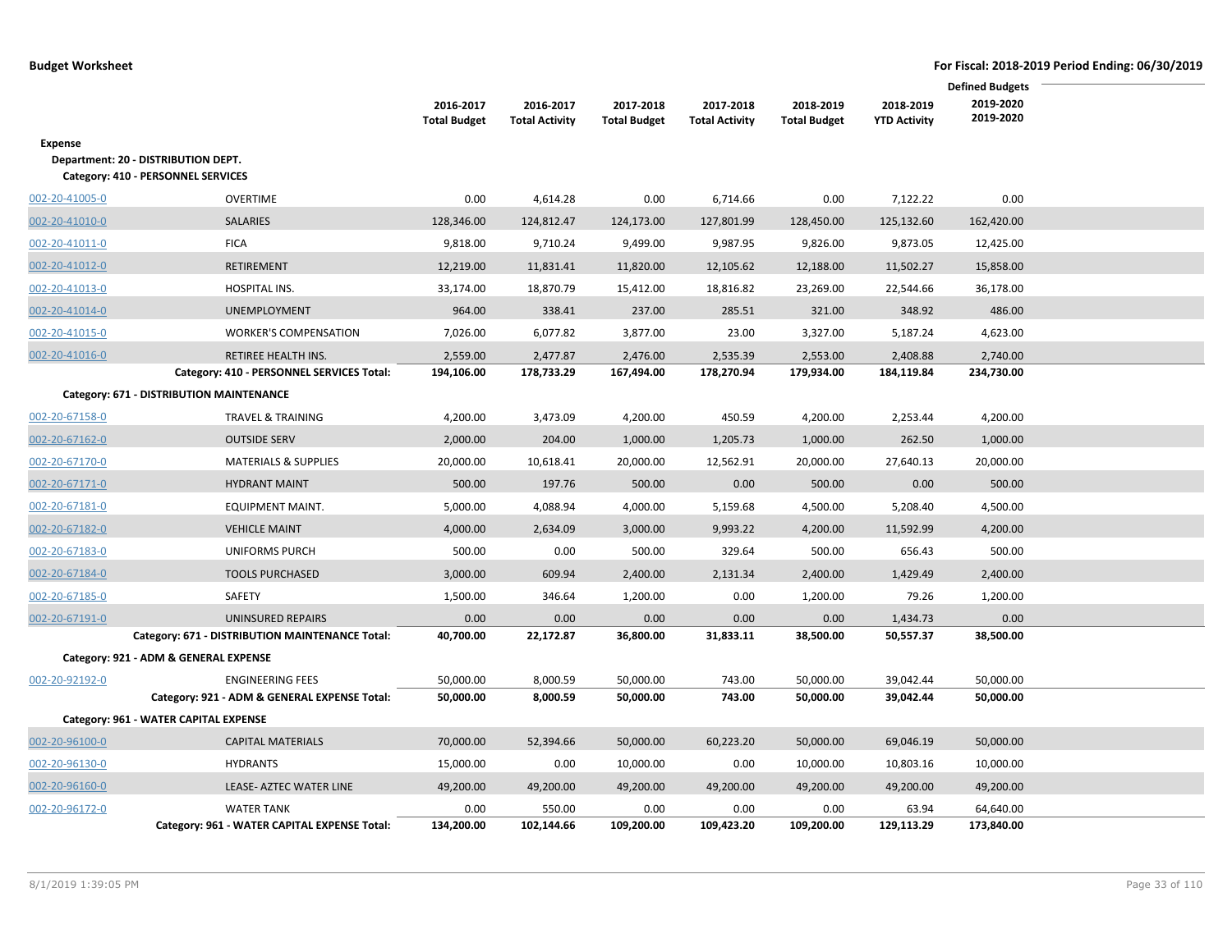|                |                                                 |                                  |                                    |                                  |                                    |                                  |                                  | <b>Defined Budgets</b> |  |
|----------------|-------------------------------------------------|----------------------------------|------------------------------------|----------------------------------|------------------------------------|----------------------------------|----------------------------------|------------------------|--|
|                |                                                 | 2016-2017<br><b>Total Budget</b> | 2016-2017<br><b>Total Activity</b> | 2017-2018<br><b>Total Budget</b> | 2017-2018<br><b>Total Activity</b> | 2018-2019<br><b>Total Budget</b> | 2018-2019<br><b>YTD Activity</b> | 2019-2020<br>2019-2020 |  |
| <b>Expense</b> |                                                 |                                  |                                    |                                  |                                    |                                  |                                  |                        |  |
|                | Department: 20 - DISTRIBUTION DEPT.             |                                  |                                    |                                  |                                    |                                  |                                  |                        |  |
|                | Category: 410 - PERSONNEL SERVICES              |                                  |                                    |                                  |                                    |                                  |                                  |                        |  |
| 002-20-41005-0 | <b>OVERTIME</b>                                 | 0.00                             | 4,614.28                           | 0.00                             | 6,714.66                           | 0.00                             | 7,122.22                         | 0.00                   |  |
| 002-20-41010-0 | <b>SALARIES</b>                                 | 128,346.00                       | 124,812.47                         | 124,173.00                       | 127,801.99                         | 128,450.00                       | 125,132.60                       | 162,420.00             |  |
| 002-20-41011-0 | <b>FICA</b>                                     | 9,818.00                         | 9,710.24                           | 9,499.00                         | 9,987.95                           | 9,826.00                         | 9,873.05                         | 12,425.00              |  |
| 002-20-41012-0 | RETIREMENT                                      | 12,219.00                        | 11,831.41                          | 11,820.00                        | 12,105.62                          | 12,188.00                        | 11,502.27                        | 15,858.00              |  |
| 002-20-41013-0 | HOSPITAL INS.                                   | 33,174.00                        | 18,870.79                          | 15,412.00                        | 18,816.82                          | 23,269.00                        | 22,544.66                        | 36,178.00              |  |
| 002-20-41014-0 | UNEMPLOYMENT                                    | 964.00                           | 338.41                             | 237.00                           | 285.51                             | 321.00                           | 348.92                           | 486.00                 |  |
| 002-20-41015-0 | <b>WORKER'S COMPENSATION</b>                    | 7,026.00                         | 6,077.82                           | 3,877.00                         | 23.00                              | 3,327.00                         | 5,187.24                         | 4,623.00               |  |
| 002-20-41016-0 | <b>RETIREE HEALTH INS.</b>                      | 2,559.00                         | 2,477.87                           | 2,476.00                         | 2,535.39                           | 2,553.00                         | 2,408.88                         | 2,740.00               |  |
|                | Category: 410 - PERSONNEL SERVICES Total:       | 194,106.00                       | 178,733.29                         | 167,494.00                       | 178,270.94                         | 179,934.00                       | 184,119.84                       | 234,730.00             |  |
|                | Category: 671 - DISTRIBUTION MAINTENANCE        |                                  |                                    |                                  |                                    |                                  |                                  |                        |  |
| 002-20-67158-0 | TRAVEL & TRAINING                               | 4,200.00                         | 3,473.09                           | 4,200.00                         | 450.59                             | 4,200.00                         | 2,253.44                         | 4,200.00               |  |
| 002-20-67162-0 | <b>OUTSIDE SERV</b>                             | 2,000.00                         | 204.00                             | 1,000.00                         | 1,205.73                           | 1,000.00                         | 262.50                           | 1,000.00               |  |
| 002-20-67170-0 | <b>MATERIALS &amp; SUPPLIES</b>                 | 20,000.00                        | 10,618.41                          | 20,000.00                        | 12,562.91                          | 20,000.00                        | 27,640.13                        | 20,000.00              |  |
| 002-20-67171-0 | <b>HYDRANT MAINT</b>                            | 500.00                           | 197.76                             | 500.00                           | 0.00                               | 500.00                           | 0.00                             | 500.00                 |  |
| 002-20-67181-0 | <b>EQUIPMENT MAINT.</b>                         | 5,000.00                         | 4,088.94                           | 4,000.00                         | 5,159.68                           | 4,500.00                         | 5,208.40                         | 4,500.00               |  |
| 002-20-67182-0 | <b>VEHICLE MAINT</b>                            | 4,000.00                         | 2,634.09                           | 3,000.00                         | 9,993.22                           | 4,200.00                         | 11,592.99                        | 4,200.00               |  |
| 002-20-67183-0 | UNIFORMS PURCH                                  | 500.00                           | 0.00                               | 500.00                           | 329.64                             | 500.00                           | 656.43                           | 500.00                 |  |
| 002-20-67184-0 | <b>TOOLS PURCHASED</b>                          | 3,000.00                         | 609.94                             | 2,400.00                         | 2,131.34                           | 2,400.00                         | 1,429.49                         | 2,400.00               |  |
| 002-20-67185-0 | SAFETY                                          | 1,500.00                         | 346.64                             | 1,200.00                         | 0.00                               | 1,200.00                         | 79.26                            | 1,200.00               |  |
| 002-20-67191-0 | <b>UNINSURED REPAIRS</b>                        | 0.00                             | 0.00                               | 0.00                             | 0.00                               | 0.00                             | 1,434.73                         | 0.00                   |  |
|                | Category: 671 - DISTRIBUTION MAINTENANCE Total: | 40,700.00                        | 22,172.87                          | 36,800.00                        | 31,833.11                          | 38,500.00                        | 50,557.37                        | 38,500.00              |  |
|                | Category: 921 - ADM & GENERAL EXPENSE           |                                  |                                    |                                  |                                    |                                  |                                  |                        |  |
| 002-20-92192-0 | <b>ENGINEERING FEES</b>                         | 50,000.00                        | 8,000.59                           | 50,000.00                        | 743.00                             | 50,000.00                        | 39,042.44                        | 50,000.00              |  |
|                | Category: 921 - ADM & GENERAL EXPENSE Total:    | 50,000.00                        | 8,000.59                           | 50,000.00                        | 743.00                             | 50,000.00                        | 39,042.44                        | 50,000.00              |  |
|                | Category: 961 - WATER CAPITAL EXPENSE           |                                  |                                    |                                  |                                    |                                  |                                  |                        |  |
| 002-20-96100-0 | <b>CAPITAL MATERIALS</b>                        | 70,000.00                        | 52,394.66                          | 50,000.00                        | 60,223.20                          | 50,000.00                        | 69,046.19                        | 50,000.00              |  |
| 002-20-96130-0 | <b>HYDRANTS</b>                                 | 15,000.00                        | 0.00                               | 10,000.00                        | 0.00                               | 10,000.00                        | 10,803.16                        | 10,000.00              |  |
| 002-20-96160-0 | LEASE- AZTEC WATER LINE                         | 49,200.00                        | 49,200.00                          | 49,200.00                        | 49,200.00                          | 49,200.00                        | 49,200.00                        | 49,200.00              |  |
| 002-20-96172-0 | <b>WATER TANK</b>                               | 0.00                             | 550.00                             | 0.00                             | 0.00                               | 0.00                             | 63.94                            | 64,640.00              |  |
|                | Category: 961 - WATER CAPITAL EXPENSE Total:    | 134,200.00                       | 102,144.66                         | 109,200.00                       | 109,423.20                         | 109,200.00                       | 129,113.29                       | 173,840.00             |  |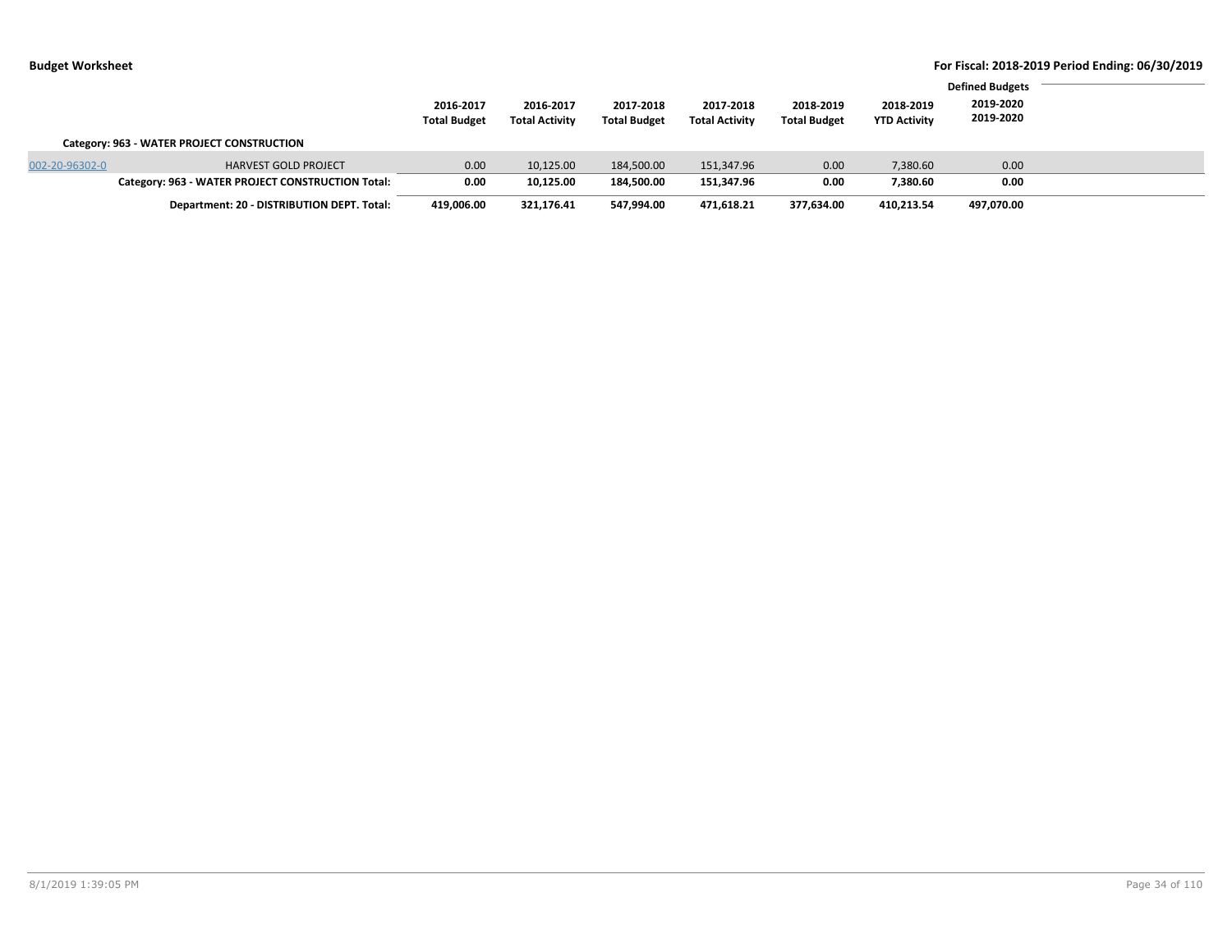|                |                                                   | 2016-2017<br><b>Total Budget</b> | 2016-2017<br><b>Total Activity</b> | 2017-2018<br><b>Total Budget</b> | 2017-2018<br><b>Total Activity</b> | 2018-2019<br><b>Total Budget</b> | 2018-2019<br><b>YTD Activity</b> | <b>Defined Budgets</b><br>2019-2020<br>2019-2020 |  |
|----------------|---------------------------------------------------|----------------------------------|------------------------------------|----------------------------------|------------------------------------|----------------------------------|----------------------------------|--------------------------------------------------|--|
|                | Category: 963 - WATER PROJECT CONSTRUCTION        |                                  |                                    |                                  |                                    |                                  |                                  |                                                  |  |
| 002-20-96302-0 | <b>HARVEST GOLD PROJECT</b>                       | 0.00                             | 10,125.00                          | 184,500.00                       | 151,347.96                         | 0.00                             | 7,380.60                         | 0.00                                             |  |
|                | Category: 963 - WATER PROJECT CONSTRUCTION Total: | 0.00                             | 10,125.00                          | 184.500.00                       | 151,347.96                         | 0.00                             | 7.380.60                         | 0.00                                             |  |
|                | Department: 20 - DISTRIBUTION DEPT. Total:        | 419,006.00                       | 321,176.41                         | 547,994.00                       | 471,618.21                         | 377,634.00                       | 410,213.54                       | 497,070.00                                       |  |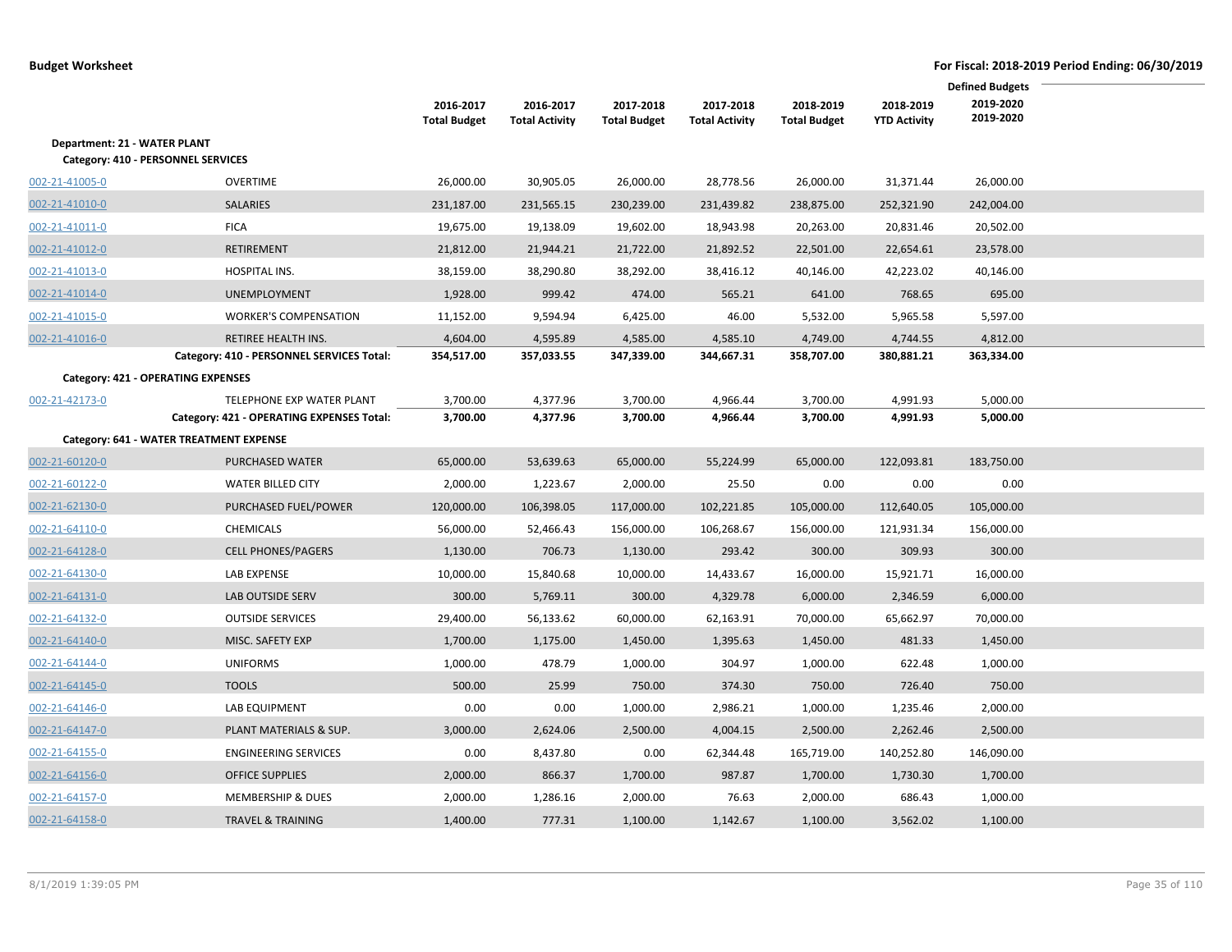|                              |                                           | 2016-2017<br><b>Total Budget</b> | 2016-2017<br><b>Total Activity</b> | 2017-2018<br><b>Total Budget</b> | 2017-2018<br><b>Total Activity</b> | 2018-2019<br><b>Total Budget</b> | 2018-2019<br><b>YTD Activity</b> | <b>Defined Budgets</b><br>2019-2020<br>2019-2020 |  |
|------------------------------|-------------------------------------------|----------------------------------|------------------------------------|----------------------------------|------------------------------------|----------------------------------|----------------------------------|--------------------------------------------------|--|
| Department: 21 - WATER PLANT |                                           |                                  |                                    |                                  |                                    |                                  |                                  |                                                  |  |
|                              | Category: 410 - PERSONNEL SERVICES        |                                  |                                    |                                  |                                    |                                  |                                  |                                                  |  |
| 002-21-41005-0               | <b>OVERTIME</b>                           | 26,000.00                        | 30,905.05                          | 26,000.00                        | 28,778.56                          | 26,000.00                        | 31,371.44                        | 26,000.00                                        |  |
| 002-21-41010-0               | <b>SALARIES</b>                           | 231,187.00                       | 231,565.15                         | 230,239.00                       | 231,439.82                         | 238,875.00                       | 252,321.90                       | 242,004.00                                       |  |
| 002-21-41011-0               | <b>FICA</b>                               | 19,675.00                        | 19,138.09                          | 19,602.00                        | 18,943.98                          | 20,263.00                        | 20,831.46                        | 20,502.00                                        |  |
| 002-21-41012-0               | RETIREMENT                                | 21,812.00                        | 21,944.21                          | 21,722.00                        | 21,892.52                          | 22,501.00                        | 22,654.61                        | 23,578.00                                        |  |
| 002-21-41013-0               | HOSPITAL INS.                             | 38,159.00                        | 38,290.80                          | 38,292.00                        | 38,416.12                          | 40,146.00                        | 42,223.02                        | 40,146.00                                        |  |
| 002-21-41014-0               | <b>UNEMPLOYMENT</b>                       | 1,928.00                         | 999.42                             | 474.00                           | 565.21                             | 641.00                           | 768.65                           | 695.00                                           |  |
| 002-21-41015-0               | <b>WORKER'S COMPENSATION</b>              | 11,152.00                        | 9,594.94                           | 6,425.00                         | 46.00                              | 5,532.00                         | 5,965.58                         | 5,597.00                                         |  |
| 002-21-41016-0               | RETIREE HEALTH INS.                       | 4,604.00                         | 4,595.89                           | 4,585.00                         | 4,585.10                           | 4,749.00                         | 4,744.55                         | 4,812.00                                         |  |
|                              | Category: 410 - PERSONNEL SERVICES Total: | 354,517.00                       | 357,033.55                         | 347,339.00                       | 344,667.31                         | 358,707.00                       | 380,881.21                       | 363,334.00                                       |  |
|                              | <b>Category: 421 - OPERATING EXPENSES</b> |                                  |                                    |                                  |                                    |                                  |                                  |                                                  |  |
| 002-21-42173-0               | TELEPHONE EXP WATER PLANT                 | 3,700.00                         | 4,377.96                           | 3,700.00                         | 4,966.44                           | 3,700.00                         | 4,991.93                         | 5,000.00                                         |  |
|                              | Category: 421 - OPERATING EXPENSES Total: | 3,700.00                         | 4,377.96                           | 3,700.00                         | 4,966.44                           | 3,700.00                         | 4,991.93                         | 5,000.00                                         |  |
|                              | Category: 641 - WATER TREATMENT EXPENSE   |                                  |                                    |                                  |                                    |                                  |                                  |                                                  |  |
| 002-21-60120-0               | <b>PURCHASED WATER</b>                    | 65,000.00                        | 53,639.63                          | 65,000.00                        | 55,224.99                          | 65,000.00                        | 122,093.81                       | 183,750.00                                       |  |
| 002-21-60122-0               | <b>WATER BILLED CITY</b>                  | 2,000.00                         | 1,223.67                           | 2,000.00                         | 25.50                              | 0.00                             | 0.00                             | 0.00                                             |  |
| 002-21-62130-0               | PURCHASED FUEL/POWER                      | 120,000.00                       | 106,398.05                         | 117,000.00                       | 102,221.85                         | 105,000.00                       | 112,640.05                       | 105,000.00                                       |  |
| 002-21-64110-0               | <b>CHEMICALS</b>                          | 56,000.00                        | 52,466.43                          | 156,000.00                       | 106,268.67                         | 156,000.00                       | 121,931.34                       | 156,000.00                                       |  |
| 002-21-64128-0               | <b>CELL PHONES/PAGERS</b>                 | 1,130.00                         | 706.73                             | 1,130.00                         | 293.42                             | 300.00                           | 309.93                           | 300.00                                           |  |
| 002-21-64130-0               | LAB EXPENSE                               | 10,000.00                        | 15,840.68                          | 10,000.00                        | 14,433.67                          | 16,000.00                        | 15,921.71                        | 16,000.00                                        |  |
| 002-21-64131-0               | <b>LAB OUTSIDE SERV</b>                   | 300.00                           | 5,769.11                           | 300.00                           | 4,329.78                           | 6,000.00                         | 2,346.59                         | 6,000.00                                         |  |
| 002-21-64132-0               | <b>OUTSIDE SERVICES</b>                   | 29,400.00                        | 56,133.62                          | 60,000.00                        | 62,163.91                          | 70,000.00                        | 65,662.97                        | 70,000.00                                        |  |
| 002-21-64140-0               | MISC. SAFETY EXP                          | 1,700.00                         | 1,175.00                           | 1,450.00                         | 1,395.63                           | 1,450.00                         | 481.33                           | 1,450.00                                         |  |
| 002-21-64144-0               | <b>UNIFORMS</b>                           | 1,000.00                         | 478.79                             | 1,000.00                         | 304.97                             | 1,000.00                         | 622.48                           | 1,000.00                                         |  |
| 002-21-64145-0               | <b>TOOLS</b>                              | 500.00                           | 25.99                              | 750.00                           | 374.30                             | 750.00                           | 726.40                           | 750.00                                           |  |
| 002-21-64146-0               | <b>LAB EQUIPMENT</b>                      | 0.00                             | 0.00                               | 1,000.00                         | 2,986.21                           | 1,000.00                         | 1,235.46                         | 2,000.00                                         |  |
| 002-21-64147-0               | PLANT MATERIALS & SUP.                    | 3,000.00                         | 2,624.06                           | 2,500.00                         | 4,004.15                           | 2,500.00                         | 2,262.46                         | 2,500.00                                         |  |
| 002-21-64155-0               | <b>ENGINEERING SERVICES</b>               | 0.00                             | 8,437.80                           | 0.00                             | 62,344.48                          | 165,719.00                       | 140,252.80                       | 146,090.00                                       |  |
| 002-21-64156-0               | <b>OFFICE SUPPLIES</b>                    | 2,000.00                         | 866.37                             | 1,700.00                         | 987.87                             | 1,700.00                         | 1,730.30                         | 1,700.00                                         |  |
| 002-21-64157-0               | <b>MEMBERSHIP &amp; DUES</b>              | 2,000.00                         | 1,286.16                           | 2,000.00                         | 76.63                              | 2,000.00                         | 686.43                           | 1,000.00                                         |  |
| 002-21-64158-0               | <b>TRAVEL &amp; TRAINING</b>              | 1,400.00                         | 777.31                             | 1,100.00                         | 1,142.67                           | 1,100.00                         | 3,562.02                         | 1,100.00                                         |  |
|                              |                                           |                                  |                                    |                                  |                                    |                                  |                                  |                                                  |  |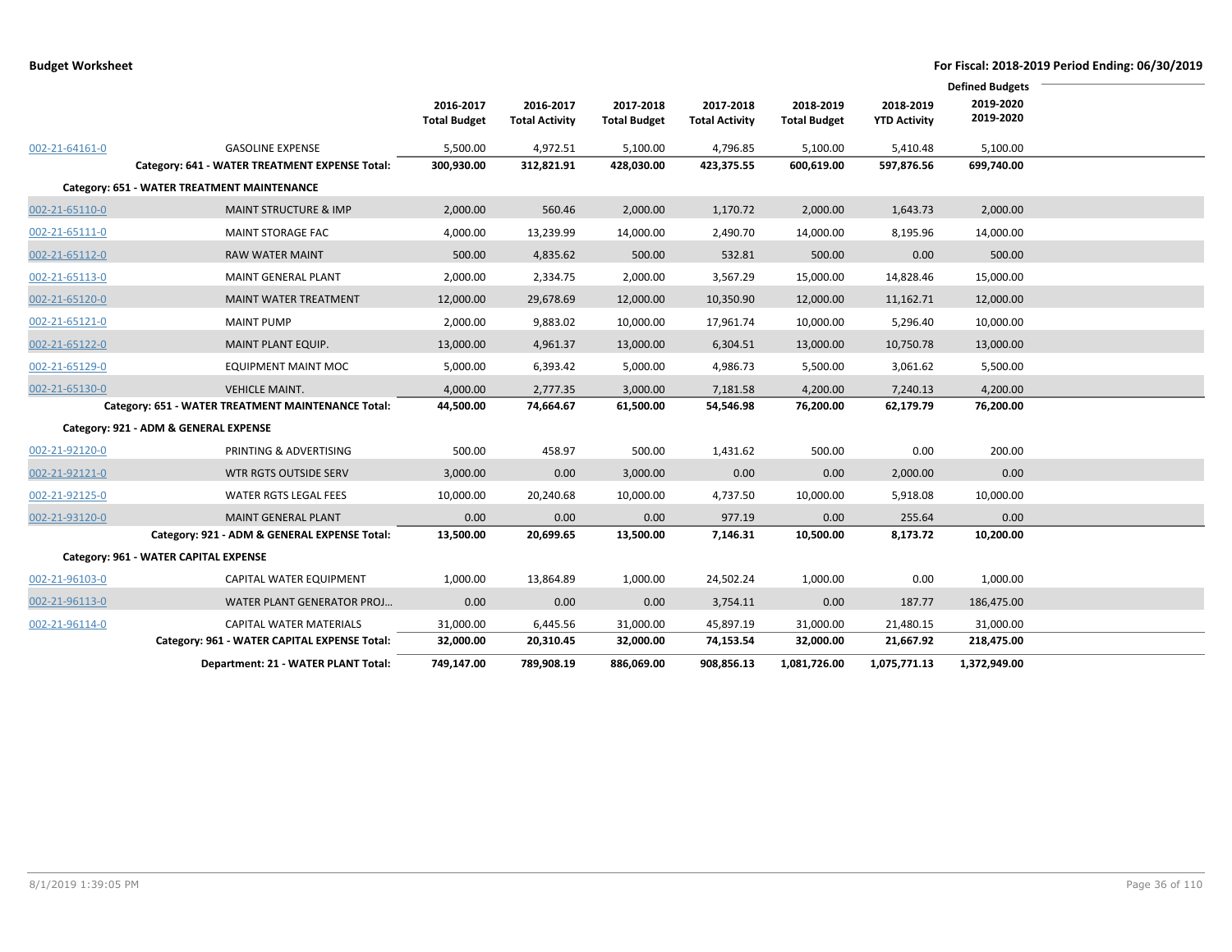|                |                                                    |                     |                       |                     |                       |                     |                     | <b>Defined Budgets</b> |  |
|----------------|----------------------------------------------------|---------------------|-----------------------|---------------------|-----------------------|---------------------|---------------------|------------------------|--|
|                |                                                    | 2016-2017           | 2016-2017             | 2017-2018           | 2017-2018             | 2018-2019           | 2018-2019           | 2019-2020              |  |
|                |                                                    | <b>Total Budget</b> | <b>Total Activity</b> | <b>Total Budget</b> | <b>Total Activity</b> | <b>Total Budget</b> | <b>YTD Activity</b> | 2019-2020              |  |
| 002-21-64161-0 | <b>GASOLINE EXPENSE</b>                            | 5,500.00            | 4,972.51              | 5,100.00            | 4,796.85              | 5,100.00            | 5,410.48            | 5,100.00               |  |
|                | Category: 641 - WATER TREATMENT EXPENSE Total:     | 300,930.00          | 312,821.91            | 428,030.00          | 423,375.55            | 600,619.00          | 597,876.56          | 699,740.00             |  |
|                | Category: 651 - WATER TREATMENT MAINTENANCE        |                     |                       |                     |                       |                     |                     |                        |  |
| 002-21-65110-0 | <b>MAINT STRUCTURE &amp; IMP</b>                   | 2,000.00            | 560.46                | 2,000.00            | 1,170.72              | 2,000.00            | 1,643.73            | 2,000.00               |  |
| 002-21-65111-0 | <b>MAINT STORAGE FAC</b>                           | 4,000.00            | 13,239.99             | 14,000.00           | 2,490.70              | 14,000.00           | 8,195.96            | 14,000.00              |  |
| 002-21-65112-0 | <b>RAW WATER MAINT</b>                             | 500.00              | 4,835.62              | 500.00              | 532.81                | 500.00              | 0.00                | 500.00                 |  |
| 002-21-65113-0 | <b>MAINT GENERAL PLANT</b>                         | 2,000.00            | 2,334.75              | 2,000.00            | 3,567.29              | 15,000.00           | 14,828.46           | 15,000.00              |  |
| 002-21-65120-0 | <b>MAINT WATER TREATMENT</b>                       | 12,000.00           | 29,678.69             | 12,000.00           | 10,350.90             | 12,000.00           | 11,162.71           | 12,000.00              |  |
| 002-21-65121-0 | <b>MAINT PUMP</b>                                  | 2,000.00            | 9,883.02              | 10,000.00           | 17,961.74             | 10,000.00           | 5,296.40            | 10,000.00              |  |
| 002-21-65122-0 | MAINT PLANT EQUIP.                                 | 13,000.00           | 4,961.37              | 13,000.00           | 6,304.51              | 13,000.00           | 10,750.78           | 13,000.00              |  |
| 002-21-65129-0 | <b>EQUIPMENT MAINT MOC</b>                         | 5,000.00            | 6,393.42              | 5,000.00            | 4,986.73              | 5,500.00            | 3,061.62            | 5,500.00               |  |
| 002-21-65130-0 | <b>VEHICLE MAINT.</b>                              | 4,000.00            | 2,777.35              | 3,000.00            | 7,181.58              | 4,200.00            | 7,240.13            | 4,200.00               |  |
|                | Category: 651 - WATER TREATMENT MAINTENANCE Total: | 44,500.00           | 74,664.67             | 61,500.00           | 54,546.98             | 76,200.00           | 62,179.79           | 76,200.00              |  |
|                | Category: 921 - ADM & GENERAL EXPENSE              |                     |                       |                     |                       |                     |                     |                        |  |
| 002-21-92120-0 | <b>PRINTING &amp; ADVERTISING</b>                  | 500.00              | 458.97                | 500.00              | 1,431.62              | 500.00              | 0.00                | 200.00                 |  |
| 002-21-92121-0 | WTR RGTS OUTSIDE SERV                              | 3,000.00            | 0.00                  | 3,000.00            | 0.00                  | 0.00                | 2,000.00            | 0.00                   |  |
| 002-21-92125-0 | WATER RGTS LEGAL FEES                              | 10,000.00           | 20,240.68             | 10,000.00           | 4,737.50              | 10,000.00           | 5,918.08            | 10,000.00              |  |
| 002-21-93120-0 | <b>MAINT GENERAL PLANT</b>                         | 0.00                | 0.00                  | 0.00                | 977.19                | 0.00                | 255.64              | 0.00                   |  |
|                | Category: 921 - ADM & GENERAL EXPENSE Total:       | 13,500.00           | 20,699.65             | 13,500.00           | 7,146.31              | 10,500.00           | 8,173.72            | 10,200.00              |  |
|                | Category: 961 - WATER CAPITAL EXPENSE              |                     |                       |                     |                       |                     |                     |                        |  |
| 002-21-96103-0 | CAPITAL WATER EQUIPMENT                            | 1,000.00            | 13,864.89             | 1,000.00            | 24,502.24             | 1,000.00            | 0.00                | 1,000.00               |  |
| 002-21-96113-0 | WATER PLANT GENERATOR PROJ                         | 0.00                | 0.00                  | 0.00                | 3,754.11              | 0.00                | 187.77              | 186,475.00             |  |
| 002-21-96114-0 | CAPITAL WATER MATERIALS                            | 31,000.00           | 6,445.56              | 31,000.00           | 45,897.19             | 31,000.00           | 21,480.15           | 31,000.00              |  |
|                | Category: 961 - WATER CAPITAL EXPENSE Total:       | 32,000.00           | 20,310.45             | 32,000.00           | 74,153.54             | 32,000.00           | 21,667.92           | 218,475.00             |  |
|                | Department: 21 - WATER PLANT Total:                | 749,147.00          | 789,908.19            | 886,069.00          | 908,856.13            | 1,081,726.00        | 1,075,771.13        | 1,372,949.00           |  |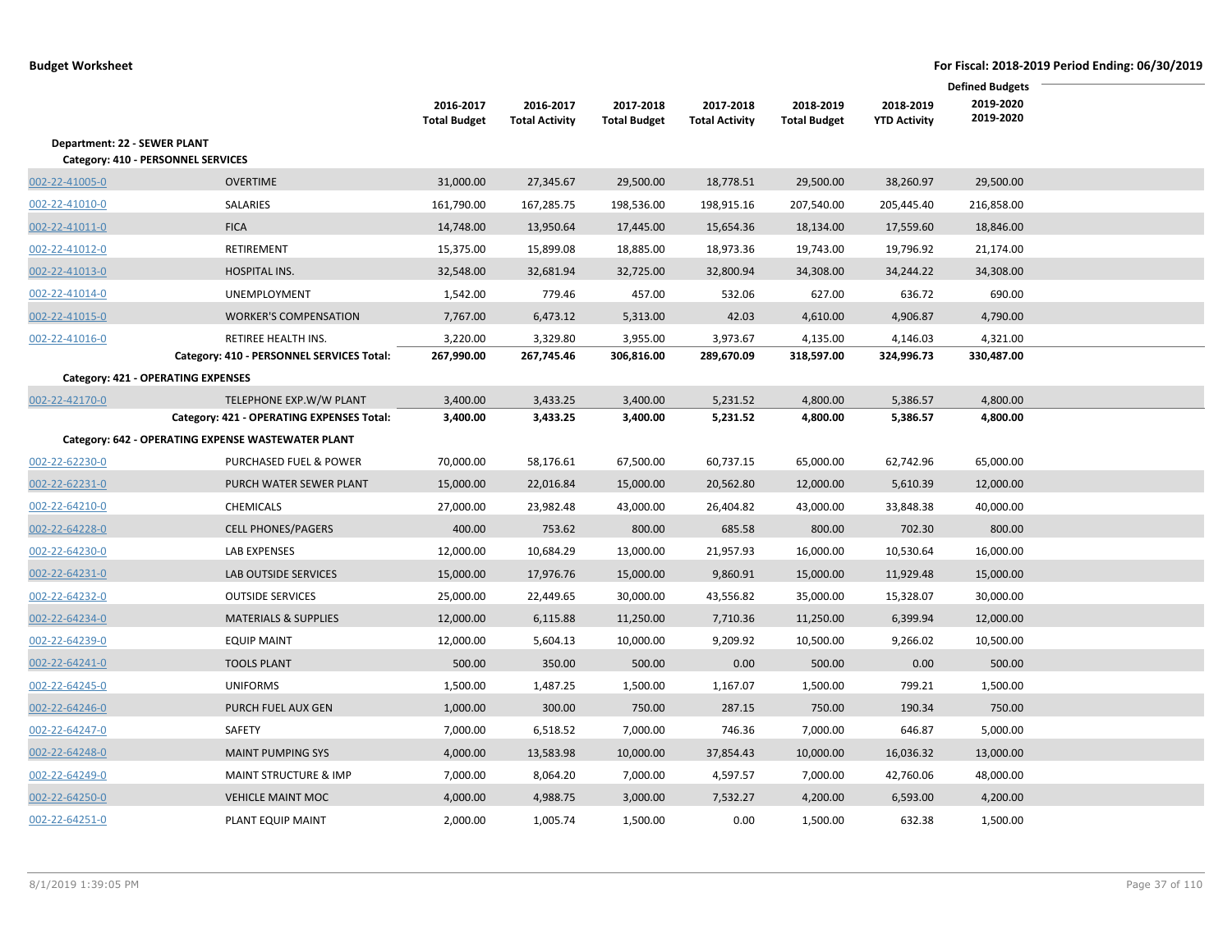|                              |                                                    |                                  |                                    |                                  |                                    |                                  |                                  | <b>Defined Budgets</b> |  |
|------------------------------|----------------------------------------------------|----------------------------------|------------------------------------|----------------------------------|------------------------------------|----------------------------------|----------------------------------|------------------------|--|
|                              |                                                    | 2016-2017<br><b>Total Budget</b> | 2016-2017<br><b>Total Activity</b> | 2017-2018<br><b>Total Budget</b> | 2017-2018<br><b>Total Activity</b> | 2018-2019<br><b>Total Budget</b> | 2018-2019<br><b>YTD Activity</b> | 2019-2020<br>2019-2020 |  |
| Department: 22 - SEWER PLANT | Category: 410 - PERSONNEL SERVICES                 |                                  |                                    |                                  |                                    |                                  |                                  |                        |  |
| 002-22-41005-0               | <b>OVERTIME</b>                                    | 31,000.00                        | 27,345.67                          | 29,500.00                        | 18,778.51                          | 29,500.00                        | 38,260.97                        | 29,500.00              |  |
| 002-22-41010-0               | SALARIES                                           | 161,790.00                       | 167,285.75                         | 198,536.00                       | 198,915.16                         | 207,540.00                       | 205,445.40                       | 216,858.00             |  |
| 002-22-41011-0               | <b>FICA</b>                                        | 14,748.00                        | 13,950.64                          | 17,445.00                        | 15,654.36                          | 18,134.00                        | 17,559.60                        | 18,846.00              |  |
| 002-22-41012-0               | RETIREMENT                                         | 15,375.00                        | 15,899.08                          | 18,885.00                        | 18,973.36                          | 19,743.00                        | 19,796.92                        | 21,174.00              |  |
| 002-22-41013-0               | HOSPITAL INS.                                      | 32,548.00                        | 32,681.94                          | 32,725.00                        | 32,800.94                          | 34,308.00                        | 34,244.22                        | 34,308.00              |  |
| 002-22-41014-0               | UNEMPLOYMENT                                       | 1,542.00                         | 779.46                             | 457.00                           | 532.06                             | 627.00                           | 636.72                           | 690.00                 |  |
| 002-22-41015-0               | <b>WORKER'S COMPENSATION</b>                       | 7,767.00                         | 6,473.12                           | 5,313.00                         | 42.03                              | 4,610.00                         | 4,906.87                         | 4,790.00               |  |
| 002-22-41016-0               | RETIREE HEALTH INS.                                | 3,220.00                         | 3,329.80                           | 3,955.00                         | 3,973.67                           | 4,135.00                         | 4,146.03                         | 4,321.00               |  |
|                              | Category: 410 - PERSONNEL SERVICES Total:          | 267,990.00                       | 267,745.46                         | 306,816.00                       | 289,670.09                         | 318,597.00                       | 324,996.73                       | 330,487.00             |  |
|                              | Category: 421 - OPERATING EXPENSES                 |                                  |                                    |                                  |                                    |                                  |                                  |                        |  |
| 002-22-42170-0               | TELEPHONE EXP.W/W PLANT                            | 3,400.00                         | 3,433.25                           | 3,400.00                         | 5,231.52                           | 4,800.00                         | 5,386.57                         | 4,800.00               |  |
|                              | Category: 421 - OPERATING EXPENSES Total:          | 3,400.00                         | 3,433.25                           | 3,400.00                         | 5,231.52                           | 4,800.00                         | 5,386.57                         | 4,800.00               |  |
|                              | Category: 642 - OPERATING EXPENSE WASTEWATER PLANT |                                  |                                    |                                  |                                    |                                  |                                  |                        |  |
| 002-22-62230-0               | PURCHASED FUEL & POWER                             | 70,000.00                        | 58,176.61                          | 67,500.00                        | 60,737.15                          | 65,000.00                        | 62,742.96                        | 65,000.00              |  |
| 002-22-62231-0               | PURCH WATER SEWER PLANT                            | 15,000.00                        | 22,016.84                          | 15,000.00                        | 20,562.80                          | 12,000.00                        | 5,610.39                         | 12,000.00              |  |
| 002-22-64210-0               | CHEMICALS                                          | 27,000.00                        | 23,982.48                          | 43,000.00                        | 26,404.82                          | 43,000.00                        | 33,848.38                        | 40,000.00              |  |
| 002-22-64228-0               | <b>CELL PHONES/PAGERS</b>                          | 400.00                           | 753.62                             | 800.00                           | 685.58                             | 800.00                           | 702.30                           | 800.00                 |  |
| 002-22-64230-0               | <b>LAB EXPENSES</b>                                | 12,000.00                        | 10,684.29                          | 13,000.00                        | 21,957.93                          | 16,000.00                        | 10,530.64                        | 16,000.00              |  |
| 002-22-64231-0               | LAB OUTSIDE SERVICES                               | 15,000.00                        | 17,976.76                          | 15,000.00                        | 9,860.91                           | 15,000.00                        | 11,929.48                        | 15,000.00              |  |
| 002-22-64232-0               | <b>OUTSIDE SERVICES</b>                            | 25,000.00                        | 22,449.65                          | 30,000.00                        | 43,556.82                          | 35,000.00                        | 15,328.07                        | 30,000.00              |  |
| 002-22-64234-0               | <b>MATERIALS &amp; SUPPLIES</b>                    | 12,000.00                        | 6,115.88                           | 11,250.00                        | 7,710.36                           | 11,250.00                        | 6,399.94                         | 12,000.00              |  |
| 002-22-64239-0               | <b>EQUIP MAINT</b>                                 | 12,000.00                        | 5,604.13                           | 10,000.00                        | 9,209.92                           | 10,500.00                        | 9,266.02                         | 10,500.00              |  |
| 002-22-64241-0               | <b>TOOLS PLANT</b>                                 | 500.00                           | 350.00                             | 500.00                           | 0.00                               | 500.00                           | 0.00                             | 500.00                 |  |
| 002-22-64245-0               | <b>UNIFORMS</b>                                    | 1,500.00                         | 1,487.25                           | 1,500.00                         | 1,167.07                           | 1,500.00                         | 799.21                           | 1,500.00               |  |
| 002-22-64246-0               | PURCH FUEL AUX GEN                                 | 1,000.00                         | 300.00                             | 750.00                           | 287.15                             | 750.00                           | 190.34                           | 750.00                 |  |
| 002-22-64247-0               | SAFETY                                             | 7,000.00                         | 6,518.52                           | 7,000.00                         | 746.36                             | 7,000.00                         | 646.87                           | 5,000.00               |  |
| 002-22-64248-0               | <b>MAINT PUMPING SYS</b>                           | 4,000.00                         | 13,583.98                          | 10,000.00                        | 37,854.43                          | 10,000.00                        | 16,036.32                        | 13,000.00              |  |
| 002-22-64249-0               | <b>MAINT STRUCTURE &amp; IMP</b>                   | 7,000.00                         | 8,064.20                           | 7,000.00                         | 4,597.57                           | 7,000.00                         | 42,760.06                        | 48,000.00              |  |
| 002-22-64250-0               | <b>VEHICLE MAINT MOC</b>                           | 4,000.00                         | 4,988.75                           | 3,000.00                         | 7,532.27                           | 4,200.00                         | 6,593.00                         | 4,200.00               |  |
| 002-22-64251-0               | PLANT EQUIP MAINT                                  | 2,000.00                         | 1,005.74                           | 1,500.00                         | 0.00                               | 1,500.00                         | 632.38                           | 1,500.00               |  |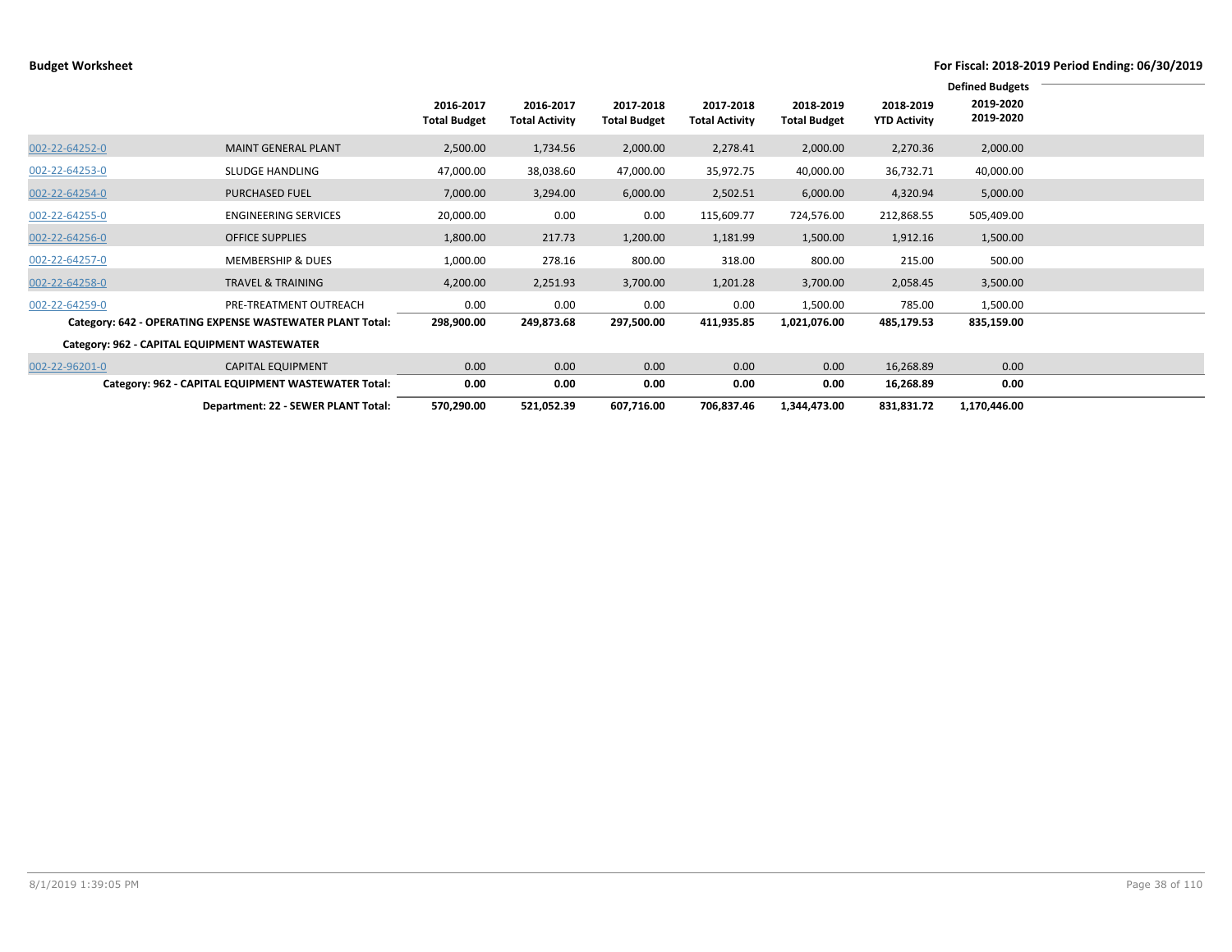|                                              |                                                           | 2016-2017           | 2016-2017             | 2017-2018           | 2017-2018             | 2018-2019           | 2018-2019           | <b>Defined Budgets</b><br>2019-2020 |  |
|----------------------------------------------|-----------------------------------------------------------|---------------------|-----------------------|---------------------|-----------------------|---------------------|---------------------|-------------------------------------|--|
|                                              |                                                           | <b>Total Budget</b> | <b>Total Activity</b> | <b>Total Budget</b> | <b>Total Activity</b> | <b>Total Budget</b> | <b>YTD Activity</b> | 2019-2020                           |  |
| 002-22-64252-0                               | <b>MAINT GENERAL PLANT</b>                                | 2,500.00            | 1,734.56              | 2,000.00            | 2,278.41              | 2,000.00            | 2,270.36            | 2,000.00                            |  |
| 002-22-64253-0                               | SLUDGE HANDLING                                           | 47,000.00           | 38,038.60             | 47,000.00           | 35,972.75             | 40,000.00           | 36,732.71           | 40,000.00                           |  |
| 002-22-64254-0                               | <b>PURCHASED FUEL</b>                                     | 7,000.00            | 3,294.00              | 6,000.00            | 2,502.51              | 6,000.00            | 4,320.94            | 5,000.00                            |  |
| 002-22-64255-0                               | <b>ENGINEERING SERVICES</b>                               | 20,000.00           | 0.00                  | 0.00                | 115,609.77            | 724,576.00          | 212,868.55          | 505,409.00                          |  |
| 002-22-64256-0                               | <b>OFFICE SUPPLIES</b>                                    | 1,800.00            | 217.73                | 1,200.00            | 1,181.99              | 1,500.00            | 1,912.16            | 1,500.00                            |  |
| 002-22-64257-0                               | <b>MEMBERSHIP &amp; DUES</b>                              | 1,000.00            | 278.16                | 800.00              | 318.00                | 800.00              | 215.00              | 500.00                              |  |
| 002-22-64258-0                               | <b>TRAVEL &amp; TRAINING</b>                              | 4,200.00            | 2,251.93              | 3,700.00            | 1,201.28              | 3,700.00            | 2,058.45            | 3,500.00                            |  |
| 002-22-64259-0                               | PRE-TREATMENT OUTREACH                                    | 0.00                | 0.00                  | 0.00                | 0.00                  | 1,500.00            | 785.00              | 1,500.00                            |  |
|                                              | Category: 642 - OPERATING EXPENSE WASTEWATER PLANT Total: | 298,900.00          | 249,873.68            | 297,500.00          | 411,935.85            | 1,021,076.00        | 485,179.53          | 835,159.00                          |  |
| Category: 962 - CAPITAL EQUIPMENT WASTEWATER |                                                           |                     |                       |                     |                       |                     |                     |                                     |  |
| 002-22-96201-0                               | <b>CAPITAL EQUIPMENT</b>                                  | 0.00                | 0.00                  | 0.00                | 0.00                  | 0.00                | 16,268.89           | 0.00                                |  |
|                                              | Category: 962 - CAPITAL EQUIPMENT WASTEWATER Total:       | 0.00                | 0.00                  | 0.00                | 0.00                  | 0.00                | 16,268.89           | 0.00                                |  |
|                                              | Department: 22 - SEWER PLANT Total:                       | 570,290.00          | 521,052.39            | 607,716.00          | 706,837.46            | 1,344,473.00        | 831,831.72          | 1,170,446.00                        |  |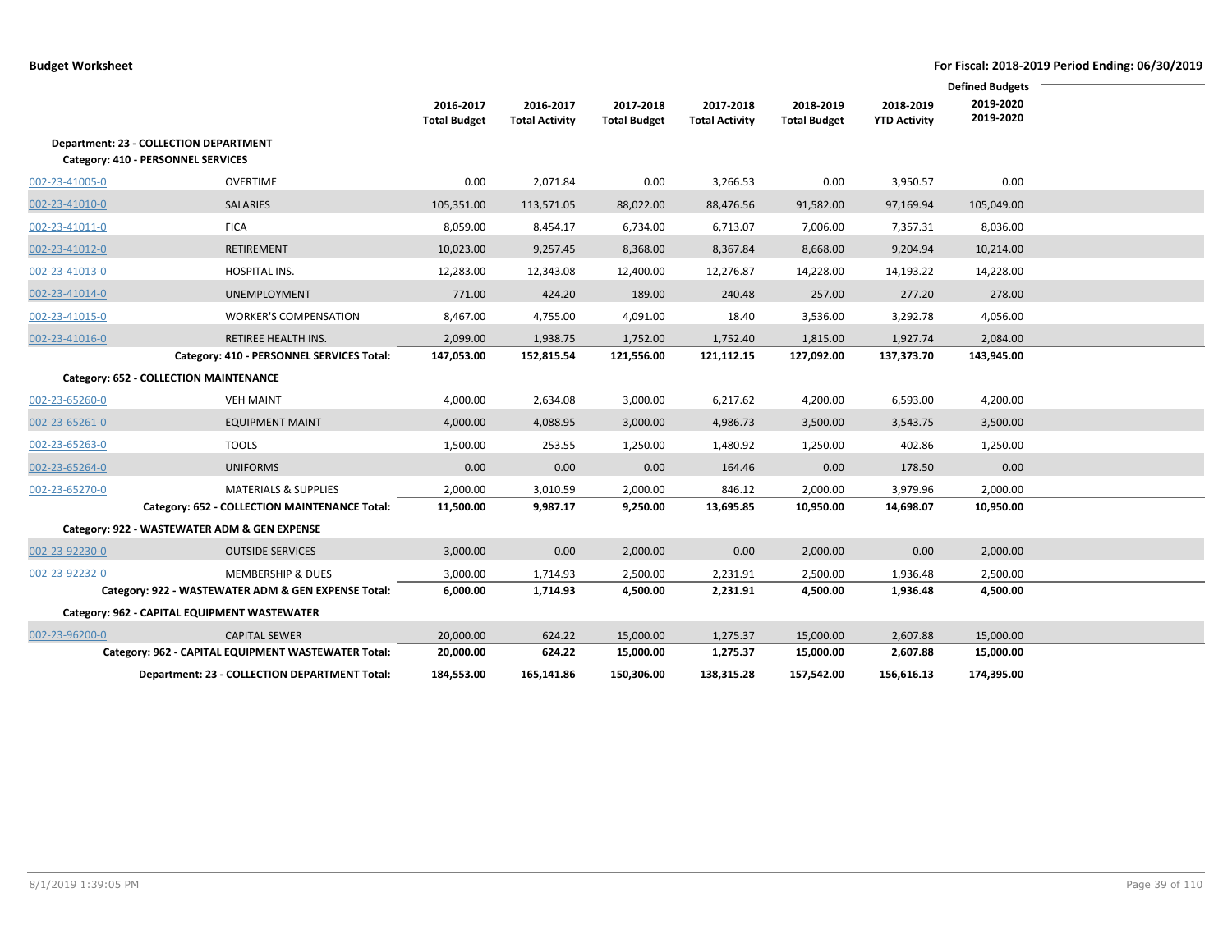|                |                                                     |                     |                       |                     |                       |                     |                     | <b>Defined Budgets</b> |  |
|----------------|-----------------------------------------------------|---------------------|-----------------------|---------------------|-----------------------|---------------------|---------------------|------------------------|--|
|                |                                                     | 2016-2017           | 2016-2017             | 2017-2018           | 2017-2018             | 2018-2019           | 2018-2019           | 2019-2020              |  |
|                |                                                     | <b>Total Budget</b> | <b>Total Activity</b> | <b>Total Budget</b> | <b>Total Activity</b> | <b>Total Budget</b> | <b>YTD Activity</b> | 2019-2020              |  |
|                | <b>Department: 23 - COLLECTION DEPARTMENT</b>       |                     |                       |                     |                       |                     |                     |                        |  |
|                | Category: 410 - PERSONNEL SERVICES                  |                     |                       |                     |                       |                     |                     |                        |  |
| 002-23-41005-0 | <b>OVERTIME</b>                                     | 0.00                | 2,071.84              | 0.00                | 3,266.53              | 0.00                | 3,950.57            | 0.00                   |  |
| 002-23-41010-0 | <b>SALARIES</b>                                     | 105,351.00          | 113,571.05            | 88,022.00           | 88,476.56             | 91,582.00           | 97,169.94           | 105,049.00             |  |
| 002-23-41011-0 | <b>FICA</b>                                         | 8,059.00            | 8,454.17              | 6,734.00            | 6,713.07              | 7,006.00            | 7,357.31            | 8,036.00               |  |
| 002-23-41012-0 | RETIREMENT                                          | 10,023.00           | 9,257.45              | 8,368.00            | 8,367.84              | 8,668.00            | 9,204.94            | 10,214.00              |  |
| 002-23-41013-0 | HOSPITAL INS.                                       | 12,283.00           | 12,343.08             | 12,400.00           | 12,276.87             | 14,228.00           | 14,193.22           | 14,228.00              |  |
| 002-23-41014-0 | <b>UNEMPLOYMENT</b>                                 | 771.00              | 424.20                | 189.00              | 240.48                | 257.00              | 277.20              | 278.00                 |  |
| 002-23-41015-0 | <b>WORKER'S COMPENSATION</b>                        | 8,467.00            | 4,755.00              | 4,091.00            | 18.40                 | 3,536.00            | 3,292.78            | 4,056.00               |  |
| 002-23-41016-0 | RETIREE HEALTH INS.                                 | 2,099.00            | 1,938.75              | 1,752.00            | 1,752.40              | 1,815.00            | 1,927.74            | 2,084.00               |  |
|                | Category: 410 - PERSONNEL SERVICES Total:           | 147,053.00          | 152,815.54            | 121,556.00          | 121,112.15            | 127,092.00          | 137,373.70          | 143,945.00             |  |
|                | Category: 652 - COLLECTION MAINTENANCE              |                     |                       |                     |                       |                     |                     |                        |  |
| 002-23-65260-0 | <b>VEH MAINT</b>                                    | 4,000.00            | 2,634.08              | 3,000.00            | 6,217.62              | 4,200.00            | 6,593.00            | 4,200.00               |  |
| 002-23-65261-0 | <b>EQUIPMENT MAINT</b>                              | 4,000.00            | 4,088.95              | 3,000.00            | 4,986.73              | 3,500.00            | 3,543.75            | 3,500.00               |  |
| 002-23-65263-0 | <b>TOOLS</b>                                        | 1,500.00            | 253.55                | 1,250.00            | 1,480.92              | 1,250.00            | 402.86              | 1,250.00               |  |
| 002-23-65264-0 | <b>UNIFORMS</b>                                     | 0.00                | 0.00                  | 0.00                | 164.46                | 0.00                | 178.50              | 0.00                   |  |
| 002-23-65270-0 | <b>MATERIALS &amp; SUPPLIES</b>                     | 2,000.00            | 3,010.59              | 2,000.00            | 846.12                | 2,000.00            | 3,979.96            | 2,000.00               |  |
|                | Category: 652 - COLLECTION MAINTENANCE Total:       | 11,500.00           | 9,987.17              | 9,250.00            | 13,695.85             | 10,950.00           | 14,698.07           | 10,950.00              |  |
|                | Category: 922 - WASTEWATER ADM & GEN EXPENSE        |                     |                       |                     |                       |                     |                     |                        |  |
| 002-23-92230-0 | <b>OUTSIDE SERVICES</b>                             | 3,000.00            | 0.00                  | 2,000.00            | 0.00                  | 2,000.00            | 0.00                | 2,000.00               |  |
| 002-23-92232-0 | <b>MEMBERSHIP &amp; DUES</b>                        | 3,000.00            | 1,714.93              | 2,500.00            | 2,231.91              | 2,500.00            | 1,936.48            | 2,500.00               |  |
|                | Category: 922 - WASTEWATER ADM & GEN EXPENSE Total: | 6,000.00            | 1,714.93              | 4,500.00            | 2,231.91              | 4,500.00            | 1,936.48            | 4,500.00               |  |
|                | Category: 962 - CAPITAL EQUIPMENT WASTEWATER        |                     |                       |                     |                       |                     |                     |                        |  |
| 002-23-96200-0 | <b>CAPITAL SEWER</b>                                | 20,000.00           | 624.22                | 15,000.00           | 1,275.37              | 15,000.00           | 2,607.88            | 15,000.00              |  |
|                | Category: 962 - CAPITAL EQUIPMENT WASTEWATER Total: | 20,000.00           | 624.22                | 15,000.00           | 1,275.37              | 15,000.00           | 2,607.88            | 15,000.00              |  |
|                | Department: 23 - COLLECTION DEPARTMENT Total:       | 184,553.00          | 165,141.86            | 150,306.00          | 138.315.28            | 157.542.00          | 156,616.13          | 174,395.00             |  |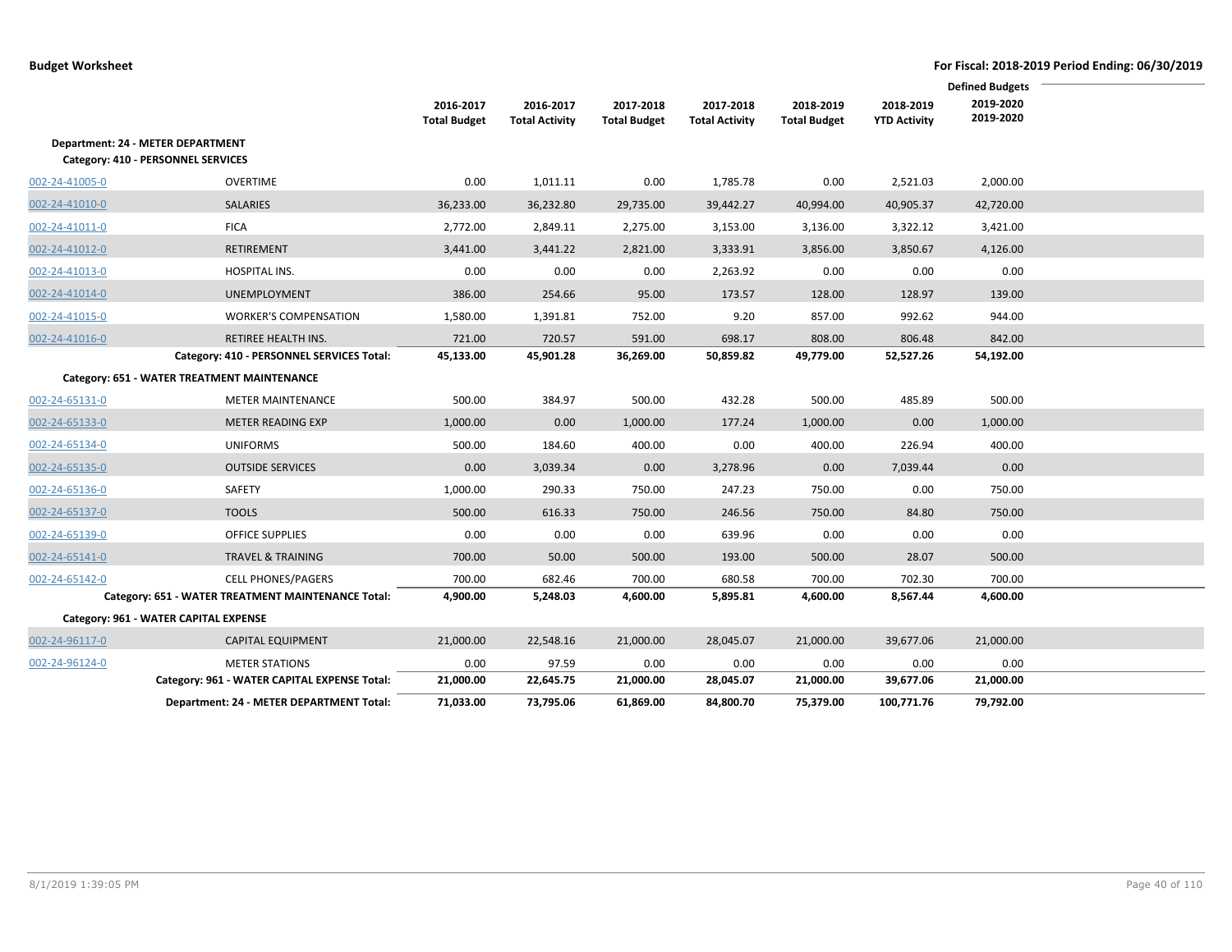|                |                                                    | 2016-2017<br><b>Total Budget</b> | 2016-2017<br><b>Total Activity</b> | 2017-2018<br><b>Total Budget</b> | 2017-2018<br><b>Total Activity</b> | 2018-2019<br><b>Total Budget</b> | 2018-2019<br><b>YTD Activity</b> | <b>Defined Budgets</b><br>2019-2020<br>2019-2020 |  |
|----------------|----------------------------------------------------|----------------------------------|------------------------------------|----------------------------------|------------------------------------|----------------------------------|----------------------------------|--------------------------------------------------|--|
|                | Department: 24 - METER DEPARTMENT                  |                                  |                                    |                                  |                                    |                                  |                                  |                                                  |  |
|                | Category: 410 - PERSONNEL SERVICES                 |                                  |                                    |                                  |                                    |                                  |                                  |                                                  |  |
| 002-24-41005-0 | <b>OVERTIME</b>                                    | 0.00                             | 1,011.11                           | 0.00                             | 1,785.78                           | 0.00                             | 2,521.03                         | 2,000.00                                         |  |
| 002-24-41010-0 | <b>SALARIES</b>                                    | 36,233.00                        | 36,232.80                          | 29,735.00                        | 39,442.27                          | 40,994.00                        | 40,905.37                        | 42,720.00                                        |  |
| 002-24-41011-0 | <b>FICA</b>                                        | 2,772.00                         | 2,849.11                           | 2,275.00                         | 3,153.00                           | 3,136.00                         | 3,322.12                         | 3,421.00                                         |  |
| 002-24-41012-0 | RETIREMENT                                         | 3,441.00                         | 3,441.22                           | 2,821.00                         | 3,333.91                           | 3,856.00                         | 3,850.67                         | 4,126.00                                         |  |
| 002-24-41013-0 | HOSPITAL INS.                                      | 0.00                             | 0.00                               | 0.00                             | 2,263.92                           | 0.00                             | 0.00                             | 0.00                                             |  |
| 002-24-41014-0 | <b>UNEMPLOYMENT</b>                                | 386.00                           | 254.66                             | 95.00                            | 173.57                             | 128.00                           | 128.97                           | 139.00                                           |  |
| 002-24-41015-0 | <b>WORKER'S COMPENSATION</b>                       | 1,580.00                         | 1,391.81                           | 752.00                           | 9.20                               | 857.00                           | 992.62                           | 944.00                                           |  |
| 002-24-41016-0 | <b>RETIREE HEALTH INS.</b>                         | 721.00                           | 720.57                             | 591.00                           | 698.17                             | 808.00                           | 806.48                           | 842.00                                           |  |
|                | Category: 410 - PERSONNEL SERVICES Total:          | 45,133.00                        | 45,901.28                          | 36,269.00                        | 50,859.82                          | 49,779.00                        | 52,527.26                        | 54,192.00                                        |  |
|                | Category: 651 - WATER TREATMENT MAINTENANCE        |                                  |                                    |                                  |                                    |                                  |                                  |                                                  |  |
| 002-24-65131-0 | <b>METER MAINTENANCE</b>                           | 500.00                           | 384.97                             | 500.00                           | 432.28                             | 500.00                           | 485.89                           | 500.00                                           |  |
| 002-24-65133-0 | <b>METER READING EXP</b>                           | 1,000.00                         | 0.00                               | 1,000.00                         | 177.24                             | 1,000.00                         | 0.00                             | 1,000.00                                         |  |
| 002-24-65134-0 | <b>UNIFORMS</b>                                    | 500.00                           | 184.60                             | 400.00                           | 0.00                               | 400.00                           | 226.94                           | 400.00                                           |  |
| 002-24-65135-0 | <b>OUTSIDE SERVICES</b>                            | 0.00                             | 3,039.34                           | 0.00                             | 3,278.96                           | 0.00                             | 7,039.44                         | 0.00                                             |  |
| 002-24-65136-0 | SAFETY                                             | 1,000.00                         | 290.33                             | 750.00                           | 247.23                             | 750.00                           | 0.00                             | 750.00                                           |  |
| 002-24-65137-0 | <b>TOOLS</b>                                       | 500.00                           | 616.33                             | 750.00                           | 246.56                             | 750.00                           | 84.80                            | 750.00                                           |  |
| 002-24-65139-0 | <b>OFFICE SUPPLIES</b>                             | 0.00                             | 0.00                               | 0.00                             | 639.96                             | 0.00                             | 0.00                             | 0.00                                             |  |
| 002-24-65141-0 | <b>TRAVEL &amp; TRAINING</b>                       | 700.00                           | 50.00                              | 500.00                           | 193.00                             | 500.00                           | 28.07                            | 500.00                                           |  |
| 002-24-65142-0 | <b>CELL PHONES/PAGERS</b>                          | 700.00                           | 682.46                             | 700.00                           | 680.58                             | 700.00                           | 702.30                           | 700.00                                           |  |
|                | Category: 651 - WATER TREATMENT MAINTENANCE Total: | 4,900.00                         | 5,248.03                           | 4,600.00                         | 5,895.81                           | 4,600.00                         | 8,567.44                         | 4,600.00                                         |  |
|                | Category: 961 - WATER CAPITAL EXPENSE              |                                  |                                    |                                  |                                    |                                  |                                  |                                                  |  |
| 002-24-96117-0 | <b>CAPITAL EQUIPMENT</b>                           | 21,000.00                        | 22,548.16                          | 21,000.00                        | 28,045.07                          | 21,000.00                        | 39,677.06                        | 21,000.00                                        |  |
| 002-24-96124-0 | <b>METER STATIONS</b>                              | 0.00                             | 97.59                              | 0.00                             | 0.00                               | 0.00                             | 0.00                             | 0.00                                             |  |
|                | Category: 961 - WATER CAPITAL EXPENSE Total:       | 21,000.00                        | 22,645.75                          | 21,000.00                        | 28,045.07                          | 21,000.00                        | 39,677.06                        | 21,000.00                                        |  |
|                | Department: 24 - METER DEPARTMENT Total:           | 71,033.00                        | 73,795.06                          | 61,869.00                        | 84,800.70                          | 75,379.00                        | 100,771.76                       | 79,792.00                                        |  |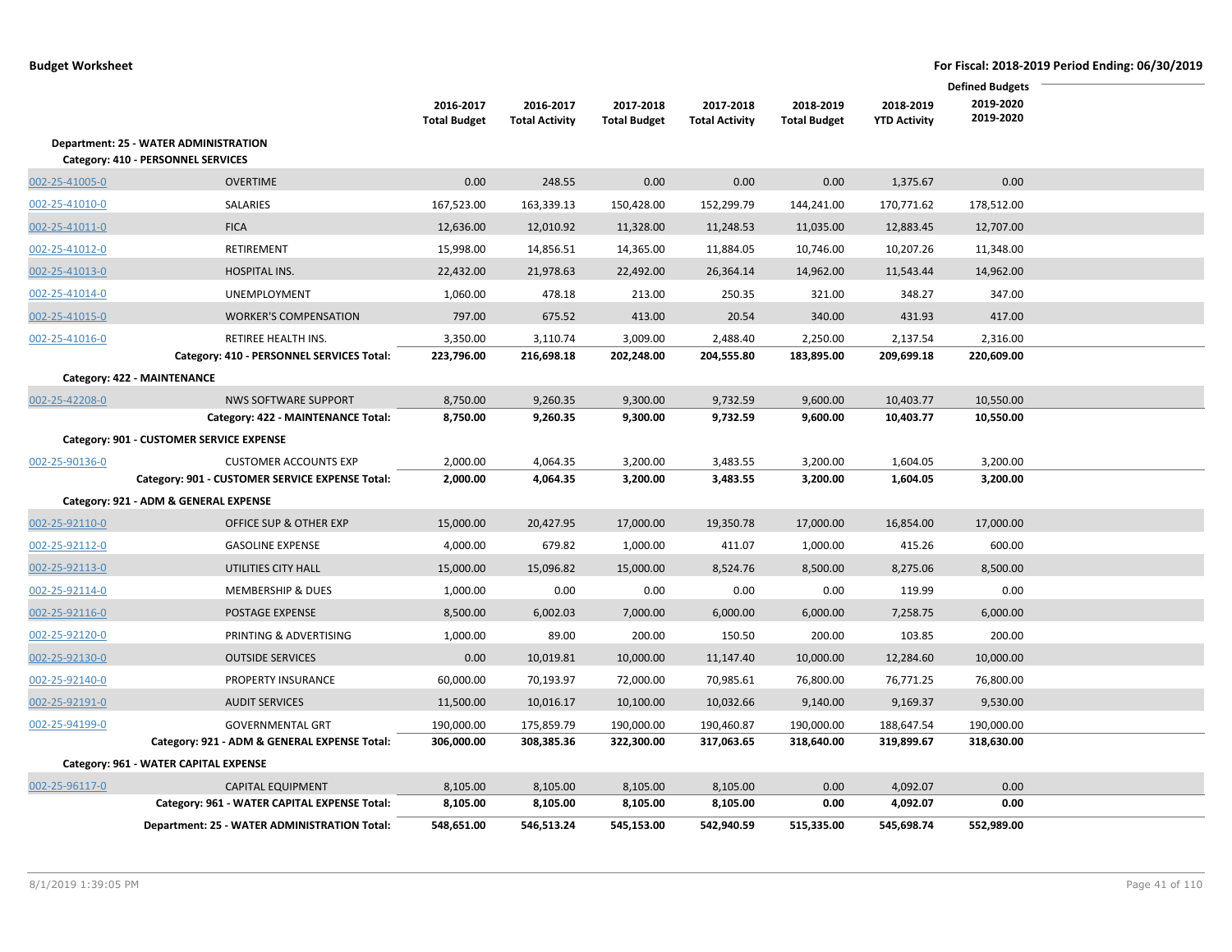|                |                                                                                    |                                  |                                    |                                  |                                    |                                  |                                  | <b>Defined Budgets</b> |  |
|----------------|------------------------------------------------------------------------------------|----------------------------------|------------------------------------|----------------------------------|------------------------------------|----------------------------------|----------------------------------|------------------------|--|
|                |                                                                                    | 2016-2017<br><b>Total Budget</b> | 2016-2017<br><b>Total Activity</b> | 2017-2018<br><b>Total Budget</b> | 2017-2018<br><b>Total Activity</b> | 2018-2019<br><b>Total Budget</b> | 2018-2019<br><b>YTD Activity</b> | 2019-2020<br>2019-2020 |  |
|                | <b>Department: 25 - WATER ADMINISTRATION</b><br>Category: 410 - PERSONNEL SERVICES |                                  |                                    |                                  |                                    |                                  |                                  |                        |  |
| 002-25-41005-0 | <b>OVERTIME</b>                                                                    | 0.00                             | 248.55                             | 0.00                             | 0.00                               | 0.00                             | 1,375.67                         | 0.00                   |  |
| 002-25-41010-0 | SALARIES                                                                           | 167,523.00                       | 163,339.13                         | 150,428.00                       | 152,299.79                         | 144,241.00                       | 170,771.62                       | 178,512.00             |  |
| 002-25-41011-0 | <b>FICA</b>                                                                        | 12,636.00                        | 12,010.92                          | 11,328.00                        | 11,248.53                          | 11,035.00                        | 12,883.45                        | 12,707.00              |  |
| 002-25-41012-0 | <b>RETIREMENT</b>                                                                  | 15,998.00                        | 14,856.51                          | 14,365.00                        | 11,884.05                          | 10,746.00                        | 10,207.26                        | 11,348.00              |  |
| 002-25-41013-0 | <b>HOSPITAL INS.</b>                                                               | 22,432.00                        | 21,978.63                          | 22,492.00                        | 26,364.14                          | 14,962.00                        | 11,543.44                        | 14,962.00              |  |
| 002-25-41014-0 | UNEMPLOYMENT                                                                       | 1,060.00                         | 478.18                             | 213.00                           | 250.35                             | 321.00                           | 348.27                           | 347.00                 |  |
| 002-25-41015-0 | <b>WORKER'S COMPENSATION</b>                                                       | 797.00                           | 675.52                             | 413.00                           | 20.54                              | 340.00                           | 431.93                           | 417.00                 |  |
| 002-25-41016-0 | RETIREE HEALTH INS.                                                                | 3,350.00                         | 3,110.74                           | 3,009.00                         | 2,488.40                           | 2,250.00                         | 2,137.54                         | 2,316.00               |  |
|                | Category: 410 - PERSONNEL SERVICES Total:                                          | 223,796.00                       | 216,698.18                         | 202,248.00                       | 204,555.80                         | 183,895.00                       | 209,699.18                       | 220,609.00             |  |
|                | Category: 422 - MAINTENANCE                                                        |                                  |                                    |                                  |                                    |                                  |                                  |                        |  |
| 002-25-42208-0 | <b>NWS SOFTWARE SUPPORT</b>                                                        | 8,750.00                         | 9,260.35                           | 9,300.00                         | 9,732.59                           | 9,600.00                         | 10,403.77                        | 10,550.00              |  |
|                | Category: 422 - MAINTENANCE Total:                                                 | 8,750.00                         | 9,260.35                           | 9,300.00                         | 9,732.59                           | 9,600.00                         | 10,403.77                        | 10,550.00              |  |
|                | Category: 901 - CUSTOMER SERVICE EXPENSE                                           |                                  |                                    |                                  |                                    |                                  |                                  |                        |  |
| 002-25-90136-0 | <b>CUSTOMER ACCOUNTS EXP</b>                                                       | 2,000.00                         | 4,064.35                           | 3,200.00                         | 3,483.55                           | 3,200.00                         | 1,604.05                         | 3,200.00               |  |
|                | Category: 901 - CUSTOMER SERVICE EXPENSE Total:                                    | 2,000.00                         | 4,064.35                           | 3,200.00                         | 3,483.55                           | 3,200.00                         | 1,604.05                         | 3,200.00               |  |
|                | Category: 921 - ADM & GENERAL EXPENSE                                              |                                  |                                    |                                  |                                    |                                  |                                  |                        |  |
| 002-25-92110-0 | <b>OFFICE SUP &amp; OTHER EXP</b>                                                  | 15,000.00                        | 20,427.95                          | 17,000.00                        | 19,350.78                          | 17,000.00                        | 16,854.00                        | 17,000.00              |  |
| 002-25-92112-0 | <b>GASOLINE EXPENSE</b>                                                            | 4,000.00                         | 679.82                             | 1,000.00                         | 411.07                             | 1,000.00                         | 415.26                           | 600.00                 |  |
| 002-25-92113-0 | UTILITIES CITY HALL                                                                | 15,000.00                        | 15,096.82                          | 15,000.00                        | 8,524.76                           | 8,500.00                         | 8,275.06                         | 8,500.00               |  |
| 002-25-92114-0 | <b>MEMBERSHIP &amp; DUES</b>                                                       | 1,000.00                         | 0.00                               | 0.00                             | 0.00                               | 0.00                             | 119.99                           | 0.00                   |  |
| 002-25-92116-0 | POSTAGE EXPENSE                                                                    | 8,500.00                         | 6,002.03                           | 7,000.00                         | 6,000.00                           | 6,000.00                         | 7,258.75                         | 6,000.00               |  |
| 002-25-92120-0 | PRINTING & ADVERTISING                                                             | 1,000.00                         | 89.00                              | 200.00                           | 150.50                             | 200.00                           | 103.85                           | 200.00                 |  |
| 002-25-92130-0 | <b>OUTSIDE SERVICES</b>                                                            | 0.00                             | 10,019.81                          | 10,000.00                        | 11,147.40                          | 10,000.00                        | 12,284.60                        | 10,000.00              |  |
| 002-25-92140-0 | <b>PROPERTY INSURANCE</b>                                                          | 60,000.00                        | 70,193.97                          | 72,000.00                        | 70,985.61                          | 76,800.00                        | 76,771.25                        | 76,800.00              |  |
| 002-25-92191-0 | <b>AUDIT SERVICES</b>                                                              | 11,500.00                        | 10,016.17                          | 10,100.00                        | 10,032.66                          | 9,140.00                         | 9,169.37                         | 9,530.00               |  |
| 002-25-94199-0 | <b>GOVERNMENTAL GRT</b>                                                            | 190,000.00                       | 175,859.79                         | 190,000.00                       | 190,460.87                         | 190,000.00                       | 188,647.54                       | 190,000.00             |  |
|                | Category: 921 - ADM & GENERAL EXPENSE Total:                                       | 306,000.00                       | 308,385.36                         | 322,300.00                       | 317,063.65                         | 318,640.00                       | 319,899.67                       | 318,630.00             |  |
|                | Category: 961 - WATER CAPITAL EXPENSE                                              |                                  |                                    |                                  |                                    |                                  |                                  |                        |  |
| 002-25-96117-0 | <b>CAPITAL EQUIPMENT</b>                                                           | 8,105.00                         | 8,105.00                           | 8,105.00                         | 8,105.00                           | 0.00                             | 4,092.07                         | 0.00                   |  |
|                | Category: 961 - WATER CAPITAL EXPENSE Total:                                       | 8,105.00                         | 8,105.00                           | 8,105.00                         | 8,105.00                           | 0.00                             | 4,092.07                         | 0.00                   |  |
|                | Department: 25 - WATER ADMINISTRATION Total:                                       | 548,651.00                       | 546,513.24                         | 545,153.00                       | 542,940.59                         | 515,335.00                       | 545,698.74                       | 552,989.00             |  |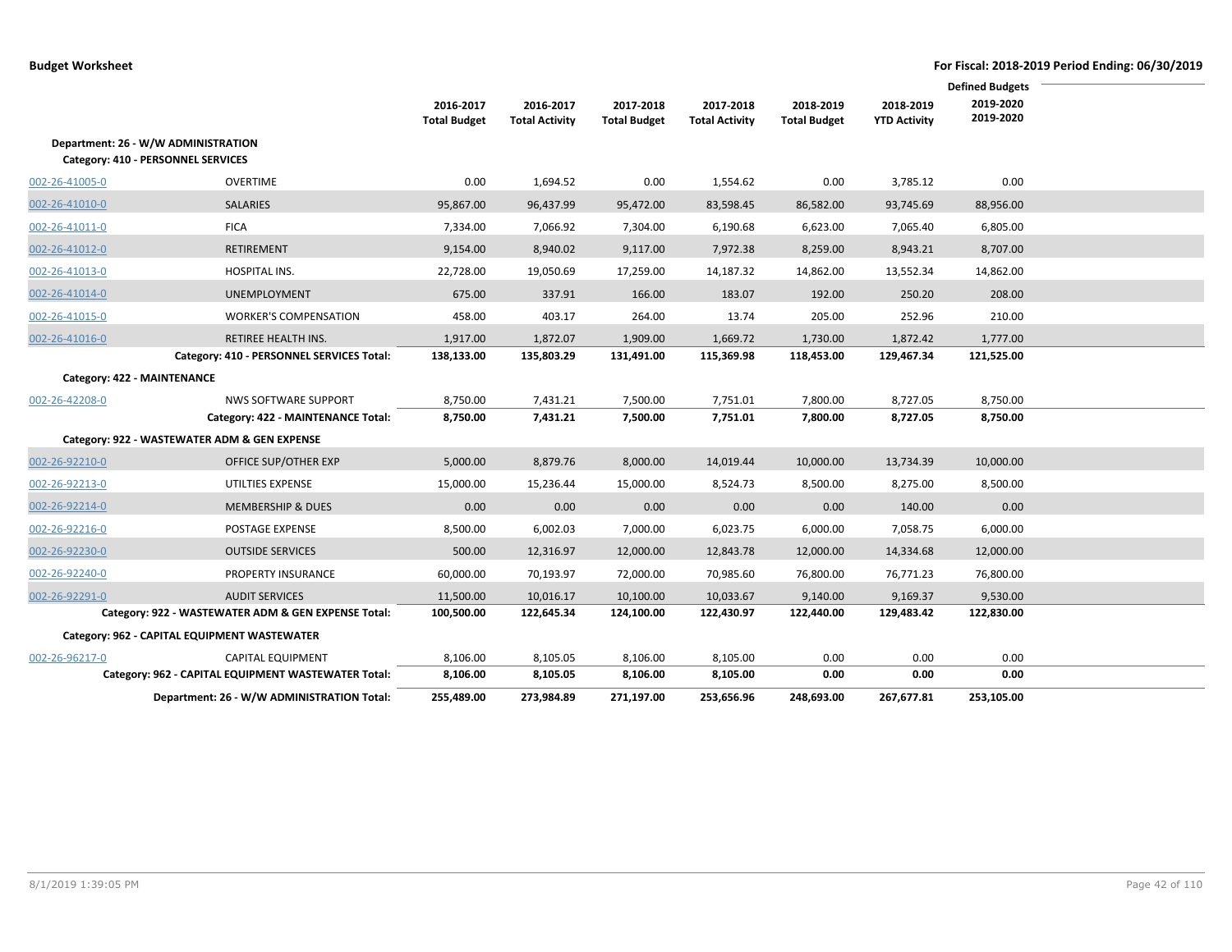|                |                                                                           | 2016-2017<br><b>Total Budget</b> | 2016-2017<br><b>Total Activity</b> | 2017-2018<br><b>Total Budget</b> | 2017-2018<br><b>Total Activity</b> | 2018-2019<br><b>Total Budget</b> | 2018-2019<br><b>YTD Activity</b> | <b>Defined Budgets</b><br>2019-2020<br>2019-2020 |  |
|----------------|---------------------------------------------------------------------------|----------------------------------|------------------------------------|----------------------------------|------------------------------------|----------------------------------|----------------------------------|--------------------------------------------------|--|
|                | Department: 26 - W/W ADMINISTRATION<br>Category: 410 - PERSONNEL SERVICES |                                  |                                    |                                  |                                    |                                  |                                  |                                                  |  |
| 002-26-41005-0 | <b>OVERTIME</b>                                                           | 0.00                             | 1,694.52                           | 0.00                             | 1,554.62                           | 0.00                             | 3,785.12                         | 0.00                                             |  |
| 002-26-41010-0 | SALARIES                                                                  | 95,867.00                        | 96,437.99                          | 95,472.00                        | 83,598.45                          | 86,582.00                        | 93,745.69                        | 88,956.00                                        |  |
| 002-26-41011-0 | <b>FICA</b>                                                               | 7,334.00                         | 7,066.92                           | 7,304.00                         | 6,190.68                           | 6,623.00                         | 7,065.40                         | 6,805.00                                         |  |
| 002-26-41012-0 | <b>RETIREMENT</b>                                                         | 9,154.00                         | 8,940.02                           | 9,117.00                         | 7,972.38                           | 8,259.00                         | 8,943.21                         | 8,707.00                                         |  |
| 002-26-41013-0 | <b>HOSPITAL INS.</b>                                                      | 22,728.00                        | 19,050.69                          | 17,259.00                        | 14,187.32                          | 14,862.00                        | 13,552.34                        | 14,862.00                                        |  |
| 002-26-41014-0 | <b>UNEMPLOYMENT</b>                                                       | 675.00                           | 337.91                             | 166.00                           | 183.07                             | 192.00                           | 250.20                           | 208.00                                           |  |
| 002-26-41015-0 | <b>WORKER'S COMPENSATION</b>                                              | 458.00                           | 403.17                             | 264.00                           | 13.74                              | 205.00                           | 252.96                           | 210.00                                           |  |
| 002-26-41016-0 | RETIREE HEALTH INS.                                                       | 1,917.00                         | 1,872.07                           | 1,909.00                         | 1,669.72                           | 1,730.00                         | 1,872.42                         | 1,777.00                                         |  |
|                | Category: 410 - PERSONNEL SERVICES Total:                                 | 138,133.00                       | 135,803.29                         | 131,491.00                       | 115,369.98                         | 118,453.00                       | 129,467.34                       | 121,525.00                                       |  |
|                | Category: 422 - MAINTENANCE                                               |                                  |                                    |                                  |                                    |                                  |                                  |                                                  |  |
| 002-26-42208-0 | <b>NWS SOFTWARE SUPPORT</b>                                               | 8,750.00                         | 7,431.21                           | 7,500.00                         | 7,751.01                           | 7,800.00                         | 8,727.05                         | 8,750.00                                         |  |
|                | Category: 422 - MAINTENANCE Total:                                        | 8,750.00                         | 7,431.21                           | 7,500.00                         | 7,751.01                           | 7,800.00                         | 8,727.05                         | 8,750.00                                         |  |
|                | Category: 922 - WASTEWATER ADM & GEN EXPENSE                              |                                  |                                    |                                  |                                    |                                  |                                  |                                                  |  |
| 002-26-92210-0 | OFFICE SUP/OTHER EXP                                                      | 5,000.00                         | 8,879.76                           | 8,000.00                         | 14,019.44                          | 10,000.00                        | 13,734.39                        | 10,000.00                                        |  |
| 002-26-92213-0 | UTILTIES EXPENSE                                                          | 15,000.00                        | 15,236.44                          | 15,000.00                        | 8,524.73                           | 8,500.00                         | 8,275.00                         | 8,500.00                                         |  |
| 002-26-92214-0 | <b>MEMBERSHIP &amp; DUES</b>                                              | 0.00                             | 0.00                               | 0.00                             | 0.00                               | 0.00                             | 140.00                           | 0.00                                             |  |
| 002-26-92216-0 | POSTAGE EXPENSE                                                           | 8,500.00                         | 6,002.03                           | 7,000.00                         | 6,023.75                           | 6,000.00                         | 7,058.75                         | 6,000.00                                         |  |
| 002-26-92230-0 | <b>OUTSIDE SERVICES</b>                                                   | 500.00                           | 12,316.97                          | 12,000.00                        | 12,843.78                          | 12,000.00                        | 14,334.68                        | 12,000.00                                        |  |
| 002-26-92240-0 | PROPERTY INSURANCE                                                        | 60,000.00                        | 70,193.97                          | 72,000.00                        | 70,985.60                          | 76,800.00                        | 76,771.23                        | 76,800.00                                        |  |
| 002-26-92291-0 | <b>AUDIT SERVICES</b>                                                     | 11,500.00                        | 10,016.17                          | 10,100.00                        | 10,033.67                          | 9,140.00                         | 9,169.37                         | 9,530.00                                         |  |
|                | Category: 922 - WASTEWATER ADM & GEN EXPENSE Total:                       | 100,500.00                       | 122,645.34                         | 124,100.00                       | 122,430.97                         | 122,440.00                       | 129,483.42                       | 122,830.00                                       |  |
|                | Category: 962 - CAPITAL EQUIPMENT WASTEWATER                              |                                  |                                    |                                  |                                    |                                  |                                  |                                                  |  |
| 002-26-96217-0 | <b>CAPITAL EQUIPMENT</b>                                                  | 8,106.00                         | 8,105.05                           | 8,106.00                         | 8,105.00                           | 0.00                             | 0.00                             | 0.00                                             |  |
|                | Category: 962 - CAPITAL EQUIPMENT WASTEWATER Total:                       | 8,106.00                         | 8,105.05                           | 8,106.00                         | 8,105.00                           | 0.00                             | 0.00                             | 0.00                                             |  |
|                | Department: 26 - W/W ADMINISTRATION Total:                                | 255,489.00                       | 273,984.89                         | 271,197.00                       | 253,656.96                         | 248,693.00                       | 267,677.81                       | 253,105.00                                       |  |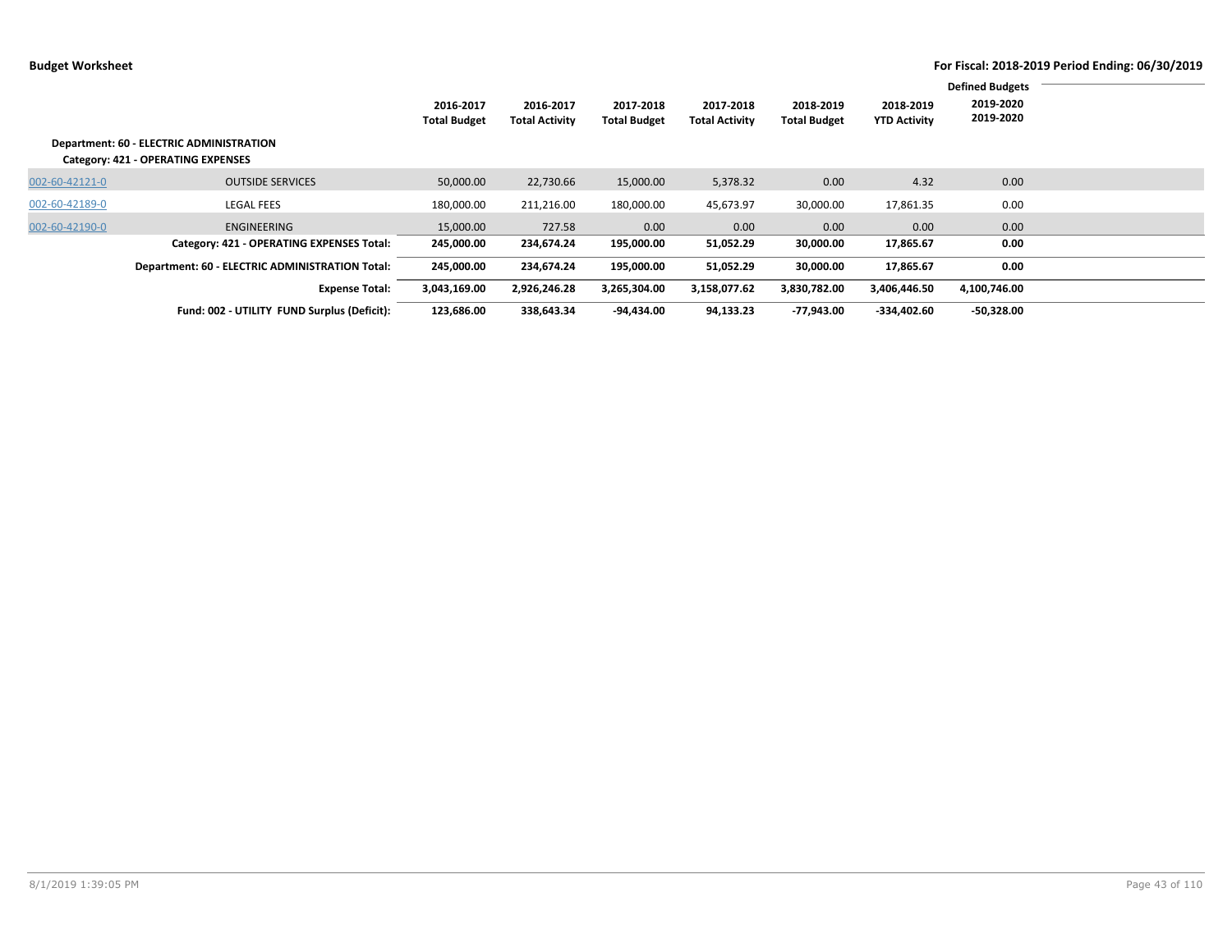|                |                                                                                       |                                  |                                    |                                  |                                    |                                  |                                  | <b>Defined Budgets</b><br>2019-2020 |  |
|----------------|---------------------------------------------------------------------------------------|----------------------------------|------------------------------------|----------------------------------|------------------------------------|----------------------------------|----------------------------------|-------------------------------------|--|
|                |                                                                                       | 2016-2017<br><b>Total Budget</b> | 2016-2017<br><b>Total Activity</b> | 2017-2018<br><b>Total Budget</b> | 2017-2018<br><b>Total Activity</b> | 2018-2019<br><b>Total Budget</b> | 2018-2019<br><b>YTD Activity</b> | 2019-2020                           |  |
|                | <b>Department: 60 - ELECTRIC ADMINISTRATION</b><br>Category: 421 - OPERATING EXPENSES |                                  |                                    |                                  |                                    |                                  |                                  |                                     |  |
| 002-60-42121-0 | <b>OUTSIDE SERVICES</b>                                                               | 50,000.00                        | 22,730.66                          | 15,000.00                        | 5,378.32                           | 0.00                             | 4.32                             | 0.00                                |  |
| 002-60-42189-0 | <b>LEGAL FEES</b>                                                                     | 180,000.00                       | 211,216.00                         | 180,000.00                       | 45,673.97                          | 30,000.00                        | 17,861.35                        | 0.00                                |  |
| 002-60-42190-0 | ENGINEERING                                                                           | 15,000.00                        | 727.58                             | 0.00                             | 0.00                               | 0.00                             | 0.00                             | 0.00                                |  |
|                | Category: 421 - OPERATING EXPENSES Total:                                             | 245,000.00                       | 234,674.24                         | 195,000.00                       | 51,052.29                          | 30,000.00                        | 17,865.67                        | 0.00                                |  |
|                | Department: 60 - ELECTRIC ADMINISTRATION Total:                                       | 245,000.00                       | 234,674.24                         | 195,000.00                       | 51,052.29                          | 30,000.00                        | 17,865.67                        | 0.00                                |  |
|                | <b>Expense Total:</b>                                                                 | 3,043,169.00                     | 2,926,246.28                       | 3,265,304.00                     | 3,158,077.62                       | 3,830,782.00                     | 3,406,446.50                     | 4,100,746.00                        |  |
|                | Fund: 002 - UTILITY FUND Surplus (Deficit):                                           | 123,686.00                       | 338,643.34                         | -94,434.00                       | 94,133.23                          | -77,943.00                       | -334.402.60                      | $-50,328.00$                        |  |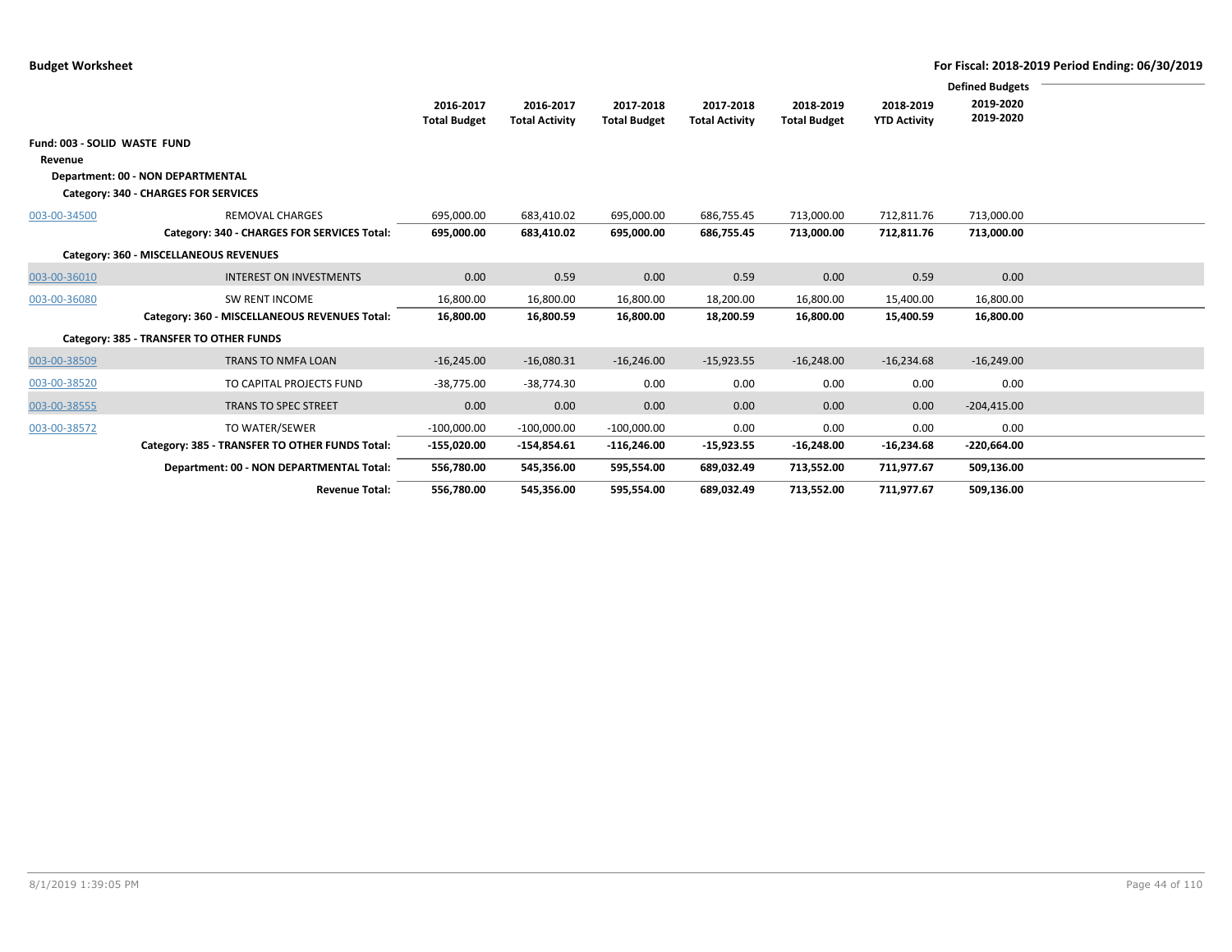|                              |                                                |                     |                       |                     |                       |                     |                     | <b>Defined Budgets</b> |  |
|------------------------------|------------------------------------------------|---------------------|-----------------------|---------------------|-----------------------|---------------------|---------------------|------------------------|--|
|                              |                                                | 2016-2017           | 2016-2017             | 2017-2018           | 2017-2018             | 2018-2019           | 2018-2019           | 2019-2020              |  |
|                              |                                                | <b>Total Budget</b> | <b>Total Activity</b> | <b>Total Budget</b> | <b>Total Activity</b> | <b>Total Budget</b> | <b>YTD Activity</b> | 2019-2020              |  |
|                              |                                                |                     |                       |                     |                       |                     |                     |                        |  |
| Fund: 003 - SOLID WASTE FUND |                                                |                     |                       |                     |                       |                     |                     |                        |  |
| Revenue                      |                                                |                     |                       |                     |                       |                     |                     |                        |  |
|                              | <b>Department: 00 - NON DEPARTMENTAL</b>       |                     |                       |                     |                       |                     |                     |                        |  |
|                              | <b>Category: 340 - CHARGES FOR SERVICES</b>    |                     |                       |                     |                       |                     |                     |                        |  |
| 003-00-34500                 | <b>REMOVAL CHARGES</b>                         | 695,000.00          | 683,410.02            | 695,000.00          | 686,755.45            | 713,000.00          | 712,811.76          | 713,000.00             |  |
|                              | Category: 340 - CHARGES FOR SERVICES Total:    | 695,000.00          | 683,410.02            | 695,000.00          | 686,755.45            | 713,000.00          | 712,811.76          | 713,000.00             |  |
|                              |                                                |                     |                       |                     |                       |                     |                     |                        |  |
|                              | Category: 360 - MISCELLANEOUS REVENUES         |                     |                       |                     |                       |                     |                     |                        |  |
| 003-00-36010                 | <b>INTEREST ON INVESTMENTS</b>                 | 0.00                | 0.59                  | 0.00                | 0.59                  | 0.00                | 0.59                | 0.00                   |  |
|                              |                                                |                     |                       |                     |                       |                     |                     |                        |  |
| 003-00-36080                 | <b>SW RENT INCOME</b>                          | 16,800.00           | 16,800.00             | 16,800.00           | 18,200.00             | 16,800.00           | 15,400.00           | 16,800.00              |  |
|                              | Category: 360 - MISCELLANEOUS REVENUES Total:  | 16,800.00           | 16,800.59             | 16,800.00           | 18,200.59             | 16,800.00           | 15,400.59           | 16,800.00              |  |
|                              | Category: 385 - TRANSFER TO OTHER FUNDS        |                     |                       |                     |                       |                     |                     |                        |  |
|                              |                                                |                     |                       |                     |                       |                     |                     |                        |  |
| 003-00-38509                 | TRANS TO NMFA LOAN                             | $-16,245.00$        | $-16,080.31$          | $-16,246.00$        | $-15,923.55$          | $-16,248.00$        | $-16,234.68$        | $-16,249.00$           |  |
| 003-00-38520                 | TO CAPITAL PROJECTS FUND                       | $-38,775.00$        | $-38,774.30$          | 0.00                | 0.00                  | 0.00                | 0.00                | 0.00                   |  |
|                              |                                                |                     |                       |                     |                       |                     |                     |                        |  |
| 003-00-38555                 | TRANS TO SPEC STREET                           | 0.00                | 0.00                  | 0.00                | 0.00                  | 0.00                | 0.00                | $-204,415.00$          |  |
| 003-00-38572                 | TO WATER/SEWER                                 | $-100,000.00$       | $-100,000.00$         | $-100,000.00$       | 0.00                  | 0.00                | 0.00                | 0.00                   |  |
|                              | Category: 385 - TRANSFER TO OTHER FUNDS Total: | $-155,020.00$       | $-154,854.61$         | $-116,246.00$       | $-15,923.55$          | $-16,248.00$        | $-16,234.68$        | $-220,664.00$          |  |
|                              | Department: 00 - NON DEPARTMENTAL Total:       | 556,780.00          | 545,356.00            | 595,554.00          | 689,032.49            | 713,552.00          | 711,977.67          | 509,136.00             |  |
|                              |                                                |                     |                       |                     |                       |                     |                     |                        |  |
|                              | <b>Revenue Total:</b>                          | 556,780.00          | 545,356.00            | 595,554.00          | 689,032.49            | 713.552.00          | 711,977.67          | 509,136.00             |  |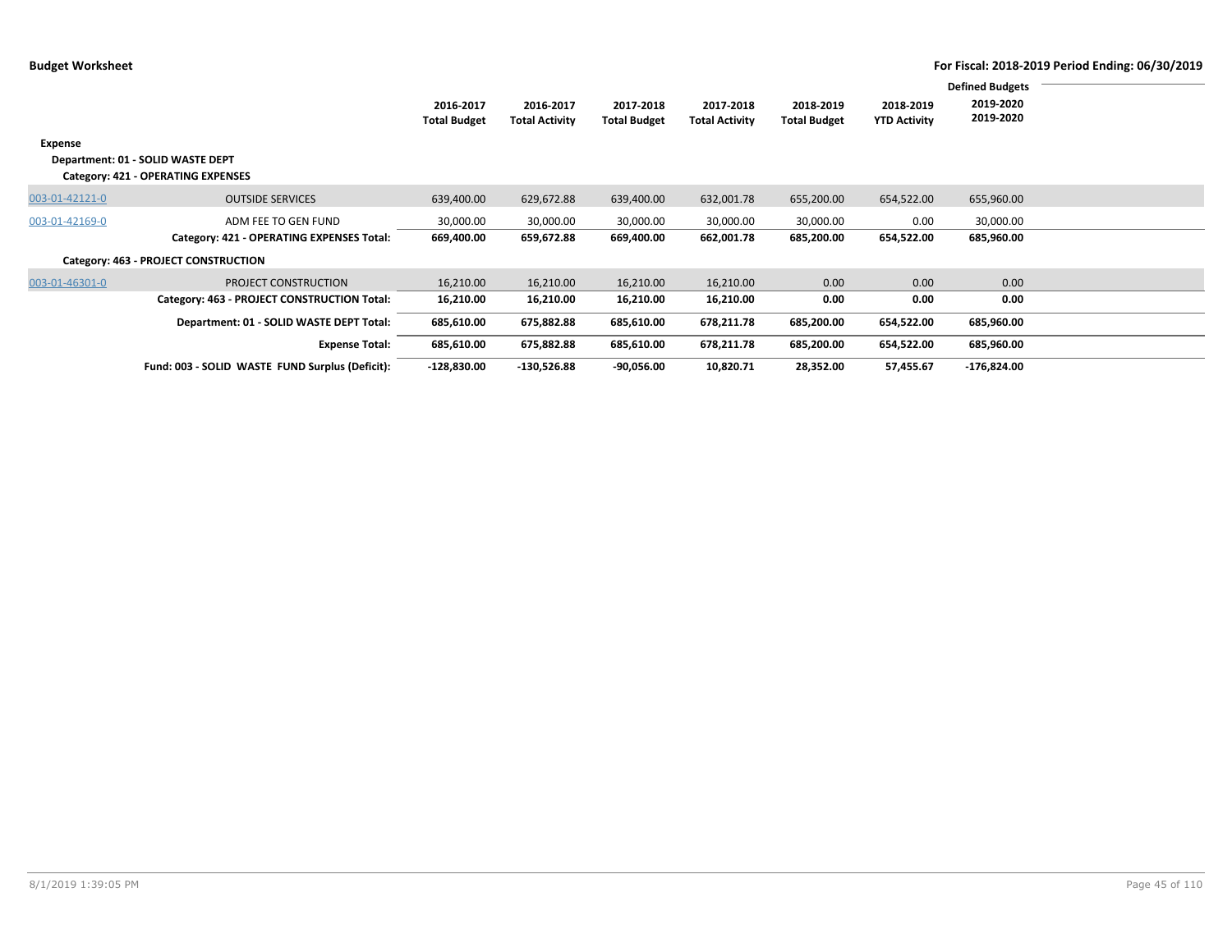|                                   |                                                 |                     |                       |                     |                       |                     |                     | <b>Defined Budgets</b> |  |
|-----------------------------------|-------------------------------------------------|---------------------|-----------------------|---------------------|-----------------------|---------------------|---------------------|------------------------|--|
|                                   |                                                 | 2016-2017           | 2016-2017             | 2017-2018           | 2017-2018             | 2018-2019           | 2018-2019           | 2019-2020              |  |
|                                   |                                                 | <b>Total Budget</b> | <b>Total Activity</b> | <b>Total Budget</b> | <b>Total Activity</b> | <b>Total Budget</b> | <b>YTD Activity</b> | 2019-2020              |  |
|                                   |                                                 |                     |                       |                     |                       |                     |                     |                        |  |
| Expense                           |                                                 |                     |                       |                     |                       |                     |                     |                        |  |
| Department: 01 - SOLID WASTE DEPT |                                                 |                     |                       |                     |                       |                     |                     |                        |  |
|                                   | Category: 421 - OPERATING EXPENSES              |                     |                       |                     |                       |                     |                     |                        |  |
|                                   |                                                 |                     |                       |                     |                       |                     |                     |                        |  |
| 003-01-42121-0                    | <b>OUTSIDE SERVICES</b>                         | 639,400.00          | 629,672.88            | 639,400.00          | 632,001.78            | 655,200.00          | 654,522.00          | 655,960.00             |  |
| 003-01-42169-0                    | ADM FEE TO GEN FUND                             | 30,000.00           | 30,000.00             | 30,000.00           | 30,000.00             | 30,000.00           | 0.00                | 30,000.00              |  |
|                                   | Category: 421 - OPERATING EXPENSES Total:       | 669,400.00          | 659,672.88            | 669,400.00          | 662,001.78            | 685,200.00          | 654,522.00          | 685,960.00             |  |
|                                   | Category: 463 - PROJECT CONSTRUCTION            |                     |                       |                     |                       |                     |                     |                        |  |
|                                   |                                                 |                     |                       |                     |                       |                     |                     |                        |  |
| 003-01-46301-0                    | PROJECT CONSTRUCTION                            | 16,210.00           | 16,210.00             | 16,210.00           | 16,210.00             | 0.00                | 0.00                | 0.00                   |  |
|                                   | Category: 463 - PROJECT CONSTRUCTION Total:     | 16,210.00           | 16,210.00             | 16,210.00           | 16,210.00             | 0.00                | 0.00                | 0.00                   |  |
|                                   | Department: 01 - SOLID WASTE DEPT Total:        | 685,610.00          | 675,882.88            | 685,610.00          | 678,211.78            | 685,200.00          | 654,522.00          | 685,960.00             |  |
|                                   | <b>Expense Total:</b>                           | 685,610.00          | 675,882.88            | 685,610.00          | 678,211.78            | 685,200.00          | 654,522.00          | 685,960.00             |  |
|                                   | Fund: 003 - SOLID WASTE FUND Surplus (Deficit): | $-128,830.00$       | $-130,526.88$         | $-90,056.00$        | 10,820.71             | 28,352.00           | 57,455.67           | $-176,824.00$          |  |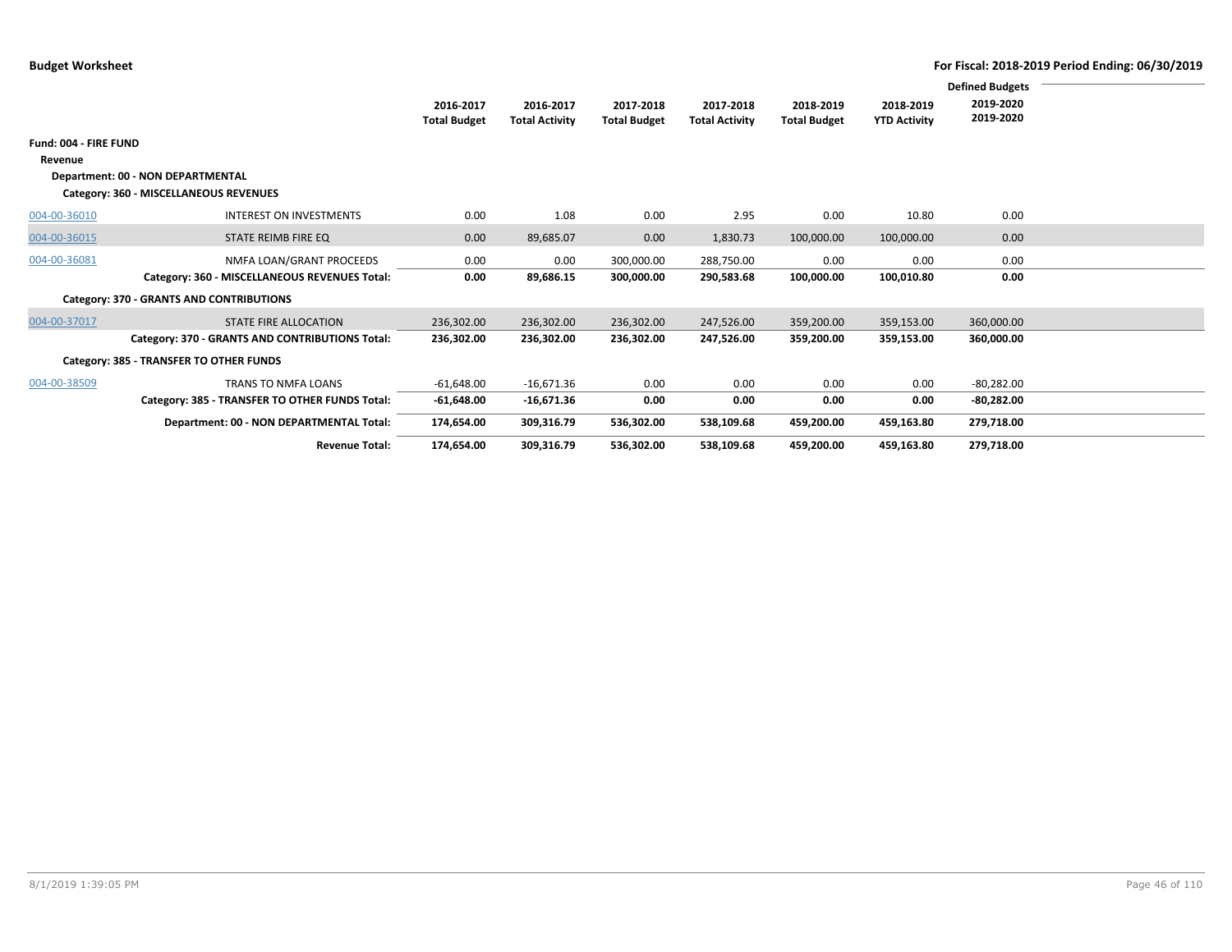|                       |                                                                             |                     |                       |                     |                       |                     |                     | <b>Defined Budgets</b> |
|-----------------------|-----------------------------------------------------------------------------|---------------------|-----------------------|---------------------|-----------------------|---------------------|---------------------|------------------------|
|                       |                                                                             | 2016-2017           | 2016-2017             | 2017-2018           | 2017-2018             | 2018-2019           | 2018-2019           | 2019-2020              |
|                       |                                                                             | <b>Total Budget</b> | <b>Total Activity</b> | <b>Total Budget</b> | <b>Total Activity</b> | <b>Total Budget</b> | <b>YTD Activity</b> | 2019-2020              |
| Fund: 004 - FIRE FUND |                                                                             |                     |                       |                     |                       |                     |                     |                        |
| Revenue               |                                                                             |                     |                       |                     |                       |                     |                     |                        |
|                       | Department: 00 - NON DEPARTMENTAL<br>Category: 360 - MISCELLANEOUS REVENUES |                     |                       |                     |                       |                     |                     |                        |
| 004-00-36010          | <b>INTEREST ON INVESTMENTS</b>                                              | 0.00                | 1.08                  | 0.00                | 2.95                  | 0.00                | 10.80               | 0.00                   |
| 004-00-36015          | STATE REIMB FIRE EQ                                                         | 0.00                | 89,685.07             | 0.00                | 1,830.73              | 100,000.00          | 100,000.00          | 0.00                   |
| 004-00-36081          | NMFA LOAN/GRANT PROCEEDS                                                    | 0.00                | 0.00                  | 300,000.00          | 288,750.00            | 0.00                | 0.00                | 0.00                   |
|                       | Category: 360 - MISCELLANEOUS REVENUES Total:                               | 0.00                | 89,686.15             | 300,000.00          | 290,583.68            | 100,000.00          | 100,010.80          | 0.00                   |
|                       | Category: 370 - GRANTS AND CONTRIBUTIONS                                    |                     |                       |                     |                       |                     |                     |                        |
| 004-00-37017          | <b>STATE FIRE ALLOCATION</b>                                                | 236,302.00          | 236,302.00            | 236,302.00          | 247,526.00            | 359,200.00          | 359,153.00          | 360,000.00             |
|                       | Category: 370 - GRANTS AND CONTRIBUTIONS Total:                             | 236,302.00          | 236,302.00            | 236,302.00          | 247,526.00            | 359,200.00          | 359,153.00          | 360,000.00             |
|                       | Category: 385 - TRANSFER TO OTHER FUNDS                                     |                     |                       |                     |                       |                     |                     |                        |
| 004-00-38509          | <b>TRANS TO NMFA LOANS</b>                                                  | $-61,648.00$        | $-16,671.36$          | 0.00                | 0.00                  | 0.00                | 0.00                | $-80,282.00$           |
|                       | Category: 385 - TRANSFER TO OTHER FUNDS Total:                              | $-61,648.00$        | -16,671.36            | 0.00                | 0.00                  | 0.00                | 0.00                | $-80,282.00$           |
|                       | Department: 00 - NON DEPARTMENTAL Total:                                    | 174,654.00          | 309,316.79            | 536,302.00          | 538,109.68            | 459,200.00          | 459,163.80          | 279,718.00             |
|                       | <b>Revenue Total:</b>                                                       | 174,654.00          | 309,316.79            | 536,302.00          | 538,109.68            | 459,200.00          | 459,163.80          | 279,718.00             |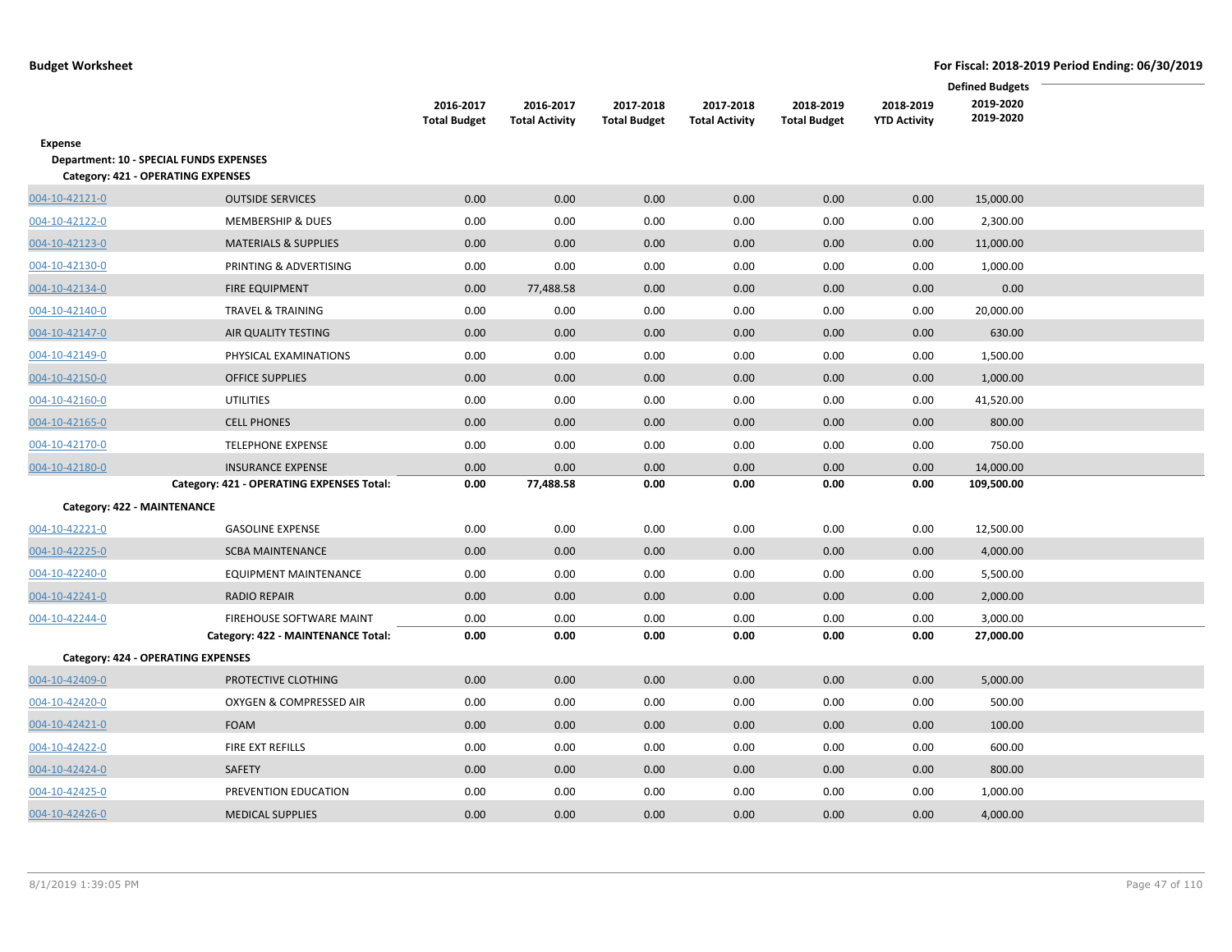|                                                |                                           | 2016-2017           | 2016-2017             | 2017-2018           | 2017-2018             | 2018-2019           | 2018-2019           | <b>Defined Budgets</b><br>2019-2020 |  |
|------------------------------------------------|-------------------------------------------|---------------------|-----------------------|---------------------|-----------------------|---------------------|---------------------|-------------------------------------|--|
|                                                |                                           | <b>Total Budget</b> | <b>Total Activity</b> | <b>Total Budget</b> | <b>Total Activity</b> | <b>Total Budget</b> | <b>YTD Activity</b> | 2019-2020                           |  |
| Expense                                        |                                           |                     |                       |                     |                       |                     |                     |                                     |  |
| <b>Department: 10 - SPECIAL FUNDS EXPENSES</b> |                                           |                     |                       |                     |                       |                     |                     |                                     |  |
| Category: 421 - OPERATING EXPENSES             |                                           |                     |                       |                     |                       |                     |                     |                                     |  |
| 004-10-42121-0                                 | <b>OUTSIDE SERVICES</b>                   | 0.00                | 0.00                  | 0.00                | 0.00                  | 0.00                | 0.00                | 15,000.00                           |  |
| 004-10-42122-0                                 | <b>MEMBERSHIP &amp; DUES</b>              | 0.00                | 0.00                  | 0.00                | 0.00                  | 0.00                | 0.00                | 2,300.00                            |  |
| 004-10-42123-0                                 | <b>MATERIALS &amp; SUPPLIES</b>           | 0.00                | 0.00                  | 0.00                | 0.00                  | 0.00                | 0.00                | 11,000.00                           |  |
| 004-10-42130-0                                 | PRINTING & ADVERTISING                    | 0.00                | 0.00                  | 0.00                | 0.00                  | 0.00                | 0.00                | 1,000.00                            |  |
| 004-10-42134-0                                 | FIRE EQUIPMENT                            | 0.00                | 77,488.58             | 0.00                | 0.00                  | 0.00                | 0.00                | 0.00                                |  |
| 004-10-42140-0                                 | <b>TRAVEL &amp; TRAINING</b>              | 0.00                | 0.00                  | 0.00                | 0.00                  | 0.00                | 0.00                | 20,000.00                           |  |
| 004-10-42147-0                                 | AIR QUALITY TESTING                       | 0.00                | 0.00                  | 0.00                | 0.00                  | 0.00                | 0.00                | 630.00                              |  |
| 004-10-42149-0                                 | PHYSICAL EXAMINATIONS                     | 0.00                | 0.00                  | 0.00                | 0.00                  | 0.00                | 0.00                | 1,500.00                            |  |
| 004-10-42150-0                                 | <b>OFFICE SUPPLIES</b>                    | 0.00                | 0.00                  | 0.00                | 0.00                  | 0.00                | 0.00                | 1,000.00                            |  |
| 004-10-42160-0                                 | <b>UTILITIES</b>                          | 0.00                | 0.00                  | 0.00                | 0.00                  | 0.00                | 0.00                | 41,520.00                           |  |
| 004-10-42165-0                                 | <b>CELL PHONES</b>                        | 0.00                | 0.00                  | 0.00                | 0.00                  | 0.00                | 0.00                | 800.00                              |  |
| 004-10-42170-0                                 | <b>TELEPHONE EXPENSE</b>                  | 0.00                | 0.00                  | 0.00                | 0.00                  | 0.00                | 0.00                | 750.00                              |  |
| 004-10-42180-0                                 | <b>INSURANCE EXPENSE</b>                  | 0.00                | 0.00                  | 0.00                | 0.00                  | 0.00                | 0.00                | 14,000.00                           |  |
|                                                | Category: 421 - OPERATING EXPENSES Total: | 0.00                | 77,488.58             | 0.00                | 0.00                  | 0.00                | 0.00                | 109,500.00                          |  |
| Category: 422 - MAINTENANCE                    |                                           |                     |                       |                     |                       |                     |                     |                                     |  |
| 004-10-42221-0                                 | <b>GASOLINE EXPENSE</b>                   | 0.00                | 0.00                  | 0.00                | 0.00                  | 0.00                | 0.00                | 12,500.00                           |  |
| 004-10-42225-0                                 | <b>SCBA MAINTENANCE</b>                   | 0.00                | 0.00                  | 0.00                | 0.00                  | 0.00                | 0.00                | 4,000.00                            |  |
| 004-10-42240-0                                 | <b>EQUIPMENT MAINTENANCE</b>              | 0.00                | 0.00                  | 0.00                | 0.00                  | 0.00                | 0.00                | 5,500.00                            |  |
| 004-10-42241-0                                 | <b>RADIO REPAIR</b>                       | 0.00                | 0.00                  | 0.00                | 0.00                  | 0.00                | 0.00                | 2,000.00                            |  |
| 004-10-42244-0                                 | FIREHOUSE SOFTWARE MAINT                  | 0.00                | 0.00                  | 0.00                | 0.00                  | 0.00                | 0.00                | 3,000.00                            |  |
|                                                | Category: 422 - MAINTENANCE Total:        | 0.00                | 0.00                  | 0.00                | 0.00                  | 0.00                | 0.00                | 27,000.00                           |  |
| Category: 424 - OPERATING EXPENSES             |                                           |                     |                       |                     |                       |                     |                     |                                     |  |
| 004-10-42409-0                                 | PROTECTIVE CLOTHING                       | 0.00                | 0.00                  | 0.00                | 0.00                  | 0.00                | 0.00                | 5,000.00                            |  |
| 004-10-42420-0                                 | OXYGEN & COMPRESSED AIR                   | 0.00                | 0.00                  | 0.00                | 0.00                  | 0.00                | 0.00                | 500.00                              |  |
| 004-10-42421-0                                 | <b>FOAM</b>                               | 0.00                | 0.00                  | 0.00                | 0.00                  | 0.00                | 0.00                | 100.00                              |  |
| 004-10-42422-0                                 | FIRE EXT REFILLS                          | 0.00                | 0.00                  | 0.00                | 0.00                  | 0.00                | 0.00                | 600.00                              |  |
| 004-10-42424-0                                 | SAFETY                                    | 0.00                | 0.00                  | 0.00                | 0.00                  | 0.00                | 0.00                | 800.00                              |  |
| 004-10-42425-0                                 | PREVENTION EDUCATION                      | 0.00                | 0.00                  | 0.00                | 0.00                  | 0.00                | 0.00                | 1,000.00                            |  |
| 004-10-42426-0                                 | <b>MEDICAL SUPPLIES</b>                   | 0.00                | 0.00                  | 0.00                | 0.00                  | 0.00                | 0.00                | 4,000.00                            |  |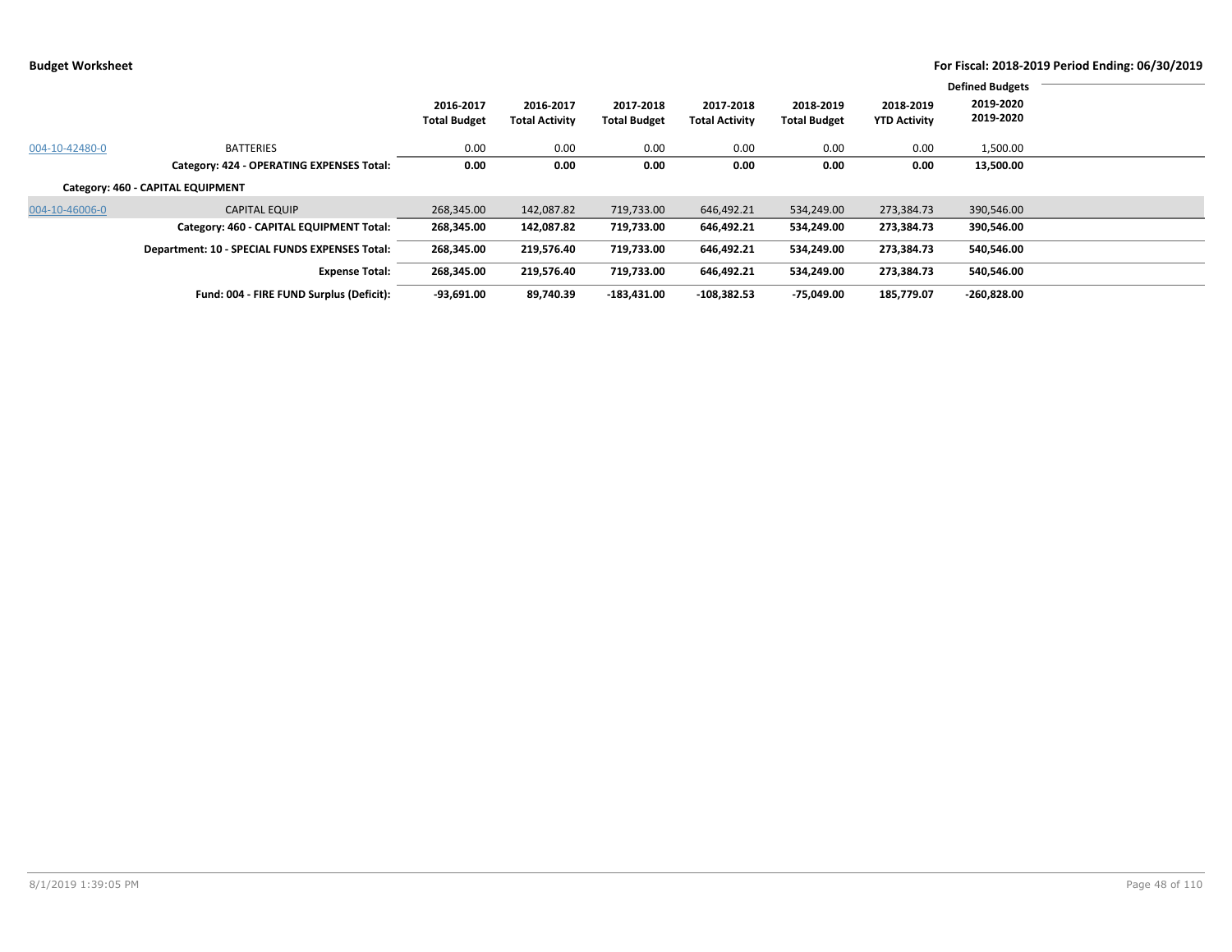|                |                                                | 2016-2017<br><b>Total Budget</b> | 2016-2017<br><b>Total Activity</b> | 2017-2018<br><b>Total Budget</b> | 2017-2018<br><b>Total Activity</b> | 2018-2019<br><b>Total Budget</b> | 2018-2019<br><b>YTD Activity</b> | <b>Defined Budgets</b><br>2019-2020<br>2019-2020 |  |
|----------------|------------------------------------------------|----------------------------------|------------------------------------|----------------------------------|------------------------------------|----------------------------------|----------------------------------|--------------------------------------------------|--|
| 004-10-42480-0 | <b>BATTERIES</b>                               | 0.00                             | 0.00                               | 0.00                             | 0.00                               | 0.00                             | 0.00                             | 1,500.00                                         |  |
|                | Category: 424 - OPERATING EXPENSES Total:      | 0.00                             | 0.00                               | 0.00                             | 0.00                               | 0.00                             | 0.00                             | 13,500.00                                        |  |
|                | Category: 460 - CAPITAL EQUIPMENT              |                                  |                                    |                                  |                                    |                                  |                                  |                                                  |  |
| 004-10-46006-0 | <b>CAPITAL EQUIP</b>                           | 268,345.00                       | 142,087.82                         | 719,733.00                       | 646,492.21                         | 534,249.00                       | 273,384.73                       | 390,546.00                                       |  |
|                | Category: 460 - CAPITAL EQUIPMENT Total:       | 268,345.00                       | 142,087.82                         | 719,733.00                       | 646,492.21                         | 534,249.00                       | 273,384.73                       | 390,546.00                                       |  |
|                | Department: 10 - SPECIAL FUNDS EXPENSES Total: | 268,345.00                       | 219,576.40                         | 719,733.00                       | 646,492.21                         | 534.249.00                       | 273.384.73                       | 540,546.00                                       |  |
|                | <b>Expense Total:</b>                          | 268,345.00                       | 219,576.40                         | 719,733.00                       | 646,492.21                         | 534,249.00                       | 273,384.73                       | 540,546.00                                       |  |
|                | Fund: 004 - FIRE FUND Surplus (Deficit):       | $-93,691.00$                     | 89,740.39                          | $-183,431.00$                    | $-108,382.53$                      | -75.049.00                       | 185,779.07                       | $-260,828.00$                                    |  |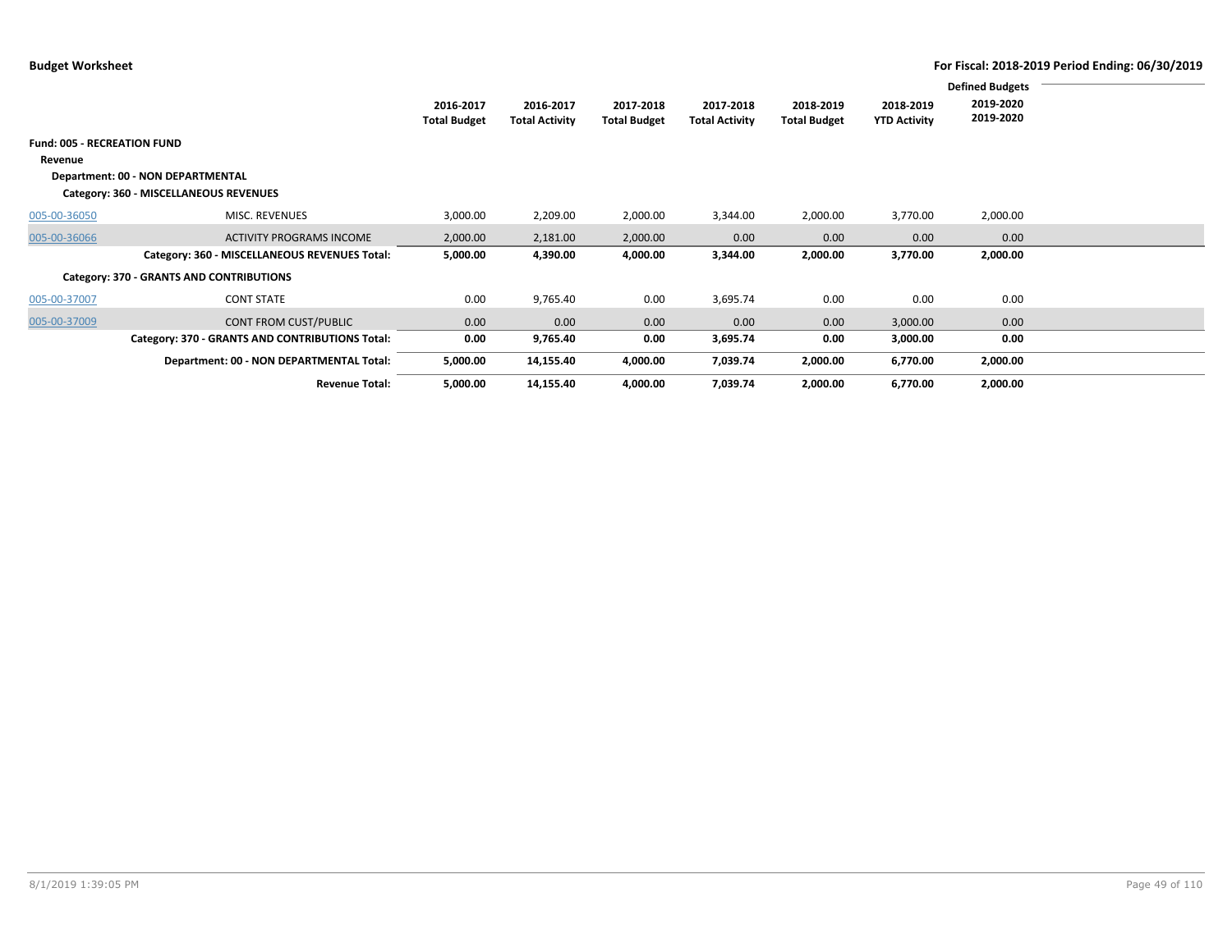|                             |                                                 |                     |                       |                     |                       |                     |                     | <b>Defined Budgets</b> |  |
|-----------------------------|-------------------------------------------------|---------------------|-----------------------|---------------------|-----------------------|---------------------|---------------------|------------------------|--|
|                             |                                                 | 2016-2017           | 2016-2017             | 2017-2018           | 2017-2018             | 2018-2019           | 2018-2019           | 2019-2020              |  |
|                             |                                                 | <b>Total Budget</b> | <b>Total Activity</b> | <b>Total Budget</b> | <b>Total Activity</b> | <b>Total Budget</b> | <b>YTD Activity</b> | 2019-2020              |  |
|                             |                                                 |                     |                       |                     |                       |                     |                     |                        |  |
| Fund: 005 - RECREATION FUND |                                                 |                     |                       |                     |                       |                     |                     |                        |  |
| Revenue                     |                                                 |                     |                       |                     |                       |                     |                     |                        |  |
|                             | Department: 00 - NON DEPARTMENTAL               |                     |                       |                     |                       |                     |                     |                        |  |
|                             |                                                 |                     |                       |                     |                       |                     |                     |                        |  |
|                             | Category: 360 - MISCELLANEOUS REVENUES          |                     |                       |                     |                       |                     |                     |                        |  |
| 005-00-36050                | MISC. REVENUES                                  | 3,000.00            | 2,209.00              | 2,000.00            | 3,344.00              | 2,000.00            | 3,770.00            | 2,000.00               |  |
|                             |                                                 |                     |                       |                     |                       |                     |                     |                        |  |
| 005-00-36066                | <b>ACTIVITY PROGRAMS INCOME</b>                 | 2,000.00            | 2,181.00              | 2,000.00            | 0.00                  | 0.00                | 0.00                | 0.00                   |  |
|                             | Category: 360 - MISCELLANEOUS REVENUES Total:   | 5,000.00            | 4,390.00              | 4,000.00            | 3,344.00              | 2,000.00            | 3,770.00            | 2,000.00               |  |
|                             |                                                 |                     |                       |                     |                       |                     |                     |                        |  |
|                             | Category: 370 - GRANTS AND CONTRIBUTIONS        |                     |                       |                     |                       |                     |                     |                        |  |
| 005-00-37007                | <b>CONT STATE</b>                               | 0.00                | 9,765.40              | 0.00                | 3,695.74              | 0.00                | 0.00                | 0.00                   |  |
|                             |                                                 |                     |                       |                     |                       |                     |                     |                        |  |
| 005-00-37009                | <b>CONT FROM CUST/PUBLIC</b>                    | 0.00                | 0.00                  | 0.00                | 0.00                  | 0.00                | 3,000.00            | 0.00                   |  |
|                             | Category: 370 - GRANTS AND CONTRIBUTIONS Total: | 0.00                | 9,765.40              | 0.00                | 3,695.74              | 0.00                | 3,000.00            | 0.00                   |  |
|                             | Department: 00 - NON DEPARTMENTAL Total:        | 5,000.00            | 14,155.40             | 4,000.00            | 7,039.74              | 2,000.00            | 6,770.00            | 2,000.00               |  |
|                             |                                                 |                     |                       |                     |                       |                     |                     |                        |  |
|                             | <b>Revenue Total:</b>                           | 5,000.00            | 14,155.40             | 4,000.00            | 7,039.74              | 2,000.00            | 6,770.00            | 2,000.00               |  |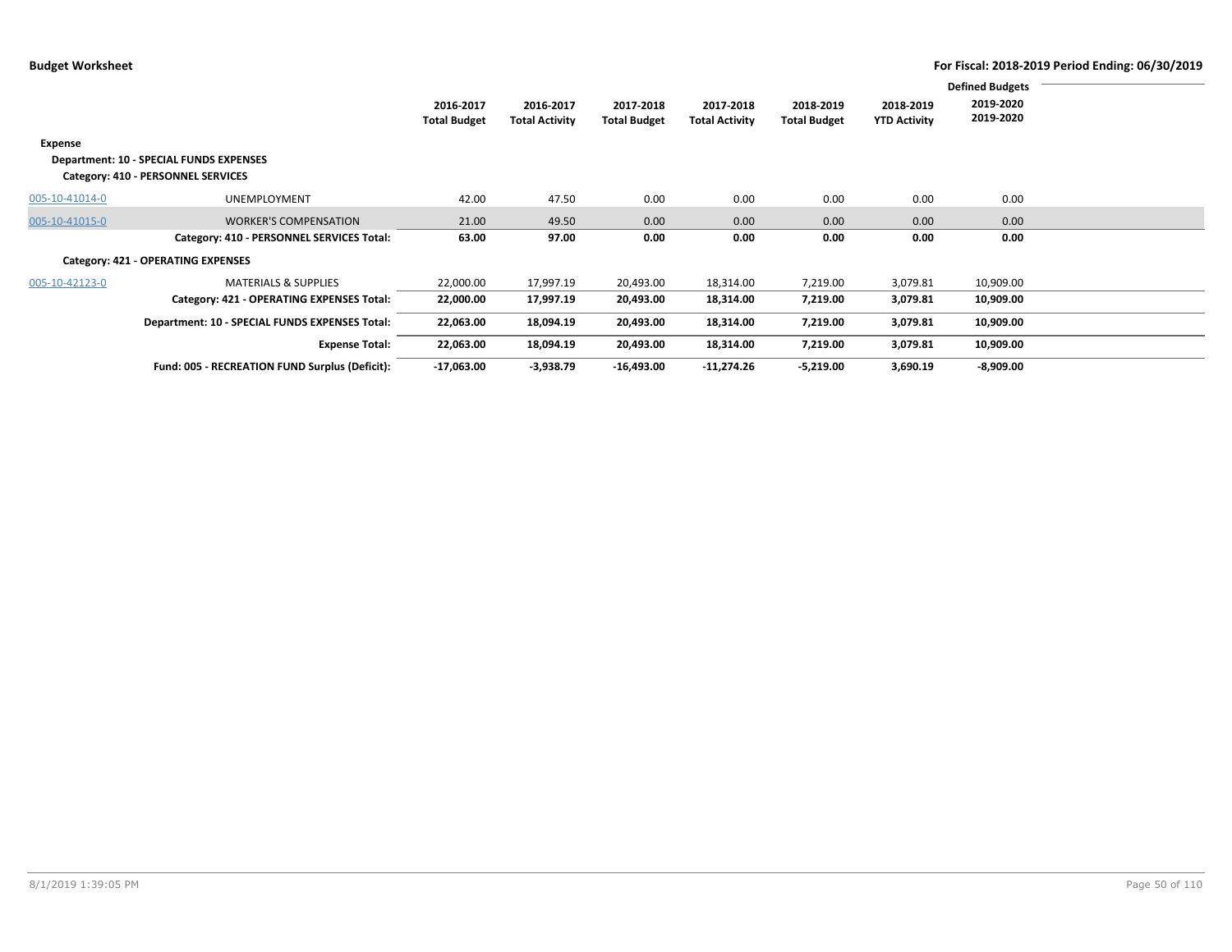|                |                                                |                                  |                                    |                                  |                                    |                                  |                                  | <b>Defined Budgets</b> |  |
|----------------|------------------------------------------------|----------------------------------|------------------------------------|----------------------------------|------------------------------------|----------------------------------|----------------------------------|------------------------|--|
|                |                                                | 2016-2017<br><b>Total Budget</b> | 2016-2017<br><b>Total Activity</b> | 2017-2018<br><b>Total Budget</b> | 2017-2018<br><b>Total Activity</b> | 2018-2019<br><b>Total Budget</b> | 2018-2019<br><b>YTD Activity</b> | 2019-2020<br>2019-2020 |  |
| Expense        |                                                |                                  |                                    |                                  |                                    |                                  |                                  |                        |  |
|                | Department: 10 - SPECIAL FUNDS EXPENSES        |                                  |                                    |                                  |                                    |                                  |                                  |                        |  |
|                | Category: 410 - PERSONNEL SERVICES             |                                  |                                    |                                  |                                    |                                  |                                  |                        |  |
| 005-10-41014-0 | UNEMPLOYMENT                                   | 42.00                            | 47.50                              | 0.00                             | 0.00                               | 0.00                             | 0.00                             | 0.00                   |  |
| 005-10-41015-0 | <b>WORKER'S COMPENSATION</b>                   | 21.00                            | 49.50                              | 0.00                             | 0.00                               | 0.00                             | 0.00                             | 0.00                   |  |
|                | Category: 410 - PERSONNEL SERVICES Total:      | 63.00                            | 97.00                              | 0.00                             | 0.00                               | 0.00                             | 0.00                             | 0.00                   |  |
|                | Category: 421 - OPERATING EXPENSES             |                                  |                                    |                                  |                                    |                                  |                                  |                        |  |
| 005-10-42123-0 | <b>MATERIALS &amp; SUPPLIES</b>                | 22,000.00                        | 17,997.19                          | 20,493.00                        | 18,314.00                          | 7,219.00                         | 3,079.81                         | 10,909.00              |  |
|                | Category: 421 - OPERATING EXPENSES Total:      | 22,000.00                        | 17,997.19                          | 20,493.00                        | 18,314.00                          | 7,219.00                         | 3,079.81                         | 10,909.00              |  |
|                | Department: 10 - SPECIAL FUNDS EXPENSES Total: | 22,063.00                        | 18,094.19                          | 20,493.00                        | 18,314.00                          | 7,219.00                         | 3,079.81                         | 10,909.00              |  |
|                | <b>Expense Total:</b>                          | 22,063.00                        | 18,094.19                          | 20,493.00                        | 18,314.00                          | 7,219.00                         | 3,079.81                         | 10,909.00              |  |
|                | Fund: 005 - RECREATION FUND Surplus (Deficit): | $-17,063.00$                     | $-3,938.79$                        | $-16,493.00$                     | $-11,274.26$                       | $-5,219.00$                      | 3,690.19                         | $-8,909.00$            |  |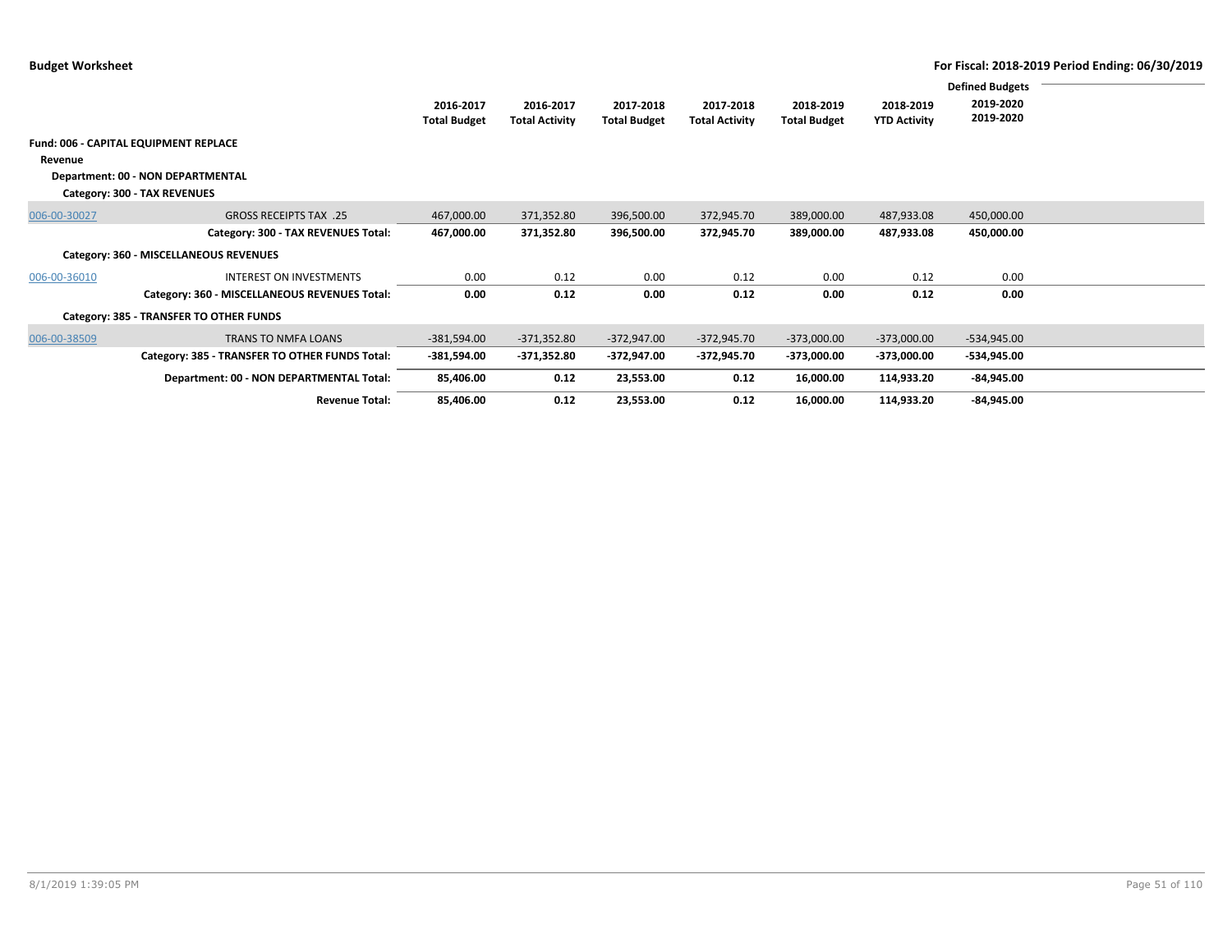|              |                                                |                     |                       |                     |                       |                     |                     | <b>Defined Budgets</b> |  |
|--------------|------------------------------------------------|---------------------|-----------------------|---------------------|-----------------------|---------------------|---------------------|------------------------|--|
|              |                                                | 2016-2017           | 2016-2017             | 2017-2018           | 2017-2018             | 2018-2019           | 2018-2019           | 2019-2020              |  |
|              |                                                | <b>Total Budget</b> | <b>Total Activity</b> | <b>Total Budget</b> | <b>Total Activity</b> | <b>Total Budget</b> | <b>YTD Activity</b> | 2019-2020              |  |
|              |                                                |                     |                       |                     |                       |                     |                     |                        |  |
|              | Fund: 006 - CAPITAL EQUIPMENT REPLACE          |                     |                       |                     |                       |                     |                     |                        |  |
| Revenue      |                                                |                     |                       |                     |                       |                     |                     |                        |  |
|              | Department: 00 - NON DEPARTMENTAL              |                     |                       |                     |                       |                     |                     |                        |  |
|              | Category: 300 - TAX REVENUES                   |                     |                       |                     |                       |                     |                     |                        |  |
|              |                                                |                     |                       |                     |                       |                     |                     |                        |  |
| 006-00-30027 | <b>GROSS RECEIPTS TAX .25</b>                  | 467,000.00          | 371,352.80            | 396,500.00          | 372,945.70            | 389,000.00          | 487,933.08          | 450,000.00             |  |
|              | Category: 300 - TAX REVENUES Total:            | 467,000.00          | 371,352.80            | 396,500.00          | 372,945.70            | 389,000.00          | 487,933.08          | 450,000.00             |  |
|              | Category: 360 - MISCELLANEOUS REVENUES         |                     |                       |                     |                       |                     |                     |                        |  |
| 006-00-36010 | INTEREST ON INVESTMENTS                        | 0.00                | 0.12                  | 0.00                | 0.12                  | 0.00                | 0.12                | 0.00                   |  |
|              | Category: 360 - MISCELLANEOUS REVENUES Total:  | 0.00                | 0.12                  | 0.00                | 0.12                  | 0.00                | 0.12                | 0.00                   |  |
|              | Category: 385 - TRANSFER TO OTHER FUNDS        |                     |                       |                     |                       |                     |                     |                        |  |
| 006-00-38509 | <b>TRANS TO NMFA LOANS</b>                     | $-381,594.00$       | $-371,352.80$         | $-372,947.00$       | $-372,945.70$         | $-373,000.00$       | $-373,000.00$       | $-534,945.00$          |  |
|              | Category: 385 - TRANSFER TO OTHER FUNDS Total: | -381,594.00         | -371,352.80           | -372,947.00         | -372,945.70           | -373,000.00         | -373,000.00         | -534,945.00            |  |
|              | Department: 00 - NON DEPARTMENTAL Total:       | 85,406.00           | 0.12                  | 23,553.00           | 0.12                  | 16,000.00           | 114,933.20          | $-84,945.00$           |  |
|              | <b>Revenue Total:</b>                          | 85,406.00           | 0.12                  | 23,553.00           | 0.12                  | 16,000.00           | 114,933.20          | $-84,945.00$           |  |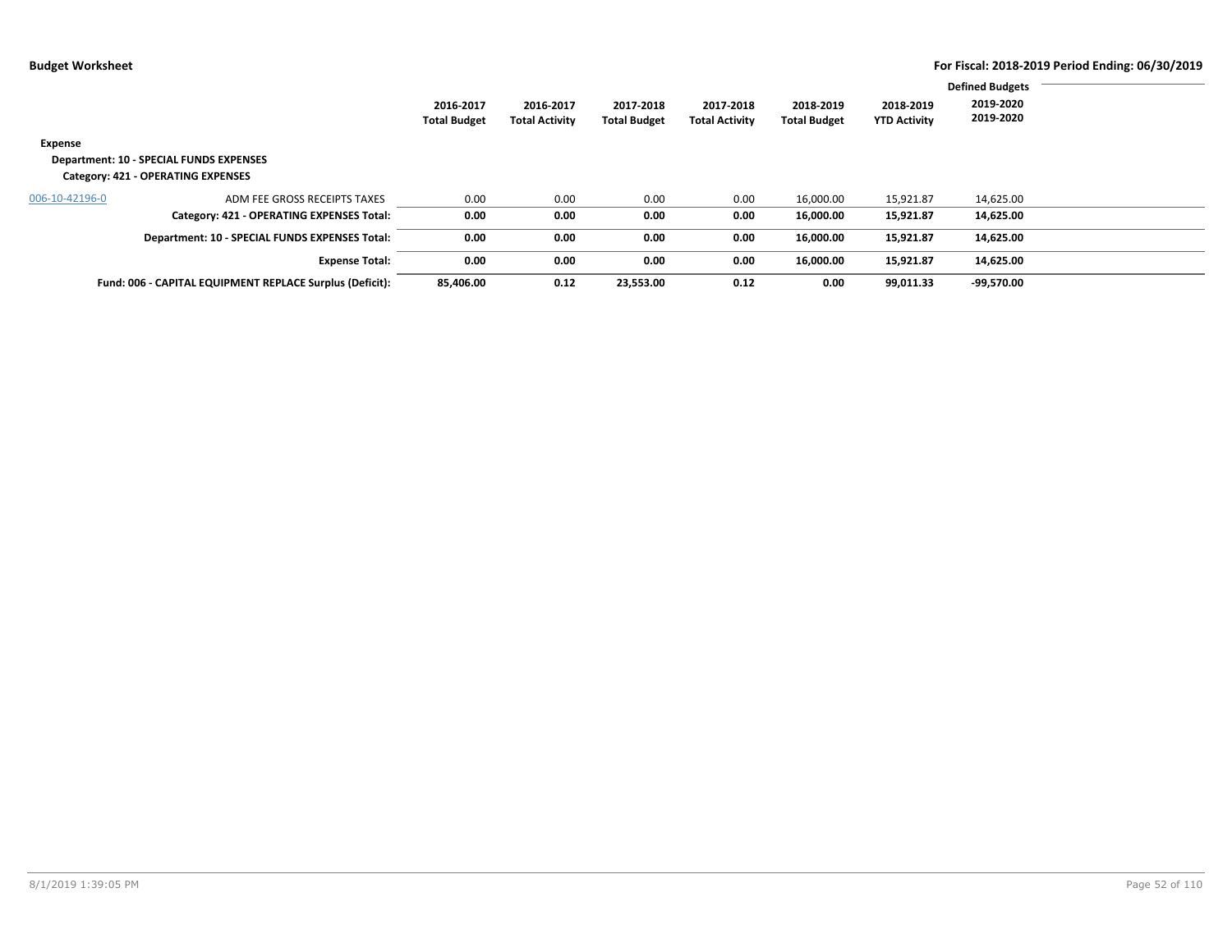|                                                          |                     |                       |                     |                       |                     |                     | <b>Defined Budgets</b> |  |
|----------------------------------------------------------|---------------------|-----------------------|---------------------|-----------------------|---------------------|---------------------|------------------------|--|
|                                                          | 2016-2017           | 2016-2017             | 2017-2018           | 2017-2018             | 2018-2019           | 2018-2019           | 2019-2020              |  |
|                                                          | <b>Total Budget</b> | <b>Total Activity</b> | <b>Total Budget</b> | <b>Total Activity</b> | <b>Total Budget</b> | <b>YTD Activity</b> | 2019-2020              |  |
| Expense                                                  |                     |                       |                     |                       |                     |                     |                        |  |
| <b>Department: 10 - SPECIAL FUNDS EXPENSES</b>           |                     |                       |                     |                       |                     |                     |                        |  |
| Category: 421 - OPERATING EXPENSES                       |                     |                       |                     |                       |                     |                     |                        |  |
| ADM FEE GROSS RECEIPTS TAXES<br>006-10-42196-0           | 0.00                | 0.00                  | 0.00                | 0.00                  | 16,000.00           | 15,921.87           | 14,625.00              |  |
| Category: 421 - OPERATING EXPENSES Total:                | 0.00                | 0.00                  | 0.00                | 0.00                  | 16,000.00           | 15,921.87           | 14,625.00              |  |
| Department: 10 - SPECIAL FUNDS EXPENSES Total:           | 0.00                | 0.00                  | 0.00                | 0.00                  | 16,000.00           | 15,921.87           | 14,625.00              |  |
| <b>Expense Total:</b>                                    | 0.00                | 0.00                  | 0.00                | 0.00                  | 16,000.00           | 15,921.87           | 14,625.00              |  |
| Fund: 006 - CAPITAL EQUIPMENT REPLACE Surplus (Deficit): | 85,406.00           | 0.12                  | 23,553.00           | 0.12                  | 0.00                | 99,011.33           | -99,570.00             |  |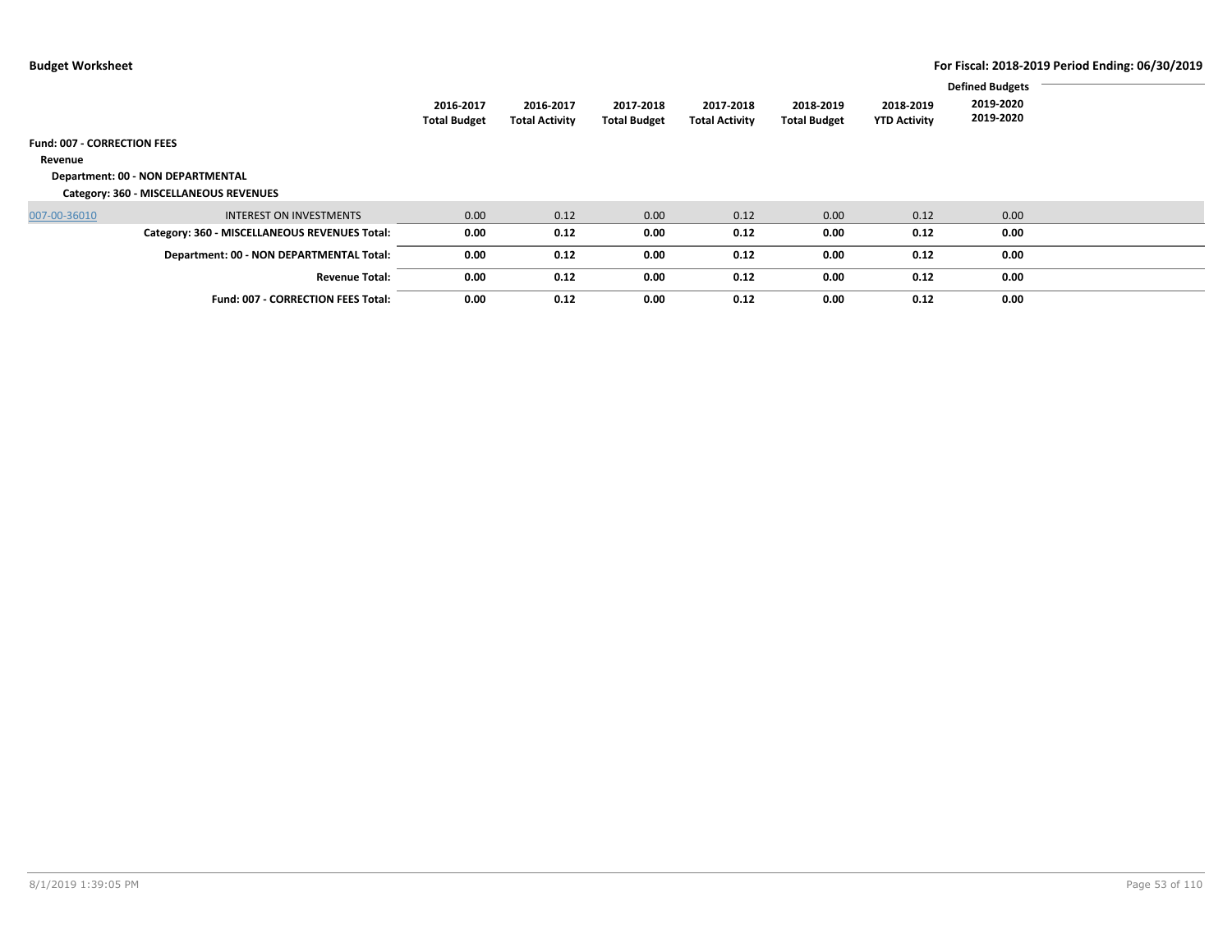|                                    |                                               |                                  |                                    |                                  |                                    |                                  |                                  | <b>Defined Budgets</b> |  |
|------------------------------------|-----------------------------------------------|----------------------------------|------------------------------------|----------------------------------|------------------------------------|----------------------------------|----------------------------------|------------------------|--|
|                                    |                                               | 2016-2017<br><b>Total Budget</b> | 2016-2017<br><b>Total Activity</b> | 2017-2018<br><b>Total Budget</b> | 2017-2018<br><b>Total Activity</b> | 2018-2019<br><b>Total Budget</b> | 2018-2019<br><b>YTD Activity</b> | 2019-2020<br>2019-2020 |  |
| <b>Fund: 007 - CORRECTION FEES</b> |                                               |                                  |                                    |                                  |                                    |                                  |                                  |                        |  |
| Revenue                            |                                               |                                  |                                    |                                  |                                    |                                  |                                  |                        |  |
|                                    | Department: 00 - NON DEPARTMENTAL             |                                  |                                    |                                  |                                    |                                  |                                  |                        |  |
|                                    | Category: 360 - MISCELLANEOUS REVENUES        |                                  |                                    |                                  |                                    |                                  |                                  |                        |  |
| 007-00-36010                       | <b>INTEREST ON INVESTMENTS</b>                | 0.00                             | 0.12                               | 0.00                             | 0.12                               | 0.00                             | 0.12                             | 0.00                   |  |
|                                    | Category: 360 - MISCELLANEOUS REVENUES Total: | 0.00                             | 0.12                               | 0.00                             | 0.12                               | 0.00                             | 0.12                             | 0.00                   |  |
|                                    | Department: 00 - NON DEPARTMENTAL Total:      | 0.00                             | 0.12                               | 0.00                             | 0.12                               | 0.00                             | 0.12                             | 0.00                   |  |
|                                    | <b>Revenue Total:</b>                         | 0.00                             | 0.12                               | 0.00                             | 0.12                               | 0.00                             | 0.12                             | 0.00                   |  |
|                                    | Fund: 007 - CORRECTION FEES Total:            | 0.00                             | 0.12                               | 0.00                             | 0.12                               | 0.00                             | 0.12                             | 0.00                   |  |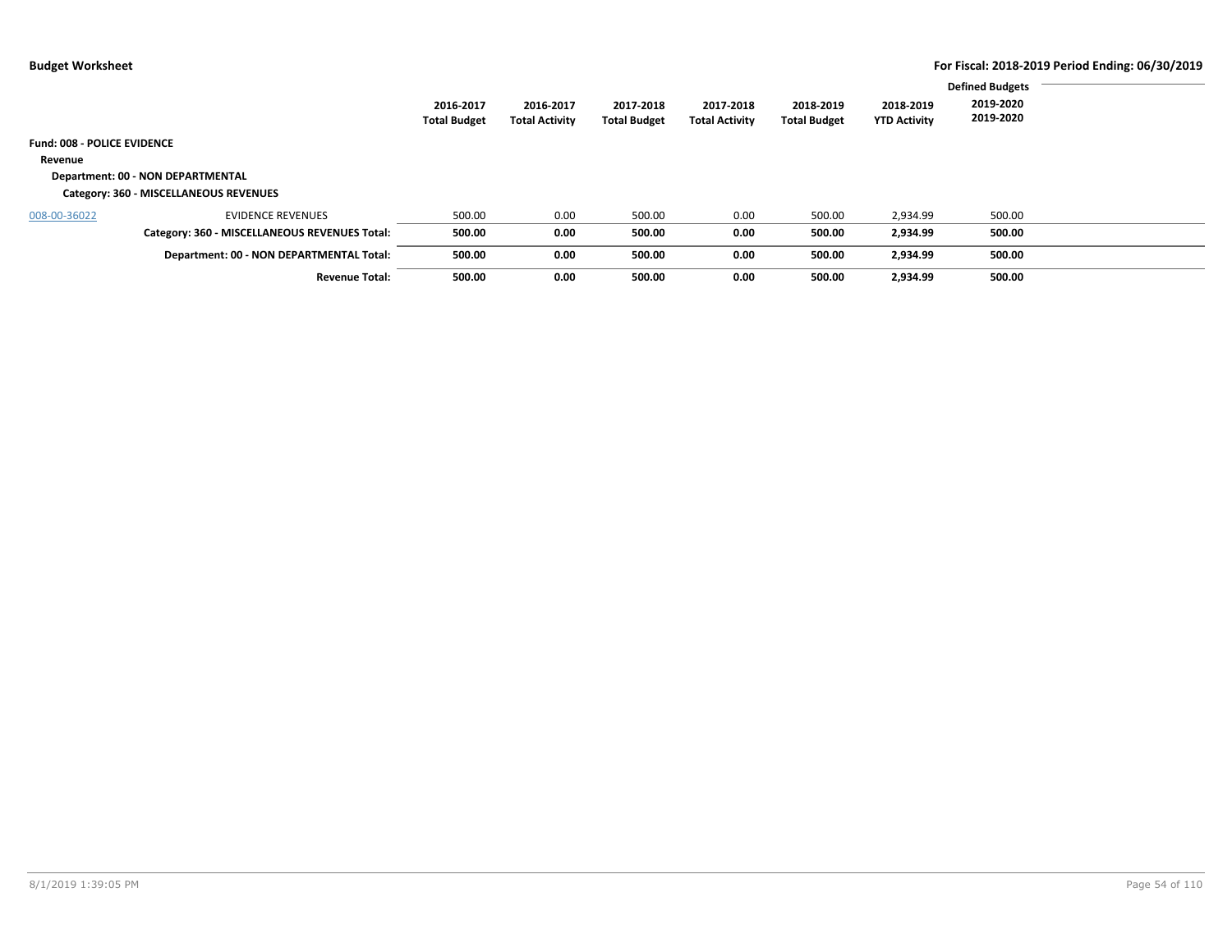|                                    |                                               | 2016-2017<br><b>Total Budget</b> | 2016-2017<br><b>Total Activity</b> | 2017-2018<br><b>Total Budget</b> | 2017-2018<br><b>Total Activity</b> | 2018-2019<br><b>Total Budget</b> | 2018-2019<br><b>YTD Activity</b> | <b>Defined Budgets</b><br>2019-2020<br>2019-2020 |  |
|------------------------------------|-----------------------------------------------|----------------------------------|------------------------------------|----------------------------------|------------------------------------|----------------------------------|----------------------------------|--------------------------------------------------|--|
| <b>Fund: 008 - POLICE EVIDENCE</b> |                                               |                                  |                                    |                                  |                                    |                                  |                                  |                                                  |  |
| Revenue                            |                                               |                                  |                                    |                                  |                                    |                                  |                                  |                                                  |  |
|                                    | Department: 00 - NON DEPARTMENTAL             |                                  |                                    |                                  |                                    |                                  |                                  |                                                  |  |
|                                    | Category: 360 - MISCELLANEOUS REVENUES        |                                  |                                    |                                  |                                    |                                  |                                  |                                                  |  |
| 008-00-36022                       | <b>EVIDENCE REVENUES</b>                      | 500.00                           | 0.00                               | 500.00                           | 0.00                               | 500.00                           | 2,934.99                         | 500.00                                           |  |
|                                    | Category: 360 - MISCELLANEOUS REVENUES Total: | 500.00                           | 0.00                               | 500.00                           | 0.00                               | 500.00                           | 2,934.99                         | 500.00                                           |  |
|                                    | Department: 00 - NON DEPARTMENTAL Total:      | 500.00                           | 0.00                               | 500.00                           | 0.00                               | 500.00                           | 2,934.99                         | 500.00                                           |  |
|                                    | <b>Revenue Total:</b>                         | 500.00                           | 0.00                               | 500.00                           | 0.00                               | 500.00                           | 2,934.99                         | 500.00                                           |  |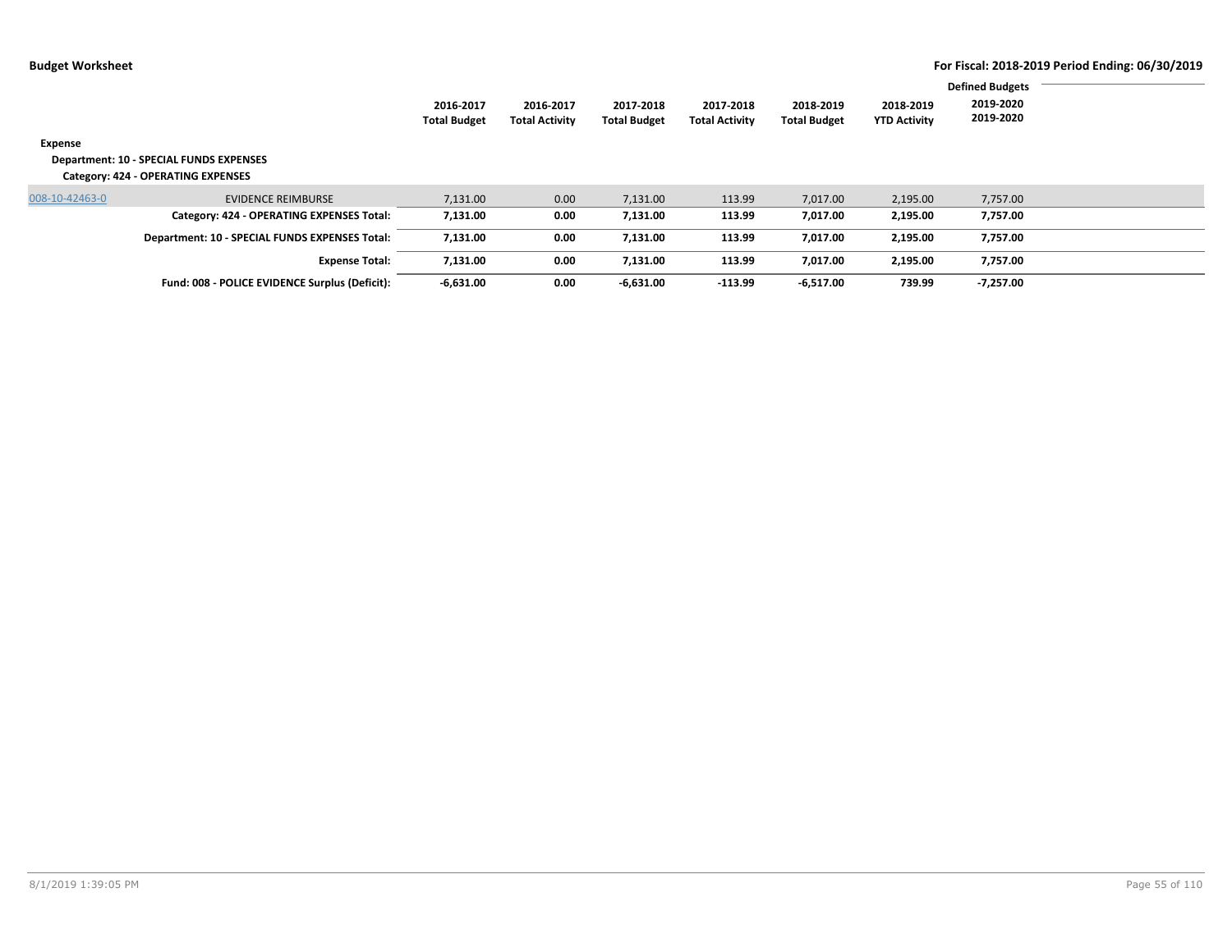| Expense        | Department: 10 - SPECIAL FUNDS EXPENSES<br>Category: 424 - OPERATING EXPENSES | 2016-2017<br><b>Total Budget</b> | 2016-2017<br><b>Total Activity</b> | 2017-2018<br><b>Total Budget</b> | 2017-2018<br><b>Total Activity</b> | 2018-2019<br><b>Total Budget</b> | 2018-2019<br><b>YTD Activity</b> | <b>Defined Budgets</b><br>2019-2020<br>2019-2020 |  |
|----------------|-------------------------------------------------------------------------------|----------------------------------|------------------------------------|----------------------------------|------------------------------------|----------------------------------|----------------------------------|--------------------------------------------------|--|
| 008-10-42463-0 | <b>EVIDENCE REIMBURSE</b>                                                     | 7,131.00                         | 0.00                               | 7,131.00                         | 113.99                             | 7,017.00                         | 2,195.00                         | 7,757.00                                         |  |
|                | Category: 424 - OPERATING EXPENSES Total:                                     | 7,131.00                         | 0.00                               | 7,131.00                         | 113.99                             | 7,017.00                         | 2,195.00                         | 7,757.00                                         |  |
|                | Department: 10 - SPECIAL FUNDS EXPENSES Total:                                | 7,131.00                         | 0.00                               | 7,131.00                         | 113.99                             | 7,017.00                         | 2,195.00                         | 7,757.00                                         |  |
|                | <b>Expense Total:</b>                                                         | 7,131.00                         | 0.00                               | 7,131.00                         | 113.99                             | 7,017.00                         | 2,195.00                         | 7,757.00                                         |  |
|                | Fund: 008 - POLICE EVIDENCE Surplus (Deficit):                                | $-6,631.00$                      | 0.00                               | $-6,631.00$                      | $-113.99$                          | $-6,517.00$                      | 739.99                           | $-7,257.00$                                      |  |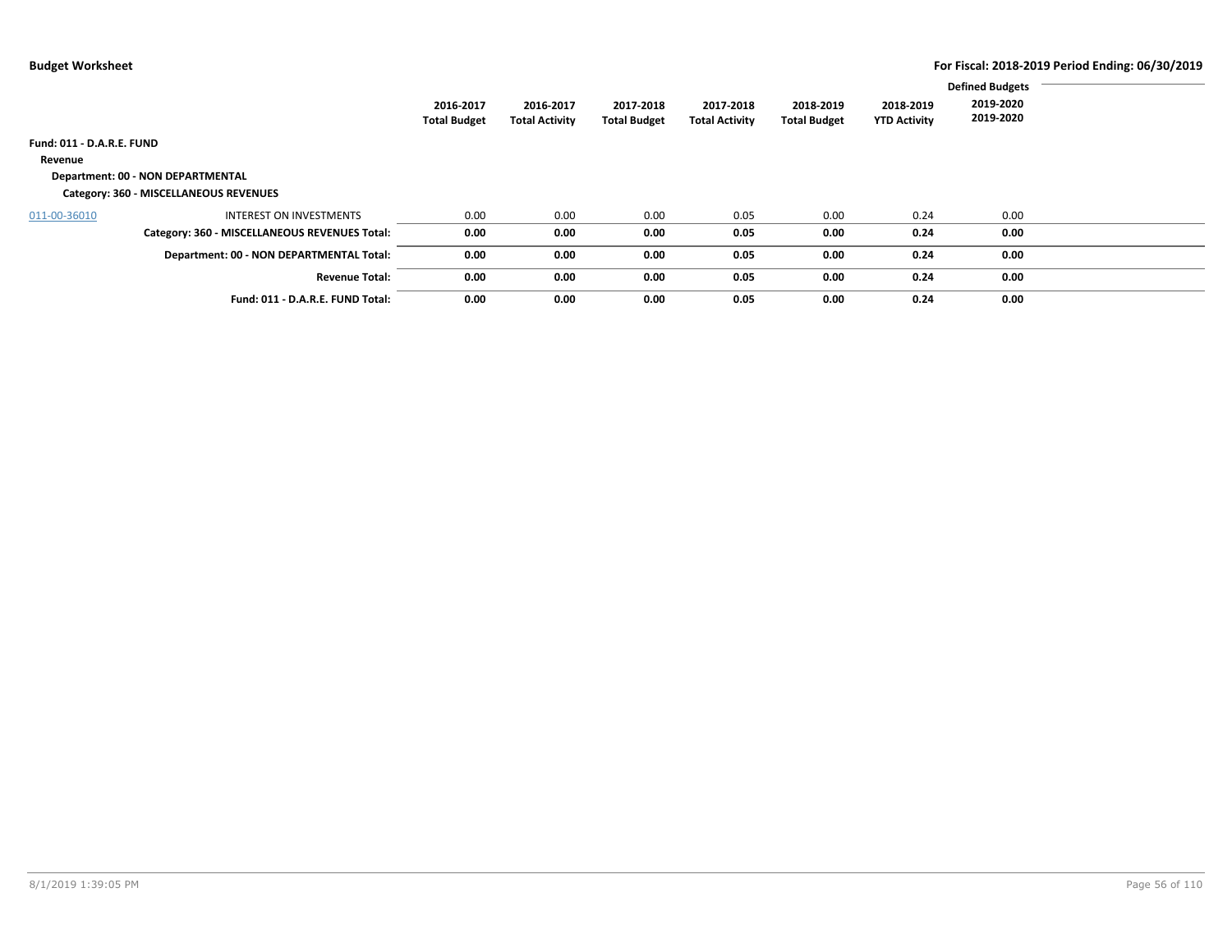|                                  |                                                                             | 2016-2017<br><b>Total Budget</b> | 2016-2017<br><b>Total Activity</b> | 2017-2018<br><b>Total Budget</b> | 2017-2018<br><b>Total Activity</b> | 2018-2019<br><b>Total Budget</b> | 2018-2019<br><b>YTD Activity</b> | <b>Defined Budgets</b><br>2019-2020<br>2019-2020 |  |
|----------------------------------|-----------------------------------------------------------------------------|----------------------------------|------------------------------------|----------------------------------|------------------------------------|----------------------------------|----------------------------------|--------------------------------------------------|--|
| <b>Fund: 011 - D.A.R.E. FUND</b> |                                                                             |                                  |                                    |                                  |                                    |                                  |                                  |                                                  |  |
| Revenue                          |                                                                             |                                  |                                    |                                  |                                    |                                  |                                  |                                                  |  |
|                                  | Department: 00 - NON DEPARTMENTAL<br>Category: 360 - MISCELLANEOUS REVENUES |                                  |                                    |                                  |                                    |                                  |                                  |                                                  |  |
| 011-00-36010                     | INTEREST ON INVESTMENTS                                                     | 0.00                             | 0.00                               | 0.00                             | 0.05                               | 0.00                             | 0.24                             | 0.00                                             |  |
|                                  | Category: 360 - MISCELLANEOUS REVENUES Total:                               | 0.00                             | 0.00                               | 0.00                             | 0.05                               | 0.00                             | 0.24                             | 0.00                                             |  |
|                                  | Department: 00 - NON DEPARTMENTAL Total:                                    | 0.00                             | 0.00                               | 0.00                             | 0.05                               | 0.00                             | 0.24                             | 0.00                                             |  |
|                                  | <b>Revenue Total:</b>                                                       | 0.00                             | 0.00                               | 0.00                             | 0.05                               | 0.00                             | 0.24                             | 0.00                                             |  |
|                                  | Fund: 011 - D.A.R.E. FUND Total:                                            | 0.00                             | 0.00                               | 0.00                             | 0.05                               | 0.00                             | 0.24                             | 0.00                                             |  |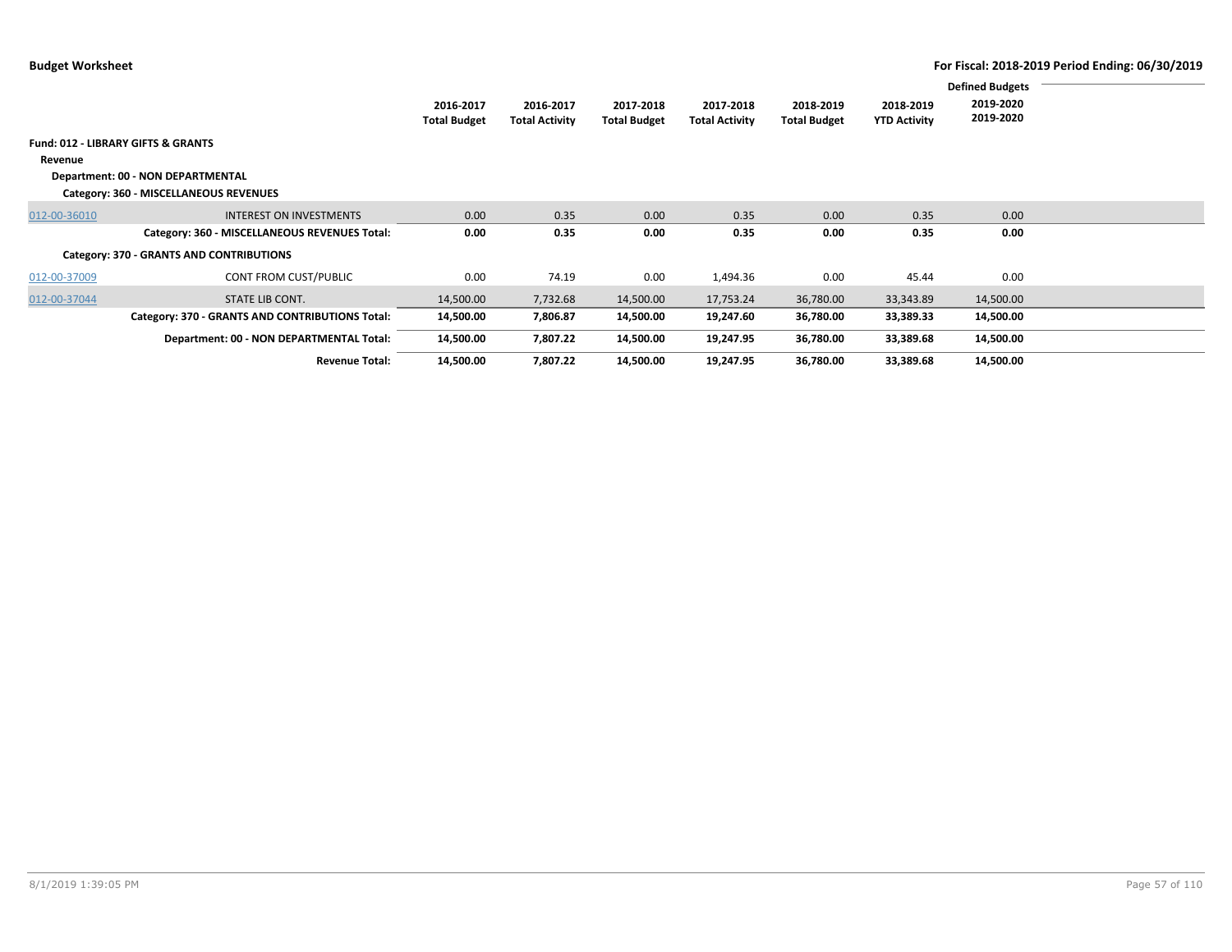|              |                                                                             |                                  |                                    |                                  |                                    |                                  |                                  | <b>Defined Budgets</b> |  |
|--------------|-----------------------------------------------------------------------------|----------------------------------|------------------------------------|----------------------------------|------------------------------------|----------------------------------|----------------------------------|------------------------|--|
|              |                                                                             | 2016-2017<br><b>Total Budget</b> | 2016-2017<br><b>Total Activity</b> | 2017-2018<br><b>Total Budget</b> | 2017-2018<br><b>Total Activity</b> | 2018-2019<br><b>Total Budget</b> | 2018-2019<br><b>YTD Activity</b> | 2019-2020<br>2019-2020 |  |
|              | <b>Fund: 012 - LIBRARY GIFTS &amp; GRANTS</b>                               |                                  |                                    |                                  |                                    |                                  |                                  |                        |  |
| Revenue      |                                                                             |                                  |                                    |                                  |                                    |                                  |                                  |                        |  |
|              | Department: 00 - NON DEPARTMENTAL<br>Category: 360 - MISCELLANEOUS REVENUES |                                  |                                    |                                  |                                    |                                  |                                  |                        |  |
| 012-00-36010 | <b>INTEREST ON INVESTMENTS</b>                                              | 0.00                             | 0.35                               | 0.00                             | 0.35                               | 0.00                             | 0.35                             | 0.00                   |  |
|              | Category: 360 - MISCELLANEOUS REVENUES Total:                               | 0.00                             | 0.35                               | 0.00                             | 0.35                               | 0.00                             | 0.35                             | 0.00                   |  |
|              | Category: 370 - GRANTS AND CONTRIBUTIONS                                    |                                  |                                    |                                  |                                    |                                  |                                  |                        |  |
| 012-00-37009 | CONT FROM CUST/PUBLIC                                                       | 0.00                             | 74.19                              | 0.00                             | 1,494.36                           | 0.00                             | 45.44                            | 0.00                   |  |
| 012-00-37044 | STATE LIB CONT.                                                             | 14,500.00                        | 7,732.68                           | 14,500.00                        | 17,753.24                          | 36,780.00                        | 33,343.89                        | 14,500.00              |  |
|              | Category: 370 - GRANTS AND CONTRIBUTIONS Total:                             | 14,500.00                        | 7,806.87                           | 14,500.00                        | 19,247.60                          | 36,780.00                        | 33,389.33                        | 14,500.00              |  |
|              | Department: 00 - NON DEPARTMENTAL Total:                                    | 14,500.00                        | 7,807.22                           | 14,500.00                        | 19,247.95                          | 36,780.00                        | 33,389.68                        | 14,500.00              |  |
|              | <b>Revenue Total:</b>                                                       | 14,500.00                        | 7,807.22                           | 14,500.00                        | 19,247.95                          | 36,780.00                        | 33,389.68                        | 14,500.00              |  |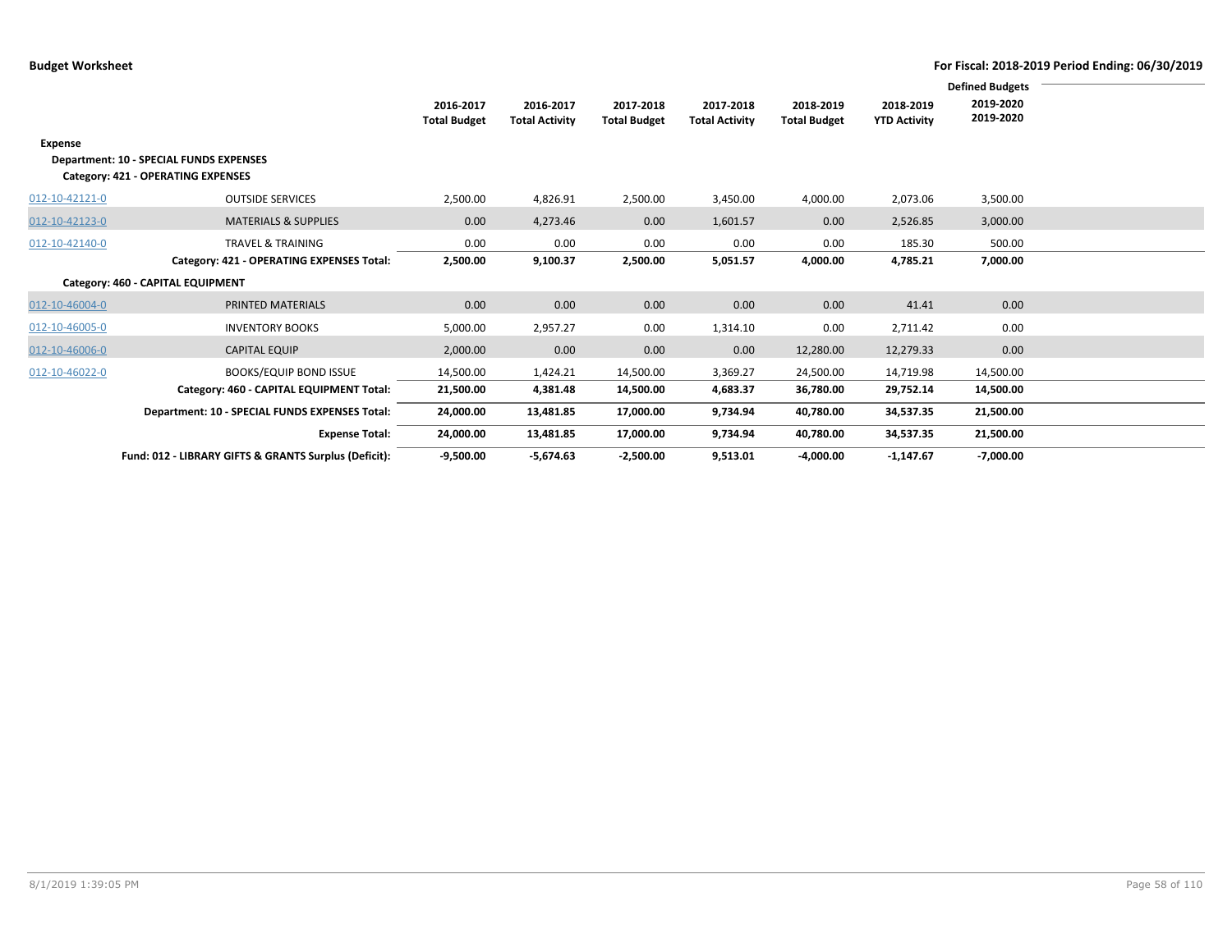|                |                                                       |                     |                       |                     |                       |                     |                     | <b>Defined Budgets</b> |  |
|----------------|-------------------------------------------------------|---------------------|-----------------------|---------------------|-----------------------|---------------------|---------------------|------------------------|--|
|                |                                                       | 2016-2017           | 2016-2017             | 2017-2018           | 2017-2018             | 2018-2019           | 2018-2019           | 2019-2020              |  |
|                |                                                       | <b>Total Budget</b> | <b>Total Activity</b> | <b>Total Budget</b> | <b>Total Activity</b> | <b>Total Budget</b> | <b>YTD Activity</b> | 2019-2020              |  |
|                |                                                       |                     |                       |                     |                       |                     |                     |                        |  |
| <b>Expense</b> |                                                       |                     |                       |                     |                       |                     |                     |                        |  |
|                | <b>Department: 10 - SPECIAL FUNDS EXPENSES</b>        |                     |                       |                     |                       |                     |                     |                        |  |
|                | Category: 421 - OPERATING EXPENSES                    |                     |                       |                     |                       |                     |                     |                        |  |
| 012-10-42121-0 | <b>OUTSIDE SERVICES</b>                               | 2,500.00            | 4,826.91              | 2,500.00            | 3,450.00              | 4,000.00            | 2,073.06            | 3,500.00               |  |
| 012-10-42123-0 | <b>MATERIALS &amp; SUPPLIES</b>                       | 0.00                | 4,273.46              | 0.00                | 1,601.57              | 0.00                | 2,526.85            | 3,000.00               |  |
| 012-10-42140-0 | <b>TRAVEL &amp; TRAINING</b>                          | 0.00                | 0.00                  | 0.00                | 0.00                  | 0.00                | 185.30              | 500.00                 |  |
|                | Category: 421 - OPERATING EXPENSES Total:             | 2,500.00            | 9,100.37              | 2,500.00            | 5,051.57              | 4,000.00            | 4,785.21            | 7,000.00               |  |
|                | Category: 460 - CAPITAL EQUIPMENT                     |                     |                       |                     |                       |                     |                     |                        |  |
| 012-10-46004-0 | PRINTED MATERIALS                                     | 0.00                | 0.00                  | 0.00                | 0.00                  | 0.00                | 41.41               | 0.00                   |  |
| 012-10-46005-0 | <b>INVENTORY BOOKS</b>                                | 5,000.00            | 2,957.27              | 0.00                | 1,314.10              | 0.00                | 2,711.42            | 0.00                   |  |
| 012-10-46006-0 | <b>CAPITAL EQUIP</b>                                  | 2,000.00            | 0.00                  | 0.00                | 0.00                  | 12,280.00           | 12,279.33           | 0.00                   |  |
| 012-10-46022-0 | <b>BOOKS/EQUIP BOND ISSUE</b>                         | 14,500.00           | 1,424.21              | 14,500.00           | 3,369.27              | 24,500.00           | 14,719.98           | 14,500.00              |  |
|                | Category: 460 - CAPITAL EQUIPMENT Total:              | 21,500.00           | 4,381.48              | 14,500.00           | 4,683.37              | 36,780.00           | 29,752.14           | 14,500.00              |  |
|                | Department: 10 - SPECIAL FUNDS EXPENSES Total:        | 24,000.00           | 13,481.85             | 17,000.00           | 9,734.94              | 40,780.00           | 34,537.35           | 21,500.00              |  |
|                | <b>Expense Total:</b>                                 | 24,000.00           | 13,481.85             | 17,000.00           | 9,734.94              | 40,780.00           | 34,537.35           | 21,500.00              |  |
|                | Fund: 012 - LIBRARY GIFTS & GRANTS Surplus (Deficit): | $-9,500.00$         | $-5,674.63$           | $-2,500.00$         | 9,513.01              | $-4,000.00$         | $-1,147.67$         | $-7,000.00$            |  |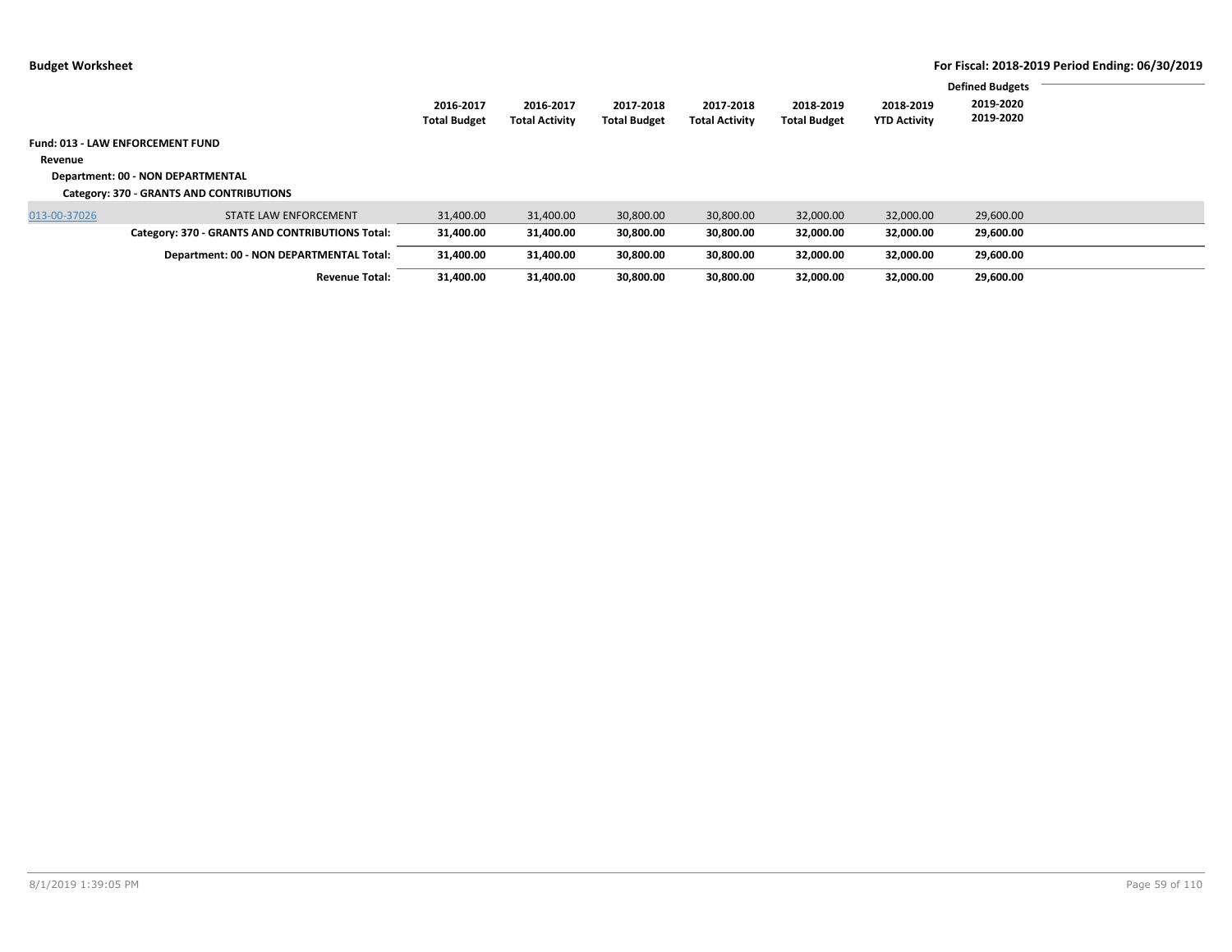|              |                                                 | 2016-2017<br><b>Total Budget</b> | 2016-2017<br><b>Total Activity</b> | 2017-2018<br><b>Total Budget</b> | 2017-2018<br><b>Total Activity</b> | 2018-2019<br><b>Total Budget</b> | 2018-2019<br><b>YTD Activity</b> | <b>Defined Budgets</b><br>2019-2020<br>2019-2020 |  |
|--------------|-------------------------------------------------|----------------------------------|------------------------------------|----------------------------------|------------------------------------|----------------------------------|----------------------------------|--------------------------------------------------|--|
|              | <b>Fund: 013 - LAW ENFORCEMENT FUND</b>         |                                  |                                    |                                  |                                    |                                  |                                  |                                                  |  |
| Revenue      |                                                 |                                  |                                    |                                  |                                    |                                  |                                  |                                                  |  |
|              | Department: 00 - NON DEPARTMENTAL               |                                  |                                    |                                  |                                    |                                  |                                  |                                                  |  |
|              | Category: 370 - GRANTS AND CONTRIBUTIONS        |                                  |                                    |                                  |                                    |                                  |                                  |                                                  |  |
| 013-00-37026 | STATE LAW ENFORCEMENT                           | 31,400.00                        | 31,400.00                          | 30,800.00                        | 30,800.00                          | 32,000.00                        | 32,000.00                        | 29,600.00                                        |  |
|              | Category: 370 - GRANTS AND CONTRIBUTIONS Total: | 31,400.00                        | 31,400.00                          | 30,800.00                        | 30,800.00                          | 32,000.00                        | 32,000.00                        | 29,600.00                                        |  |
|              | Department: 00 - NON DEPARTMENTAL Total:        | 31,400.00                        | 31.400.00                          | 30,800.00                        | 30,800.00                          | 32,000.00                        | 32,000.00                        | 29,600.00                                        |  |
|              | <b>Revenue Total:</b>                           | 31.400.00                        | 31.400.00                          | 30,800.00                        | 30.800.00                          | 32.000.00                        | 32.000.00                        | 29.600.00                                        |  |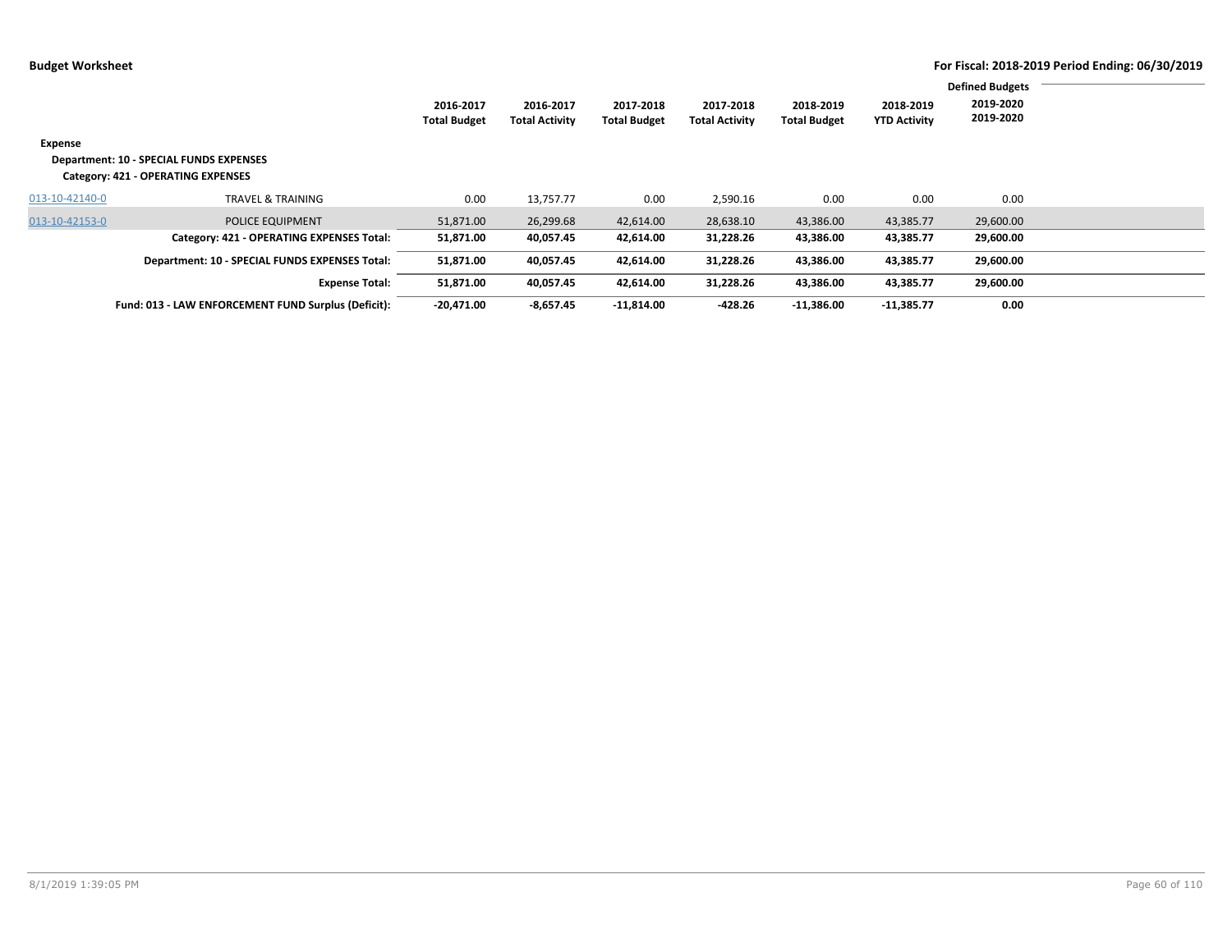|                |                                                                               |                                  |                                    |                                  |                                    |                                  |                                  | <b>Defined Budgets</b> |  |
|----------------|-------------------------------------------------------------------------------|----------------------------------|------------------------------------|----------------------------------|------------------------------------|----------------------------------|----------------------------------|------------------------|--|
|                |                                                                               | 2016-2017<br><b>Total Budget</b> | 2016-2017<br><b>Total Activity</b> | 2017-2018<br><b>Total Budget</b> | 2017-2018<br><b>Total Activity</b> | 2018-2019<br><b>Total Budget</b> | 2018-2019<br><b>YTD Activity</b> | 2019-2020<br>2019-2020 |  |
| Expense        | Department: 10 - SPECIAL FUNDS EXPENSES<br>Category: 421 - OPERATING EXPENSES |                                  |                                    |                                  |                                    |                                  |                                  |                        |  |
| 013-10-42140-0 | <b>TRAVEL &amp; TRAINING</b>                                                  | 0.00                             | 13,757.77                          | 0.00                             | 2,590.16                           | 0.00                             | 0.00                             | 0.00                   |  |
| 013-10-42153-0 | POLICE EQUIPMENT                                                              | 51,871.00                        | 26,299.68                          | 42,614.00                        | 28,638.10                          | 43,386.00                        | 43,385.77                        | 29,600.00              |  |
|                | Category: 421 - OPERATING EXPENSES Total:                                     | 51,871.00                        | 40,057.45                          | 42,614.00                        | 31,228.26                          | 43,386.00                        | 43,385.77                        | 29,600.00              |  |
|                | Department: 10 - SPECIAL FUNDS EXPENSES Total:                                | 51,871.00                        | 40,057.45                          | 42,614.00                        | 31,228.26                          | 43,386.00                        | 43,385.77                        | 29,600.00              |  |
|                | <b>Expense Total:</b>                                                         | 51,871.00                        | 40,057.45                          | 42,614.00                        | 31,228.26                          | 43,386.00                        | 43,385.77                        | 29,600.00              |  |
|                | Fund: 013 - LAW ENFORCEMENT FUND Surplus (Deficit):                           | $-20.471.00$                     | $-8,657.45$                        | $-11,814.00$                     | $-428.26$                          | $-11,386.00$                     | $-11,385.77$                     | 0.00                   |  |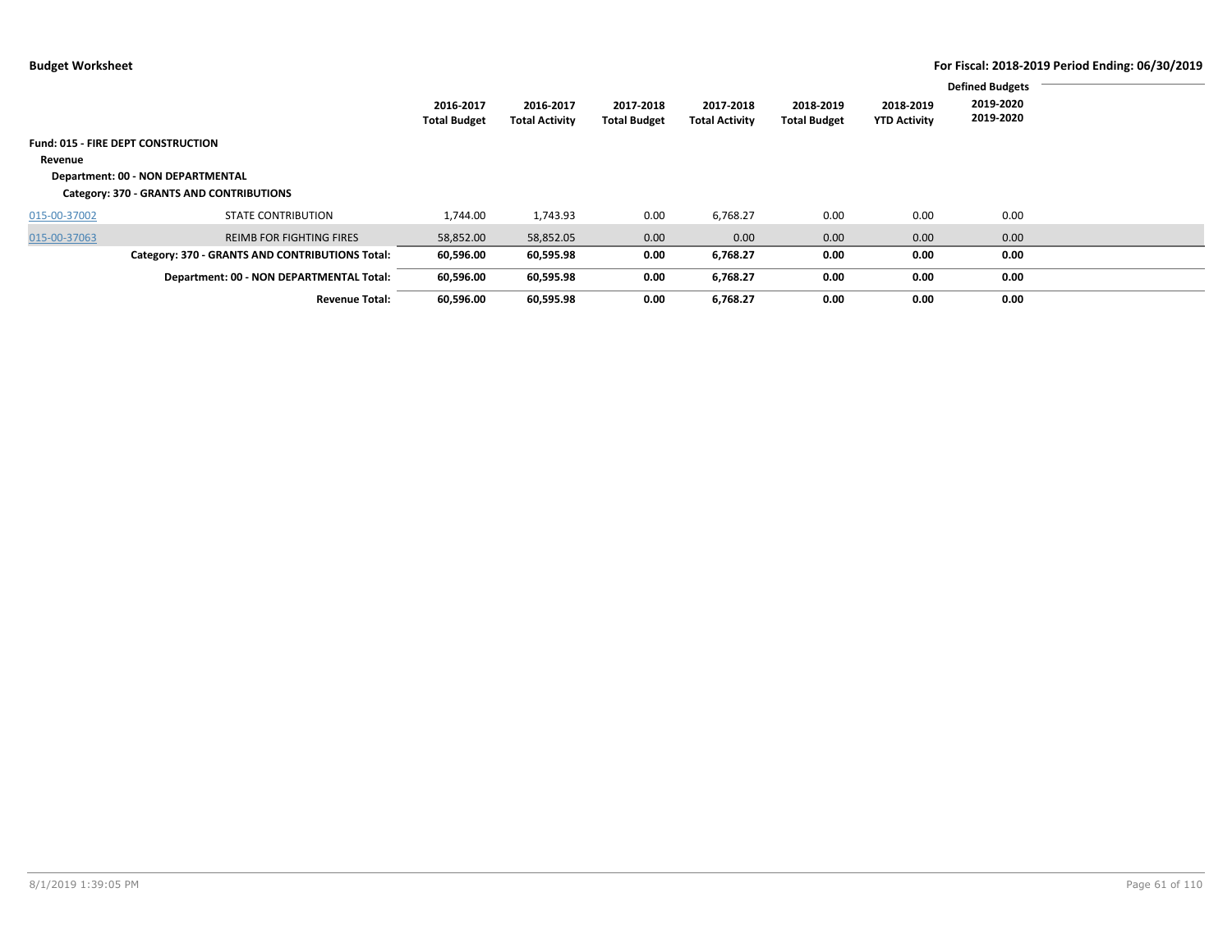|              |                                                                               |                                  |                                    |                                  |                                    |                                  |                                  | <b>Defined Budgets</b> |  |
|--------------|-------------------------------------------------------------------------------|----------------------------------|------------------------------------|----------------------------------|------------------------------------|----------------------------------|----------------------------------|------------------------|--|
|              |                                                                               | 2016-2017<br><b>Total Budget</b> | 2016-2017<br><b>Total Activity</b> | 2017-2018<br><b>Total Budget</b> | 2017-2018<br><b>Total Activity</b> | 2018-2019<br><b>Total Budget</b> | 2018-2019<br><b>YTD Activity</b> | 2019-2020<br>2019-2020 |  |
| Revenue      | <b>Fund: 015 - FIRE DEPT CONSTRUCTION</b>                                     |                                  |                                    |                                  |                                    |                                  |                                  |                        |  |
|              | Department: 00 - NON DEPARTMENTAL<br>Category: 370 - GRANTS AND CONTRIBUTIONS |                                  |                                    |                                  |                                    |                                  |                                  |                        |  |
| 015-00-37002 | <b>STATE CONTRIBUTION</b>                                                     | 1,744.00                         | 1,743.93                           | 0.00                             | 6,768.27                           | 0.00                             | 0.00                             | 0.00                   |  |
| 015-00-37063 | <b>REIMB FOR FIGHTING FIRES</b>                                               | 58,852.00                        | 58,852.05                          | 0.00                             | 0.00                               | 0.00                             | 0.00                             | 0.00                   |  |
|              | Category: 370 - GRANTS AND CONTRIBUTIONS Total:                               | 60,596.00                        | 60,595.98                          | 0.00                             | 6,768.27                           | 0.00                             | 0.00                             | 0.00                   |  |
|              | Department: 00 - NON DEPARTMENTAL Total:                                      | 60,596.00                        | 60,595.98                          | 0.00                             | 6,768.27                           | 0.00                             | 0.00                             | 0.00                   |  |
|              | <b>Revenue Total:</b>                                                         | 60,596.00                        | 60,595.98                          | 0.00                             | 6,768.27                           | 0.00                             | 0.00                             | 0.00                   |  |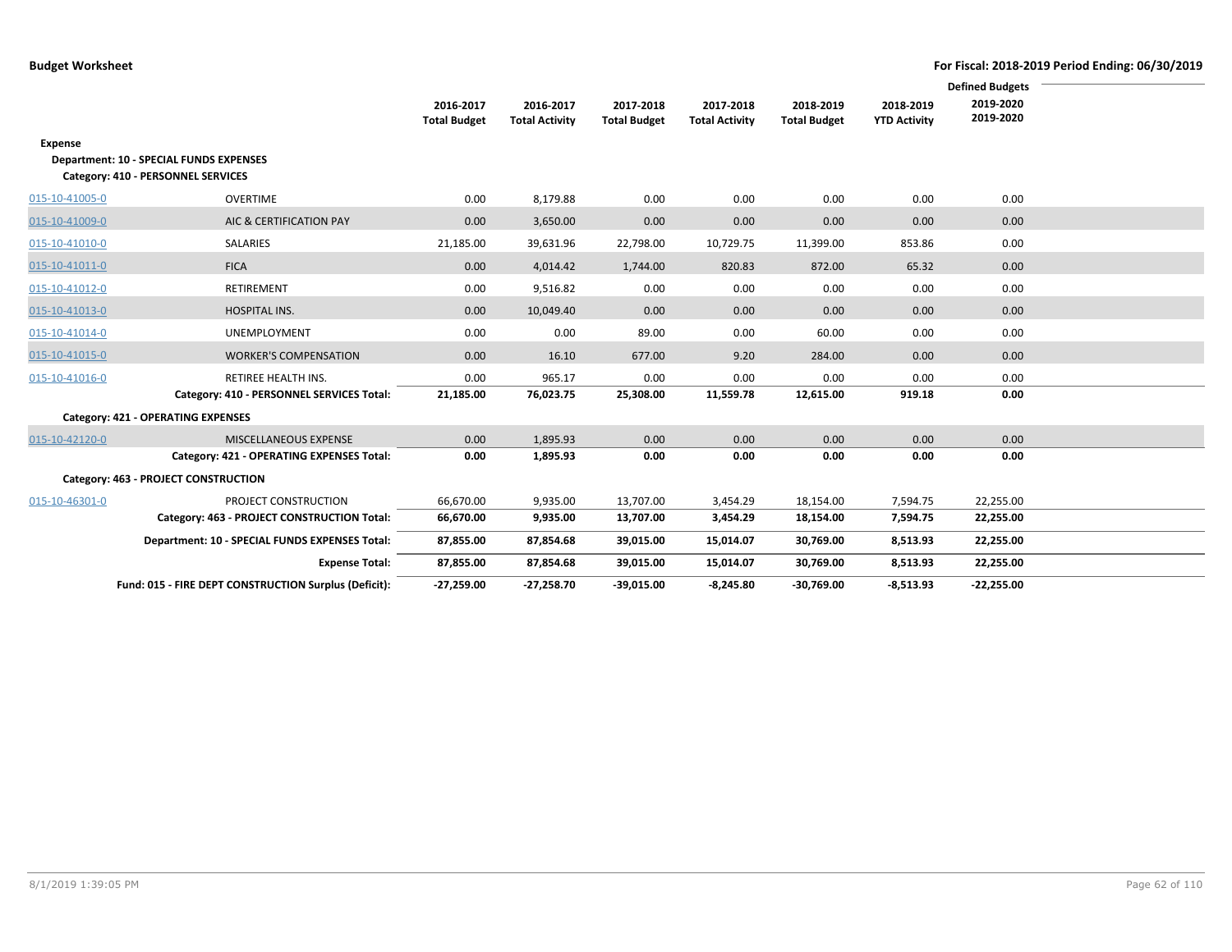|                |                                                       |                                  |                                    |                                  |                                    |                                  |                                  | <b>Defined Budgets</b><br>2019-2020 |  |
|----------------|-------------------------------------------------------|----------------------------------|------------------------------------|----------------------------------|------------------------------------|----------------------------------|----------------------------------|-------------------------------------|--|
|                |                                                       | 2016-2017<br><b>Total Budget</b> | 2016-2017<br><b>Total Activity</b> | 2017-2018<br><b>Total Budget</b> | 2017-2018<br><b>Total Activity</b> | 2018-2019<br><b>Total Budget</b> | 2018-2019<br><b>YTD Activity</b> | 2019-2020                           |  |
| <b>Expense</b> |                                                       |                                  |                                    |                                  |                                    |                                  |                                  |                                     |  |
|                | <b>Department: 10 - SPECIAL FUNDS EXPENSES</b>        |                                  |                                    |                                  |                                    |                                  |                                  |                                     |  |
|                | Category: 410 - PERSONNEL SERVICES                    |                                  |                                    |                                  |                                    |                                  |                                  |                                     |  |
| 015-10-41005-0 | OVERTIME                                              | 0.00                             | 8,179.88                           | 0.00                             | 0.00                               | 0.00                             | 0.00                             | 0.00                                |  |
| 015-10-41009-0 | AIC & CERTIFICATION PAY                               | 0.00                             | 3,650.00                           | 0.00                             | 0.00                               | 0.00                             | 0.00                             | 0.00                                |  |
| 015-10-41010-0 | <b>SALARIES</b>                                       | 21,185.00                        | 39,631.96                          | 22,798.00                        | 10,729.75                          | 11,399.00                        | 853.86                           | 0.00                                |  |
| 015-10-41011-0 | <b>FICA</b>                                           | 0.00                             | 4,014.42                           | 1,744.00                         | 820.83                             | 872.00                           | 65.32                            | 0.00                                |  |
| 015-10-41012-0 | <b>RETIREMENT</b>                                     | 0.00                             | 9,516.82                           | 0.00                             | 0.00                               | 0.00                             | 0.00                             | 0.00                                |  |
| 015-10-41013-0 | <b>HOSPITAL INS.</b>                                  | 0.00                             | 10,049.40                          | 0.00                             | 0.00                               | 0.00                             | 0.00                             | 0.00                                |  |
| 015-10-41014-0 | UNEMPLOYMENT                                          | 0.00                             | 0.00                               | 89.00                            | 0.00                               | 60.00                            | 0.00                             | 0.00                                |  |
| 015-10-41015-0 | <b>WORKER'S COMPENSATION</b>                          | 0.00                             | 16.10                              | 677.00                           | 9.20                               | 284.00                           | 0.00                             | 0.00                                |  |
| 015-10-41016-0 | <b>RETIREE HEALTH INS.</b>                            | 0.00                             | 965.17                             | 0.00                             | 0.00                               | 0.00                             | 0.00                             | 0.00                                |  |
|                | Category: 410 - PERSONNEL SERVICES Total:             | 21,185.00                        | 76,023.75                          | 25,308.00                        | 11,559.78                          | 12,615.00                        | 919.18                           | 0.00                                |  |
|                | Category: 421 - OPERATING EXPENSES                    |                                  |                                    |                                  |                                    |                                  |                                  |                                     |  |
| 015-10-42120-0 | MISCELLANEOUS EXPENSE                                 | 0.00                             | 1,895.93                           | 0.00                             | 0.00                               | 0.00                             | 0.00                             | 0.00                                |  |
|                | Category: 421 - OPERATING EXPENSES Total:             | 0.00                             | 1,895.93                           | 0.00                             | 0.00                               | 0.00                             | 0.00                             | 0.00                                |  |
|                | Category: 463 - PROJECT CONSTRUCTION                  |                                  |                                    |                                  |                                    |                                  |                                  |                                     |  |
| 015-10-46301-0 | PROJECT CONSTRUCTION                                  | 66,670.00                        | 9,935.00                           | 13,707.00                        | 3,454.29                           | 18,154.00                        | 7,594.75                         | 22,255.00                           |  |
|                | Category: 463 - PROJECT CONSTRUCTION Total:           | 66,670.00                        | 9,935.00                           | 13,707.00                        | 3,454.29                           | 18,154.00                        | 7,594.75                         | 22,255.00                           |  |
|                | Department: 10 - SPECIAL FUNDS EXPENSES Total:        | 87,855.00                        | 87,854.68                          | 39,015.00                        | 15,014.07                          | 30,769.00                        | 8,513.93                         | 22,255.00                           |  |
|                | <b>Expense Total:</b>                                 | 87,855.00                        | 87,854.68                          | 39,015.00                        | 15,014.07                          | 30,769.00                        | 8,513.93                         | 22,255.00                           |  |
|                | Fund: 015 - FIRE DEPT CONSTRUCTION Surplus (Deficit): | $-27,259.00$                     | $-27,258.70$                       | $-39,015.00$                     | $-8,245.80$                        | $-30,769.00$                     | $-8.513.93$                      | $-22,255.00$                        |  |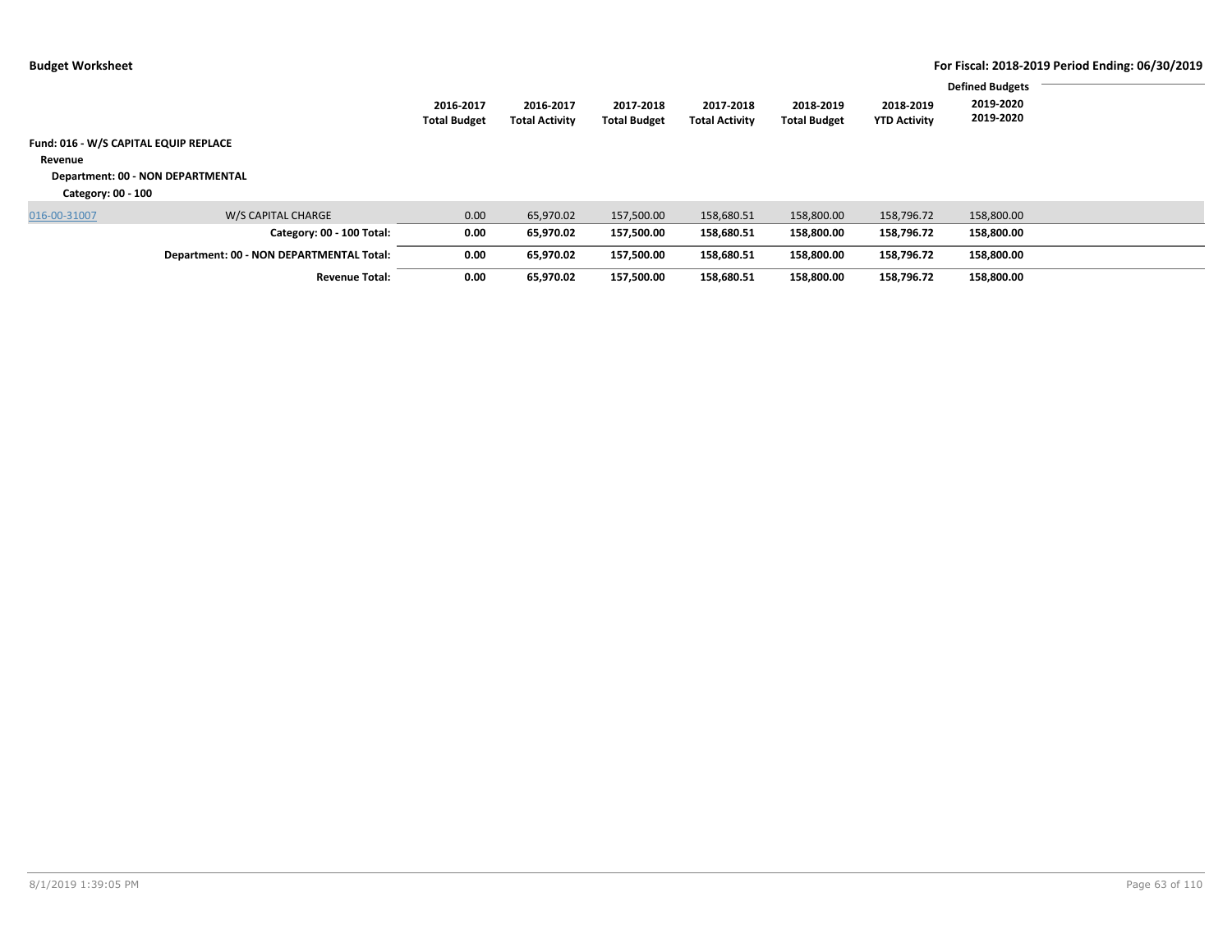|                                                                        |                                          | 2016-2017<br><b>Total Budget</b> | 2016-2017<br><b>Total Activity</b> | 2017-2018<br><b>Total Budget</b> | 2017-2018<br><b>Total Activity</b> | 2018-2019<br><b>Total Budget</b> | 2018-2019<br><b>YTD Activity</b> | <b>Defined Budgets</b><br>2019-2020<br>2019-2020 |  |
|------------------------------------------------------------------------|------------------------------------------|----------------------------------|------------------------------------|----------------------------------|------------------------------------|----------------------------------|----------------------------------|--------------------------------------------------|--|
| Fund: 016 - W/S CAPITAL EQUIP REPLACE<br>Revenue<br>Category: 00 - 100 | Department: 00 - NON DEPARTMENTAL        |                                  |                                    |                                  |                                    |                                  |                                  |                                                  |  |
| 016-00-31007                                                           | W/S CAPITAL CHARGE                       | 0.00                             | 65,970.02                          | 157,500.00                       | 158,680.51                         | 158,800.00                       | 158,796.72                       | 158,800.00                                       |  |
|                                                                        | Category: 00 - 100 Total:                | 0.00                             | 65,970.02                          | 157,500.00                       | 158,680.51                         | 158,800.00                       | 158,796.72                       | 158,800.00                                       |  |
|                                                                        | Department: 00 - NON DEPARTMENTAL Total: | 0.00                             | 65,970.02                          | 157,500.00                       | 158,680.51                         | 158,800.00                       | 158,796.72                       | 158,800.00                                       |  |
|                                                                        | <b>Revenue Total:</b>                    | 0.00                             | 65.970.02                          | 157.500.00                       | 158.680.51                         | 158,800.00                       | 158,796.72                       | 158.800.00                                       |  |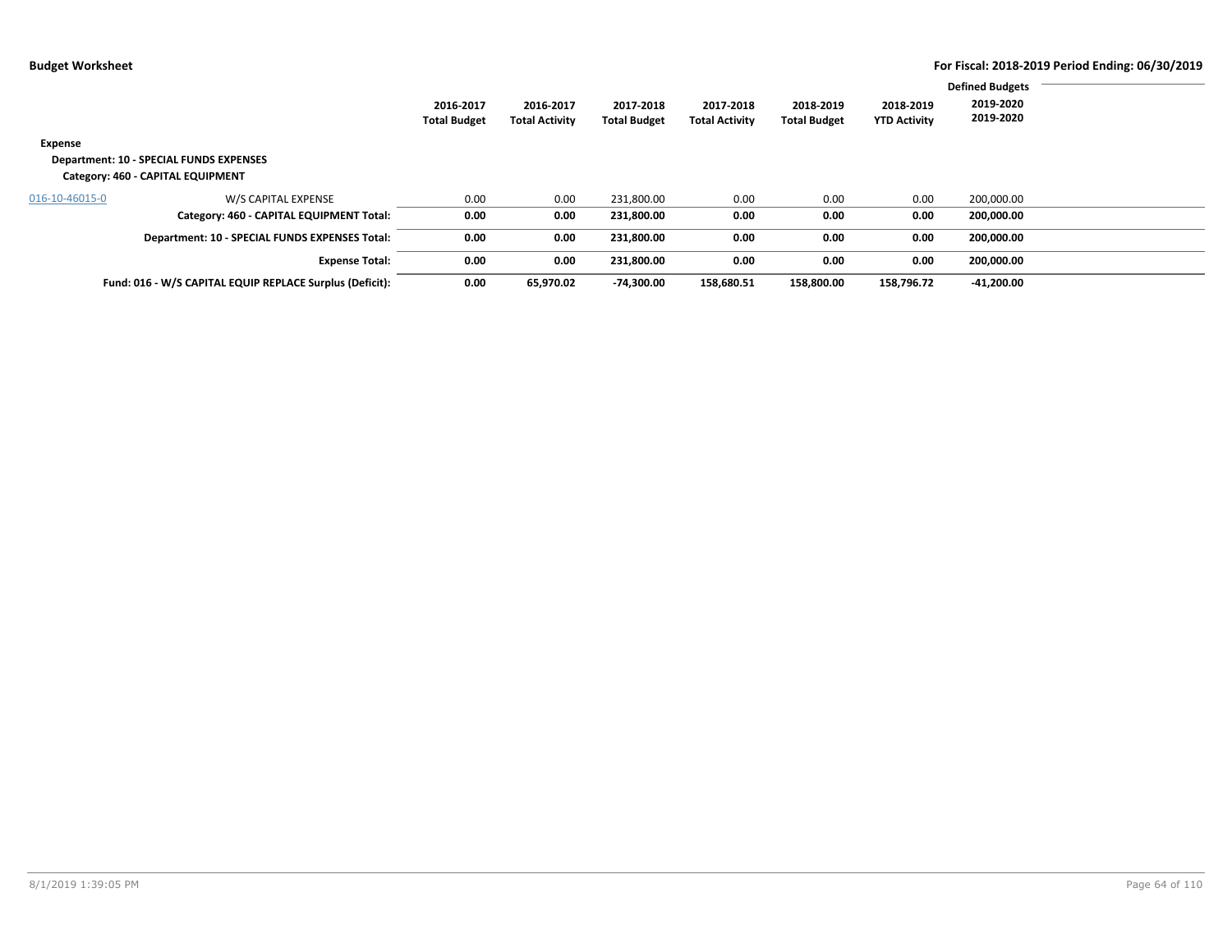|                                                          |                     |                       |                     |                       |                     |                     | <b>Defined Budgets</b> |  |
|----------------------------------------------------------|---------------------|-----------------------|---------------------|-----------------------|---------------------|---------------------|------------------------|--|
|                                                          | 2016-2017           | 2016-2017             | 2017-2018           | 2017-2018             | 2018-2019           | 2018-2019           | 2019-2020              |  |
|                                                          | <b>Total Budget</b> | <b>Total Activity</b> | <b>Total Budget</b> | <b>Total Activity</b> | <b>Total Budget</b> | <b>YTD Activity</b> | 2019-2020              |  |
| Expense                                                  |                     |                       |                     |                       |                     |                     |                        |  |
| <b>Department: 10 - SPECIAL FUNDS EXPENSES</b>           |                     |                       |                     |                       |                     |                     |                        |  |
| Category: 460 - CAPITAL EQUIPMENT                        |                     |                       |                     |                       |                     |                     |                        |  |
| W/S CAPITAL EXPENSE<br>016-10-46015-0                    | 0.00                | 0.00                  | 231,800.00          | 0.00                  | 0.00                | 0.00                | 200,000.00             |  |
| Category: 460 - CAPITAL EQUIPMENT Total:                 | 0.00                | 0.00                  | 231,800.00          | 0.00                  | 0.00                | 0.00                | 200,000.00             |  |
| Department: 10 - SPECIAL FUNDS EXPENSES Total:           | 0.00                | 0.00                  | 231,800.00          | 0.00                  | 0.00                | 0.00                | 200,000.00             |  |
| <b>Expense Total:</b>                                    | 0.00                | 0.00                  | 231,800.00          | 0.00                  | 0.00                | 0.00                | 200,000.00             |  |
| Fund: 016 - W/S CAPITAL EQUIP REPLACE Surplus (Deficit): | 0.00                | 65,970.02             | -74,300.00          | 158,680.51            | 158,800.00          | 158,796.72          | -41,200.00             |  |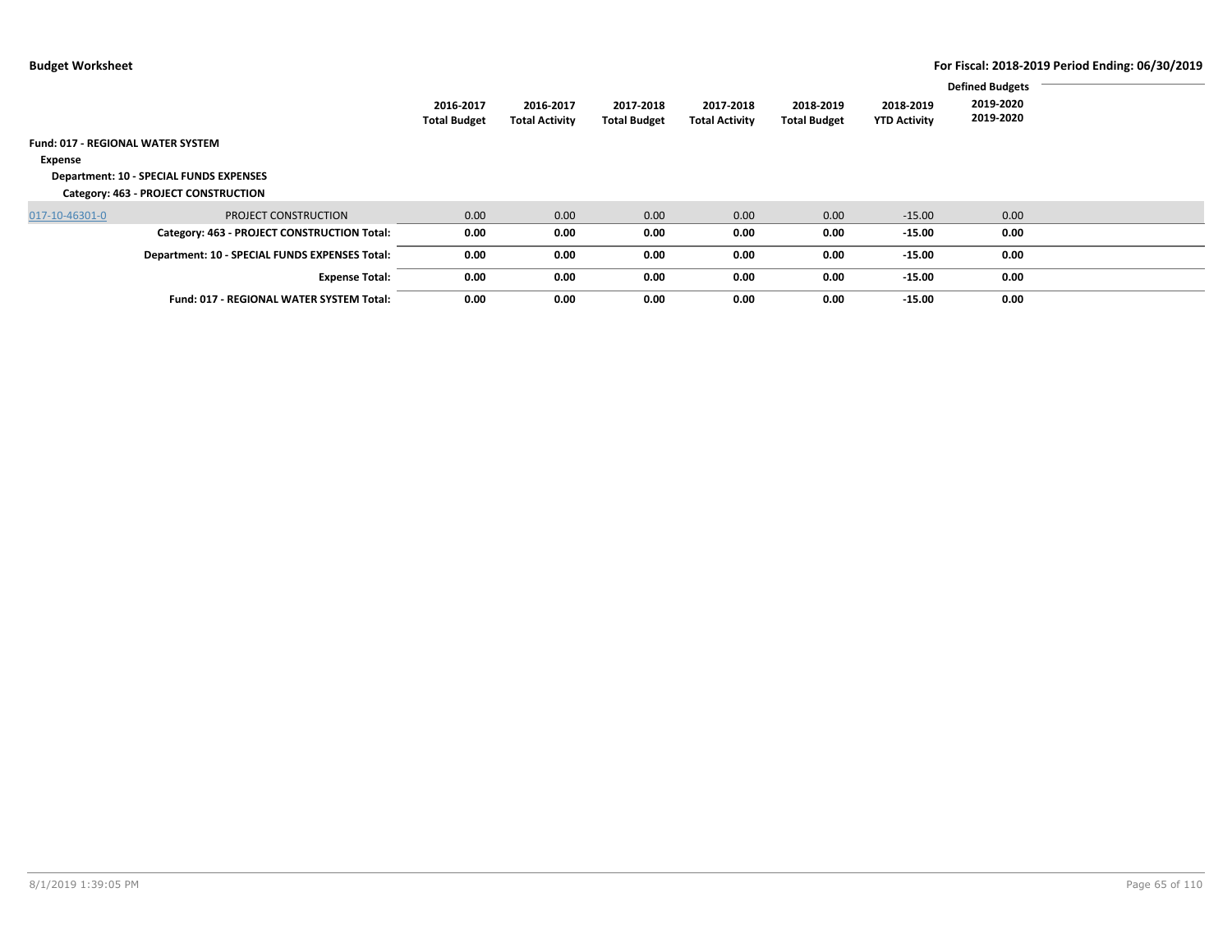|                                          |                                                 |                                  |                                    |                                  |                                    |                                  |                                  | <b>Defined Budgets</b> |  |
|------------------------------------------|-------------------------------------------------|----------------------------------|------------------------------------|----------------------------------|------------------------------------|----------------------------------|----------------------------------|------------------------|--|
|                                          |                                                 | 2016-2017<br><b>Total Budget</b> | 2016-2017<br><b>Total Activity</b> | 2017-2018<br><b>Total Budget</b> | 2017-2018<br><b>Total Activity</b> | 2018-2019<br><b>Total Budget</b> | 2018-2019<br><b>YTD Activity</b> | 2019-2020<br>2019-2020 |  |
| <b>Fund: 017 - REGIONAL WATER SYSTEM</b> |                                                 |                                  |                                    |                                  |                                    |                                  |                                  |                        |  |
| Expense                                  |                                                 |                                  |                                    |                                  |                                    |                                  |                                  |                        |  |
|                                          | <b>Department: 10 - SPECIAL FUNDS EXPENSES</b>  |                                  |                                    |                                  |                                    |                                  |                                  |                        |  |
|                                          | Category: 463 - PROJECT CONSTRUCTION            |                                  |                                    |                                  |                                    |                                  |                                  |                        |  |
| 017-10-46301-0                           | PROJECT CONSTRUCTION                            | 0.00                             | 0.00                               | 0.00                             | 0.00                               | 0.00                             | $-15.00$                         | 0.00                   |  |
|                                          | Category: 463 - PROJECT CONSTRUCTION Total:     | 0.00                             | 0.00                               | 0.00                             | 0.00                               | 0.00                             | $-15.00$                         | 0.00                   |  |
|                                          | Department: 10 - SPECIAL FUNDS EXPENSES Total:  | 0.00                             | 0.00                               | 0.00                             | 0.00                               | 0.00                             | $-15.00$                         | 0.00                   |  |
|                                          | <b>Expense Total:</b>                           | 0.00                             | 0.00                               | 0.00                             | 0.00                               | 0.00                             | $-15.00$                         | 0.00                   |  |
|                                          | <b>Fund: 017 - REGIONAL WATER SYSTEM Total:</b> | 0.00                             | 0.00                               | 0.00                             | 0.00                               | 0.00                             | $-15.00$                         | 0.00                   |  |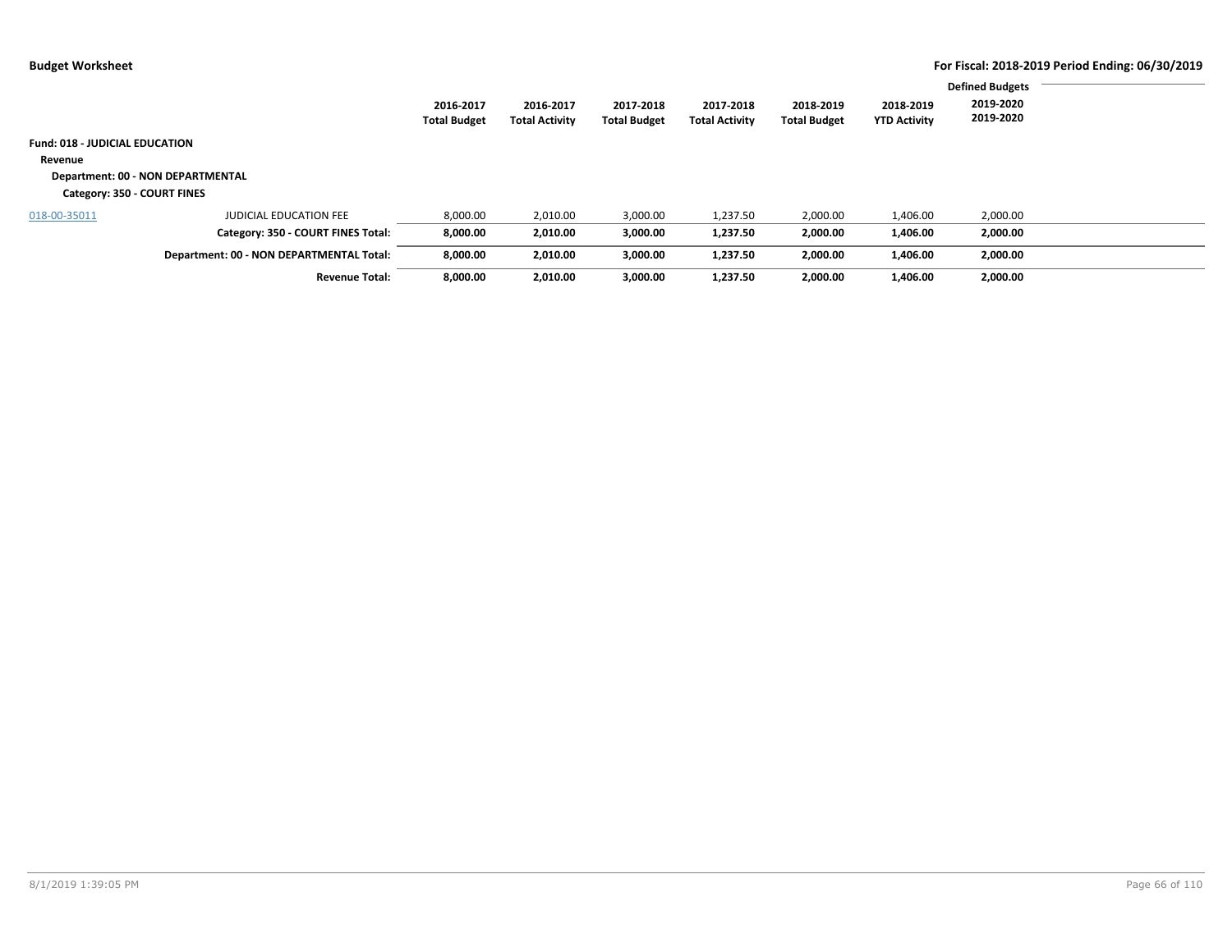|                                       |                                          |                                  |                                    |                                  |                                    |                                  |                                  | <b>Defined Budgets</b> |  |
|---------------------------------------|------------------------------------------|----------------------------------|------------------------------------|----------------------------------|------------------------------------|----------------------------------|----------------------------------|------------------------|--|
|                                       |                                          | 2016-2017<br><b>Total Budget</b> | 2016-2017<br><b>Total Activity</b> | 2017-2018<br><b>Total Budget</b> | 2017-2018<br><b>Total Activity</b> | 2018-2019<br><b>Total Budget</b> | 2018-2019<br><b>YTD Activity</b> | 2019-2020<br>2019-2020 |  |
| <b>Fund: 018 - JUDICIAL EDUCATION</b> |                                          |                                  |                                    |                                  |                                    |                                  |                                  |                        |  |
| Revenue                               |                                          |                                  |                                    |                                  |                                    |                                  |                                  |                        |  |
| Department: 00 - NON DEPARTMENTAL     |                                          |                                  |                                    |                                  |                                    |                                  |                                  |                        |  |
| Category: 350 - COURT FINES           |                                          |                                  |                                    |                                  |                                    |                                  |                                  |                        |  |
| 018-00-35011                          | <b>JUDICIAL EDUCATION FEE</b>            | 8,000.00                         | 2,010.00                           | 3,000.00                         | 1,237.50                           | 2,000.00                         | 1,406.00                         | 2,000.00               |  |
|                                       | Category: 350 - COURT FINES Total:       | 8,000.00                         | 2,010.00                           | 3,000.00                         | 1,237.50                           | 2,000.00                         | 1,406.00                         | 2,000.00               |  |
|                                       | Department: 00 - NON DEPARTMENTAL Total: | 8,000.00                         | 2,010.00                           | 3,000.00                         | 1,237.50                           | 2,000.00                         | 1,406.00                         | 2,000.00               |  |
|                                       | <b>Revenue Total:</b>                    | 8,000.00                         | 2,010.00                           | 3,000.00                         | 1,237.50                           | 2,000.00                         | 1,406.00                         | 2,000.00               |  |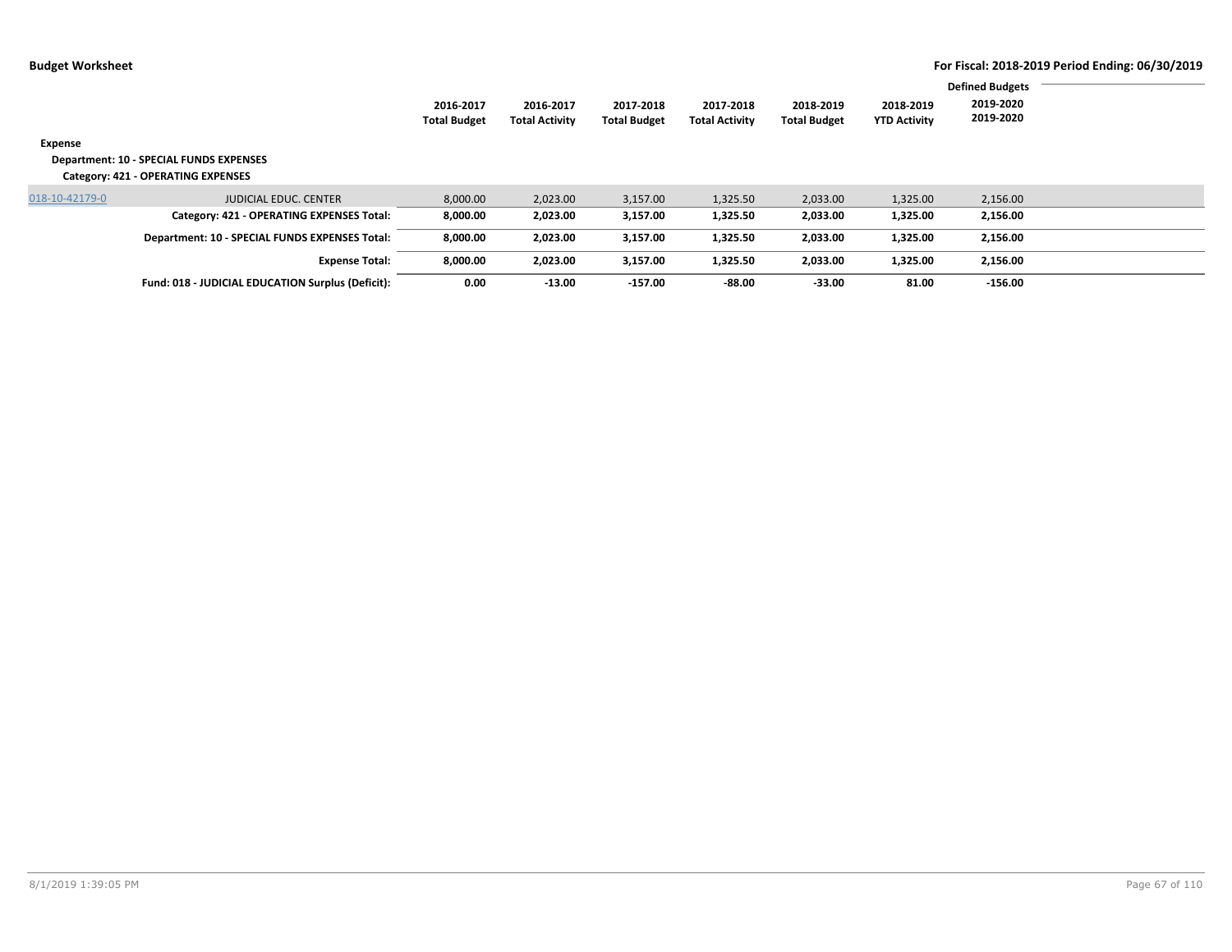| Expense        | <b>Department: 10 - SPECIAL FUNDS EXPENSES</b><br>Category: 421 - OPERATING EXPENSES | 2016-2017<br><b>Total Budget</b> | 2016-2017<br><b>Total Activity</b> | 2017-2018<br><b>Total Budget</b> | 2017-2018<br><b>Total Activity</b> | 2018-2019<br><b>Total Budget</b> | 2018-2019<br><b>YTD Activity</b> | <b>Defined Budgets</b><br>2019-2020<br>2019-2020 |  |
|----------------|--------------------------------------------------------------------------------------|----------------------------------|------------------------------------|----------------------------------|------------------------------------|----------------------------------|----------------------------------|--------------------------------------------------|--|
| 018-10-42179-0 | <b>JUDICIAL EDUC, CENTER</b>                                                         | 8,000.00                         | 2,023.00                           | 3,157.00                         | 1,325.50                           | 2,033.00                         | 1,325.00                         | 2,156.00                                         |  |
|                | Category: 421 - OPERATING EXPENSES Total:                                            | 8,000.00                         | 2,023.00                           | 3,157.00                         | 1,325.50                           | 2,033.00                         | 1,325.00                         | 2,156.00                                         |  |
|                | Department: 10 - SPECIAL FUNDS EXPENSES Total:                                       | 8,000.00                         | 2,023.00                           | 3,157.00                         | 1,325.50                           | 2,033.00                         | 1,325.00                         | 2,156.00                                         |  |
|                | <b>Expense Total:</b>                                                                | 8,000.00                         | 2,023.00                           | 3,157.00                         | 1,325.50                           | 2,033.00                         | 1,325.00                         | 2,156.00                                         |  |
|                | Fund: 018 - JUDICIAL EDUCATION Surplus (Deficit):                                    | 0.00                             | $-13.00$                           | $-157.00$                        | -88.00                             | $-33.00$                         | 81.00                            | $-156.00$                                        |  |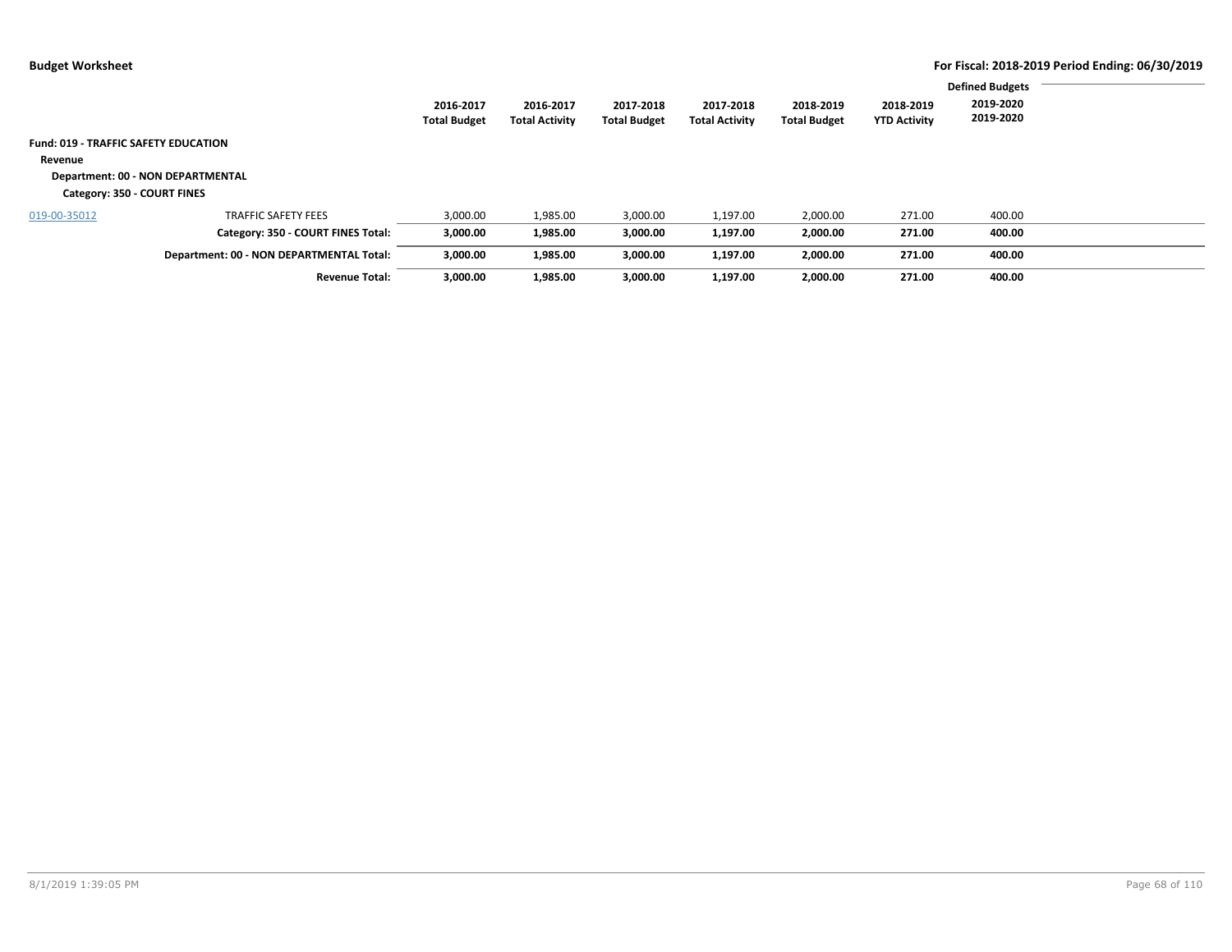|                                             |                                          | 2016-2017<br><b>Total Budget</b> | 2016-2017<br><b>Total Activity</b> | 2017-2018<br><b>Total Budget</b> | 2017-2018<br><b>Total Activity</b> | 2018-2019<br><b>Total Budget</b> | 2018-2019<br><b>YTD Activity</b> | <b>Defined Budgets</b><br>2019-2020<br>2019-2020 |  |
|---------------------------------------------|------------------------------------------|----------------------------------|------------------------------------|----------------------------------|------------------------------------|----------------------------------|----------------------------------|--------------------------------------------------|--|
| <b>Fund: 019 - TRAFFIC SAFETY EDUCATION</b> |                                          |                                  |                                    |                                  |                                    |                                  |                                  |                                                  |  |
| Revenue                                     |                                          |                                  |                                    |                                  |                                    |                                  |                                  |                                                  |  |
|                                             | Department: 00 - NON DEPARTMENTAL        |                                  |                                    |                                  |                                    |                                  |                                  |                                                  |  |
| Category: 350 - COURT FINES                 |                                          |                                  |                                    |                                  |                                    |                                  |                                  |                                                  |  |
| 019-00-35012                                | <b>TRAFFIC SAFETY FEES</b>               | 3,000.00                         | 1,985.00                           | 3,000.00                         | 1,197.00                           | 2,000.00                         | 271.00                           | 400.00                                           |  |
|                                             | Category: 350 - COURT FINES Total:       | 3,000.00                         | 1,985.00                           | 3,000.00                         | 1,197.00                           | 2,000.00                         | 271.00                           | 400.00                                           |  |
|                                             | Department: 00 - NON DEPARTMENTAL Total: | 3,000.00                         | 1,985.00                           | 3,000.00                         | 1,197.00                           | 2,000.00                         | 271.00                           | 400.00                                           |  |
|                                             | <b>Revenue Total:</b>                    | 3,000.00                         | 1,985.00                           | 3,000.00                         | 1,197.00                           | 2,000.00                         | 271.00                           | 400.00                                           |  |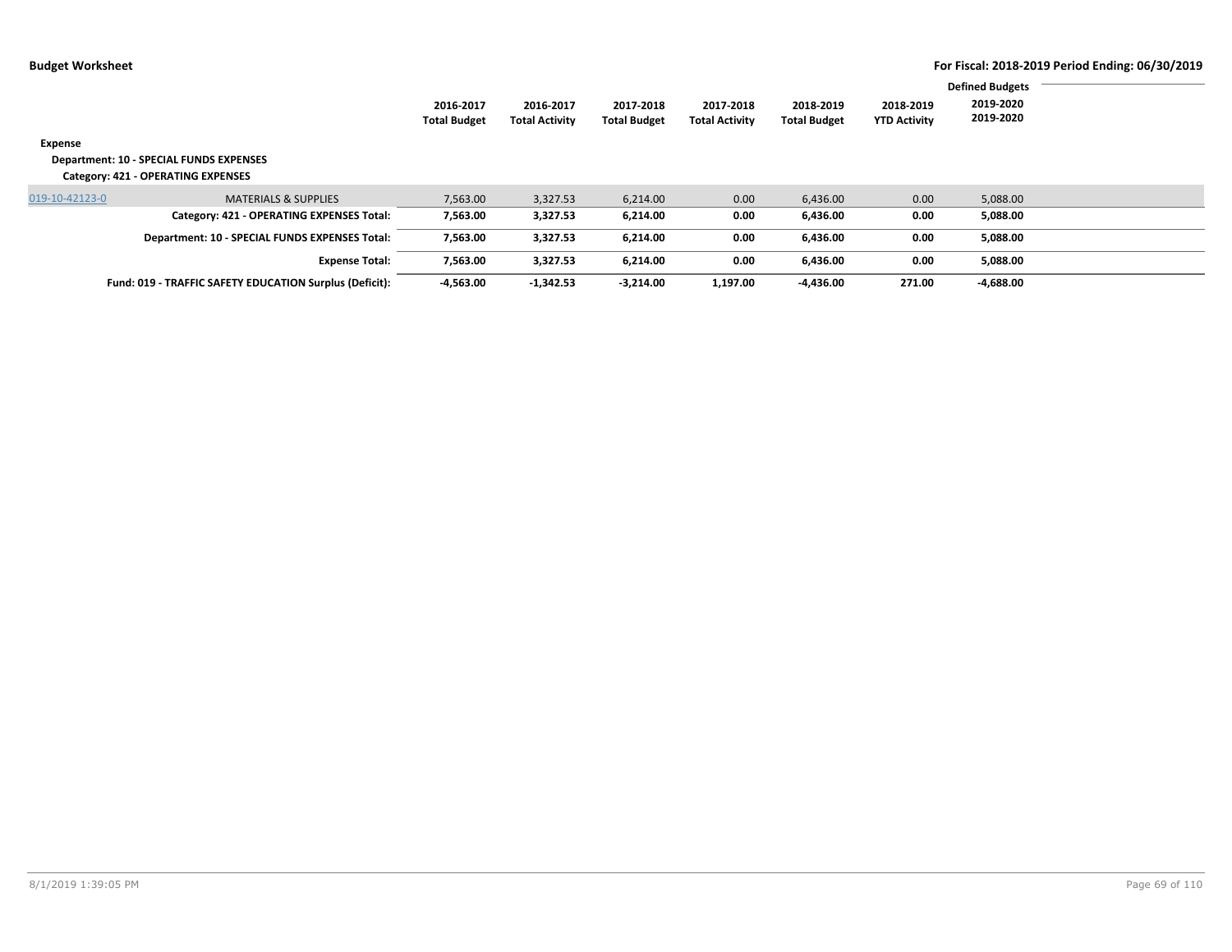|                |                                                         |                                  |                                    |                                  |                                    |                                  |                                  | <b>Defined Budgets</b> |  |
|----------------|---------------------------------------------------------|----------------------------------|------------------------------------|----------------------------------|------------------------------------|----------------------------------|----------------------------------|------------------------|--|
|                |                                                         | 2016-2017<br><b>Total Budget</b> | 2016-2017<br><b>Total Activity</b> | 2017-2018<br><b>Total Budget</b> | 2017-2018<br><b>Total Activity</b> | 2018-2019<br><b>Total Budget</b> | 2018-2019<br><b>YTD Activity</b> | 2019-2020<br>2019-2020 |  |
| Expense        |                                                         |                                  |                                    |                                  |                                    |                                  |                                  |                        |  |
|                | Department: 10 - SPECIAL FUNDS EXPENSES                 |                                  |                                    |                                  |                                    |                                  |                                  |                        |  |
|                | Category: 421 - OPERATING EXPENSES                      |                                  |                                    |                                  |                                    |                                  |                                  |                        |  |
| 019-10-42123-0 | <b>MATERIALS &amp; SUPPLIES</b>                         | 7,563.00                         | 3,327.53                           | 6,214.00                         | 0.00                               | 6,436.00                         | 0.00                             | 5,088.00               |  |
|                | Category: 421 - OPERATING EXPENSES Total:               | 7,563.00                         | 3,327.53                           | 6,214.00                         | 0.00                               | 6,436.00                         | 0.00                             | 5,088.00               |  |
|                | Department: 10 - SPECIAL FUNDS EXPENSES Total:          | 7,563.00                         | 3,327.53                           | 6,214.00                         | 0.00                               | 6.436.00                         | 0.00                             | 5,088.00               |  |
|                | <b>Expense Total:</b>                                   | 7,563.00                         | 3,327.53                           | 6,214.00                         | 0.00                               | 6,436.00                         | 0.00                             | 5,088.00               |  |
|                | Fund: 019 - TRAFFIC SAFETY EDUCATION Surplus (Deficit): | $-4,563.00$                      | $-1.342.53$                        | $-3,214.00$                      | 1,197.00                           | $-4.436.00$                      | 271.00                           | $-4,688.00$            |  |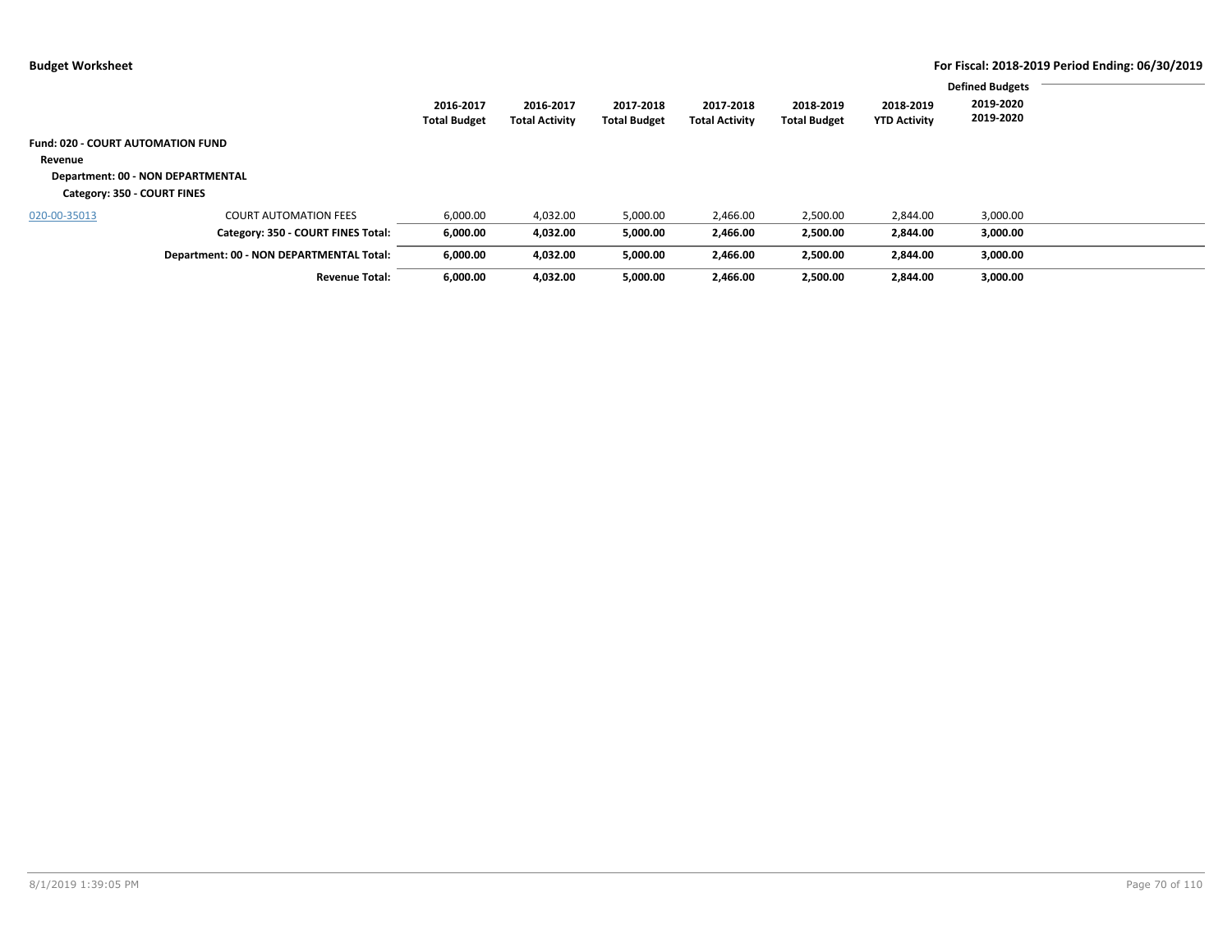|                                          |                                          |                     |                       |                     |                       |                     |                     | <b>Defined Budgets</b> |  |
|------------------------------------------|------------------------------------------|---------------------|-----------------------|---------------------|-----------------------|---------------------|---------------------|------------------------|--|
|                                          |                                          | 2016-2017           | 2016-2017             | 2017-2018           | 2017-2018             | 2018-2019           | 2018-2019           | 2019-2020              |  |
|                                          |                                          | <b>Total Budget</b> | <b>Total Activity</b> | <b>Total Budget</b> | <b>Total Activity</b> | <b>Total Budget</b> | <b>YTD Activity</b> | 2019-2020              |  |
| <b>Fund: 020 - COURT AUTOMATION FUND</b> |                                          |                     |                       |                     |                       |                     |                     |                        |  |
| Revenue                                  |                                          |                     |                       |                     |                       |                     |                     |                        |  |
|                                          | Department: 00 - NON DEPARTMENTAL        |                     |                       |                     |                       |                     |                     |                        |  |
| Category: 350 - COURT FINES              |                                          |                     |                       |                     |                       |                     |                     |                        |  |
| 020-00-35013                             | <b>COURT AUTOMATION FEES</b>             | 6,000.00            | 4,032.00              | 5,000.00            | 2,466.00              | 2,500.00            | 2,844.00            | 3,000.00               |  |
|                                          | Category: 350 - COURT FINES Total:       | 6,000.00            | 4,032.00              | 5,000.00            | 2,466.00              | 2,500.00            | 2,844.00            | 3,000.00               |  |
|                                          | Department: 00 - NON DEPARTMENTAL Total: | 6,000.00            | 4,032.00              | 5,000.00            | 2,466.00              | 2,500.00            | 2,844.00            | 3,000.00               |  |
|                                          | <b>Revenue Total:</b>                    | 6,000.00            | 4,032.00              | 5,000.00            | 2,466.00              | 2,500.00            | 2,844.00            | 3,000.00               |  |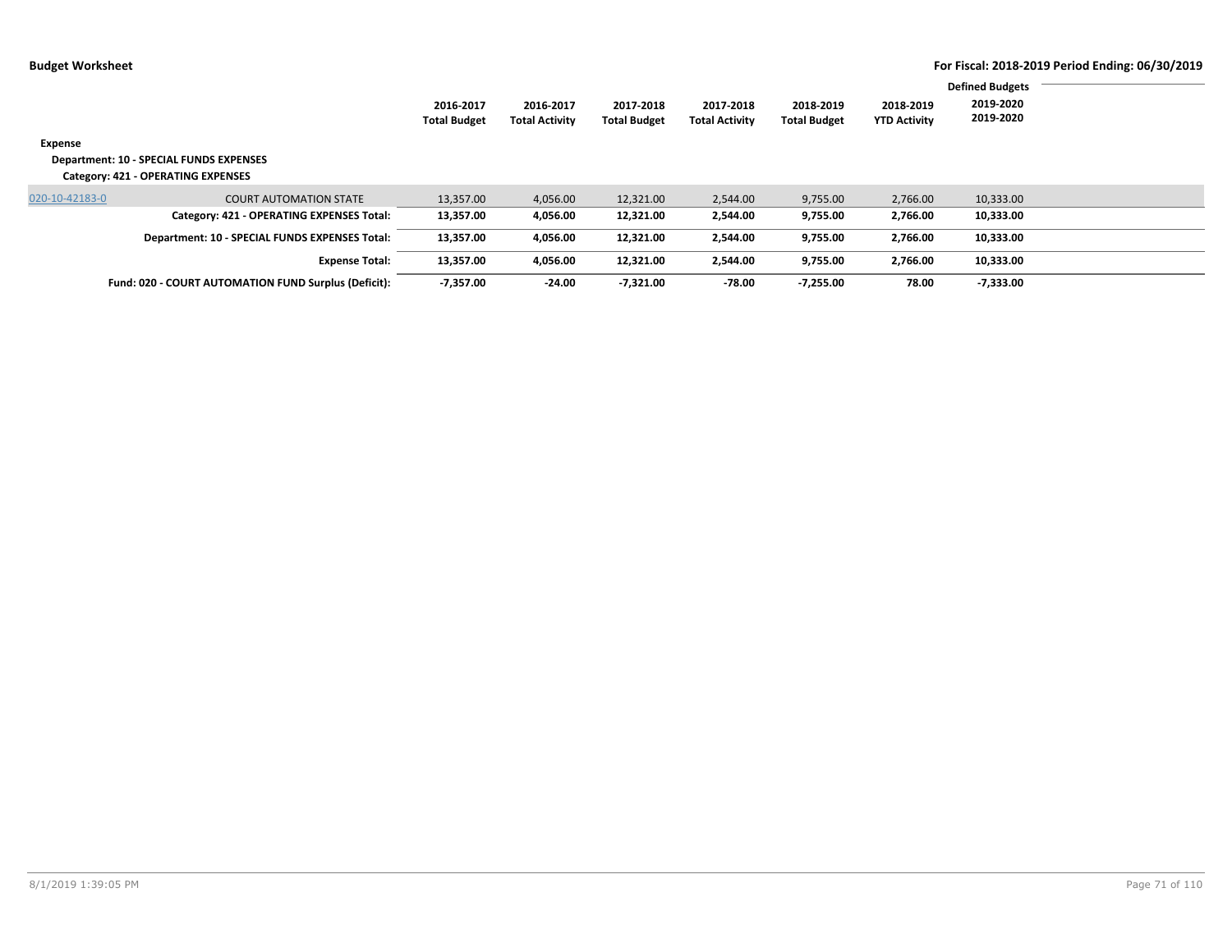| Expense        | Department: 10 - SPECIAL FUNDS EXPENSES<br>Category: 421 - OPERATING EXPENSES | 2016-2017<br><b>Total Budget</b> | 2016-2017<br><b>Total Activity</b> | 2017-2018<br><b>Total Budget</b> | 2017-2018<br><b>Total Activity</b> | 2018-2019<br><b>Total Budget</b> | 2018-2019<br><b>YTD Activity</b> | <b>Defined Budgets</b><br>2019-2020<br>2019-2020 |  |
|----------------|-------------------------------------------------------------------------------|----------------------------------|------------------------------------|----------------------------------|------------------------------------|----------------------------------|----------------------------------|--------------------------------------------------|--|
| 020-10-42183-0 | <b>COURT AUTOMATION STATE</b>                                                 | 13,357.00                        | 4,056.00                           | 12,321.00                        | 2,544.00                           | 9,755.00                         | 2,766.00                         | 10,333.00                                        |  |
|                | Category: 421 - OPERATING EXPENSES Total:                                     | 13,357.00                        | 4,056.00                           | 12,321.00                        | 2,544.00                           | 9,755.00                         | 2,766.00                         | 10,333.00                                        |  |
|                | Department: 10 - SPECIAL FUNDS EXPENSES Total:                                | 13,357.00                        | 4,056.00                           | 12,321.00                        | 2,544.00                           | 9,755.00                         | 2,766.00                         | 10,333.00                                        |  |
|                | <b>Expense Total:</b>                                                         | 13,357.00                        | 4,056.00                           | 12,321.00                        | 2,544.00                           | 9,755.00                         | 2,766.00                         | 10,333.00                                        |  |
|                | Fund: 020 - COURT AUTOMATION FUND Surplus (Deficit):                          | -7,357.00                        | $-24.00$                           | $-7.321.00$                      | $-78.00$                           | $-7.255.00$                      | 78.00                            | $-7.333.00$                                      |  |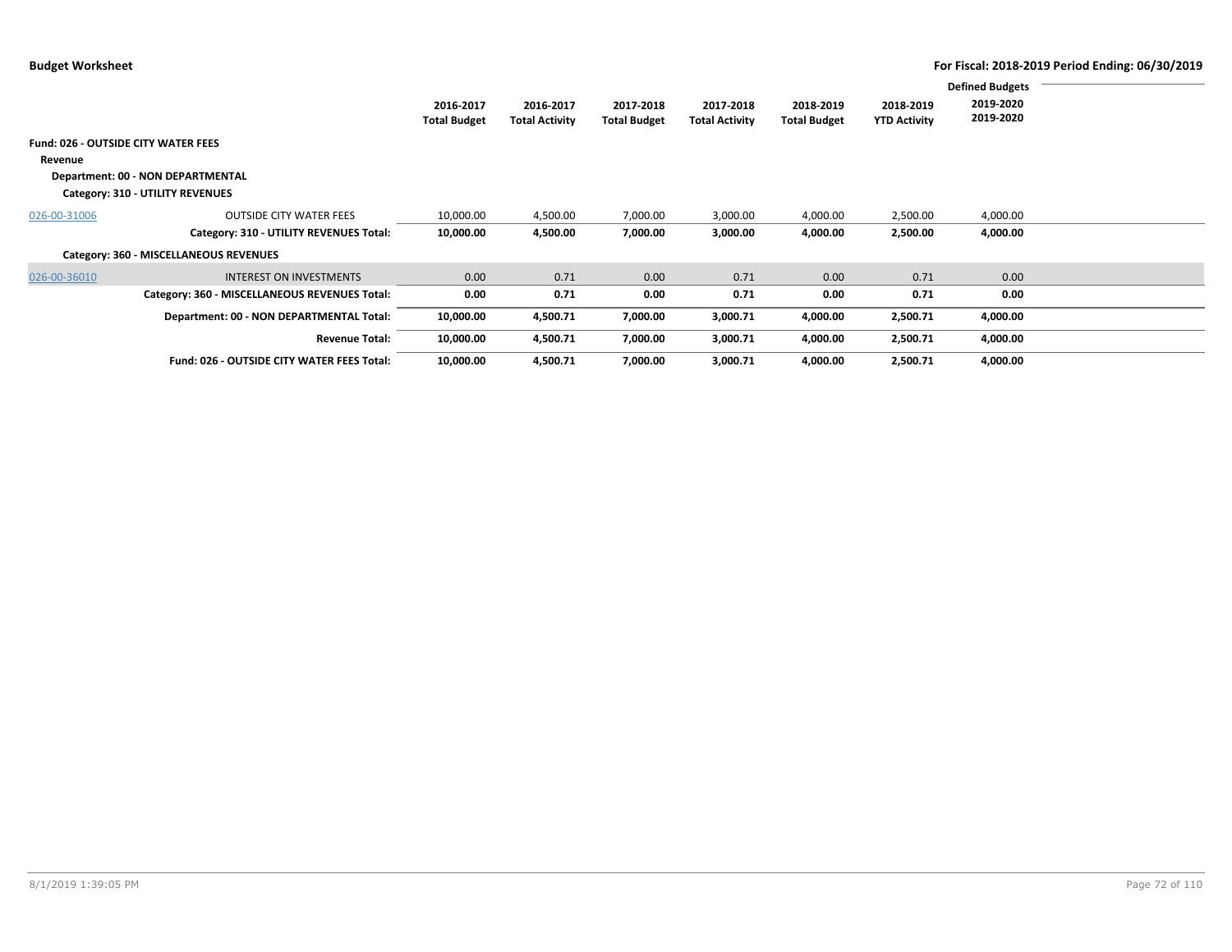|              |                                               |                     |                       |                     |                       |                     |                     | <b>Defined Budgets</b> |  |
|--------------|-----------------------------------------------|---------------------|-----------------------|---------------------|-----------------------|---------------------|---------------------|------------------------|--|
|              |                                               | 2016-2017           | 2016-2017             | 2017-2018           | 2017-2018             | 2018-2019           | 2018-2019           | 2019-2020              |  |
|              |                                               | <b>Total Budget</b> | <b>Total Activity</b> | <b>Total Budget</b> | <b>Total Activity</b> | <b>Total Budget</b> | <b>YTD Activity</b> | 2019-2020              |  |
|              |                                               |                     |                       |                     |                       |                     |                     |                        |  |
|              | <b>Fund: 026 - OUTSIDE CITY WATER FEES</b>    |                     |                       |                     |                       |                     |                     |                        |  |
| Revenue      |                                               |                     |                       |                     |                       |                     |                     |                        |  |
|              | Department: 00 - NON DEPARTMENTAL             |                     |                       |                     |                       |                     |                     |                        |  |
|              |                                               |                     |                       |                     |                       |                     |                     |                        |  |
|              | Category: 310 - UTILITY REVENUES              |                     |                       |                     |                       |                     |                     |                        |  |
| 026-00-31006 | <b>OUTSIDE CITY WATER FEES</b>                | 10,000.00           | 4,500.00              | 7,000.00            | 3,000.00              | 4,000.00            | 2,500.00            | 4,000.00               |  |
|              | Category: 310 - UTILITY REVENUES Total:       | 10,000.00           | 4,500.00              | 7,000.00            | 3,000.00              | 4,000.00            | 2,500.00            | 4,000.00               |  |
|              | Category: 360 - MISCELLANEOUS REVENUES        |                     |                       |                     |                       |                     |                     |                        |  |
| 026-00-36010 | <b>INTEREST ON INVESTMENTS</b>                | 0.00                | 0.71                  | 0.00                | 0.71                  | 0.00                | 0.71                | 0.00                   |  |
|              | Category: 360 - MISCELLANEOUS REVENUES Total: | 0.00                | 0.71                  | 0.00                | 0.71                  | 0.00                | 0.71                | 0.00                   |  |
|              | Department: 00 - NON DEPARTMENTAL Total:      | 10,000.00           | 4,500.71              | 7,000.00            | 3,000.71              | 4,000.00            | 2,500.71            | 4,000.00               |  |
|              | <b>Revenue Total:</b>                         | 10,000.00           | 4,500.71              | 7,000.00            | 3,000.71              | 4,000.00            | 2,500.71            | 4,000.00               |  |
|              | Fund: 026 - OUTSIDE CITY WATER FEES Total:    | 10,000.00           | 4,500.71              | 7,000.00            | 3,000.71              | 4,000.00            | 2,500.71            | 4,000.00               |  |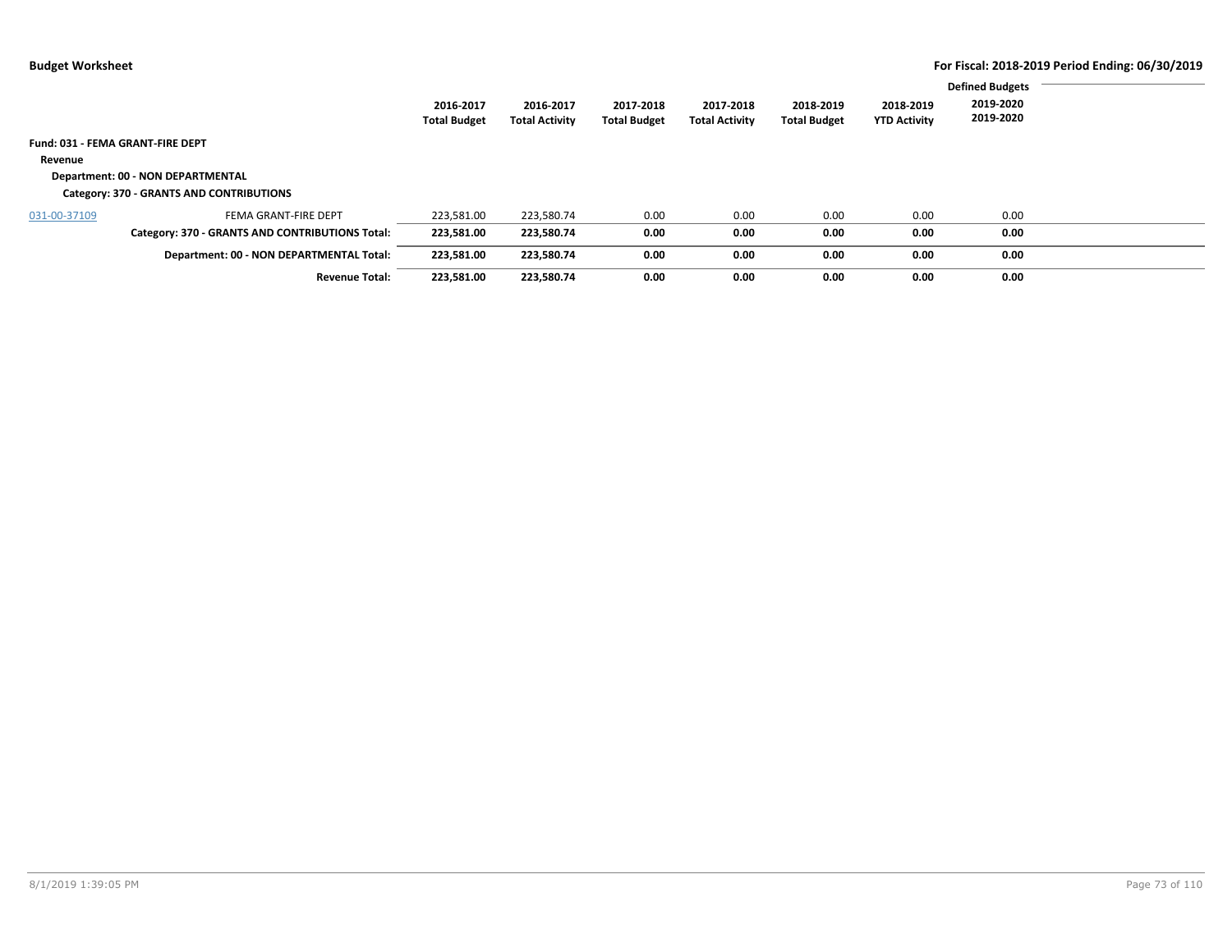|              |                                                 | 2016-2017<br><b>Total Budget</b> | 2016-2017<br><b>Total Activity</b> | 2017-2018<br><b>Total Budget</b> | 2017-2018<br><b>Total Activity</b> | 2018-2019<br><b>Total Budget</b> | 2018-2019<br><b>YTD Activity</b> | <b>Defined Budgets</b><br>2019-2020<br>2019-2020 |  |
|--------------|-------------------------------------------------|----------------------------------|------------------------------------|----------------------------------|------------------------------------|----------------------------------|----------------------------------|--------------------------------------------------|--|
|              | <b>Fund: 031 - FEMA GRANT-FIRE DEPT</b>         |                                  |                                    |                                  |                                    |                                  |                                  |                                                  |  |
| Revenue      |                                                 |                                  |                                    |                                  |                                    |                                  |                                  |                                                  |  |
|              | Department: 00 - NON DEPARTMENTAL               |                                  |                                    |                                  |                                    |                                  |                                  |                                                  |  |
|              | Category: 370 - GRANTS AND CONTRIBUTIONS        |                                  |                                    |                                  |                                    |                                  |                                  |                                                  |  |
| 031-00-37109 | FEMA GRANT-FIRE DEPT                            | 223,581.00                       | 223,580.74                         | 0.00                             | 0.00                               | 0.00                             | 0.00                             | 0.00                                             |  |
|              | Category: 370 - GRANTS AND CONTRIBUTIONS Total: | 223,581.00                       | 223,580.74                         | 0.00                             | 0.00                               | 0.00                             | 0.00                             | 0.00                                             |  |
|              | Department: 00 - NON DEPARTMENTAL Total:        | 223,581.00                       | 223,580.74                         | 0.00                             | 0.00                               | 0.00                             | 0.00                             | 0.00                                             |  |
|              | <b>Revenue Total:</b>                           | 223.581.00                       | 223.580.74                         | 0.00                             | 0.00                               | 0.00                             | 0.00                             | 0.00                                             |  |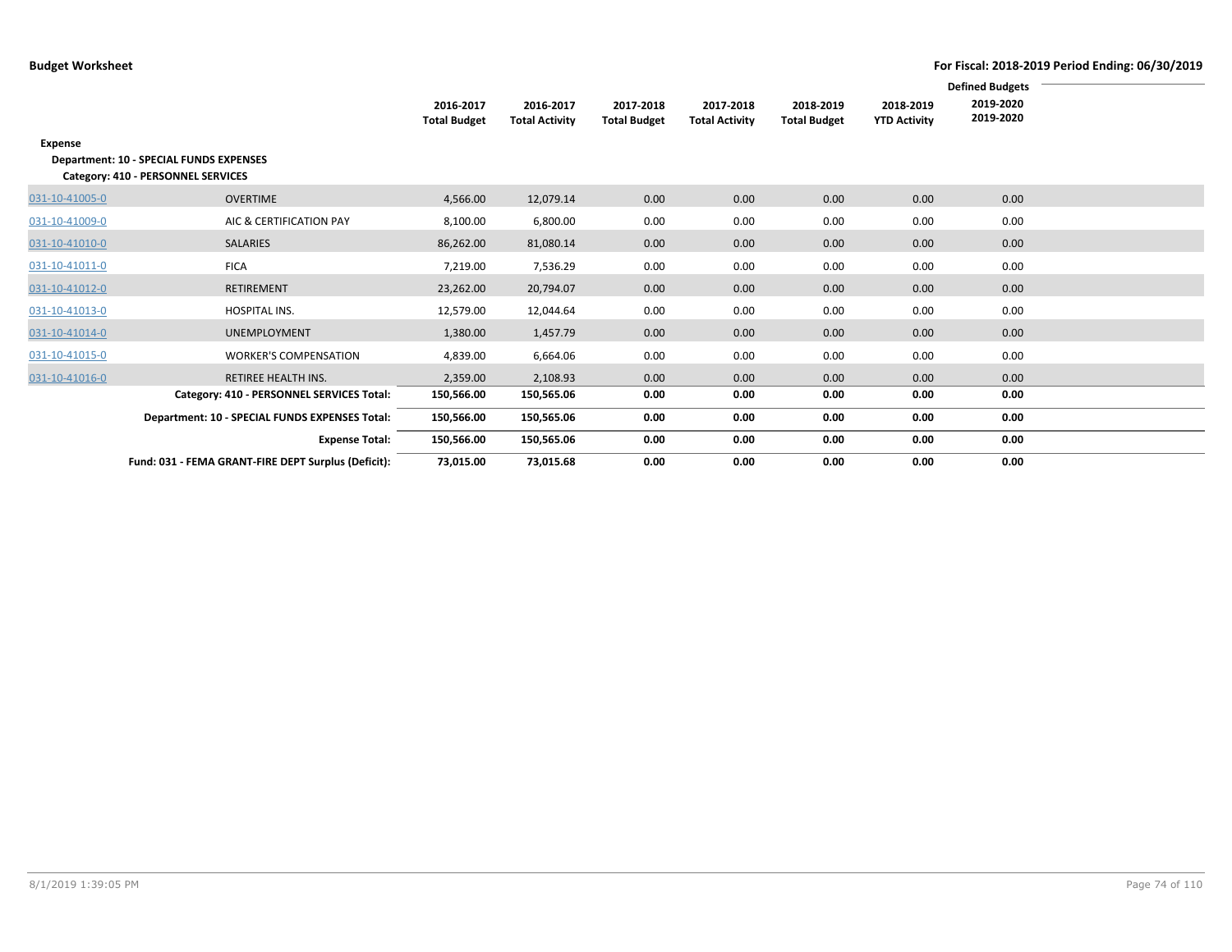|                |                                                     |                     |                       |                     |                       |                     |                     | <b>Defined Budgets</b> |  |
|----------------|-----------------------------------------------------|---------------------|-----------------------|---------------------|-----------------------|---------------------|---------------------|------------------------|--|
|                |                                                     | 2016-2017           | 2016-2017             | 2017-2018           | 2017-2018             | 2018-2019           | 2018-2019           | 2019-2020              |  |
|                |                                                     | <b>Total Budget</b> | <b>Total Activity</b> | <b>Total Budget</b> | <b>Total Activity</b> | <b>Total Budget</b> | <b>YTD Activity</b> | 2019-2020              |  |
| <b>Expense</b> |                                                     |                     |                       |                     |                       |                     |                     |                        |  |
|                | <b>Department: 10 - SPECIAL FUNDS EXPENSES</b>      |                     |                       |                     |                       |                     |                     |                        |  |
|                | Category: 410 - PERSONNEL SERVICES                  |                     |                       |                     |                       |                     |                     |                        |  |
| 031-10-41005-0 | OVERTIME                                            | 4,566.00            | 12,079.14             | 0.00                | 0.00                  | 0.00                | 0.00                | 0.00                   |  |
|                |                                                     |                     |                       |                     |                       |                     |                     |                        |  |
| 031-10-41009-0 | AIC & CERTIFICATION PAY                             | 8,100.00            | 6,800.00              | 0.00                | 0.00                  | 0.00                | 0.00                | 0.00                   |  |
| 031-10-41010-0 | SALARIES                                            | 86,262.00           | 81,080.14             | 0.00                | 0.00                  | 0.00                | 0.00                | 0.00                   |  |
| 031-10-41011-0 | <b>FICA</b>                                         | 7,219.00            | 7,536.29              | 0.00                | 0.00                  | 0.00                | 0.00                | 0.00                   |  |
| 031-10-41012-0 | <b>RETIREMENT</b>                                   | 23,262.00           | 20,794.07             | 0.00                | 0.00                  | 0.00                | 0.00                | 0.00                   |  |
| 031-10-41013-0 | <b>HOSPITAL INS.</b>                                | 12,579.00           | 12,044.64             | 0.00                | 0.00                  | 0.00                | 0.00                | 0.00                   |  |
| 031-10-41014-0 | <b>UNEMPLOYMENT</b>                                 | 1,380.00            | 1,457.79              | 0.00                | 0.00                  | 0.00                | 0.00                | 0.00                   |  |
| 031-10-41015-0 | <b>WORKER'S COMPENSATION</b>                        | 4,839.00            | 6,664.06              | 0.00                | 0.00                  | 0.00                | 0.00                | 0.00                   |  |
| 031-10-41016-0 | <b>RETIREE HEALTH INS.</b>                          | 2,359.00            | 2,108.93              | 0.00                | 0.00                  | 0.00                | 0.00                | 0.00                   |  |
|                | Category: 410 - PERSONNEL SERVICES Total:           | 150,566.00          | 150,565.06            | 0.00                | 0.00                  | 0.00                | 0.00                | 0.00                   |  |
|                | Department: 10 - SPECIAL FUNDS EXPENSES Total:      | 150,566.00          | 150,565.06            | 0.00                | 0.00                  | 0.00                | 0.00                | 0.00                   |  |
|                | <b>Expense Total:</b>                               | 150,566.00          | 150,565.06            | 0.00                | 0.00                  | 0.00                | 0.00                | 0.00                   |  |
|                | Fund: 031 - FEMA GRANT-FIRE DEPT Surplus (Deficit): | 73,015.00           | 73,015.68             | 0.00                | 0.00                  | 0.00                | 0.00                | 0.00                   |  |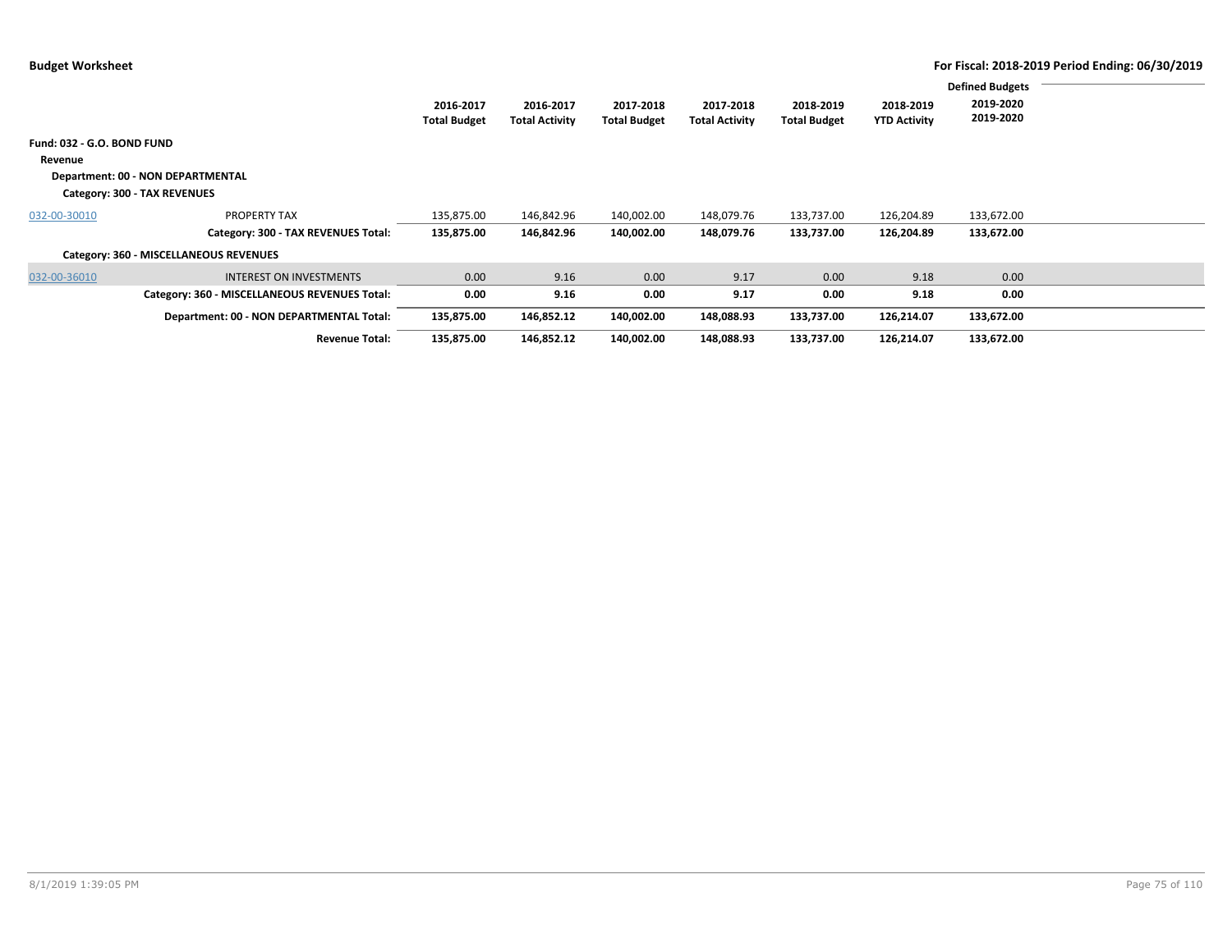|                            |                                               |                     |                       |                     |                       |                     |                     | <b>Defined Budgets</b> |  |
|----------------------------|-----------------------------------------------|---------------------|-----------------------|---------------------|-----------------------|---------------------|---------------------|------------------------|--|
|                            |                                               | 2016-2017           | 2016-2017             | 2017-2018           | 2017-2018             | 2018-2019           | 2018-2019           | 2019-2020              |  |
|                            |                                               | <b>Total Budget</b> | <b>Total Activity</b> | <b>Total Budget</b> | <b>Total Activity</b> | <b>Total Budget</b> | <b>YTD Activity</b> | 2019-2020              |  |
|                            |                                               |                     |                       |                     |                       |                     |                     |                        |  |
| Fund: 032 - G.O. BOND FUND |                                               |                     |                       |                     |                       |                     |                     |                        |  |
| Revenue                    |                                               |                     |                       |                     |                       |                     |                     |                        |  |
|                            | Department: 00 - NON DEPARTMENTAL             |                     |                       |                     |                       |                     |                     |                        |  |
|                            | Category: 300 - TAX REVENUES                  |                     |                       |                     |                       |                     |                     |                        |  |
|                            |                                               |                     |                       |                     |                       |                     |                     |                        |  |
| 032-00-30010               | <b>PROPERTY TAX</b>                           | 135,875.00          | 146,842.96            | 140,002.00          | 148,079.76            | 133,737.00          | 126,204.89          | 133,672.00             |  |
|                            | Category: 300 - TAX REVENUES Total:           | 135,875.00          | 146,842.96            | 140,002.00          | 148,079.76            | 133,737.00          | 126,204.89          | 133,672.00             |  |
|                            | Category: 360 - MISCELLANEOUS REVENUES        |                     |                       |                     |                       |                     |                     |                        |  |
| 032-00-36010               | <b>INTEREST ON INVESTMENTS</b>                | 0.00                | 9.16                  | 0.00                | 9.17                  | 0.00                | 9.18                | 0.00                   |  |
|                            | Category: 360 - MISCELLANEOUS REVENUES Total: | 0.00                | 9.16                  | 0.00                | 9.17                  | 0.00                | 9.18                | 0.00                   |  |
|                            | Department: 00 - NON DEPARTMENTAL Total:      | 135,875.00          | 146,852.12            | 140,002.00          | 148,088.93            | 133,737.00          | 126,214.07          | 133,672.00             |  |
|                            | <b>Revenue Total:</b>                         | 135,875.00          | 146,852.12            | 140,002.00          | 148,088.93            | 133,737.00          | 126,214.07          | 133,672.00             |  |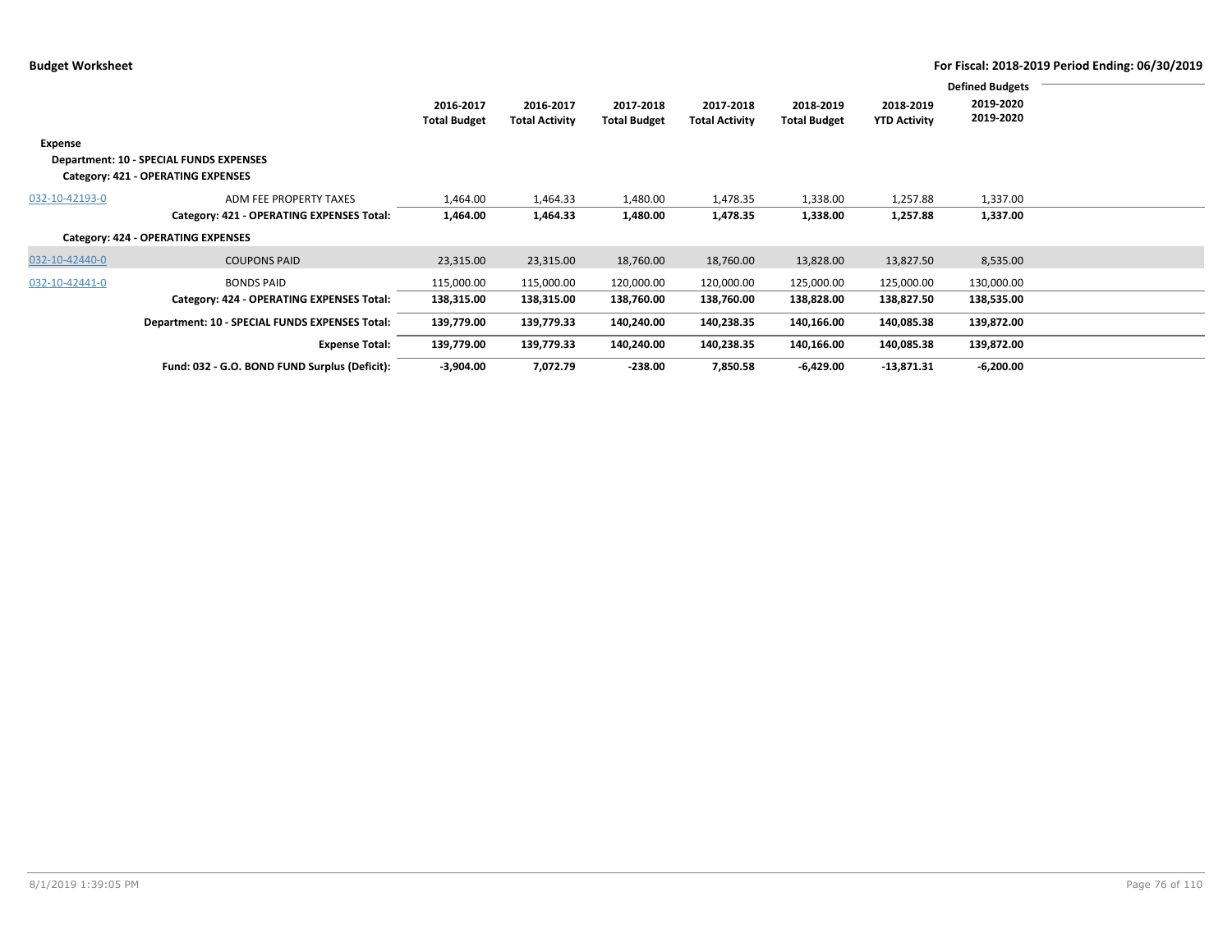|                |                                                                               |                                  |                                    |                                  |                                    |                                  |                                  | <b>Defined Budgets</b> |  |
|----------------|-------------------------------------------------------------------------------|----------------------------------|------------------------------------|----------------------------------|------------------------------------|----------------------------------|----------------------------------|------------------------|--|
|                |                                                                               | 2016-2017<br><b>Total Budget</b> | 2016-2017<br><b>Total Activity</b> | 2017-2018<br><b>Total Budget</b> | 2017-2018<br><b>Total Activity</b> | 2018-2019<br><b>Total Budget</b> | 2018-2019<br><b>YTD Activity</b> | 2019-2020<br>2019-2020 |  |
| Expense        |                                                                               |                                  |                                    |                                  |                                    |                                  |                                  |                        |  |
|                | Department: 10 - SPECIAL FUNDS EXPENSES<br>Category: 421 - OPERATING EXPENSES |                                  |                                    |                                  |                                    |                                  |                                  |                        |  |
| 032-10-42193-0 | ADM FEE PROPERTY TAXES                                                        | 1,464.00                         | 1,464.33                           | 1,480.00                         | 1,478.35                           | 1,338.00                         | 1,257.88                         | 1,337.00               |  |
|                | Category: 421 - OPERATING EXPENSES Total:                                     | 1,464.00                         | 1,464.33                           | 1,480.00                         | 1,478.35                           | 1,338.00                         | 1,257.88                         | 1,337.00               |  |
|                | Category: 424 - OPERATING EXPENSES                                            |                                  |                                    |                                  |                                    |                                  |                                  |                        |  |
| 032-10-42440-0 | <b>COUPONS PAID</b>                                                           | 23,315.00                        | 23,315.00                          | 18,760.00                        | 18,760.00                          | 13,828.00                        | 13,827.50                        | 8,535.00               |  |
| 032-10-42441-0 | <b>BONDS PAID</b>                                                             | 115,000.00                       | 115,000.00                         | 120,000.00                       | 120,000.00                         | 125,000.00                       | 125,000.00                       | 130,000.00             |  |
|                | Category: 424 - OPERATING EXPENSES Total:                                     | 138,315.00                       | 138,315.00                         | 138,760.00                       | 138,760.00                         | 138,828.00                       | 138,827.50                       | 138,535.00             |  |
|                | Department: 10 - SPECIAL FUNDS EXPENSES Total:                                | 139,779.00                       | 139,779.33                         | 140,240.00                       | 140,238.35                         | 140,166.00                       | 140,085.38                       | 139,872.00             |  |
|                | <b>Expense Total:</b>                                                         | 139,779.00                       | 139,779.33                         | 140,240.00                       | 140,238.35                         | 140,166.00                       | 140,085.38                       | 139,872.00             |  |
|                | Fund: 032 - G.O. BOND FUND Surplus (Deficit):                                 | $-3,904.00$                      | 7,072.79                           | $-238.00$                        | 7,850.58                           | $-6,429.00$                      | $-13,871.31$                     | $-6,200.00$            |  |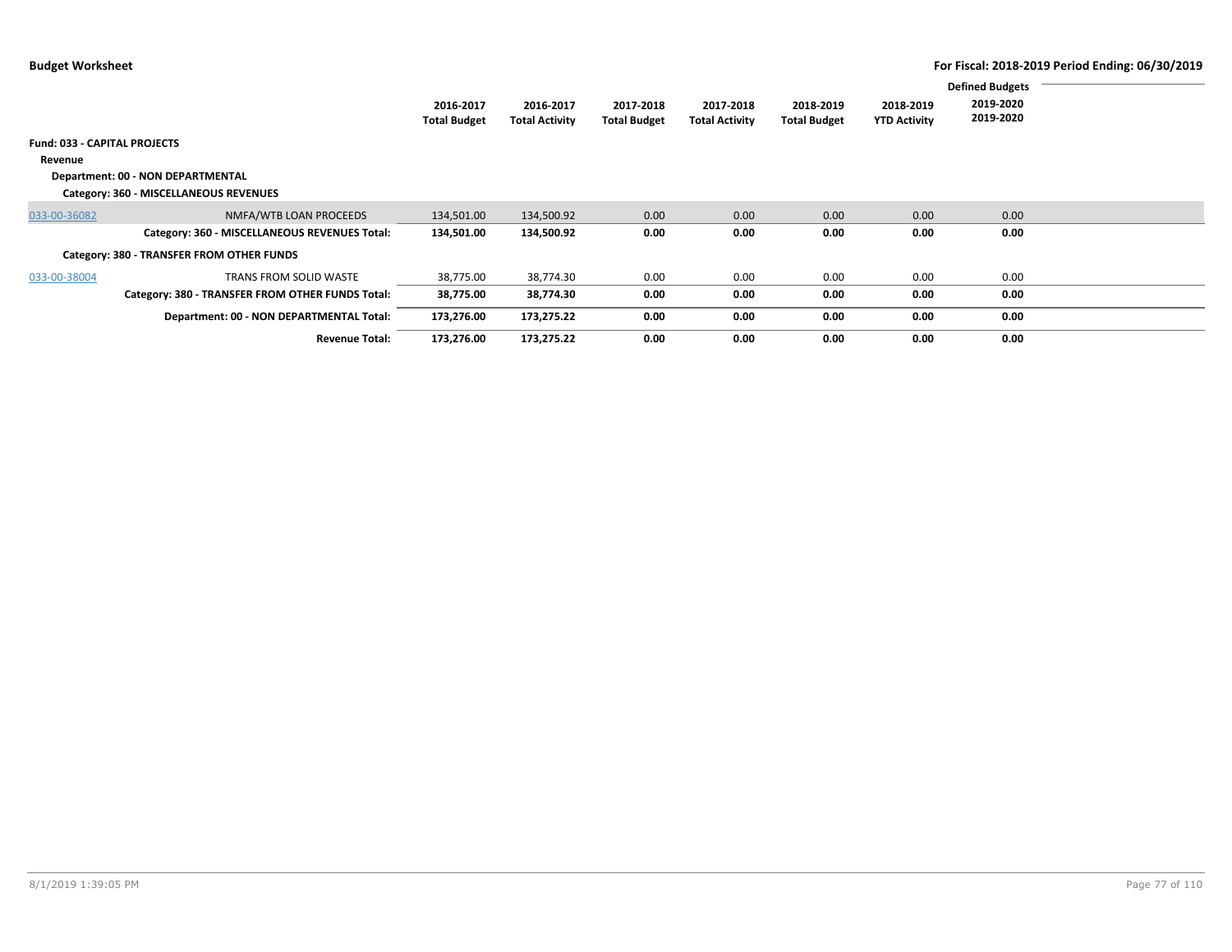|                                     |                                                  |                     |                       |                     |                       |                     |                     | <b>Defined Budgets</b> |  |
|-------------------------------------|--------------------------------------------------|---------------------|-----------------------|---------------------|-----------------------|---------------------|---------------------|------------------------|--|
|                                     |                                                  | 2016-2017           | 2016-2017             | 2017-2018           | 2017-2018             | 2018-2019           | 2018-2019           | 2019-2020<br>2019-2020 |  |
|                                     |                                                  | <b>Total Budget</b> | <b>Total Activity</b> | <b>Total Budget</b> | <b>Total Activity</b> | <b>Total Budget</b> | <b>YTD Activity</b> |                        |  |
| <b>Fund: 033 - CAPITAL PROJECTS</b> |                                                  |                     |                       |                     |                       |                     |                     |                        |  |
| Revenue                             |                                                  |                     |                       |                     |                       |                     |                     |                        |  |
|                                     | Department: 00 - NON DEPARTMENTAL                |                     |                       |                     |                       |                     |                     |                        |  |
|                                     | Category: 360 - MISCELLANEOUS REVENUES           |                     |                       |                     |                       |                     |                     |                        |  |
| 033-00-36082                        | NMFA/WTB LOAN PROCEEDS                           | 134,501.00          | 134,500.92            | 0.00                | 0.00                  | 0.00                | 0.00                | 0.00                   |  |
|                                     | Category: 360 - MISCELLANEOUS REVENUES Total:    | 134,501.00          | 134,500.92            | 0.00                | 0.00                  | 0.00                | 0.00                | 0.00                   |  |
|                                     | Category: 380 - TRANSFER FROM OTHER FUNDS        |                     |                       |                     |                       |                     |                     |                        |  |
| 033-00-38004                        | TRANS FROM SOLID WASTE                           | 38,775.00           | 38,774.30             | 0.00                | 0.00                  | 0.00                | 0.00                | 0.00                   |  |
|                                     | Category: 380 - TRANSFER FROM OTHER FUNDS Total: | 38,775.00           | 38,774.30             | 0.00                | 0.00                  | 0.00                | 0.00                | 0.00                   |  |
|                                     | Department: 00 - NON DEPARTMENTAL Total:         | 173,276.00          | 173,275.22            | 0.00                | 0.00                  | 0.00                | 0.00                | 0.00                   |  |
|                                     | <b>Revenue Total:</b>                            | 173,276.00          | 173,275.22            | 0.00                | 0.00                  | 0.00                | 0.00                | 0.00                   |  |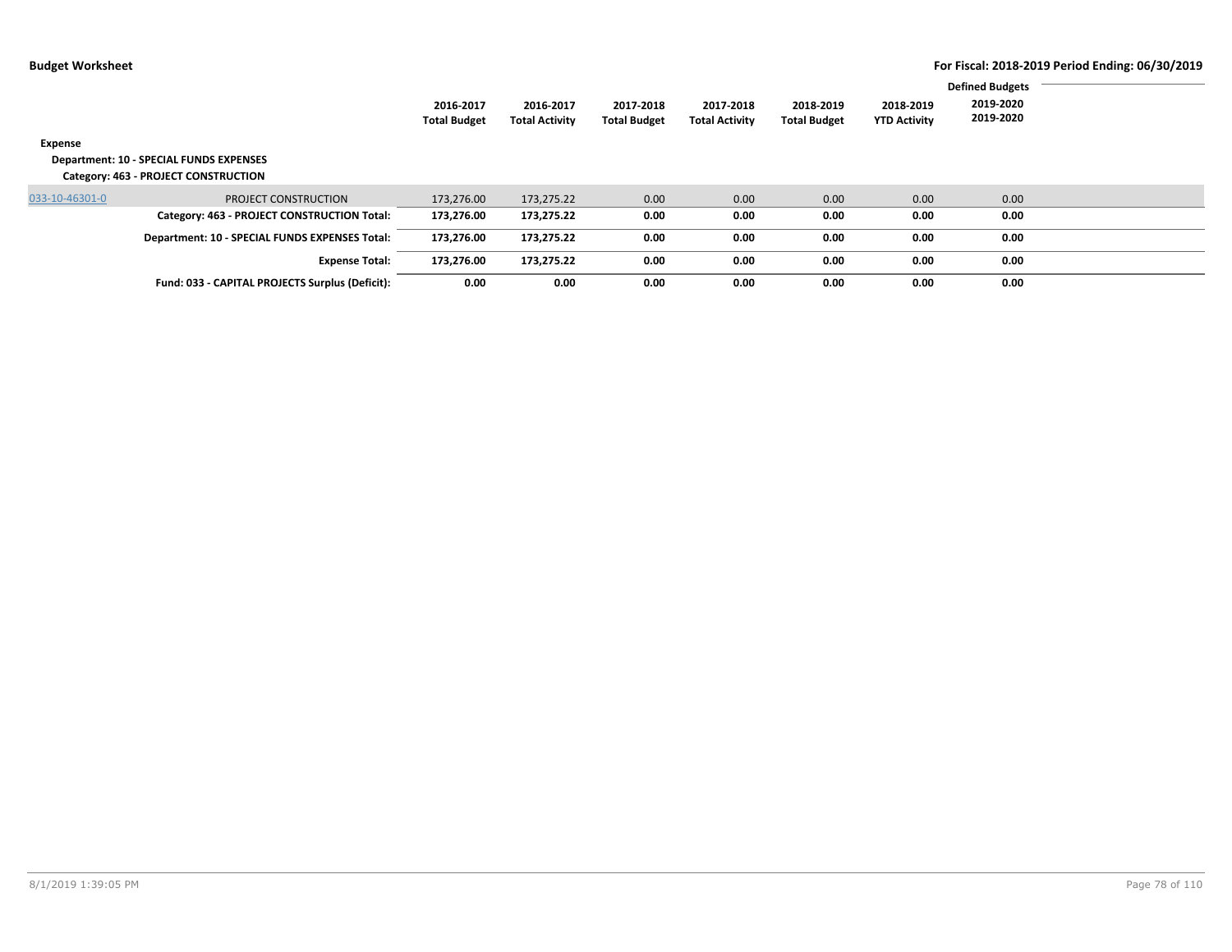| Expense        | Department: 10 - SPECIAL FUNDS EXPENSES<br>Category: 463 - PROJECT CONSTRUCTION | 2016-2017<br><b>Total Budget</b> | 2016-2017<br><b>Total Activity</b> | 2017-2018<br><b>Total Budget</b> | 2017-2018<br><b>Total Activity</b> | 2018-2019<br><b>Total Budget</b> | 2018-2019<br><b>YTD Activity</b> | <b>Defined Budgets</b><br>2019-2020<br>2019-2020 |  |
|----------------|---------------------------------------------------------------------------------|----------------------------------|------------------------------------|----------------------------------|------------------------------------|----------------------------------|----------------------------------|--------------------------------------------------|--|
| 033-10-46301-0 | PROJECT CONSTRUCTION                                                            | 173,276.00                       | 173,275.22                         | 0.00                             | 0.00                               | 0.00                             | 0.00                             | 0.00                                             |  |
|                | Category: 463 - PROJECT CONSTRUCTION Total:                                     | 173,276.00                       | 173,275.22                         | 0.00                             | 0.00                               | 0.00                             | 0.00                             | 0.00                                             |  |
|                | Department: 10 - SPECIAL FUNDS EXPENSES Total:                                  | 173,276.00                       | 173,275.22                         | 0.00                             | 0.00                               | 0.00                             | 0.00                             | 0.00                                             |  |
|                | <b>Expense Total:</b>                                                           | 173,276.00                       | 173,275.22                         | 0.00                             | 0.00                               | 0.00                             | 0.00                             | 0.00                                             |  |
|                | Fund: 033 - CAPITAL PROJECTS Surplus (Deficit):                                 | 0.00                             | 0.00                               | 0.00                             | 0.00                               | 0.00                             | 0.00                             | 0.00                                             |  |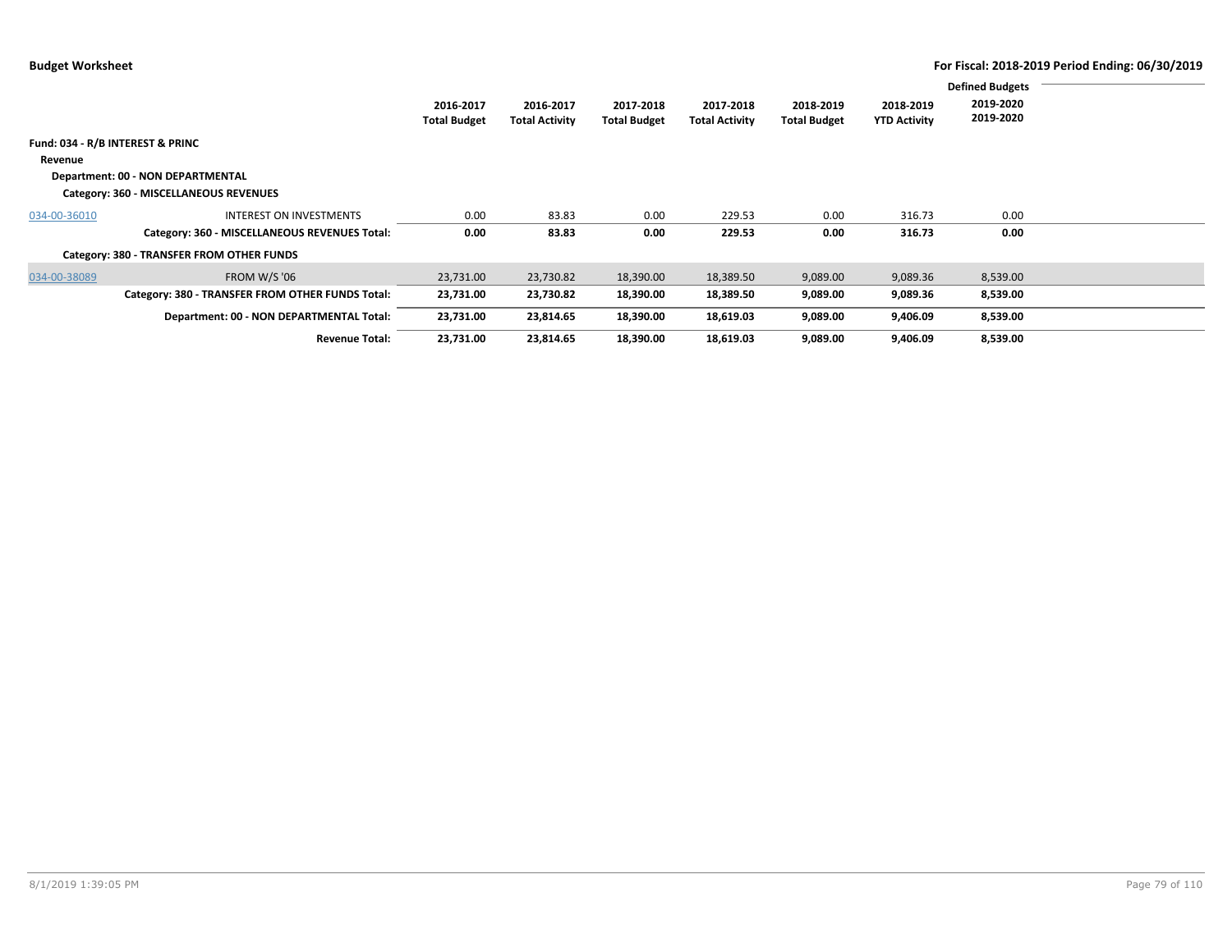|              |                                                                             |                                  |                                    |                                  |                                    |                                  |                                  | <b>Defined Budgets</b> |  |
|--------------|-----------------------------------------------------------------------------|----------------------------------|------------------------------------|----------------------------------|------------------------------------|----------------------------------|----------------------------------|------------------------|--|
|              |                                                                             | 2016-2017<br><b>Total Budget</b> | 2016-2017<br><b>Total Activity</b> | 2017-2018<br><b>Total Budget</b> | 2017-2018<br><b>Total Activity</b> | 2018-2019<br><b>Total Budget</b> | 2018-2019<br><b>YTD Activity</b> | 2019-2020<br>2019-2020 |  |
|              | Fund: 034 - R/B INTEREST & PRINC                                            |                                  |                                    |                                  |                                    |                                  |                                  |                        |  |
| Revenue      | Department: 00 - NON DEPARTMENTAL<br>Category: 360 - MISCELLANEOUS REVENUES |                                  |                                    |                                  |                                    |                                  |                                  |                        |  |
| 034-00-36010 | <b>INTEREST ON INVESTMENTS</b>                                              | 0.00                             | 83.83                              | 0.00                             | 229.53                             | 0.00                             | 316.73                           | 0.00                   |  |
|              | Category: 360 - MISCELLANEOUS REVENUES Total:                               | 0.00                             | 83.83                              | 0.00                             | 229.53                             | 0.00                             | 316.73                           | 0.00                   |  |
|              | Category: 380 - TRANSFER FROM OTHER FUNDS                                   |                                  |                                    |                                  |                                    |                                  |                                  |                        |  |
| 034-00-38089 | <b>FROM W/S '06</b>                                                         | 23,731.00                        | 23,730.82                          | 18,390.00                        | 18,389.50                          | 9,089.00                         | 9,089.36                         | 8,539.00               |  |
|              | Category: 380 - TRANSFER FROM OTHER FUNDS Total:                            | 23,731.00                        | 23,730.82                          | 18,390.00                        | 18,389.50                          | 9,089.00                         | 9,089.36                         | 8,539.00               |  |
|              | Department: 00 - NON DEPARTMENTAL Total:                                    | 23,731.00                        | 23,814.65                          | 18,390.00                        | 18,619.03                          | 9,089.00                         | 9,406.09                         | 8,539.00               |  |
|              | <b>Revenue Total:</b>                                                       | 23,731.00                        | 23,814.65                          | 18,390.00                        | 18,619.03                          | 9,089.00                         | 9,406.09                         | 8,539.00               |  |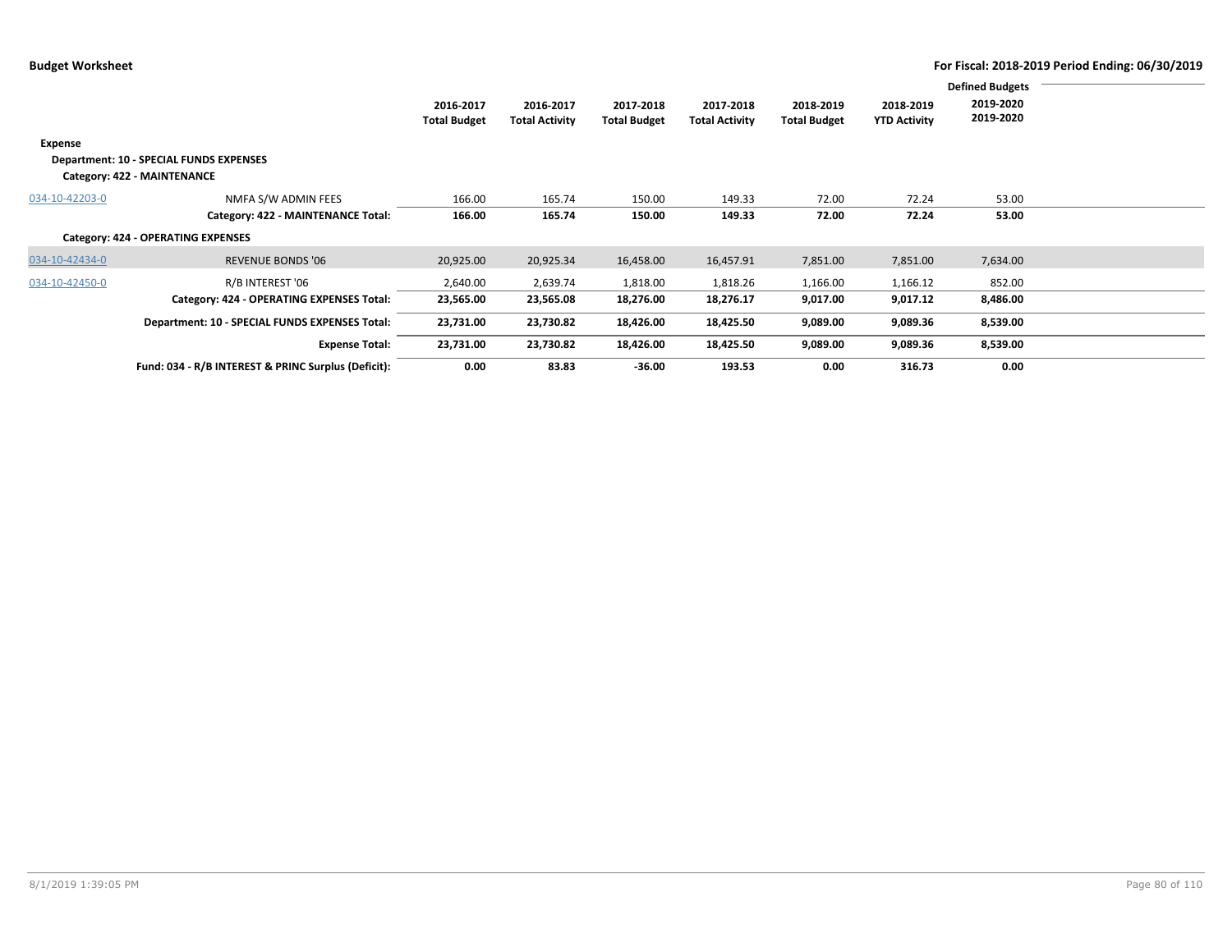|                |                                                     |                                  |                                    |                                  |                                    |                                  |                                  | <b>Defined Budgets</b> |  |
|----------------|-----------------------------------------------------|----------------------------------|------------------------------------|----------------------------------|------------------------------------|----------------------------------|----------------------------------|------------------------|--|
|                |                                                     | 2016-2017<br><b>Total Budget</b> | 2016-2017<br><b>Total Activity</b> | 2017-2018<br><b>Total Budget</b> | 2017-2018<br><b>Total Activity</b> | 2018-2019<br><b>Total Budget</b> | 2018-2019<br><b>YTD Activity</b> | 2019-2020<br>2019-2020 |  |
| Expense        |                                                     |                                  |                                    |                                  |                                    |                                  |                                  |                        |  |
|                | <b>Department: 10 - SPECIAL FUNDS EXPENSES</b>      |                                  |                                    |                                  |                                    |                                  |                                  |                        |  |
|                | Category: 422 - MAINTENANCE                         |                                  |                                    |                                  |                                    |                                  |                                  |                        |  |
| 034-10-42203-0 | NMFA S/W ADMIN FEES                                 | 166.00                           | 165.74                             | 150.00                           | 149.33                             | 72.00                            | 72.24                            | 53.00                  |  |
|                | Category: 422 - MAINTENANCE Total:                  | 166.00                           | 165.74                             | 150.00                           | 149.33                             | 72.00                            | 72.24                            | 53.00                  |  |
|                | Category: 424 - OPERATING EXPENSES                  |                                  |                                    |                                  |                                    |                                  |                                  |                        |  |
| 034-10-42434-0 | <b>REVENUE BONDS '06</b>                            | 20,925.00                        | 20,925.34                          | 16,458.00                        | 16,457.91                          | 7,851.00                         | 7,851.00                         | 7,634.00               |  |
| 034-10-42450-0 | R/B INTEREST '06                                    | 2,640.00                         | 2,639.74                           | 1,818.00                         | 1,818.26                           | 1,166.00                         | 1,166.12                         | 852.00                 |  |
|                | Category: 424 - OPERATING EXPENSES Total:           | 23,565.00                        | 23,565.08                          | 18,276.00                        | 18,276.17                          | 9,017.00                         | 9,017.12                         | 8,486.00               |  |
|                | Department: 10 - SPECIAL FUNDS EXPENSES Total:      | 23,731.00                        | 23,730.82                          | 18,426.00                        | 18,425.50                          | 9,089.00                         | 9,089.36                         | 8,539.00               |  |
|                | <b>Expense Total:</b>                               | 23,731.00                        | 23,730.82                          | 18,426.00                        | 18,425.50                          | 9,089.00                         | 9,089.36                         | 8,539.00               |  |
|                | Fund: 034 - R/B INTEREST & PRINC Surplus (Deficit): | 0.00                             | 83.83                              | $-36.00$                         | 193.53                             | 0.00                             | 316.73                           | 0.00                   |  |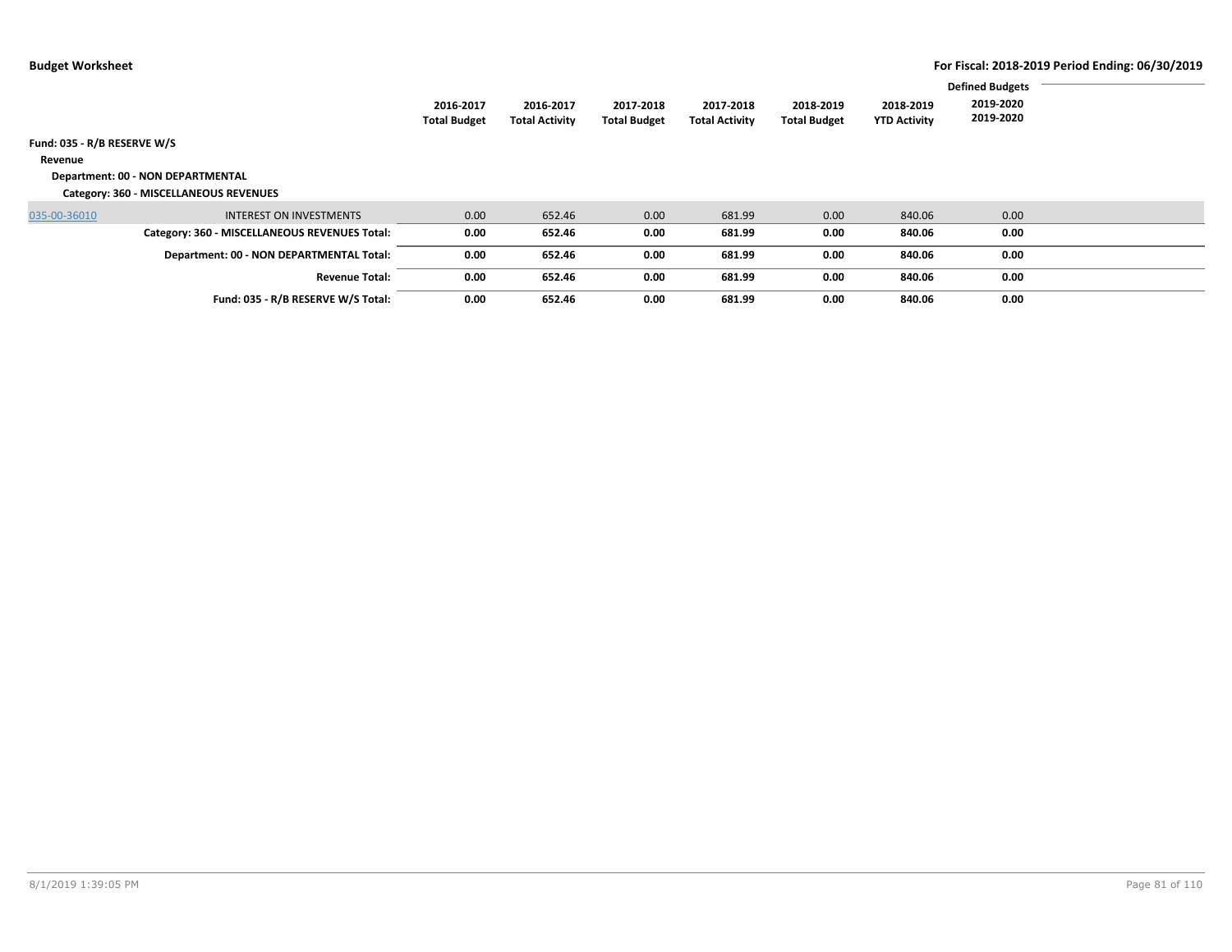| Fund: 035 - R/B RESERVE W/S<br>Revenue | Department: 00 - NON DEPARTMENTAL<br>Category: 360 - MISCELLANEOUS REVENUES | 2016-2017<br><b>Total Budget</b> | 2016-2017<br><b>Total Activity</b> | 2017-2018<br><b>Total Budget</b> | 2017-2018<br><b>Total Activity</b> | 2018-2019<br><b>Total Budget</b> | 2018-2019<br><b>YTD Activity</b> | <b>Defined Budgets</b><br>2019-2020<br>2019-2020 |  |
|----------------------------------------|-----------------------------------------------------------------------------|----------------------------------|------------------------------------|----------------------------------|------------------------------------|----------------------------------|----------------------------------|--------------------------------------------------|--|
| 035-00-36010                           | <b>INTEREST ON INVESTMENTS</b>                                              | 0.00                             | 652.46                             | 0.00                             | 681.99                             | 0.00                             | 840.06                           | 0.00                                             |  |
|                                        | Category: 360 - MISCELLANEOUS REVENUES Total:                               | 0.00                             | 652.46                             | 0.00                             | 681.99                             | 0.00                             | 840.06                           | 0.00                                             |  |
|                                        | Department: 00 - NON DEPARTMENTAL Total:                                    | 0.00                             | 652.46                             | 0.00                             | 681.99                             | 0.00                             | 840.06                           | 0.00                                             |  |
|                                        | <b>Revenue Total:</b>                                                       | 0.00                             | 652.46                             | 0.00                             | 681.99                             | 0.00                             | 840.06                           | 0.00                                             |  |
|                                        | Fund: 035 - R/B RESERVE W/S Total:                                          | 0.00                             | 652.46                             | 0.00                             | 681.99                             | 0.00                             | 840.06                           | 0.00                                             |  |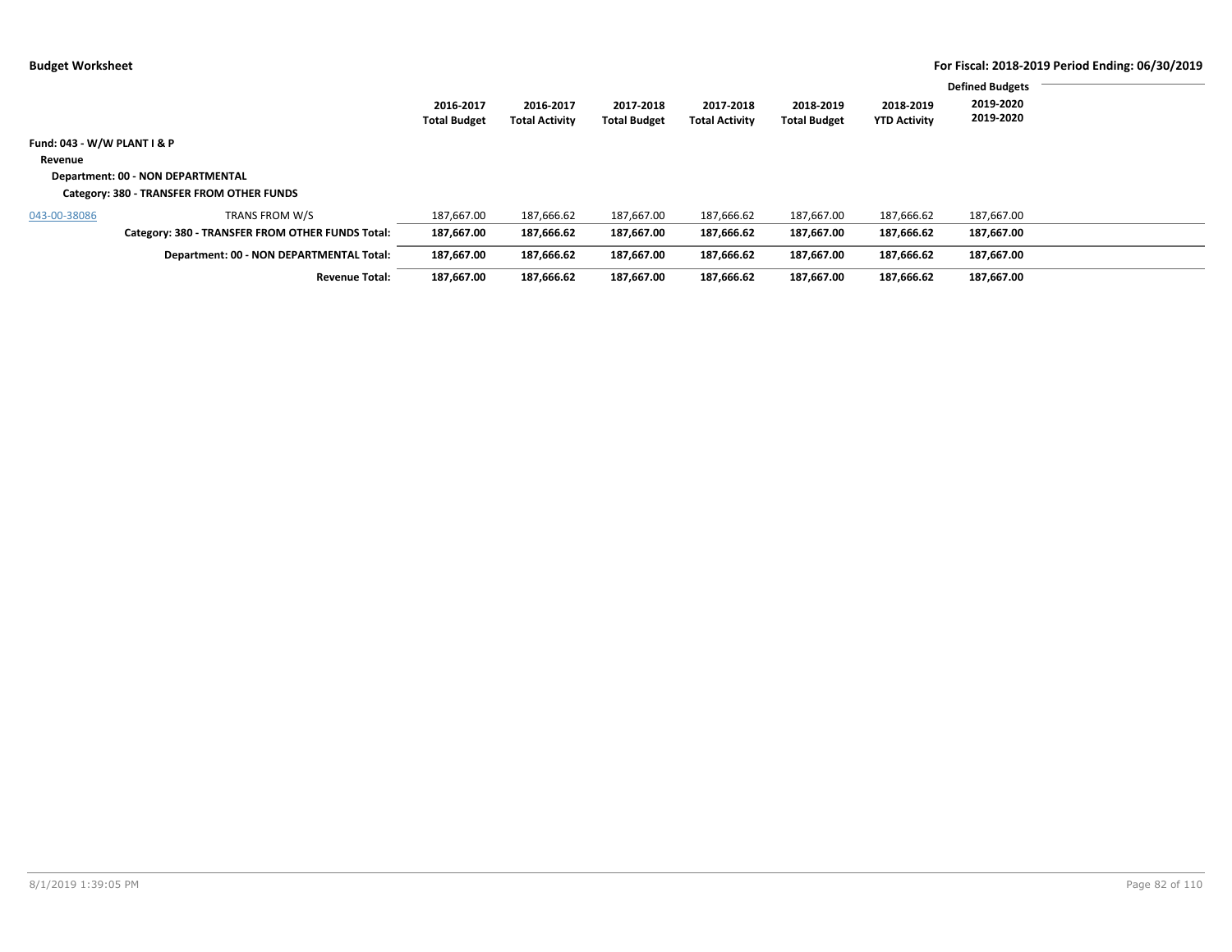|                             |                                                  |                     |                       |                     |                       |                     |                     | <b>Defined Budgets</b> |  |
|-----------------------------|--------------------------------------------------|---------------------|-----------------------|---------------------|-----------------------|---------------------|---------------------|------------------------|--|
|                             |                                                  | 2016-2017           | 2016-2017             | 2017-2018           | 2017-2018             | 2018-2019           | 2018-2019           | 2019-2020              |  |
|                             |                                                  | <b>Total Budget</b> | <b>Total Activity</b> | <b>Total Budget</b> | <b>Total Activity</b> | <b>Total Budget</b> | <b>YTD Activity</b> | 2019-2020              |  |
| Fund: 043 - W/W PLANT I & P |                                                  |                     |                       |                     |                       |                     |                     |                        |  |
| Revenue                     |                                                  |                     |                       |                     |                       |                     |                     |                        |  |
|                             | Department: 00 - NON DEPARTMENTAL                |                     |                       |                     |                       |                     |                     |                        |  |
|                             | Category: 380 - TRANSFER FROM OTHER FUNDS        |                     |                       |                     |                       |                     |                     |                        |  |
| 043-00-38086                | TRANS FROM W/S                                   | 187,667.00          | 187,666.62            | 187.667.00          | 187,666.62            | 187,667.00          | 187,666.62          | 187,667.00             |  |
|                             | Category: 380 - TRANSFER FROM OTHER FUNDS Total: | 187,667.00          | 187,666.62            | 187,667.00          | 187,666.62            | 187,667.00          | 187,666.62          | 187,667.00             |  |
|                             | Department: 00 - NON DEPARTMENTAL Total:         | 187,667.00          | 187,666.62            | 187,667.00          | 187,666.62            | 187,667.00          | 187,666.62          | 187,667.00             |  |
|                             | <b>Revenue Total:</b>                            | 187.667.00          | 187.666.62            | 187,667.00          | 187,666.62            | 187.667.00          | 187.666.62          | 187,667.00             |  |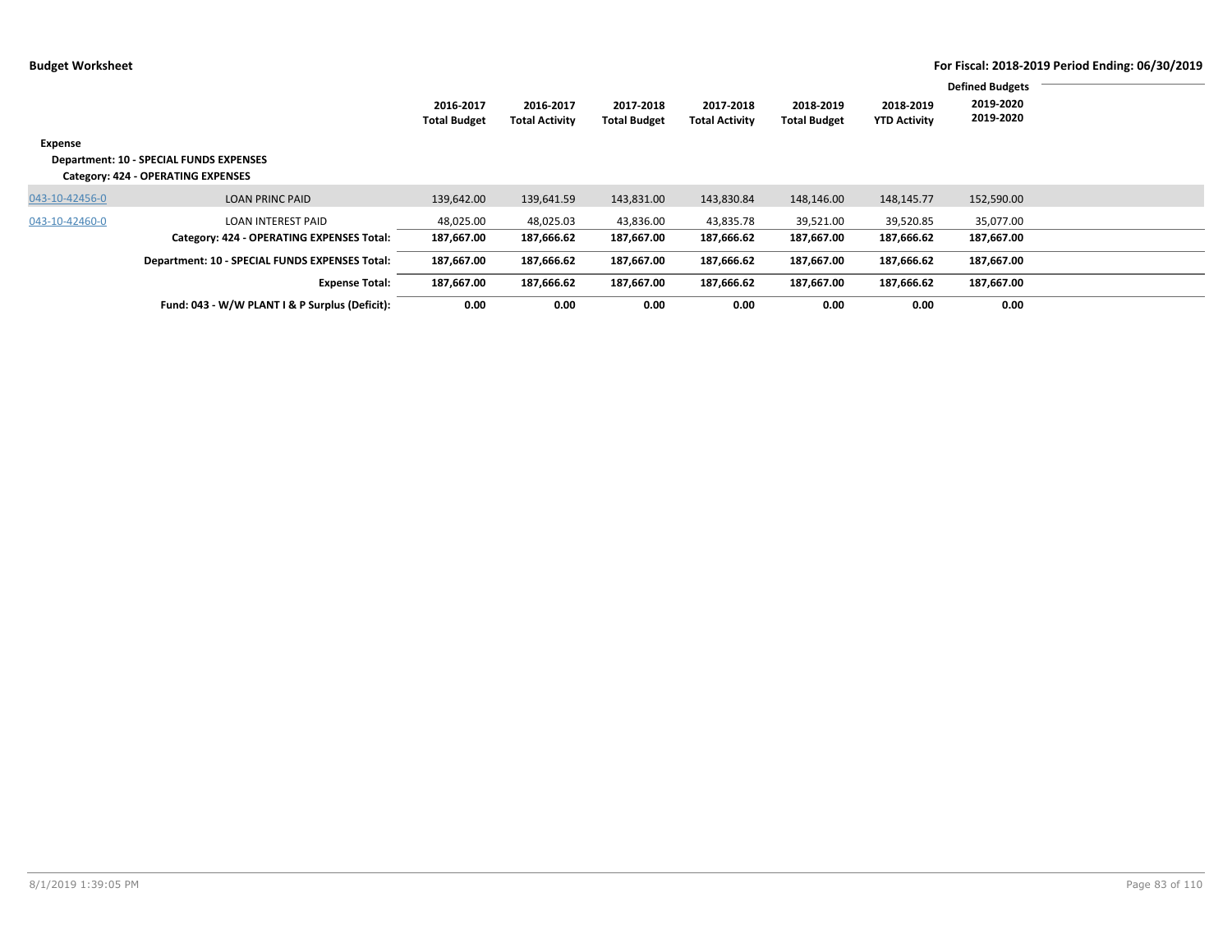|                |                                                |                                  |                                    |                                  |                                    |                                  |                                  | <b>Defined Budgets</b> |  |
|----------------|------------------------------------------------|----------------------------------|------------------------------------|----------------------------------|------------------------------------|----------------------------------|----------------------------------|------------------------|--|
|                |                                                | 2016-2017<br><b>Total Budget</b> | 2016-2017<br><b>Total Activity</b> | 2017-2018<br><b>Total Budget</b> | 2017-2018<br><b>Total Activity</b> | 2018-2019<br><b>Total Budget</b> | 2018-2019<br><b>YTD Activity</b> | 2019-2020<br>2019-2020 |  |
| Expense        |                                                |                                  |                                    |                                  |                                    |                                  |                                  |                        |  |
|                | <b>Department: 10 - SPECIAL FUNDS EXPENSES</b> |                                  |                                    |                                  |                                    |                                  |                                  |                        |  |
|                | Category: 424 - OPERATING EXPENSES             |                                  |                                    |                                  |                                    |                                  |                                  |                        |  |
| 043-10-42456-0 | <b>LOAN PRINC PAID</b>                         | 139,642.00                       | 139,641.59                         | 143,831.00                       | 143,830.84                         | 148,146.00                       | 148,145.77                       | 152,590.00             |  |
| 043-10-42460-0 | <b>LOAN INTEREST PAID</b>                      | 48,025.00                        | 48,025.03                          | 43,836.00                        | 43,835.78                          | 39,521.00                        | 39,520.85                        | 35,077.00              |  |
|                | Category: 424 - OPERATING EXPENSES Total:      | 187,667.00                       | 187,666.62                         | 187,667.00                       | 187,666.62                         | 187,667.00                       | 187,666.62                       | 187,667.00             |  |
|                | Department: 10 - SPECIAL FUNDS EXPENSES Total: | 187,667.00                       | 187,666.62                         | 187,667.00                       | 187,666.62                         | 187,667.00                       | 187,666.62                       | 187,667.00             |  |
|                | <b>Expense Total:</b>                          | 187,667.00                       | 187,666.62                         | 187,667.00                       | 187,666.62                         | 187,667.00                       | 187,666.62                       | 187,667.00             |  |
|                | Fund: 043 - W/W PLANT I & P Surplus (Deficit): | 0.00                             | 0.00                               | 0.00                             | 0.00                               | 0.00                             | 0.00                             | 0.00                   |  |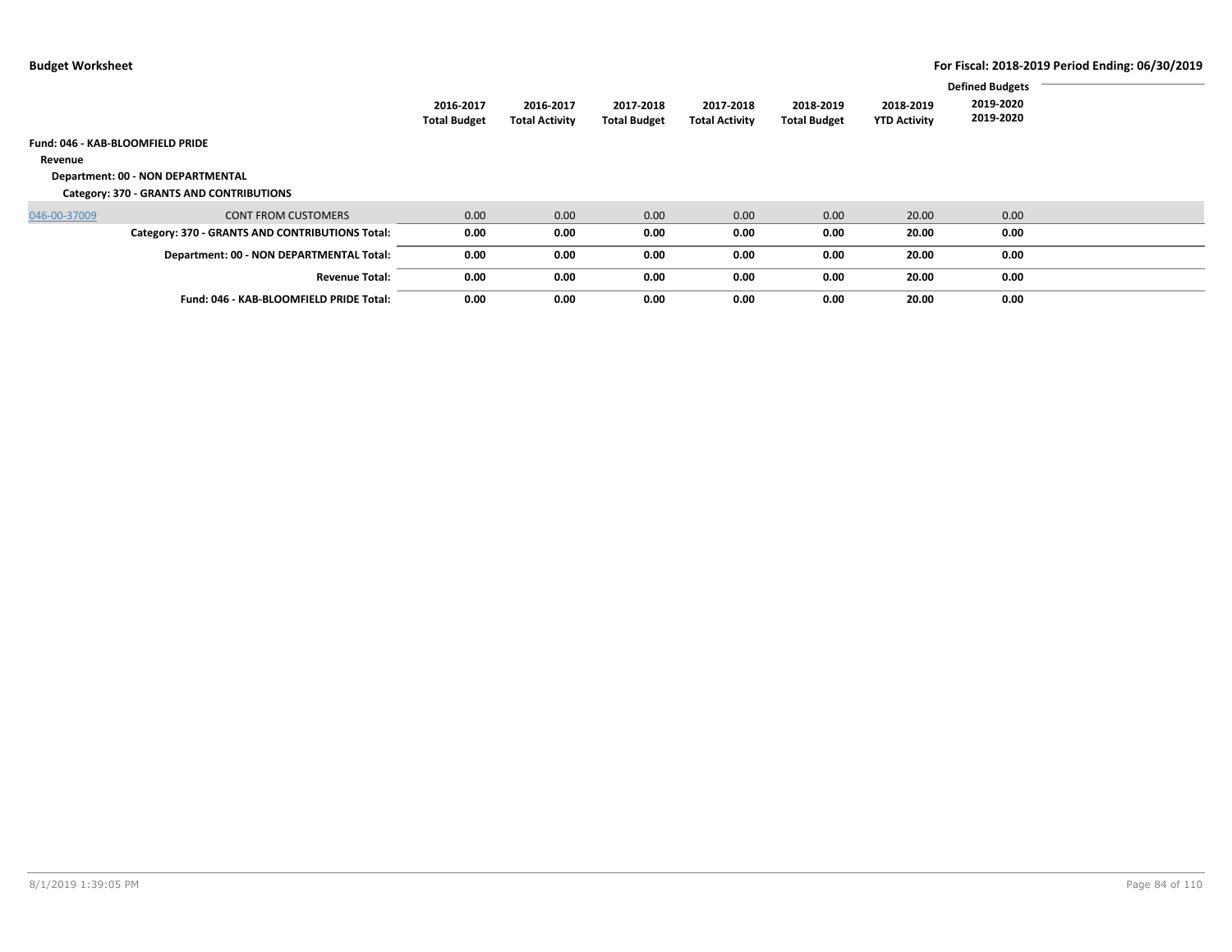|              |                                                 |                     |                       |                     |                       |                     |                     | <b>Defined Budgets</b> |  |
|--------------|-------------------------------------------------|---------------------|-----------------------|---------------------|-----------------------|---------------------|---------------------|------------------------|--|
|              |                                                 | 2016-2017           | 2016-2017             | 2017-2018           | 2017-2018             | 2018-2019           | 2018-2019           | 2019-2020              |  |
|              |                                                 | <b>Total Budget</b> | <b>Total Activity</b> | <b>Total Budget</b> | <b>Total Activity</b> | <b>Total Budget</b> | <b>YTD Activity</b> | 2019-2020              |  |
|              | Fund: 046 - KAB-BLOOMFIELD PRIDE                |                     |                       |                     |                       |                     |                     |                        |  |
| Revenue      |                                                 |                     |                       |                     |                       |                     |                     |                        |  |
|              | Department: 00 - NON DEPARTMENTAL               |                     |                       |                     |                       |                     |                     |                        |  |
|              | Category: 370 - GRANTS AND CONTRIBUTIONS        |                     |                       |                     |                       |                     |                     |                        |  |
| 046-00-37009 | <b>CONT FROM CUSTOMERS</b>                      | 0.00                | 0.00                  | 0.00                | 0.00                  | 0.00                | 20.00               | 0.00                   |  |
|              | Category: 370 - GRANTS AND CONTRIBUTIONS Total: | 0.00                | 0.00                  | 0.00                | 0.00                  | 0.00                | 20.00               | 0.00                   |  |
|              | Department: 00 - NON DEPARTMENTAL Total:        | 0.00                | 0.00                  | 0.00                | 0.00                  | 0.00                | 20.00               | 0.00                   |  |
|              | <b>Revenue Total:</b>                           | 0.00                | 0.00                  | 0.00                | 0.00                  | 0.00                | 20.00               | 0.00                   |  |
|              | Fund: 046 - KAB-BLOOMFIELD PRIDE Total:         | 0.00                | 0.00                  | 0.00                | 0.00                  | 0.00                | 20.00               | 0.00                   |  |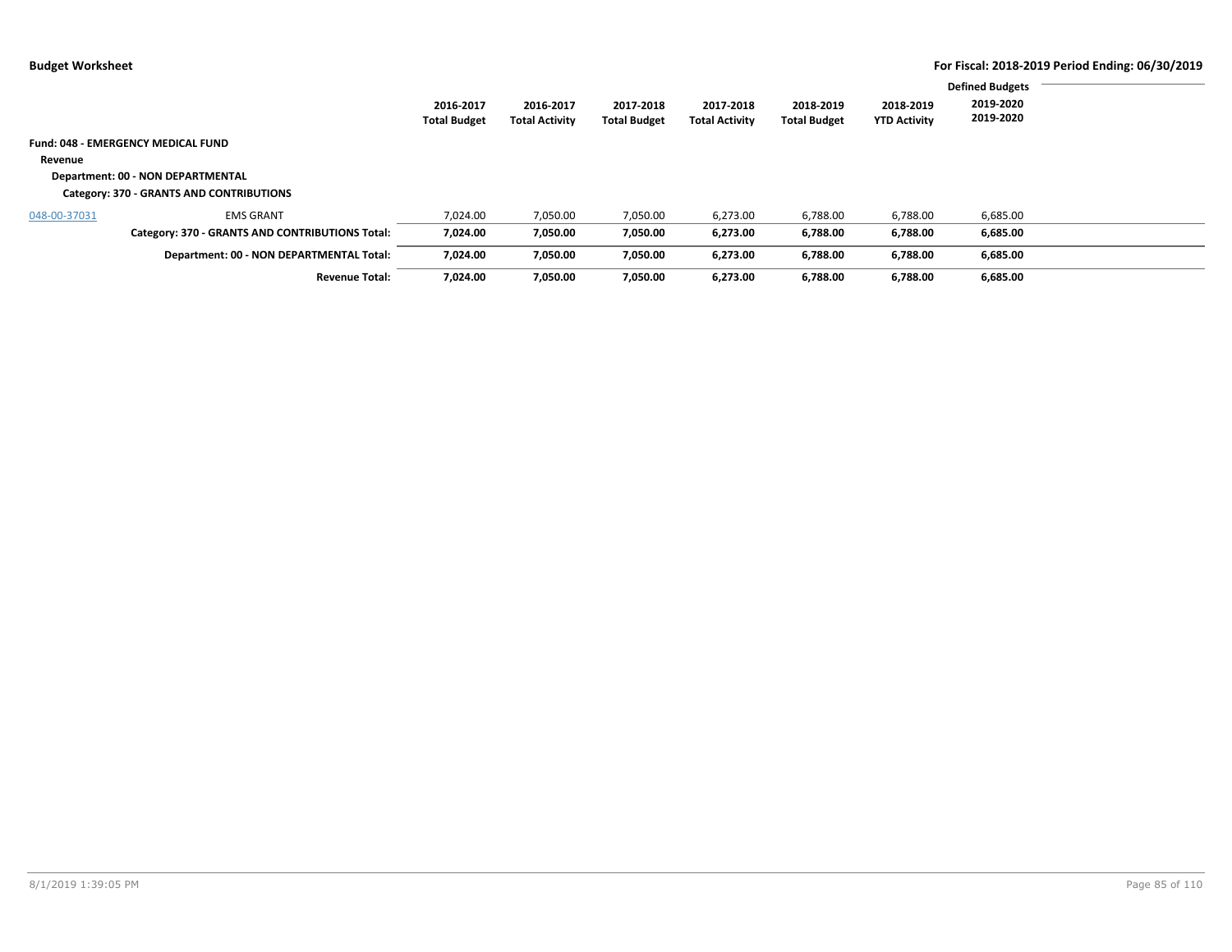|              |                                                 | 2016-2017<br><b>Total Budget</b> | 2016-2017<br><b>Total Activity</b> | 2017-2018<br><b>Total Budget</b> | 2017-2018<br><b>Total Activity</b> | 2018-2019<br><b>Total Budget</b> | 2018-2019<br><b>YTD Activity</b> | <b>Defined Budgets</b><br>2019-2020<br>2019-2020 |  |
|--------------|-------------------------------------------------|----------------------------------|------------------------------------|----------------------------------|------------------------------------|----------------------------------|----------------------------------|--------------------------------------------------|--|
|              | <b>Fund: 048 - EMERGENCY MEDICAL FUND</b>       |                                  |                                    |                                  |                                    |                                  |                                  |                                                  |  |
| Revenue      |                                                 |                                  |                                    |                                  |                                    |                                  |                                  |                                                  |  |
|              | Department: 00 - NON DEPARTMENTAL               |                                  |                                    |                                  |                                    |                                  |                                  |                                                  |  |
|              | Category: 370 - GRANTS AND CONTRIBUTIONS        |                                  |                                    |                                  |                                    |                                  |                                  |                                                  |  |
| 048-00-37031 | <b>EMS GRANT</b>                                | 7,024.00                         | 7,050.00                           | 7,050.00                         | 6,273.00                           | 6,788.00                         | 6,788.00                         | 6,685.00                                         |  |
|              | Category: 370 - GRANTS AND CONTRIBUTIONS Total: | 7,024.00                         | 7,050.00                           | 7,050.00                         | 6,273.00                           | 6,788.00                         | 6,788.00                         | 6,685.00                                         |  |
|              | Department: 00 - NON DEPARTMENTAL Total:        | 7,024.00                         | 7,050.00                           | 7,050.00                         | 6,273.00                           | 6,788.00                         | 6,788.00                         | 6,685.00                                         |  |
|              | <b>Revenue Total:</b>                           | 7.024.00                         | 7,050.00                           | 7,050.00                         | 6,273.00                           | 6,788.00                         | 6,788.00                         | 6,685.00                                         |  |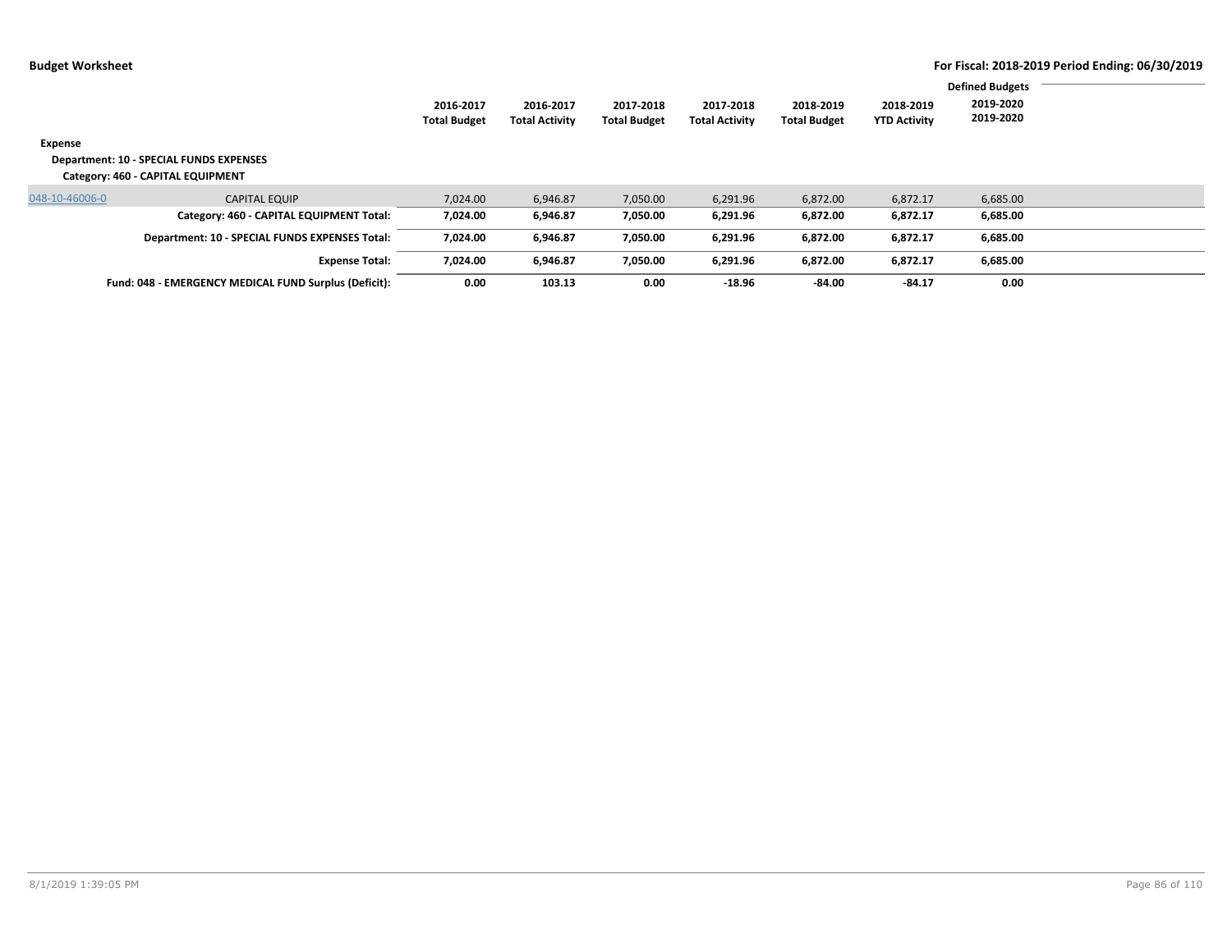| Expense        |                                                       | 2016-2017<br><b>Total Budget</b> | 2016-2017<br><b>Total Activity</b> | 2017-2018<br><b>Total Budget</b> | 2017-2018<br><b>Total Activity</b> | 2018-2019<br><b>Total Budget</b> | 2018-2019<br><b>YTD Activity</b> | <b>Defined Budgets</b><br>2019-2020<br>2019-2020 |  |
|----------------|-------------------------------------------------------|----------------------------------|------------------------------------|----------------------------------|------------------------------------|----------------------------------|----------------------------------|--------------------------------------------------|--|
|                | Department: 10 - SPECIAL FUNDS EXPENSES               |                                  |                                    |                                  |                                    |                                  |                                  |                                                  |  |
|                | Category: 460 - CAPITAL EQUIPMENT                     |                                  |                                    |                                  |                                    |                                  |                                  |                                                  |  |
| 048-10-46006-0 | <b>CAPITAL EQUIP</b>                                  | 7,024.00                         | 6,946.87                           | 7,050.00                         | 6,291.96                           | 6,872.00                         | 6,872.17                         | 6,685.00                                         |  |
|                | Category: 460 - CAPITAL EQUIPMENT Total:              | 7,024.00                         | 6,946.87                           | 7,050.00                         | 6,291.96                           | 6,872.00                         | 6,872.17                         | 6,685.00                                         |  |
|                | Department: 10 - SPECIAL FUNDS EXPENSES Total:        | 7.024.00                         | 6,946.87                           | 7,050.00                         | 6,291.96                           | 6,872.00                         | 6.872.17                         | 6,685.00                                         |  |
|                | <b>Expense Total:</b>                                 | 7,024.00                         | 6,946.87                           | 7,050.00                         | 6,291.96                           | 6,872.00                         | 6,872.17                         | 6,685.00                                         |  |
|                | Fund: 048 - EMERGENCY MEDICAL FUND Surplus (Deficit): | 0.00                             | 103.13                             | 0.00                             | -18.96                             | $-84.00$                         | $-84.17$                         | 0.00                                             |  |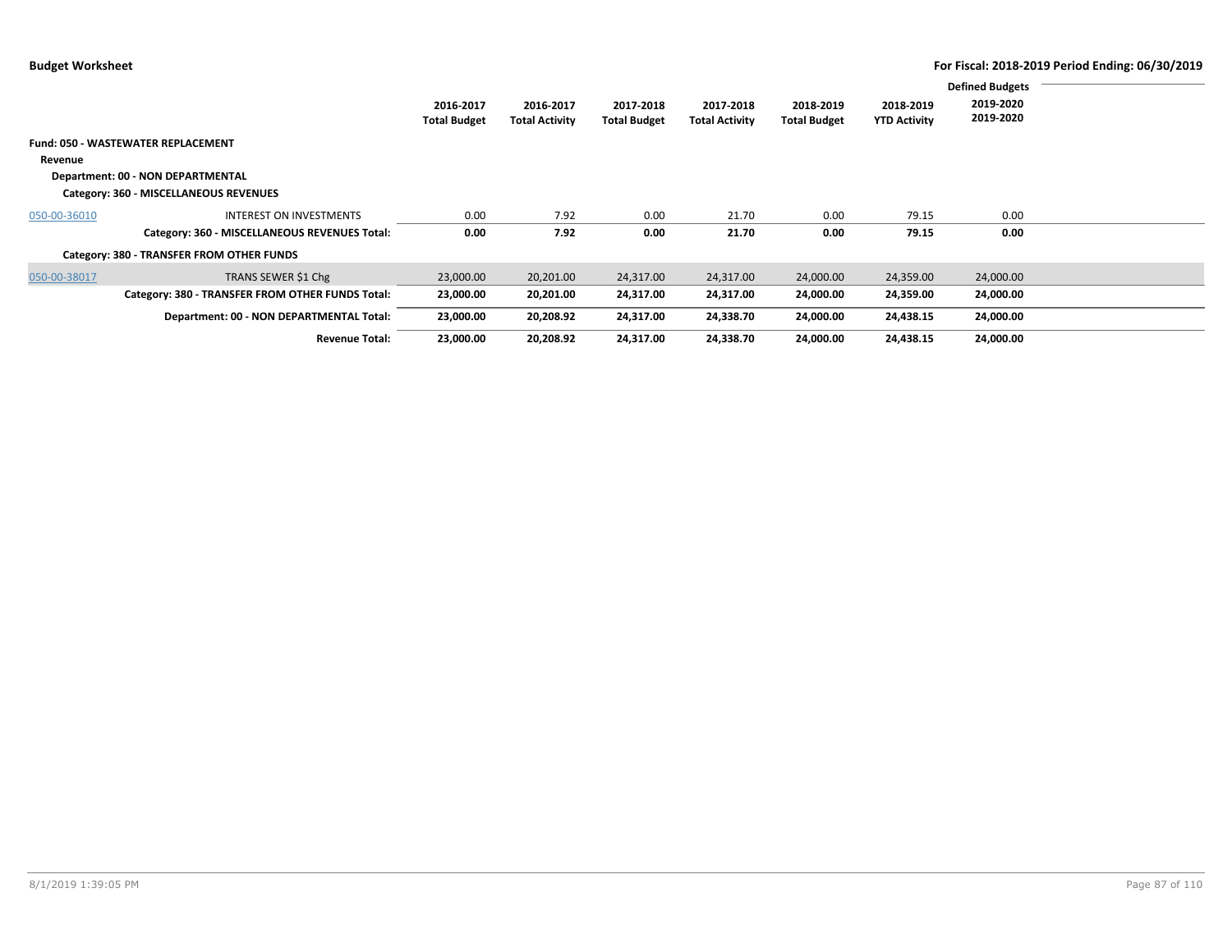|              |                                                  |                                  |                                    |                                  |                                    |                                  |                                  | <b>Defined Budgets</b> |  |
|--------------|--------------------------------------------------|----------------------------------|------------------------------------|----------------------------------|------------------------------------|----------------------------------|----------------------------------|------------------------|--|
|              |                                                  | 2016-2017<br><b>Total Budget</b> | 2016-2017<br><b>Total Activity</b> | 2017-2018<br><b>Total Budget</b> | 2017-2018<br><b>Total Activity</b> | 2018-2019<br><b>Total Budget</b> | 2018-2019<br><b>YTD Activity</b> | 2019-2020<br>2019-2020 |  |
|              | <b>Fund: 050 - WASTEWATER REPLACEMENT</b>        |                                  |                                    |                                  |                                    |                                  |                                  |                        |  |
| Revenue      |                                                  |                                  |                                    |                                  |                                    |                                  |                                  |                        |  |
|              | Department: 00 - NON DEPARTMENTAL                |                                  |                                    |                                  |                                    |                                  |                                  |                        |  |
|              | Category: 360 - MISCELLANEOUS REVENUES           |                                  |                                    |                                  |                                    |                                  |                                  |                        |  |
| 050-00-36010 | <b>INTEREST ON INVESTMENTS</b>                   | 0.00                             | 7.92                               | 0.00                             | 21.70                              | 0.00                             | 79.15                            | 0.00                   |  |
|              | Category: 360 - MISCELLANEOUS REVENUES Total:    | 0.00                             | 7.92                               | 0.00                             | 21.70                              | 0.00                             | 79.15                            | 0.00                   |  |
|              | Category: 380 - TRANSFER FROM OTHER FUNDS        |                                  |                                    |                                  |                                    |                                  |                                  |                        |  |
| 050-00-38017 | TRANS SEWER \$1 Chg                              | 23,000.00                        | 20,201.00                          | 24,317.00                        | 24,317.00                          | 24,000.00                        | 24,359.00                        | 24,000.00              |  |
|              | Category: 380 - TRANSFER FROM OTHER FUNDS Total: | 23,000.00                        | 20,201.00                          | 24,317.00                        | 24,317.00                          | 24,000.00                        | 24,359.00                        | 24,000.00              |  |
|              | Department: 00 - NON DEPARTMENTAL Total:         | 23,000.00                        | 20,208.92                          | 24,317.00                        | 24,338.70                          | 24,000.00                        | 24,438.15                        | 24,000.00              |  |
|              | <b>Revenue Total:</b>                            | 23,000.00                        | 20,208.92                          | 24,317.00                        | 24,338.70                          | 24,000.00                        | 24,438.15                        | 24,000.00              |  |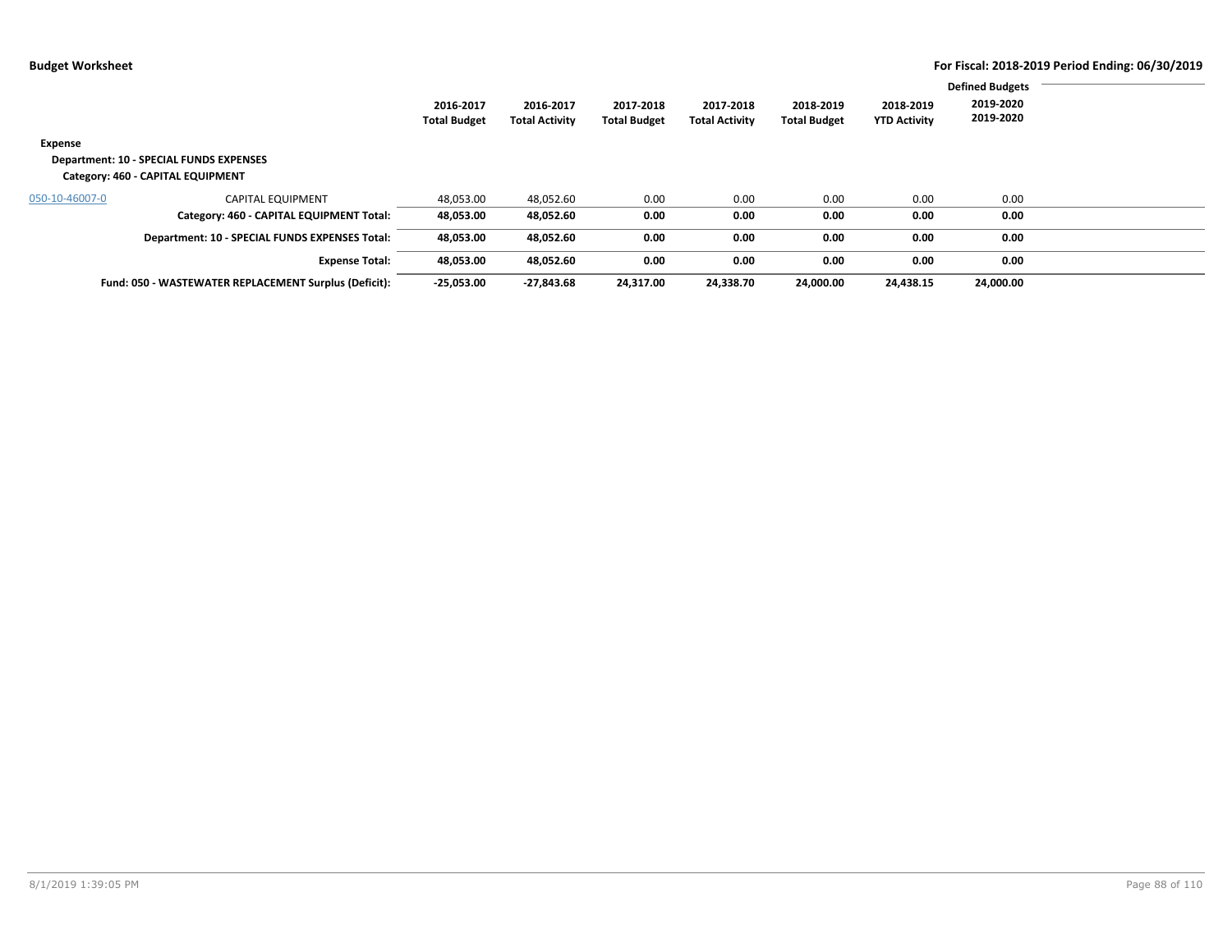|                |                                                                              |                                  |                                    |                                  |                                    |                                  |                                  | <b>Defined Budgets</b> |  |
|----------------|------------------------------------------------------------------------------|----------------------------------|------------------------------------|----------------------------------|------------------------------------|----------------------------------|----------------------------------|------------------------|--|
|                |                                                                              | 2016-2017<br><b>Total Budget</b> | 2016-2017<br><b>Total Activity</b> | 2017-2018<br><b>Total Budget</b> | 2017-2018<br><b>Total Activity</b> | 2018-2019<br><b>Total Budget</b> | 2018-2019<br><b>YTD Activity</b> | 2019-2020<br>2019-2020 |  |
| Expense        | Department: 10 - SPECIAL FUNDS EXPENSES<br>Category: 460 - CAPITAL EQUIPMENT |                                  |                                    |                                  |                                    |                                  |                                  |                        |  |
| 050-10-46007-0 | <b>CAPITAL EQUIPMENT</b>                                                     | 48,053.00                        | 48,052.60                          | 0.00                             | 0.00                               | 0.00                             | 0.00                             | 0.00                   |  |
|                | Category: 460 - CAPITAL EQUIPMENT Total:                                     | 48,053.00                        | 48,052.60                          | 0.00                             | 0.00                               | 0.00                             | 0.00                             | 0.00                   |  |
|                | Department: 10 - SPECIAL FUNDS EXPENSES Total:                               | 48,053.00                        | 48,052.60                          | 0.00                             | 0.00                               | 0.00                             | 0.00                             | 0.00                   |  |
|                | <b>Expense Total:</b>                                                        | 48,053.00                        | 48,052.60                          | 0.00                             | 0.00                               | 0.00                             | 0.00                             | 0.00                   |  |
|                | Fund: 050 - WASTEWATER REPLACEMENT Surplus (Deficit):                        | $-25,053.00$                     | $-27,843.68$                       | 24.317.00                        | 24,338.70                          | 24,000.00                        | 24,438.15                        | 24,000.00              |  |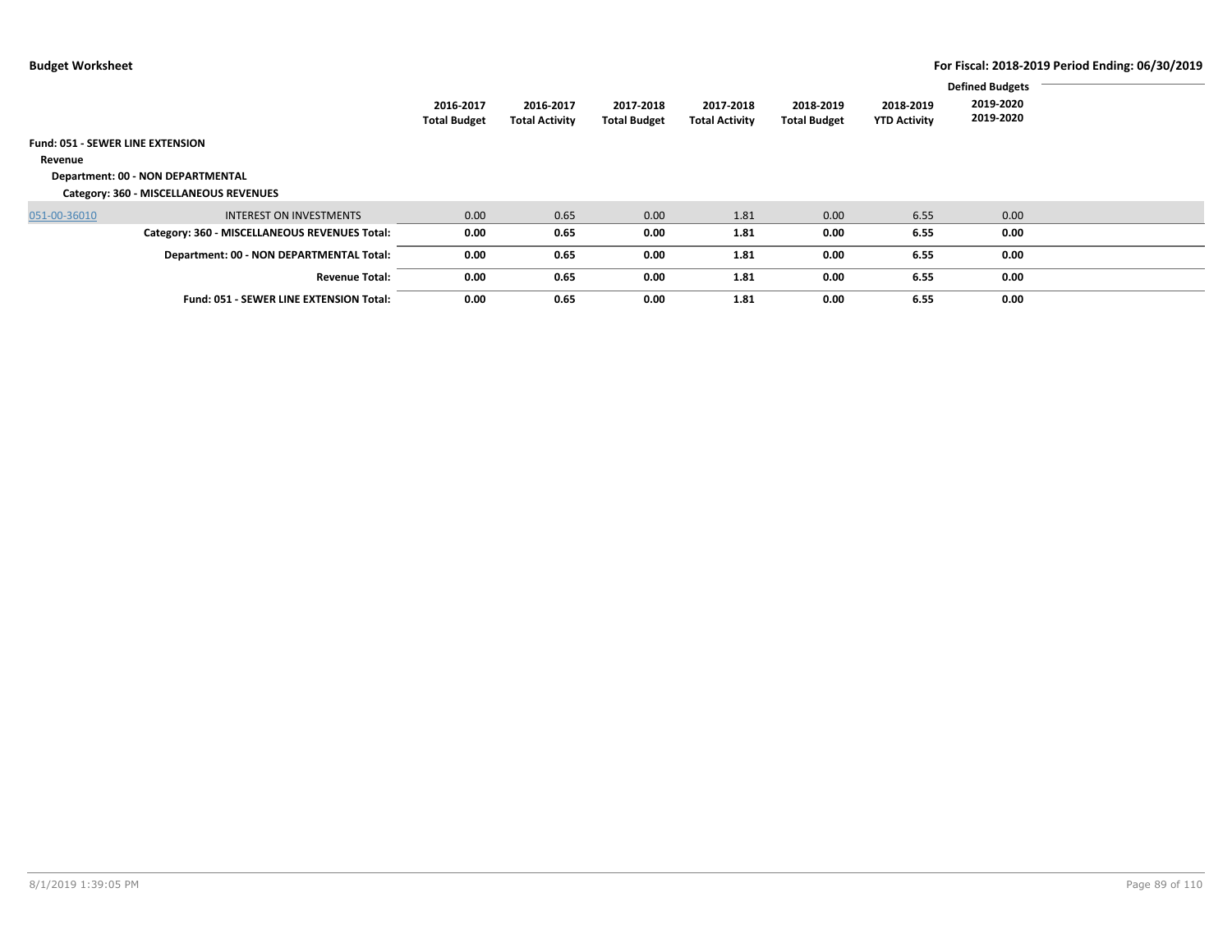|                                                    |                                                                             | <b>Defined Budgets</b>           |                                    |                                  |                                    |                                  |                                  |                        |  |
|----------------------------------------------------|-----------------------------------------------------------------------------|----------------------------------|------------------------------------|----------------------------------|------------------------------------|----------------------------------|----------------------------------|------------------------|--|
|                                                    |                                                                             | 2016-2017<br><b>Total Budget</b> | 2016-2017<br><b>Total Activity</b> | 2017-2018<br><b>Total Budget</b> | 2017-2018<br><b>Total Activity</b> | 2018-2019<br><b>Total Budget</b> | 2018-2019<br><b>YTD Activity</b> | 2019-2020<br>2019-2020 |  |
| <b>Fund: 051 - SEWER LINE EXTENSION</b><br>Revenue |                                                                             |                                  |                                    |                                  |                                    |                                  |                                  |                        |  |
|                                                    | Department: 00 - NON DEPARTMENTAL<br>Category: 360 - MISCELLANEOUS REVENUES |                                  |                                    |                                  |                                    |                                  |                                  |                        |  |
| 051-00-36010                                       | INTEREST ON INVESTMENTS                                                     | 0.00                             | 0.65                               | 0.00                             | 1.81                               | 0.00                             | 6.55                             | 0.00                   |  |
|                                                    | Category: 360 - MISCELLANEOUS REVENUES Total:                               | 0.00                             | 0.65                               | 0.00                             | 1.81                               | 0.00                             | 6.55                             | 0.00                   |  |
|                                                    | Department: 00 - NON DEPARTMENTAL Total:                                    | 0.00                             | 0.65                               | 0.00                             | 1.81                               | 0.00                             | 6.55                             | 0.00                   |  |
|                                                    | <b>Revenue Total:</b>                                                       | 0.00                             | 0.65                               | 0.00                             | 1.81                               | 0.00                             | 6.55                             | 0.00                   |  |
|                                                    | <b>Fund: 051 - SEWER LINE EXTENSION Total:</b>                              | 0.00                             | 0.65                               | 0.00                             | 1.81                               | 0.00                             | 6.55                             | 0.00                   |  |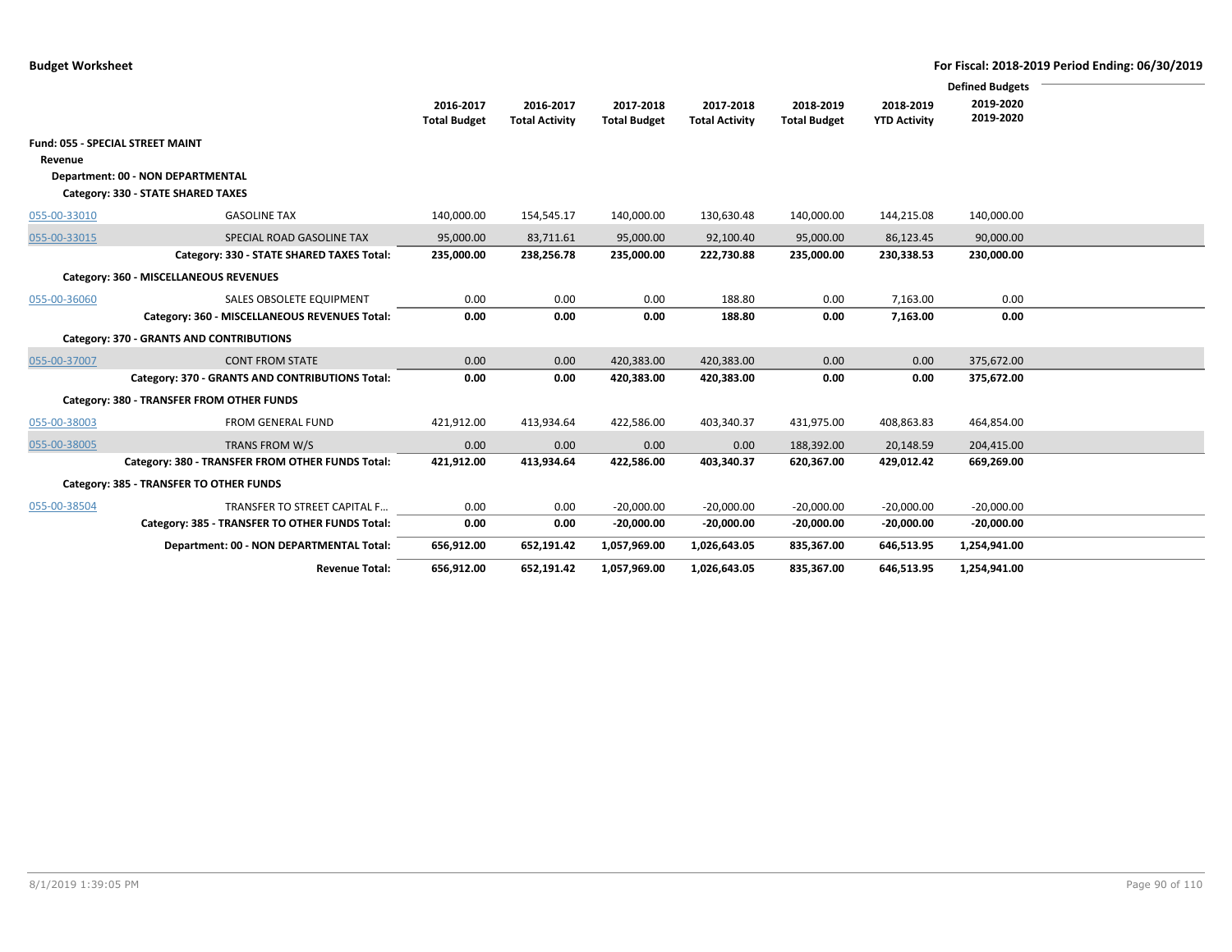|                                             |                                                                                |                                  |                                    |                                  |                                    |                                  |                                  | <b>Defined Budgets</b> |  |
|---------------------------------------------|--------------------------------------------------------------------------------|----------------------------------|------------------------------------|----------------------------------|------------------------------------|----------------------------------|----------------------------------|------------------------|--|
|                                             |                                                                                | 2016-2017<br><b>Total Budget</b> | 2016-2017<br><b>Total Activity</b> | 2017-2018<br><b>Total Budget</b> | 2017-2018<br><b>Total Activity</b> | 2018-2019<br><b>Total Budget</b> | 2018-2019<br><b>YTD Activity</b> | 2019-2020<br>2019-2020 |  |
| Fund: 055 - SPECIAL STREET MAINT<br>Revenue |                                                                                |                                  |                                    |                                  |                                    |                                  |                                  |                        |  |
|                                             | <b>Department: 00 - NON DEPARTMENTAL</b><br>Category: 330 - STATE SHARED TAXES |                                  |                                    |                                  |                                    |                                  |                                  |                        |  |
| 055-00-33010                                | <b>GASOLINE TAX</b>                                                            | 140,000.00                       | 154,545.17                         | 140,000.00                       | 130,630.48                         | 140,000.00                       | 144,215.08                       | 140,000.00             |  |
| 055-00-33015                                | SPECIAL ROAD GASOLINE TAX                                                      | 95,000.00                        | 83,711.61                          | 95,000.00                        | 92,100.40                          | 95,000.00                        | 86,123.45                        | 90,000.00              |  |
|                                             | Category: 330 - STATE SHARED TAXES Total:                                      | 235,000.00                       | 238,256.78                         | 235,000.00                       | 222,730.88                         | 235,000.00                       | 230,338.53                       | 230,000.00             |  |
|                                             | Category: 360 - MISCELLANEOUS REVENUES                                         |                                  |                                    |                                  |                                    |                                  |                                  |                        |  |
| 055-00-36060                                | SALES OBSOLETE EQUIPMENT                                                       | 0.00                             | 0.00                               | 0.00                             | 188.80                             | 0.00                             | 7,163.00                         | 0.00                   |  |
|                                             | Category: 360 - MISCELLANEOUS REVENUES Total:                                  | 0.00                             | 0.00                               | 0.00                             | 188.80                             | 0.00                             | 7,163.00                         | 0.00                   |  |
|                                             | <b>Category: 370 - GRANTS AND CONTRIBUTIONS</b>                                |                                  |                                    |                                  |                                    |                                  |                                  |                        |  |
| 055-00-37007                                | <b>CONT FROM STATE</b>                                                         | 0.00                             | 0.00                               | 420,383.00                       | 420,383.00                         | 0.00                             | 0.00                             | 375,672.00             |  |
|                                             | Category: 370 - GRANTS AND CONTRIBUTIONS Total:                                | 0.00                             | 0.00                               | 420,383.00                       | 420,383.00                         | 0.00                             | 0.00                             | 375,672.00             |  |
|                                             | Category: 380 - TRANSFER FROM OTHER FUNDS                                      |                                  |                                    |                                  |                                    |                                  |                                  |                        |  |
| 055-00-38003                                | FROM GENERAL FUND                                                              | 421,912.00                       | 413,934.64                         | 422,586.00                       | 403,340.37                         | 431,975.00                       | 408,863.83                       | 464,854.00             |  |
| 055-00-38005                                | TRANS FROM W/S                                                                 | 0.00                             | 0.00                               | 0.00                             | 0.00                               | 188,392.00                       | 20,148.59                        | 204,415.00             |  |
|                                             | Category: 380 - TRANSFER FROM OTHER FUNDS Total:                               | 421,912.00                       | 413,934.64                         | 422,586.00                       | 403,340.37                         | 620,367.00                       | 429,012.42                       | 669,269.00             |  |
|                                             | Category: 385 - TRANSFER TO OTHER FUNDS                                        |                                  |                                    |                                  |                                    |                                  |                                  |                        |  |
| 055-00-38504                                | TRANSFER TO STREET CAPITAL F                                                   | 0.00                             | 0.00                               | $-20,000.00$                     | $-20,000.00$                       | $-20,000.00$                     | $-20,000.00$                     | $-20,000.00$           |  |
|                                             | Category: 385 - TRANSFER TO OTHER FUNDS Total:                                 | 0.00                             | 0.00                               | $-20,000.00$                     | $-20,000.00$                       | $-20,000.00$                     | $-20,000.00$                     | $-20,000.00$           |  |
|                                             | Department: 00 - NON DEPARTMENTAL Total:                                       | 656,912.00                       | 652,191.42                         | 1,057,969.00                     | 1,026,643.05                       | 835,367.00                       | 646,513.95                       | 1,254,941.00           |  |
|                                             | <b>Revenue Total:</b>                                                          | 656,912.00                       | 652,191.42                         | 1,057,969.00                     | 1,026,643.05                       | 835,367.00                       | 646,513.95                       | 1,254,941.00           |  |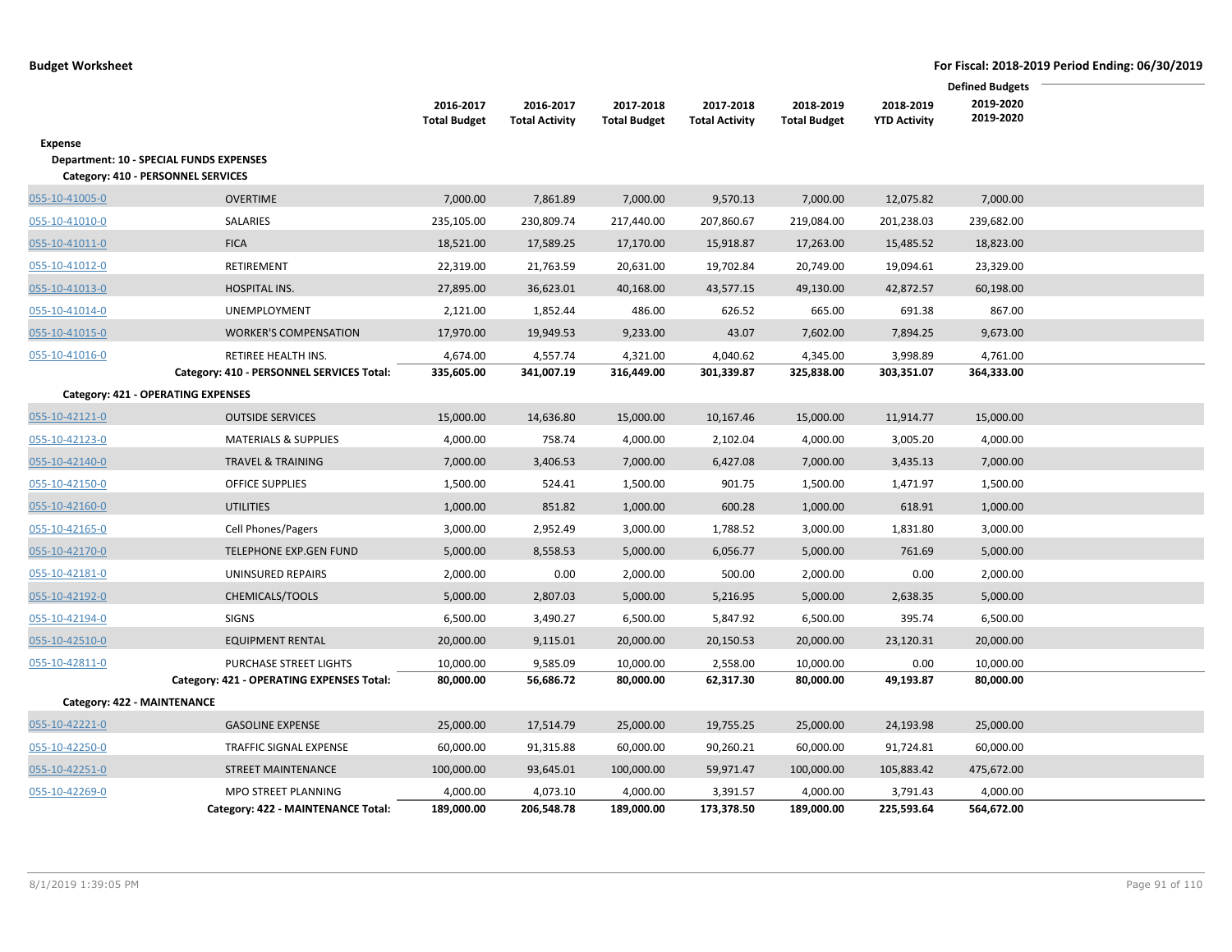|                                    |                                                |                                  |                                    |                                  |                                    |                                  |                                  | <b>Defined Budgets</b> |  |
|------------------------------------|------------------------------------------------|----------------------------------|------------------------------------|----------------------------------|------------------------------------|----------------------------------|----------------------------------|------------------------|--|
|                                    |                                                | 2016-2017<br><b>Total Budget</b> | 2016-2017<br><b>Total Activity</b> | 2017-2018<br><b>Total Budget</b> | 2017-2018<br><b>Total Activity</b> | 2018-2019<br><b>Total Budget</b> | 2018-2019<br><b>YTD Activity</b> | 2019-2020<br>2019-2020 |  |
| Expense                            |                                                |                                  |                                    |                                  |                                    |                                  |                                  |                        |  |
|                                    | <b>Department: 10 - SPECIAL FUNDS EXPENSES</b> |                                  |                                    |                                  |                                    |                                  |                                  |                        |  |
| Category: 410 - PERSONNEL SERVICES |                                                |                                  |                                    |                                  |                                    |                                  |                                  |                        |  |
| 055-10-41005-0                     | <b>OVERTIME</b>                                | 7,000.00                         | 7,861.89                           | 7,000.00                         | 9,570.13                           | 7,000.00                         | 12,075.82                        | 7,000.00               |  |
| 055-10-41010-0                     | SALARIES                                       | 235,105.00                       | 230,809.74                         | 217,440.00                       | 207,860.67                         | 219,084.00                       | 201,238.03                       | 239,682.00             |  |
| 055-10-41011-0                     | <b>FICA</b>                                    | 18,521.00                        | 17,589.25                          | 17,170.00                        | 15,918.87                          | 17,263.00                        | 15,485.52                        | 18,823.00              |  |
| 055-10-41012-0                     | RETIREMENT                                     | 22,319.00                        | 21,763.59                          | 20,631.00                        | 19,702.84                          | 20,749.00                        | 19,094.61                        | 23,329.00              |  |
| 055-10-41013-0                     | HOSPITAL INS.                                  | 27,895.00                        | 36,623.01                          | 40,168.00                        | 43,577.15                          | 49,130.00                        | 42,872.57                        | 60,198.00              |  |
| 055-10-41014-0                     | UNEMPLOYMENT                                   | 2,121.00                         | 1,852.44                           | 486.00                           | 626.52                             | 665.00                           | 691.38                           | 867.00                 |  |
| 055-10-41015-0                     | <b>WORKER'S COMPENSATION</b>                   | 17,970.00                        | 19,949.53                          | 9,233.00                         | 43.07                              | 7,602.00                         | 7,894.25                         | 9,673.00               |  |
| 055-10-41016-0                     | RETIREE HEALTH INS.                            | 4,674.00                         | 4,557.74                           | 4,321.00                         | 4,040.62                           | 4,345.00                         | 3,998.89                         | 4,761.00               |  |
|                                    | Category: 410 - PERSONNEL SERVICES Total:      | 335,605.00                       | 341,007.19                         | 316,449.00                       | 301,339.87                         | 325,838.00                       | 303,351.07                       | 364,333.00             |  |
| Category: 421 - OPERATING EXPENSES |                                                |                                  |                                    |                                  |                                    |                                  |                                  |                        |  |
| 055-10-42121-0                     | <b>OUTSIDE SERVICES</b>                        | 15,000.00                        | 14,636.80                          | 15,000.00                        | 10,167.46                          | 15,000.00                        | 11,914.77                        | 15,000.00              |  |
| 055-10-42123-0                     | <b>MATERIALS &amp; SUPPLIES</b>                | 4,000.00                         | 758.74                             | 4,000.00                         | 2,102.04                           | 4,000.00                         | 3,005.20                         | 4,000.00               |  |
| 055-10-42140-0                     | <b>TRAVEL &amp; TRAINING</b>                   | 7,000.00                         | 3,406.53                           | 7,000.00                         | 6,427.08                           | 7,000.00                         | 3,435.13                         | 7,000.00               |  |
| 055-10-42150-0                     | <b>OFFICE SUPPLIES</b>                         | 1,500.00                         | 524.41                             | 1,500.00                         | 901.75                             | 1,500.00                         | 1,471.97                         | 1,500.00               |  |
| 055-10-42160-0                     | <b>UTILITIES</b>                               | 1,000.00                         | 851.82                             | 1,000.00                         | 600.28                             | 1,000.00                         | 618.91                           | 1,000.00               |  |
| 055-10-42165-0                     | Cell Phones/Pagers                             | 3,000.00                         | 2,952.49                           | 3,000.00                         | 1,788.52                           | 3,000.00                         | 1,831.80                         | 3,000.00               |  |
| 055-10-42170-0                     | <b>TELEPHONE EXP.GEN FUND</b>                  | 5,000.00                         | 8,558.53                           | 5,000.00                         | 6,056.77                           | 5,000.00                         | 761.69                           | 5,000.00               |  |
| 055-10-42181-0                     | <b>UNINSURED REPAIRS</b>                       | 2,000.00                         | 0.00                               | 2,000.00                         | 500.00                             | 2,000.00                         | 0.00                             | 2,000.00               |  |
| 055-10-42192-0                     | CHEMICALS/TOOLS                                | 5,000.00                         | 2,807.03                           | 5,000.00                         | 5,216.95                           | 5,000.00                         | 2,638.35                         | 5,000.00               |  |
| 055-10-42194-0                     | <b>SIGNS</b>                                   | 6,500.00                         | 3,490.27                           | 6,500.00                         | 5,847.92                           | 6,500.00                         | 395.74                           | 6,500.00               |  |
| 055-10-42510-0                     | <b>EQUIPMENT RENTAL</b>                        | 20,000.00                        | 9,115.01                           | 20,000.00                        | 20,150.53                          | 20,000.00                        | 23,120.31                        | 20,000.00              |  |
| 055-10-42811-0                     | PURCHASE STREET LIGHTS                         | 10,000.00                        | 9,585.09                           | 10,000.00                        | 2,558.00                           | 10,000.00                        | 0.00                             | 10,000.00              |  |
|                                    | Category: 421 - OPERATING EXPENSES Total:      | 80,000.00                        | 56,686.72                          | 80,000.00                        | 62,317.30                          | 80,000.00                        | 49,193.87                        | 80,000.00              |  |
| Category: 422 - MAINTENANCE        |                                                |                                  |                                    |                                  |                                    |                                  |                                  |                        |  |
| 055-10-42221-0                     | <b>GASOLINE EXPENSE</b>                        | 25,000.00                        | 17,514.79                          | 25,000.00                        | 19,755.25                          | 25,000.00                        | 24,193.98                        | 25,000.00              |  |
| 055-10-42250-0                     | <b>TRAFFIC SIGNAL EXPENSE</b>                  | 60,000.00                        | 91,315.88                          | 60,000.00                        | 90,260.21                          | 60,000.00                        | 91,724.81                        | 60,000.00              |  |
| 055-10-42251-0                     | <b>STREET MAINTENANCE</b>                      | 100,000.00                       | 93,645.01                          | 100,000.00                       | 59,971.47                          | 100,000.00                       | 105,883.42                       | 475,672.00             |  |
| 055-10-42269-0                     | MPO STREET PLANNING                            | 4,000.00                         | 4,073.10                           | 4,000.00                         | 3,391.57                           | 4,000.00                         | 3,791.43                         | 4,000.00               |  |
|                                    | Category: 422 - MAINTENANCE Total:             | 189,000.00                       | 206,548.78                         | 189,000.00                       | 173,378.50                         | 189,000.00                       | 225,593.64                       | 564,672.00             |  |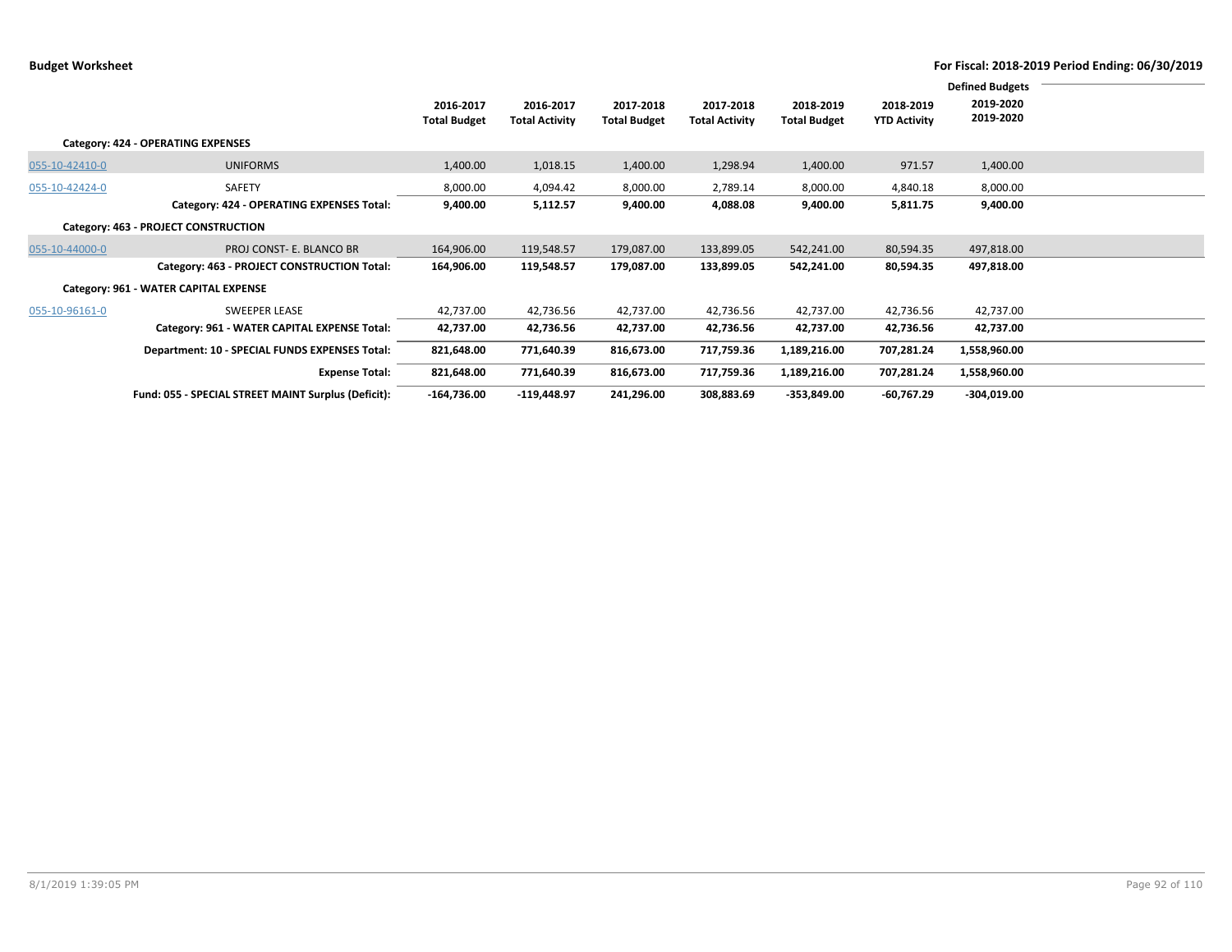|                |                                                     |                                  |                                    |                                  |                                    |                                  |                                  | <b>Defined Budgets</b> |  |
|----------------|-----------------------------------------------------|----------------------------------|------------------------------------|----------------------------------|------------------------------------|----------------------------------|----------------------------------|------------------------|--|
|                |                                                     | 2016-2017<br><b>Total Budget</b> | 2016-2017<br><b>Total Activity</b> | 2017-2018<br><b>Total Budget</b> | 2017-2018<br><b>Total Activity</b> | 2018-2019<br><b>Total Budget</b> | 2018-2019<br><b>YTD Activity</b> | 2019-2020<br>2019-2020 |  |
|                | Category: 424 - OPERATING EXPENSES                  |                                  |                                    |                                  |                                    |                                  |                                  |                        |  |
| 055-10-42410-0 | <b>UNIFORMS</b>                                     | 1,400.00                         | 1,018.15                           | 1,400.00                         | 1,298.94                           | 1,400.00                         | 971.57                           | 1,400.00               |  |
| 055-10-42424-0 | SAFETY                                              | 8,000.00                         | 4,094.42                           | 8,000.00                         | 2,789.14                           | 8,000.00                         | 4,840.18                         | 8,000.00               |  |
|                | Category: 424 - OPERATING EXPENSES Total:           | 9,400.00                         | 5,112.57                           | 9,400.00                         | 4,088.08                           | 9,400.00                         | 5,811.75                         | 9,400.00               |  |
|                | Category: 463 - PROJECT CONSTRUCTION                |                                  |                                    |                                  |                                    |                                  |                                  |                        |  |
| 055-10-44000-0 | PROJ CONST- E. BLANCO BR                            | 164,906.00                       | 119,548.57                         | 179,087.00                       | 133,899.05                         | 542,241.00                       | 80,594.35                        | 497,818.00             |  |
|                | Category: 463 - PROJECT CONSTRUCTION Total:         | 164,906.00                       | 119,548.57                         | 179,087.00                       | 133,899.05                         | 542,241.00                       | 80,594.35                        | 497,818.00             |  |
|                | Category: 961 - WATER CAPITAL EXPENSE               |                                  |                                    |                                  |                                    |                                  |                                  |                        |  |
| 055-10-96161-0 | <b>SWEEPER LEASE</b>                                | 42,737.00                        | 42,736.56                          | 42,737.00                        | 42,736.56                          | 42,737.00                        | 42,736.56                        | 42,737.00              |  |
|                | Category: 961 - WATER CAPITAL EXPENSE Total:        | 42,737.00                        | 42,736.56                          | 42,737.00                        | 42,736.56                          | 42,737.00                        | 42,736.56                        | 42,737.00              |  |
|                | Department: 10 - SPECIAL FUNDS EXPENSES Total:      | 821,648.00                       | 771,640.39                         | 816,673.00                       | 717,759.36                         | 1,189,216.00                     | 707,281.24                       | 1,558,960.00           |  |
|                | <b>Expense Total:</b>                               | 821,648.00                       | 771,640.39                         | 816,673.00                       | 717,759.36                         | 1,189,216.00                     | 707,281.24                       | 1,558,960.00           |  |
|                | Fund: 055 - SPECIAL STREET MAINT Surplus (Deficit): | $-164,736.00$                    | $-119,448.97$                      | 241,296.00                       | 308,883.69                         | $-353,849.00$                    | -60,767.29                       | $-304,019.00$          |  |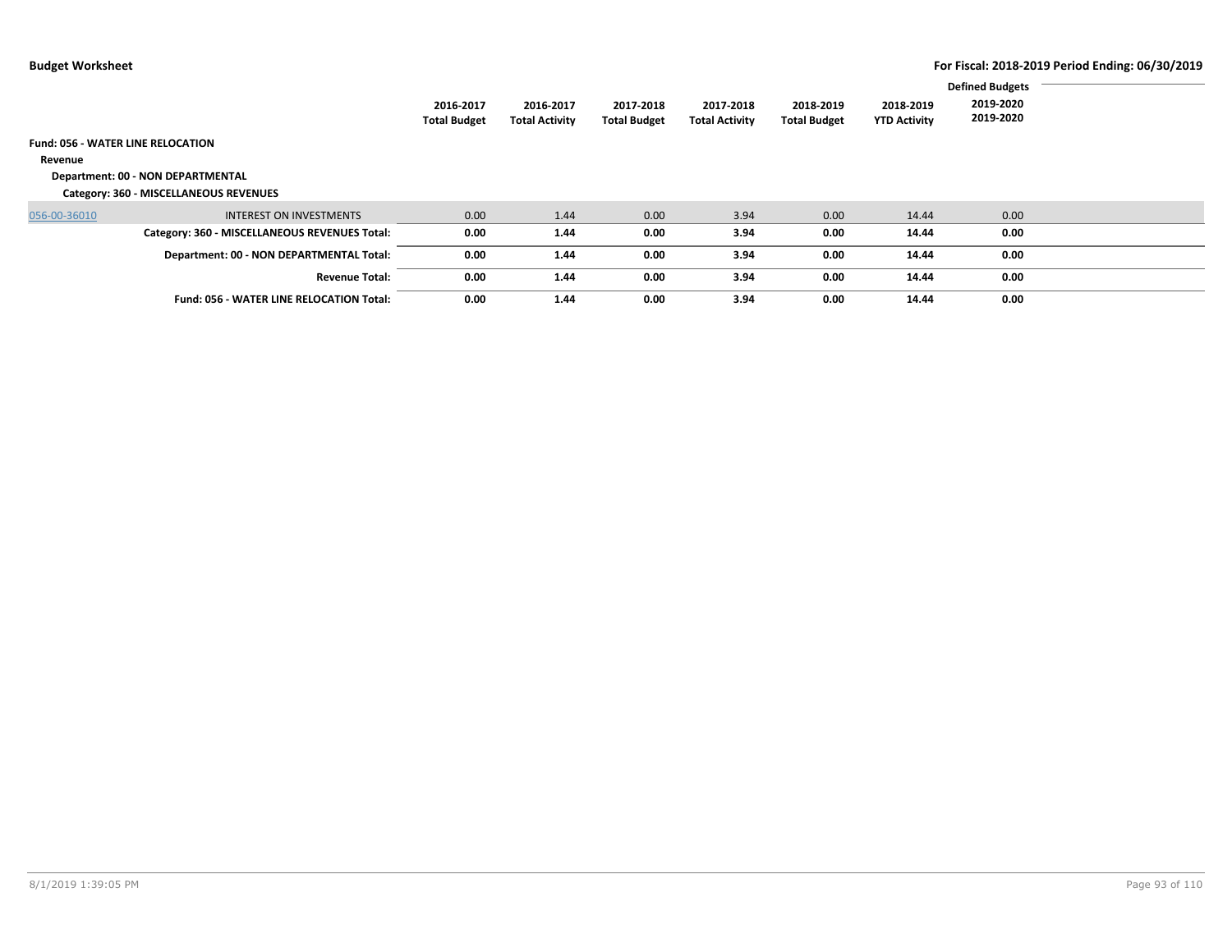|                                          |                                                 |                     |                       |                     |                       |                     |                     | <b>Defined Budgets</b> |  |
|------------------------------------------|-------------------------------------------------|---------------------|-----------------------|---------------------|-----------------------|---------------------|---------------------|------------------------|--|
|                                          |                                                 | 2016-2017           | 2016-2017             | 2017-2018           | 2017-2018             | 2018-2019           | 2018-2019           | 2019-2020              |  |
|                                          |                                                 | <b>Total Budget</b> | <b>Total Activity</b> | <b>Total Budget</b> | <b>Total Activity</b> | <b>Total Budget</b> | <b>YTD Activity</b> | 2019-2020              |  |
| <b>Fund: 056 - WATER LINE RELOCATION</b> |                                                 |                     |                       |                     |                       |                     |                     |                        |  |
| Revenue                                  |                                                 |                     |                       |                     |                       |                     |                     |                        |  |
|                                          | Department: 00 - NON DEPARTMENTAL               |                     |                       |                     |                       |                     |                     |                        |  |
|                                          | Category: 360 - MISCELLANEOUS REVENUES          |                     |                       |                     |                       |                     |                     |                        |  |
| 056-00-36010                             | INTEREST ON INVESTMENTS                         | 0.00                | 1.44                  | 0.00                | 3.94                  | 0.00                | 14.44               | 0.00                   |  |
|                                          | Category: 360 - MISCELLANEOUS REVENUES Total:   | 0.00                | 1.44                  | 0.00                | 3.94                  | 0.00                | 14.44               | 0.00                   |  |
|                                          | Department: 00 - NON DEPARTMENTAL Total:        | 0.00                | 1.44                  | 0.00                | 3.94                  | 0.00                | 14.44               | 0.00                   |  |
|                                          | <b>Revenue Total:</b>                           | 0.00                | 1.44                  | 0.00                | 3.94                  | 0.00                | 14.44               | 0.00                   |  |
|                                          | <b>Fund: 056 - WATER LINE RELOCATION Total:</b> | 0.00                | 1.44                  | 0.00                | 3.94                  | 0.00                | 14.44               | 0.00                   |  |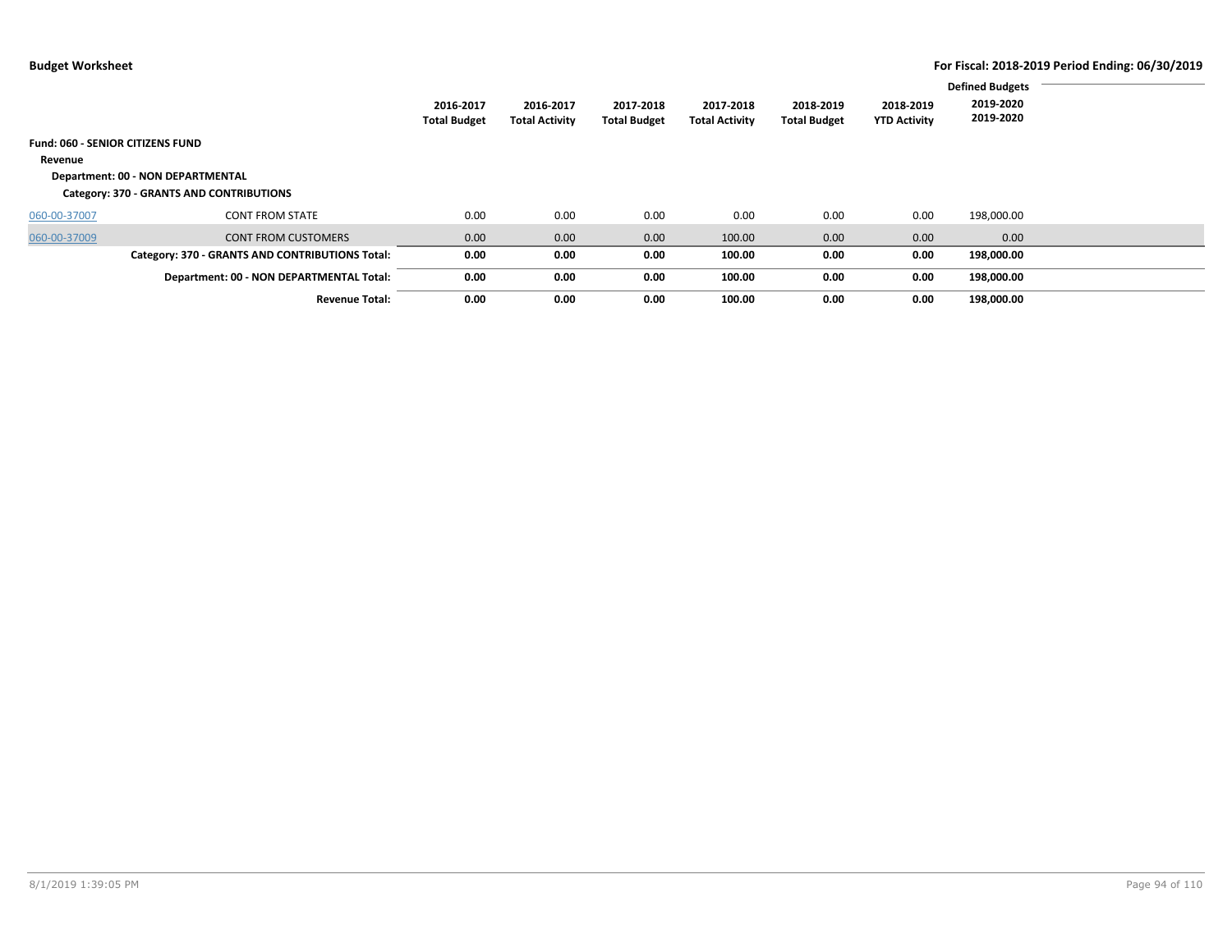|              |                                                 |                                  |                                    |                                  |                                    |                                  |                                  | <b>Defined Budgets</b> |  |
|--------------|-------------------------------------------------|----------------------------------|------------------------------------|----------------------------------|------------------------------------|----------------------------------|----------------------------------|------------------------|--|
|              |                                                 | 2016-2017<br><b>Total Budget</b> | 2016-2017<br><b>Total Activity</b> | 2017-2018<br><b>Total Budget</b> | 2017-2018<br><b>Total Activity</b> | 2018-2019<br><b>Total Budget</b> | 2018-2019<br><b>YTD Activity</b> | 2019-2020<br>2019-2020 |  |
|              | <b>Fund: 060 - SENIOR CITIZENS FUND</b>         |                                  |                                    |                                  |                                    |                                  |                                  |                        |  |
| Revenue      |                                                 |                                  |                                    |                                  |                                    |                                  |                                  |                        |  |
|              | <b>Department: 00 - NON DEPARTMENTAL</b>        |                                  |                                    |                                  |                                    |                                  |                                  |                        |  |
|              | Category: 370 - GRANTS AND CONTRIBUTIONS        |                                  |                                    |                                  |                                    |                                  |                                  |                        |  |
| 060-00-37007 | <b>CONT FROM STATE</b>                          | 0.00                             | 0.00                               | 0.00                             | 0.00                               | 0.00                             | 0.00                             | 198,000.00             |  |
| 060-00-37009 | <b>CONT FROM CUSTOMERS</b>                      | 0.00                             | 0.00                               | 0.00                             | 100.00                             | 0.00                             | 0.00                             | 0.00                   |  |
|              | Category: 370 - GRANTS AND CONTRIBUTIONS Total: | 0.00                             | 0.00                               | 0.00                             | 100.00                             | 0.00                             | 0.00                             | 198,000.00             |  |
|              | Department: 00 - NON DEPARTMENTAL Total:        | 0.00                             | 0.00                               | 0.00                             | 100.00                             | 0.00                             | 0.00                             | 198,000.00             |  |
|              | <b>Revenue Total:</b>                           | 0.00                             | 0.00                               | 0.00                             | 100.00                             | 0.00                             | 0.00                             | 198,000.00             |  |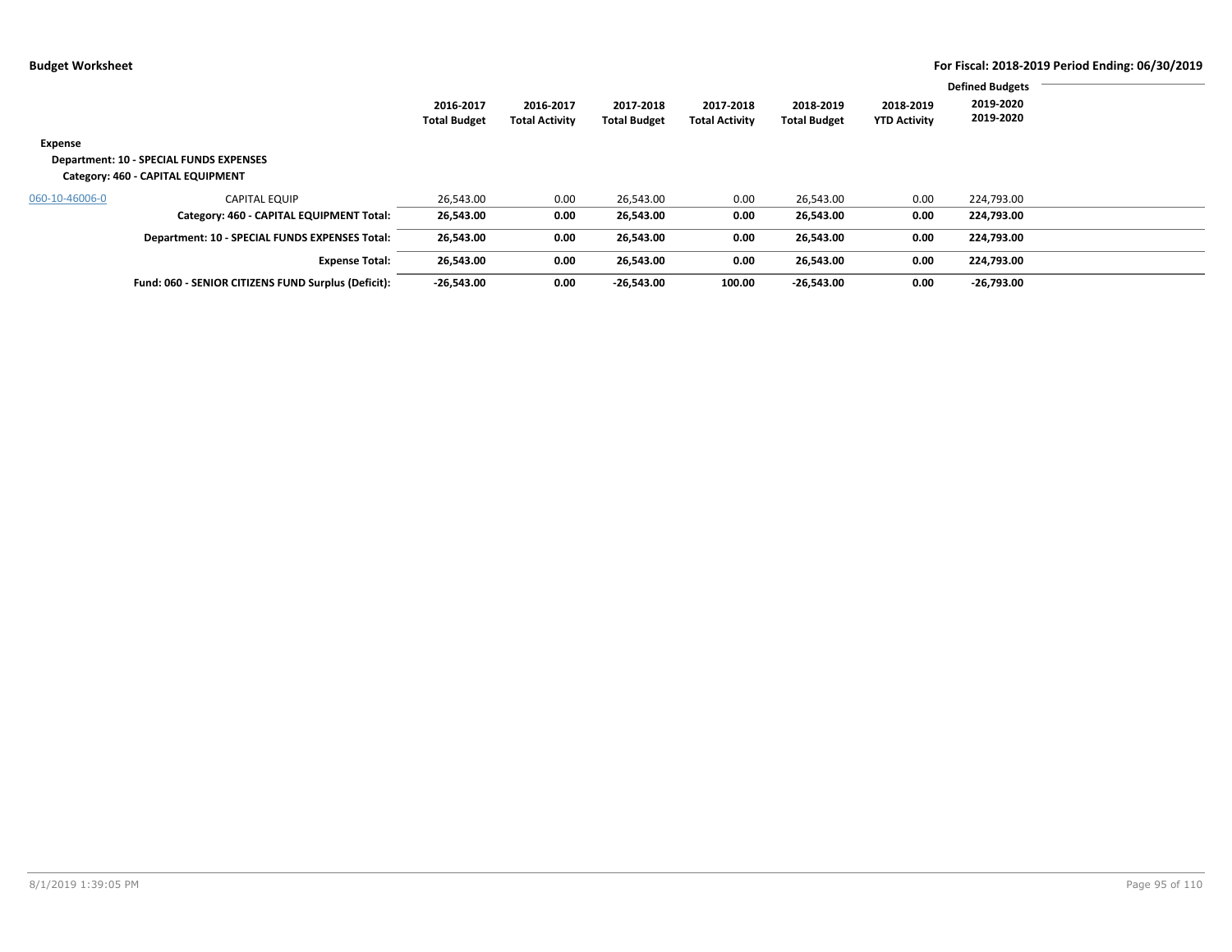|                |                                                     |                     |                       |                     |                       |                     |                     | <b>Defined Budgets</b> |  |
|----------------|-----------------------------------------------------|---------------------|-----------------------|---------------------|-----------------------|---------------------|---------------------|------------------------|--|
|                |                                                     | 2016-2017           | 2016-2017             | 2017-2018           | 2017-2018             | 2018-2019           | 2018-2019           | 2019-2020              |  |
|                |                                                     | <b>Total Budget</b> | <b>Total Activity</b> | <b>Total Budget</b> | <b>Total Activity</b> | <b>Total Budget</b> | <b>YTD Activity</b> | 2019-2020              |  |
| Expense        |                                                     |                     |                       |                     |                       |                     |                     |                        |  |
|                | <b>Department: 10 - SPECIAL FUNDS EXPENSES</b>      |                     |                       |                     |                       |                     |                     |                        |  |
|                | Category: 460 - CAPITAL EQUIPMENT                   |                     |                       |                     |                       |                     |                     |                        |  |
| 060-10-46006-0 | <b>CAPITAL EQUIP</b>                                | 26,543.00           | 0.00                  | 26,543.00           | 0.00                  | 26,543.00           | 0.00                | 224,793.00             |  |
|                | Category: 460 - CAPITAL EQUIPMENT Total:            | 26,543.00           | 0.00                  | 26,543.00           | 0.00                  | 26.543.00           | 0.00                | 224.793.00             |  |
|                | Department: 10 - SPECIAL FUNDS EXPENSES Total:      | 26,543.00           | 0.00                  | 26,543.00           | 0.00                  | 26,543.00           | 0.00                | 224,793.00             |  |
|                | <b>Expense Total:</b>                               | 26,543.00           | 0.00                  | 26,543.00           | 0.00                  | 26.543.00           | 0.00                | 224.793.00             |  |
|                | Fund: 060 - SENIOR CITIZENS FUND Surplus (Deficit): | $-26,543.00$        | 0.00                  | -26.543.00          | 100.00                | $-26.543.00$        | 0.00                | $-26.793.00$           |  |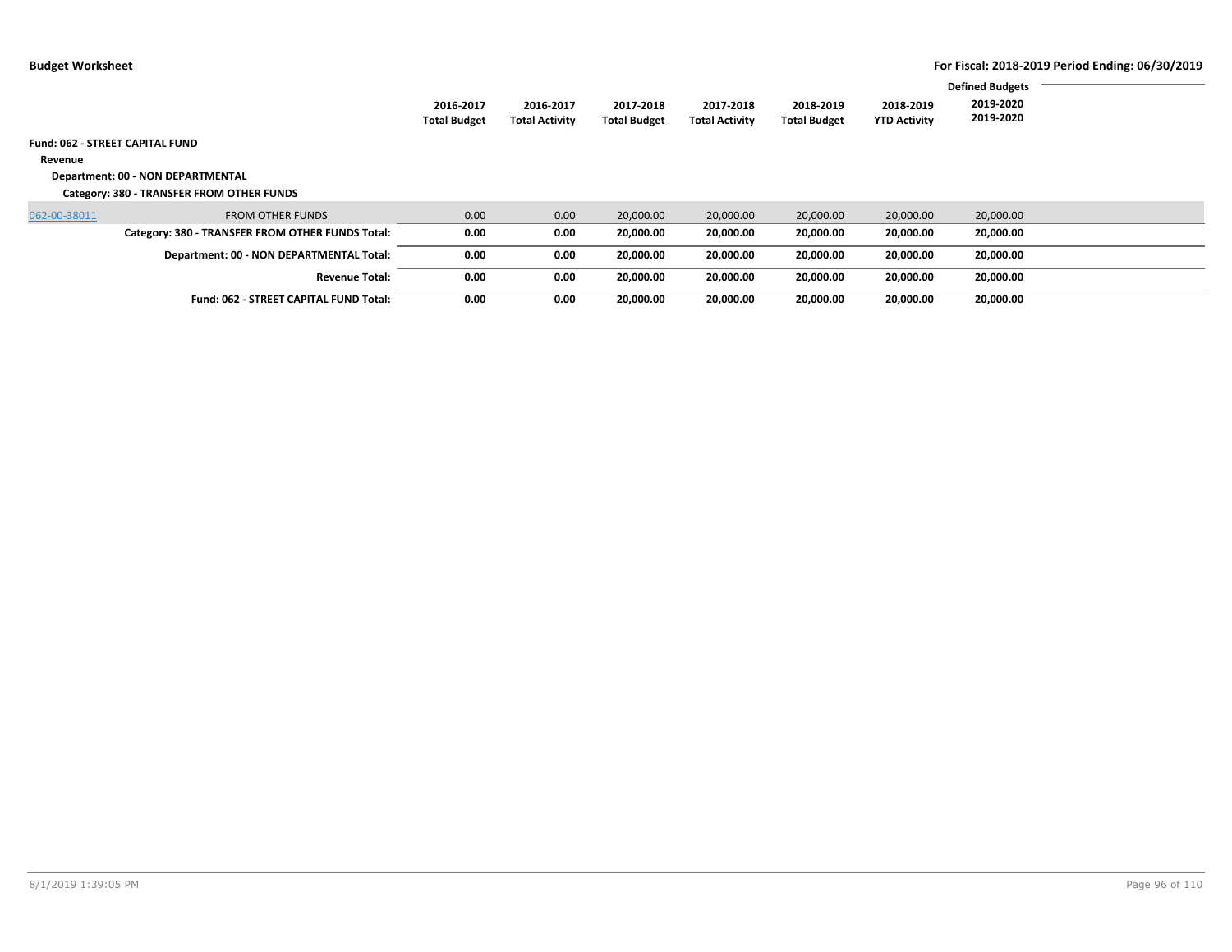| Revenue      | <b>Fund: 062 - STREET CAPITAL FUND</b><br>Department: 00 - NON DEPARTMENTAL<br>Category: 380 - TRANSFER FROM OTHER FUNDS | 2016-2017<br><b>Total Budget</b> | 2016-2017<br><b>Total Activity</b> | 2017-2018<br><b>Total Budget</b> | 2017-2018<br><b>Total Activity</b> | 2018-2019<br><b>Total Budget</b> | 2018-2019<br><b>YTD Activity</b> | <b>Defined Budgets</b><br>2019-2020<br>2019-2020 |  |
|--------------|--------------------------------------------------------------------------------------------------------------------------|----------------------------------|------------------------------------|----------------------------------|------------------------------------|----------------------------------|----------------------------------|--------------------------------------------------|--|
| 062-00-38011 | <b>FROM OTHER FUNDS</b>                                                                                                  | 0.00                             | 0.00                               | 20,000.00                        | 20,000.00                          | 20,000.00                        | 20,000.00                        | 20,000.00                                        |  |
|              | Category: 380 - TRANSFER FROM OTHER FUNDS Total:                                                                         | 0.00                             | 0.00                               | 20,000.00                        | 20,000.00                          | 20,000.00                        | 20,000.00                        | 20,000.00                                        |  |
|              | Department: 00 - NON DEPARTMENTAL Total:                                                                                 | 0.00                             | 0.00                               | 20,000.00                        | 20,000.00                          | 20,000.00                        | 20,000.00                        | 20,000.00                                        |  |
|              | <b>Revenue Total:</b>                                                                                                    | 0.00                             | 0.00                               | 20,000.00                        | 20,000.00                          | 20,000.00                        | 20,000.00                        | 20,000.00                                        |  |
|              | Fund: 062 - STREET CAPITAL FUND Total:                                                                                   | 0.00                             | 0.00                               | 20,000.00                        | 20,000.00                          | 20,000.00                        | 20,000.00                        | 20.000.00                                        |  |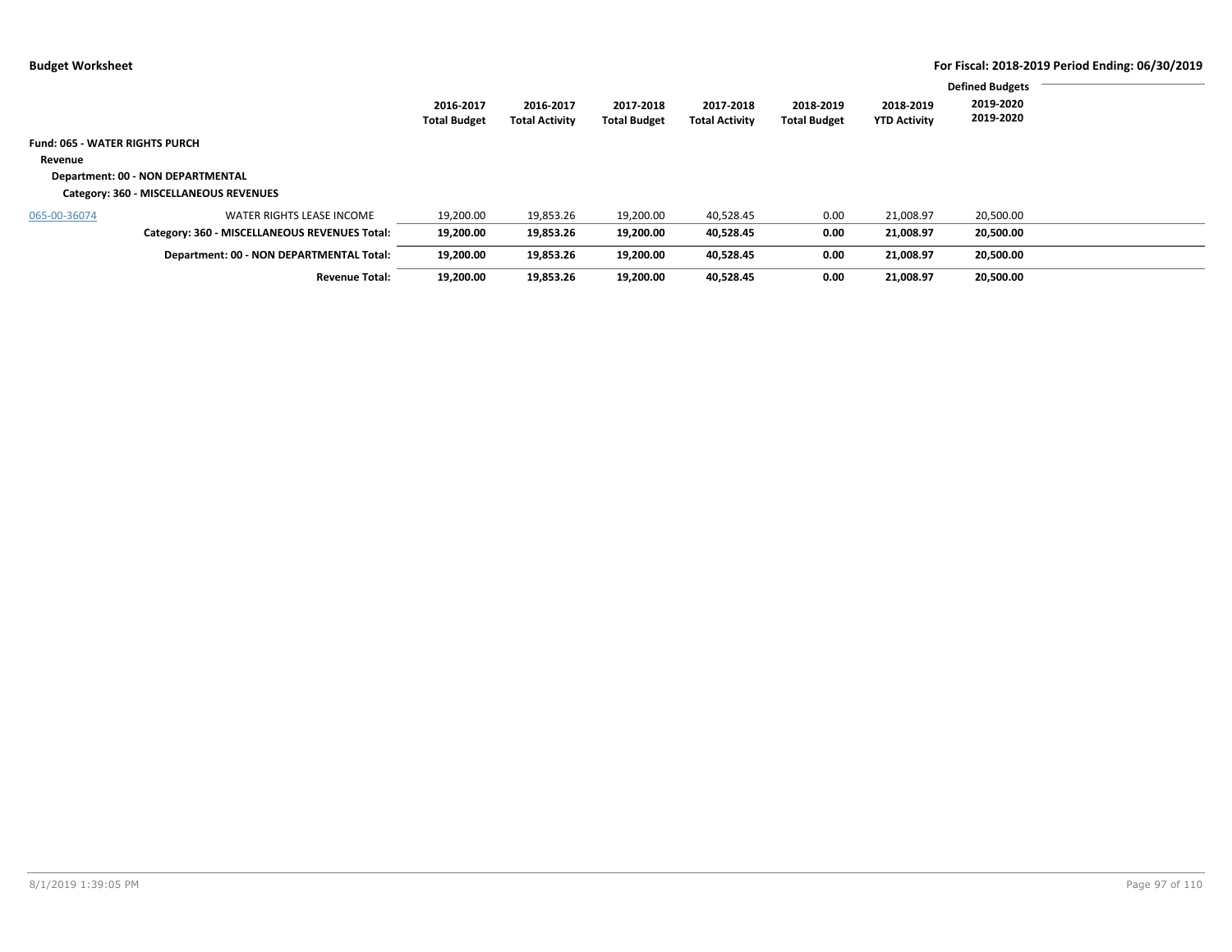|                                       |                                               | 2016-2017<br><b>Total Budget</b> | 2016-2017<br><b>Total Activity</b> | 2017-2018<br><b>Total Budget</b> | 2017-2018<br><b>Total Activity</b> | 2018-2019<br><b>Total Budget</b> | 2018-2019<br><b>YTD Activity</b> | <b>Defined Budgets</b><br>2019-2020<br>2019-2020 |  |
|---------------------------------------|-----------------------------------------------|----------------------------------|------------------------------------|----------------------------------|------------------------------------|----------------------------------|----------------------------------|--------------------------------------------------|--|
| <b>Fund: 065 - WATER RIGHTS PURCH</b> |                                               |                                  |                                    |                                  |                                    |                                  |                                  |                                                  |  |
| Revenue                               |                                               |                                  |                                    |                                  |                                    |                                  |                                  |                                                  |  |
|                                       | Department: 00 - NON DEPARTMENTAL             |                                  |                                    |                                  |                                    |                                  |                                  |                                                  |  |
|                                       | Category: 360 - MISCELLANEOUS REVENUES        |                                  |                                    |                                  |                                    |                                  |                                  |                                                  |  |
| 065-00-36074                          | WATER RIGHTS LEASE INCOME                     | 19.200.00                        | 19,853.26                          | 19,200.00                        | 40.528.45                          | 0.00                             | 21.008.97                        | 20,500.00                                        |  |
|                                       | Category: 360 - MISCELLANEOUS REVENUES Total: | 19,200.00                        | 19,853.26                          | 19,200.00                        | 40,528.45                          | 0.00                             | 21.008.97                        | 20.500.00                                        |  |
|                                       | Department: 00 - NON DEPARTMENTAL Total:      | 19,200.00                        | 19,853.26                          | 19,200.00                        | 40,528.45                          | 0.00                             | 21.008.97                        | 20,500.00                                        |  |
|                                       | <b>Revenue Total:</b>                         | 19,200.00                        | 19,853.26                          | 19,200.00                        | 40,528.45                          | 0.00                             | 21.008.97                        | 20.500.00                                        |  |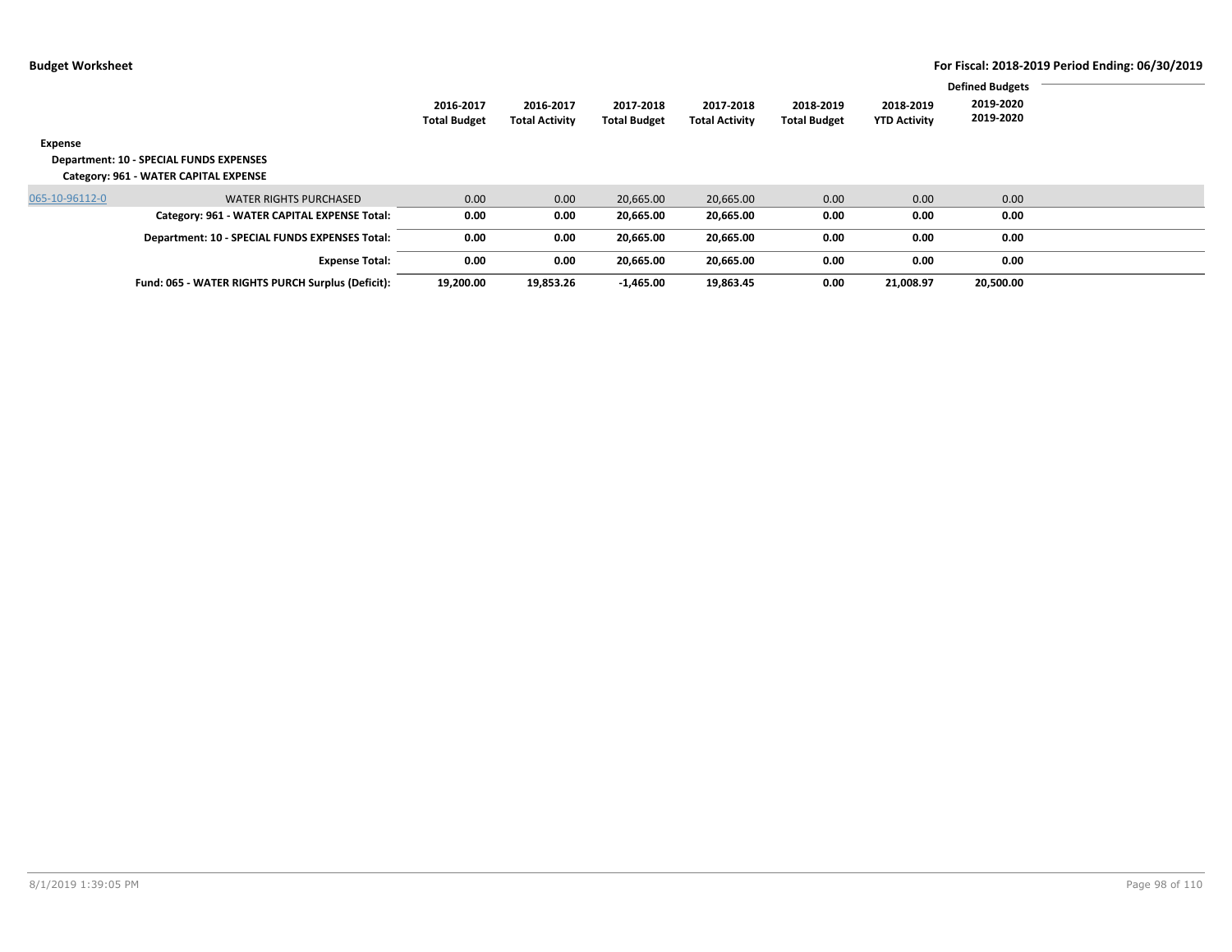| Expense        | Department: 10 - SPECIAL FUNDS EXPENSES<br>Category: 961 - WATER CAPITAL EXPENSE | 2016-2017<br><b>Total Budget</b> | 2016-2017<br><b>Total Activity</b> | 2017-2018<br><b>Total Budget</b> | 2017-2018<br><b>Total Activity</b> | 2018-2019<br><b>Total Budget</b> | 2018-2019<br><b>YTD Activity</b> | <b>Defined Budgets</b><br>2019-2020<br>2019-2020 |  |
|----------------|----------------------------------------------------------------------------------|----------------------------------|------------------------------------|----------------------------------|------------------------------------|----------------------------------|----------------------------------|--------------------------------------------------|--|
| 065-10-96112-0 | <b>WATER RIGHTS PURCHASED</b>                                                    | 0.00                             | 0.00                               | 20,665.00                        | 20,665.00                          | 0.00                             | 0.00                             | 0.00                                             |  |
|                | Category: 961 - WATER CAPITAL EXPENSE Total:                                     | 0.00                             | 0.00                               | 20,665.00                        | 20,665.00                          | 0.00                             | 0.00                             | 0.00                                             |  |
|                | Department: 10 - SPECIAL FUNDS EXPENSES Total:                                   | 0.00                             | 0.00                               | 20.665.00                        | 20,665.00                          | 0.00                             | 0.00                             | 0.00                                             |  |
|                | <b>Expense Total:</b>                                                            | 0.00                             | 0.00                               | 20,665.00                        | 20,665.00                          | 0.00                             | 0.00                             | 0.00                                             |  |
|                | Fund: 065 - WATER RIGHTS PURCH Surplus (Deficit):                                | 19,200.00                        | 19,853.26                          | $-1,465.00$                      | 19,863.45                          | 0.00                             | 21.008.97                        | 20,500.00                                        |  |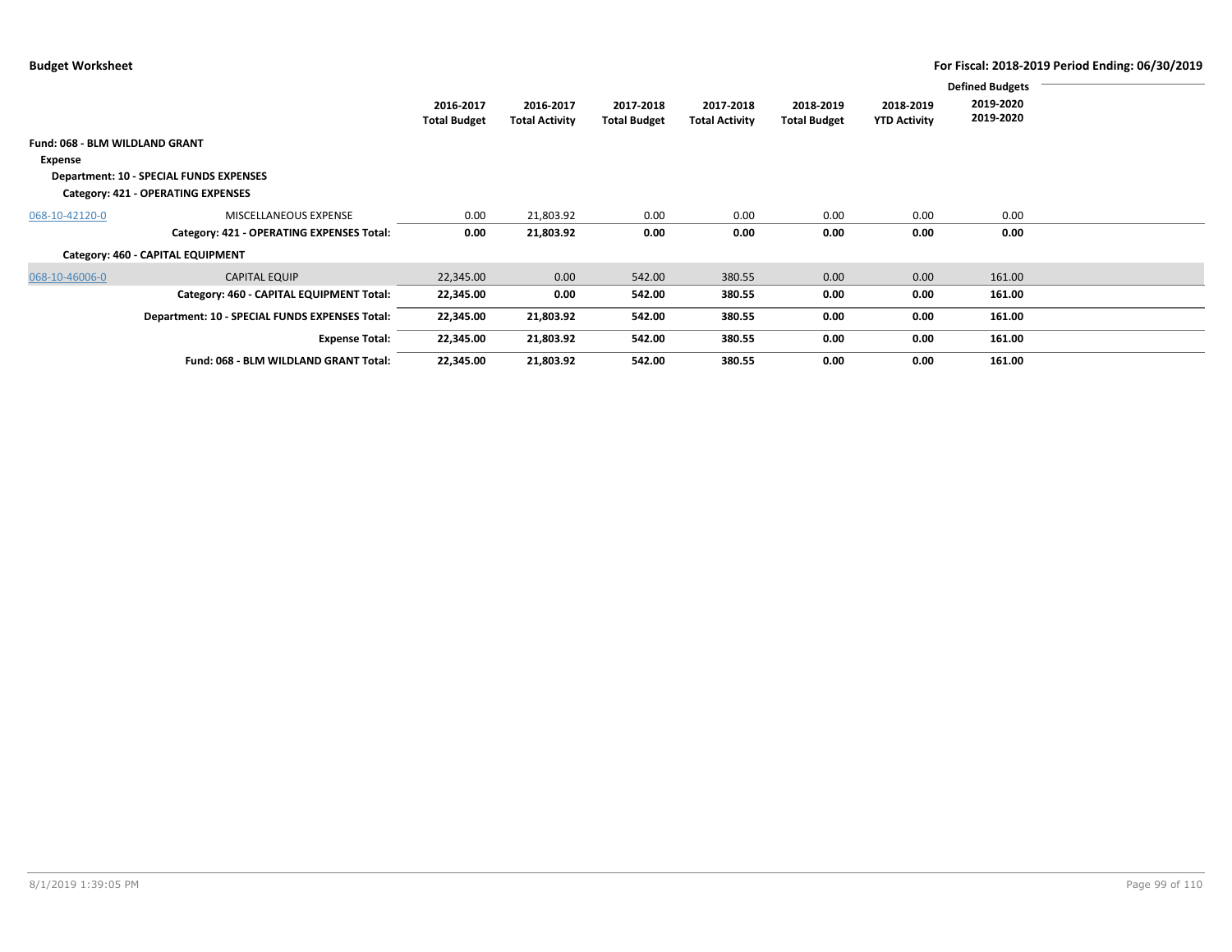|                                |                                                |                                  |                                    |                                  |                                    |                                  |                                  | <b>Defined Budgets</b> |  |
|--------------------------------|------------------------------------------------|----------------------------------|------------------------------------|----------------------------------|------------------------------------|----------------------------------|----------------------------------|------------------------|--|
|                                |                                                | 2016-2017<br><b>Total Budget</b> | 2016-2017<br><b>Total Activity</b> | 2017-2018<br><b>Total Budget</b> | 2017-2018<br><b>Total Activity</b> | 2018-2019<br><b>Total Budget</b> | 2018-2019<br><b>YTD Activity</b> | 2019-2020<br>2019-2020 |  |
| Fund: 068 - BLM WILDLAND GRANT |                                                |                                  |                                    |                                  |                                    |                                  |                                  |                        |  |
| Expense                        |                                                |                                  |                                    |                                  |                                    |                                  |                                  |                        |  |
|                                | Department: 10 - SPECIAL FUNDS EXPENSES        |                                  |                                    |                                  |                                    |                                  |                                  |                        |  |
|                                | Category: 421 - OPERATING EXPENSES             |                                  |                                    |                                  |                                    |                                  |                                  |                        |  |
| 068-10-42120-0                 | MISCELLANEOUS EXPENSE                          | 0.00                             | 21,803.92                          | 0.00                             | 0.00                               | 0.00                             | 0.00                             | 0.00                   |  |
|                                | Category: 421 - OPERATING EXPENSES Total:      | 0.00                             | 21,803.92                          | 0.00                             | 0.00                               | 0.00                             | 0.00                             | 0.00                   |  |
|                                | Category: 460 - CAPITAL EQUIPMENT              |                                  |                                    |                                  |                                    |                                  |                                  |                        |  |
| 068-10-46006-0                 | <b>CAPITAL EQUIP</b>                           | 22,345.00                        | 0.00                               | 542.00                           | 380.55                             | 0.00                             | 0.00                             | 161.00                 |  |
|                                | Category: 460 - CAPITAL EQUIPMENT Total:       | 22,345.00                        | 0.00                               | 542.00                           | 380.55                             | 0.00                             | 0.00                             | 161.00                 |  |
|                                | Department: 10 - SPECIAL FUNDS EXPENSES Total: | 22,345.00                        | 21,803.92                          | 542.00                           | 380.55                             | 0.00                             | 0.00                             | 161.00                 |  |
|                                | <b>Expense Total:</b>                          | 22,345.00                        | 21,803.92                          | 542.00                           | 380.55                             | 0.00                             | 0.00                             | 161.00                 |  |
|                                | Fund: 068 - BLM WILDLAND GRANT Total:          | 22,345.00                        | 21,803.92                          | 542.00                           | 380.55                             | 0.00                             | 0.00                             | 161.00                 |  |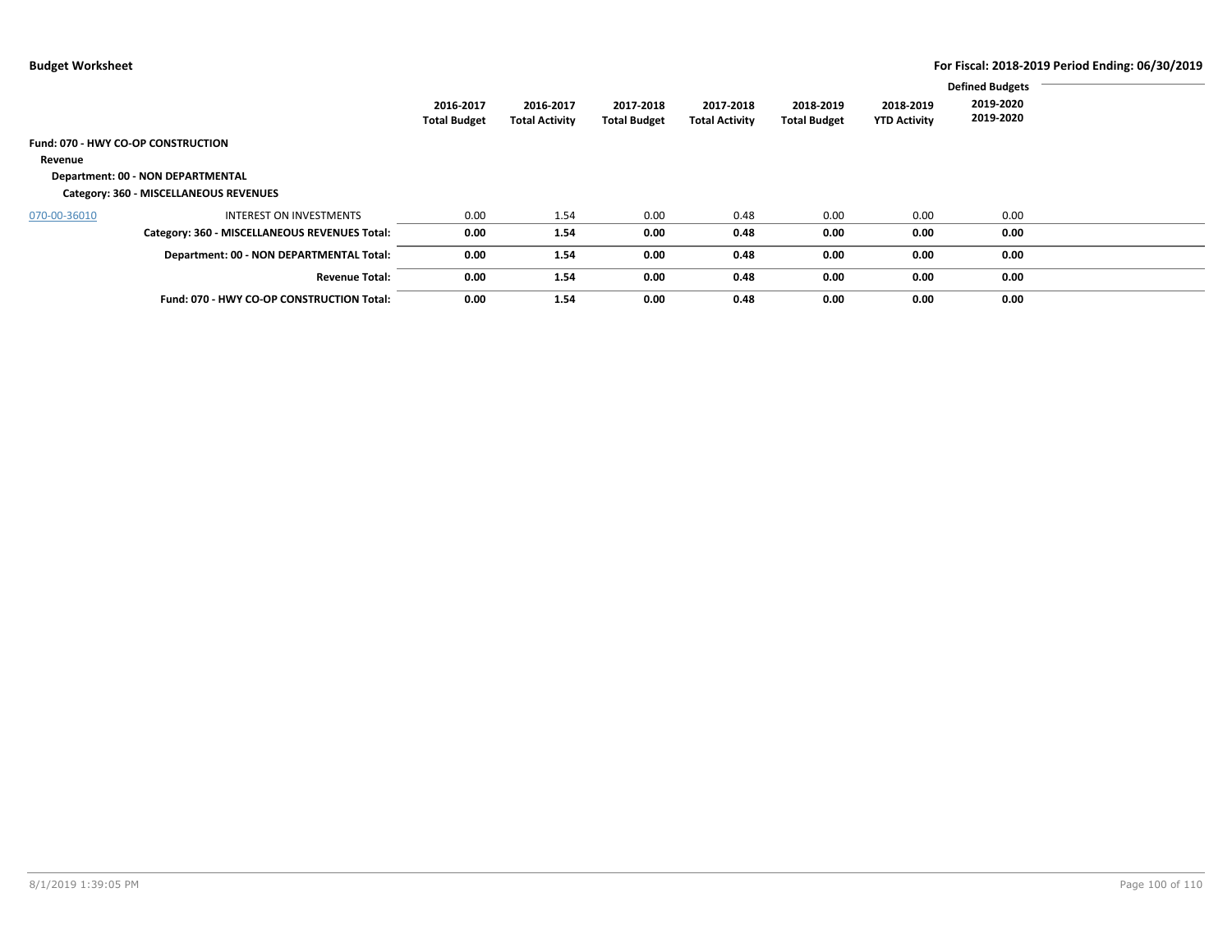| Revenue      | Fund: 070 - HWY CO-OP CONSTRUCTION<br>Department: 00 - NON DEPARTMENTAL | 2016-2017<br><b>Total Budget</b> | 2016-2017<br><b>Total Activity</b> | 2017-2018<br><b>Total Budget</b> | 2017-2018<br><b>Total Activity</b> | 2018-2019<br><b>Total Budget</b> | 2018-2019<br><b>YTD Activity</b> | <b>Defined Budgets</b><br>2019-2020<br>2019-2020 |  |
|--------------|-------------------------------------------------------------------------|----------------------------------|------------------------------------|----------------------------------|------------------------------------|----------------------------------|----------------------------------|--------------------------------------------------|--|
| 070-00-36010 | Category: 360 - MISCELLANEOUS REVENUES<br>INTEREST ON INVESTMENTS       | 0.00                             | 1.54                               | 0.00                             | 0.48                               | 0.00                             | 0.00                             | 0.00                                             |  |
|              | Category: 360 - MISCELLANEOUS REVENUES Total:                           | 0.00                             | 1.54                               | 0.00                             | 0.48                               | 0.00                             | 0.00                             | 0.00                                             |  |
|              | Department: 00 - NON DEPARTMENTAL Total:                                | 0.00                             | 1.54                               | 0.00                             | 0.48                               | 0.00                             | 0.00                             | 0.00                                             |  |
|              | <b>Revenue Total:</b>                                                   | 0.00                             | 1.54                               | 0.00                             | 0.48                               | 0.00                             | 0.00                             | 0.00                                             |  |
|              | Fund: 070 - HWY CO-OP CONSTRUCTION Total:                               | 0.00                             | 1.54                               | 0.00                             | 0.48                               | 0.00                             | 0.00                             | 0.00                                             |  |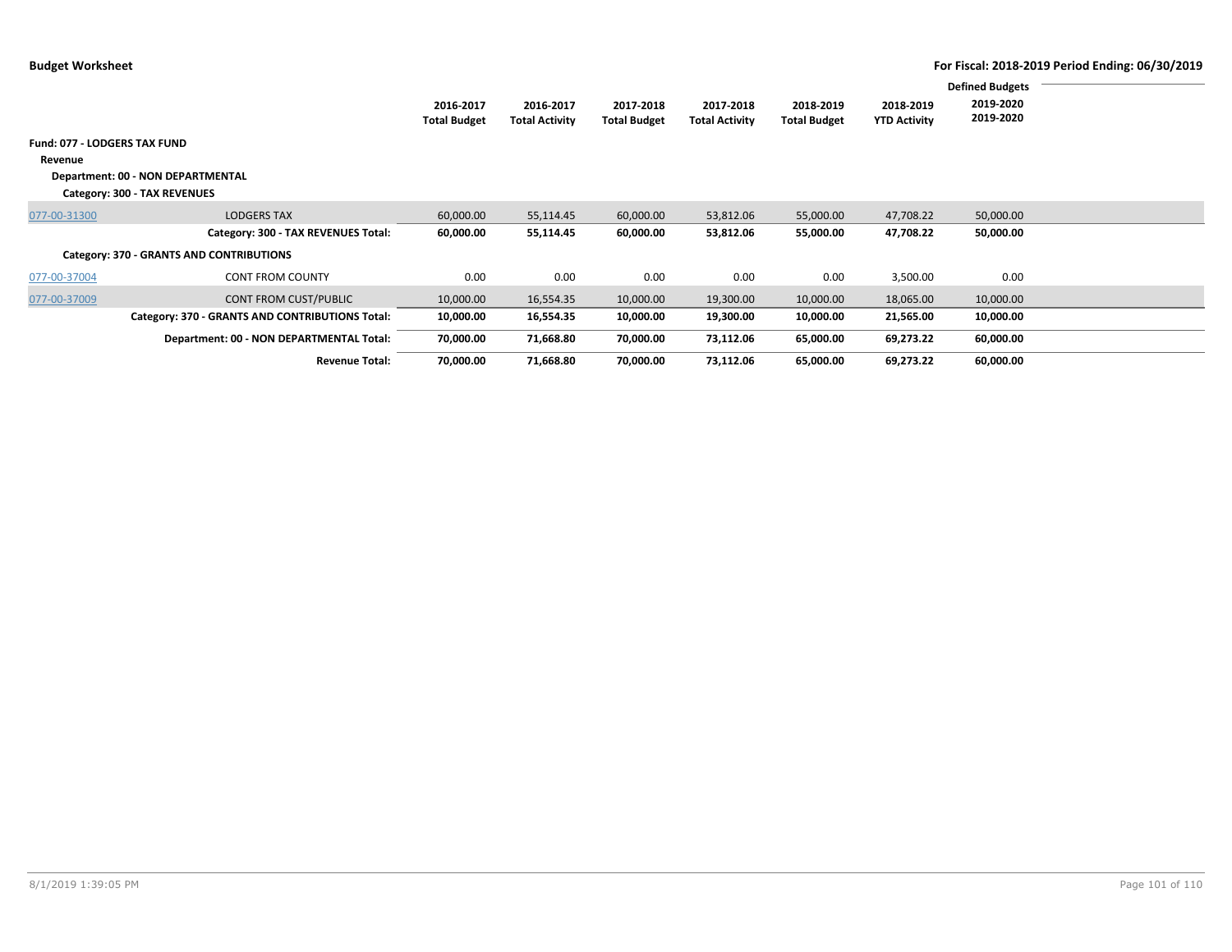|                              |                                                                   |                                  |                                    |                                  |                                    |                                  |                                  | <b>Defined Budgets</b> |  |
|------------------------------|-------------------------------------------------------------------|----------------------------------|------------------------------------|----------------------------------|------------------------------------|----------------------------------|----------------------------------|------------------------|--|
|                              |                                                                   | 2016-2017<br><b>Total Budget</b> | 2016-2017<br><b>Total Activity</b> | 2017-2018<br><b>Total Budget</b> | 2017-2018<br><b>Total Activity</b> | 2018-2019<br><b>Total Budget</b> | 2018-2019<br><b>YTD Activity</b> | 2019-2020<br>2019-2020 |  |
| Fund: 077 - LODGERS TAX FUND |                                                                   |                                  |                                    |                                  |                                    |                                  |                                  |                        |  |
| Revenue                      |                                                                   |                                  |                                    |                                  |                                    |                                  |                                  |                        |  |
|                              | Department: 00 - NON DEPARTMENTAL<br>Category: 300 - TAX REVENUES |                                  |                                    |                                  |                                    |                                  |                                  |                        |  |
| 077-00-31300                 | <b>LODGERS TAX</b>                                                | 60,000.00                        | 55,114.45                          | 60,000.00                        | 53,812.06                          | 55,000.00                        | 47,708.22                        | 50,000.00              |  |
|                              | Category: 300 - TAX REVENUES Total:                               | 60,000.00                        | 55,114.45                          | 60,000.00                        | 53,812.06                          | 55,000.00                        | 47,708.22                        | 50,000.00              |  |
|                              | Category: 370 - GRANTS AND CONTRIBUTIONS                          |                                  |                                    |                                  |                                    |                                  |                                  |                        |  |
| 077-00-37004                 | <b>CONT FROM COUNTY</b>                                           | 0.00                             | 0.00                               | 0.00                             | 0.00                               | 0.00                             | 3,500.00                         | 0.00                   |  |
| 077-00-37009                 | <b>CONT FROM CUST/PUBLIC</b>                                      | 10,000.00                        | 16,554.35                          | 10,000.00                        | 19,300.00                          | 10,000.00                        | 18,065.00                        | 10,000.00              |  |
|                              | Category: 370 - GRANTS AND CONTRIBUTIONS Total:                   | 10,000.00                        | 16,554.35                          | 10,000.00                        | 19,300.00                          | 10,000.00                        | 21,565.00                        | 10,000.00              |  |
|                              | Department: 00 - NON DEPARTMENTAL Total:                          | 70,000.00                        | 71,668.80                          | 70,000.00                        | 73,112.06                          | 65,000.00                        | 69,273.22                        | 60,000.00              |  |
|                              | <b>Revenue Total:</b>                                             | 70,000.00                        | 71,668.80                          | 70,000.00                        | 73,112.06                          | 65,000.00                        | 69,273.22                        | 60,000.00              |  |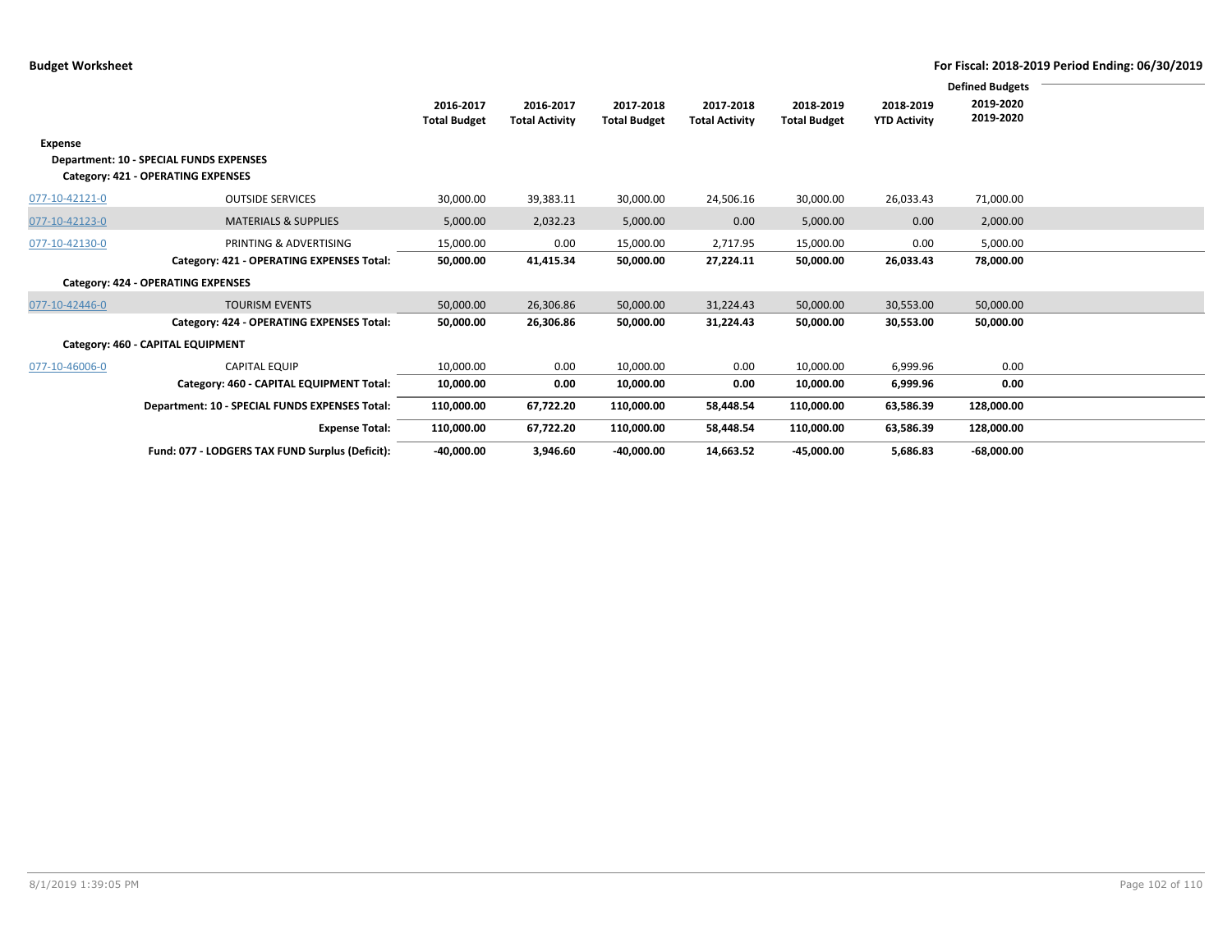|                |                                                 |                     |                       |                     |                       |                     |                     | <b>Defined Budgets</b> |  |
|----------------|-------------------------------------------------|---------------------|-----------------------|---------------------|-----------------------|---------------------|---------------------|------------------------|--|
|                |                                                 | 2016-2017           | 2016-2017             | 2017-2018           | 2017-2018             | 2018-2019           | 2018-2019           | 2019-2020              |  |
|                |                                                 | <b>Total Budget</b> | <b>Total Activity</b> | <b>Total Budget</b> | <b>Total Activity</b> | <b>Total Budget</b> | <b>YTD Activity</b> | 2019-2020              |  |
| Expense        |                                                 |                     |                       |                     |                       |                     |                     |                        |  |
|                | <b>Department: 10 - SPECIAL FUNDS EXPENSES</b>  |                     |                       |                     |                       |                     |                     |                        |  |
|                |                                                 |                     |                       |                     |                       |                     |                     |                        |  |
|                | Category: 421 - OPERATING EXPENSES              |                     |                       |                     |                       |                     |                     |                        |  |
| 077-10-42121-0 | <b>OUTSIDE SERVICES</b>                         | 30,000.00           | 39,383.11             | 30,000.00           | 24,506.16             | 30,000.00           | 26,033.43           | 71,000.00              |  |
| 077-10-42123-0 | <b>MATERIALS &amp; SUPPLIES</b>                 | 5,000.00            | 2,032.23              | 5,000.00            | 0.00                  | 5,000.00            | 0.00                | 2,000.00               |  |
| 077-10-42130-0 | PRINTING & ADVERTISING                          | 15,000.00           | 0.00                  | 15,000.00           | 2,717.95              | 15,000.00           | 0.00                | 5.000.00               |  |
|                | Category: 421 - OPERATING EXPENSES Total:       | 50,000.00           | 41,415.34             | 50,000.00           | 27,224.11             | 50,000.00           | 26,033.43           | 78,000.00              |  |
|                | Category: 424 - OPERATING EXPENSES              |                     |                       |                     |                       |                     |                     |                        |  |
|                |                                                 |                     |                       |                     |                       |                     |                     |                        |  |
| 077-10-42446-0 | <b>TOURISM EVENTS</b>                           | 50,000.00           | 26,306.86             | 50,000.00           | 31,224.43             | 50,000.00           | 30,553.00           | 50,000.00              |  |
|                | Category: 424 - OPERATING EXPENSES Total:       | 50,000.00           | 26,306.86             | 50,000.00           | 31,224.43             | 50,000.00           | 30,553.00           | 50,000.00              |  |
|                | Category: 460 - CAPITAL EQUIPMENT               |                     |                       |                     |                       |                     |                     |                        |  |
| 077-10-46006-0 | <b>CAPITAL EQUIP</b>                            | 10,000.00           | 0.00                  | 10,000.00           | 0.00                  | 10,000.00           | 6,999.96            | 0.00                   |  |
|                | Category: 460 - CAPITAL EQUIPMENT Total:        | 10,000.00           | 0.00                  | 10,000.00           | 0.00                  | 10,000.00           | 6,999.96            | 0.00                   |  |
|                | Department: 10 - SPECIAL FUNDS EXPENSES Total:  | 110,000.00          | 67,722.20             | 110,000.00          | 58,448.54             | 110,000.00          | 63,586.39           | 128,000.00             |  |
|                | <b>Expense Total:</b>                           | 110,000.00          | 67,722.20             | 110,000.00          | 58,448.54             | 110,000.00          | 63,586.39           | 128,000.00             |  |
|                | Fund: 077 - LODGERS TAX FUND Surplus (Deficit): | $-40,000.00$        | 3,946.60              | $-40,000.00$        | 14,663.52             | $-45,000.00$        | 5,686.83            | $-68,000.00$           |  |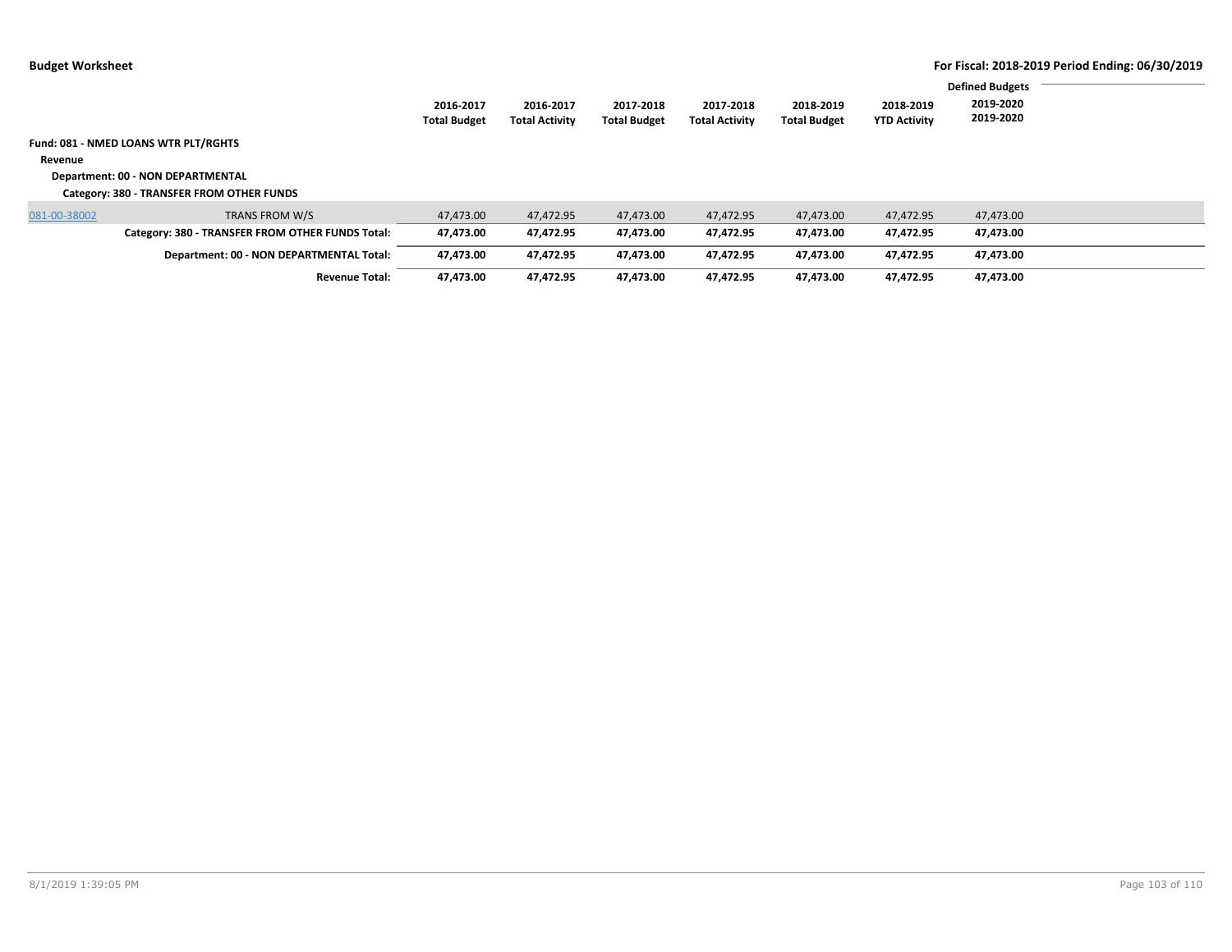|              |                                                  |                                  |                                    |                                  |                                    |                                  |                                  | <b>Defined Budgets</b> |  |
|--------------|--------------------------------------------------|----------------------------------|------------------------------------|----------------------------------|------------------------------------|----------------------------------|----------------------------------|------------------------|--|
|              |                                                  | 2016-2017<br><b>Total Budget</b> | 2016-2017<br><b>Total Activity</b> | 2017-2018<br><b>Total Budget</b> | 2017-2018<br><b>Total Activity</b> | 2018-2019<br><b>Total Budget</b> | 2018-2019<br><b>YTD Activity</b> | 2019-2020<br>2019-2020 |  |
|              | <b>Fund: 081 - NMED LOANS WTR PLT/RGHTS</b>      |                                  |                                    |                                  |                                    |                                  |                                  |                        |  |
| Revenue      |                                                  |                                  |                                    |                                  |                                    |                                  |                                  |                        |  |
|              | Department: 00 - NON DEPARTMENTAL                |                                  |                                    |                                  |                                    |                                  |                                  |                        |  |
|              | Category: 380 - TRANSFER FROM OTHER FUNDS        |                                  |                                    |                                  |                                    |                                  |                                  |                        |  |
| 081-00-38002 | TRANS FROM W/S                                   | 47,473.00                        | 47,472.95                          | 47,473.00                        | 47,472.95                          | 47,473.00                        | 47,472.95                        | 47,473.00              |  |
|              | Category: 380 - TRANSFER FROM OTHER FUNDS Total: | 47,473.00                        | 47,472.95                          | 47,473.00                        | 47,472.95                          | 47,473.00                        | 47,472.95                        | 47,473.00              |  |
|              | Department: 00 - NON DEPARTMENTAL Total:         | 47,473.00                        | 47,472.95                          | 47,473.00                        | 47,472.95                          | 47,473.00                        | 47,472.95                        | 47,473.00              |  |
|              | <b>Revenue Total:</b>                            | 47.473.00                        | 47,472.95                          | 47,473.00                        | 47,472.95                          | 47,473.00                        | 47,472.95                        | 47,473.00              |  |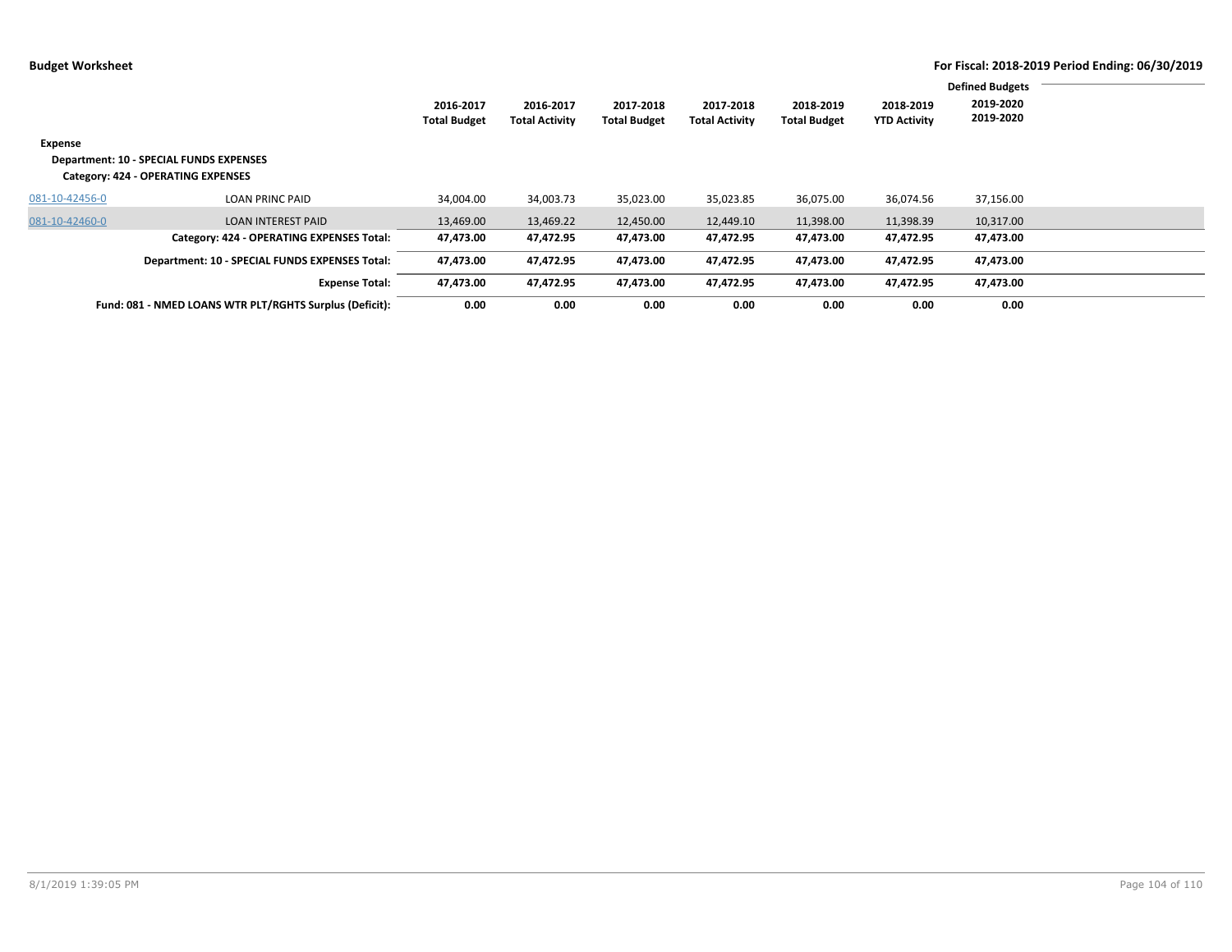|                |                                                                               |                                  |                                    |                                  |                                    |                                  |                                  | <b>Defined Budgets</b> |  |
|----------------|-------------------------------------------------------------------------------|----------------------------------|------------------------------------|----------------------------------|------------------------------------|----------------------------------|----------------------------------|------------------------|--|
|                |                                                                               | 2016-2017<br><b>Total Budget</b> | 2016-2017<br><b>Total Activity</b> | 2017-2018<br><b>Total Budget</b> | 2017-2018<br><b>Total Activity</b> | 2018-2019<br><b>Total Budget</b> | 2018-2019<br><b>YTD Activity</b> | 2019-2020<br>2019-2020 |  |
| Expense        | Department: 10 - SPECIAL FUNDS EXPENSES<br>Category: 424 - OPERATING EXPENSES |                                  |                                    |                                  |                                    |                                  |                                  |                        |  |
| 081-10-42456-0 | <b>LOAN PRINC PAID</b>                                                        | 34,004.00                        | 34,003.73                          | 35,023.00                        | 35,023.85                          | 36,075.00                        | 36,074.56                        | 37,156.00              |  |
| 081-10-42460-0 | <b>LOAN INTEREST PAID</b>                                                     | 13,469.00                        | 13,469.22                          | 12,450.00                        | 12,449.10                          | 11,398.00                        | 11,398.39                        | 10,317.00              |  |
|                | Category: 424 - OPERATING EXPENSES Total:                                     | 47,473.00                        | 47,472.95                          | 47,473.00                        | 47,472.95                          | 47,473.00                        | 47,472.95                        | 47,473.00              |  |
|                | Department: 10 - SPECIAL FUNDS EXPENSES Total:                                | 47,473.00                        | 47,472.95                          | 47,473.00                        | 47,472.95                          | 47,473.00                        | 47,472.95                        | 47,473.00              |  |
|                | <b>Expense Total:</b>                                                         | 47,473.00                        | 47,472.95                          | 47,473.00                        | 47,472.95                          | 47,473.00                        | 47,472.95                        | 47,473.00              |  |
|                | Fund: 081 - NMED LOANS WTR PLT/RGHTS Surplus (Deficit):                       | 0.00                             | 0.00                               | 0.00                             | 0.00                               | 0.00                             | 0.00                             | 0.00                   |  |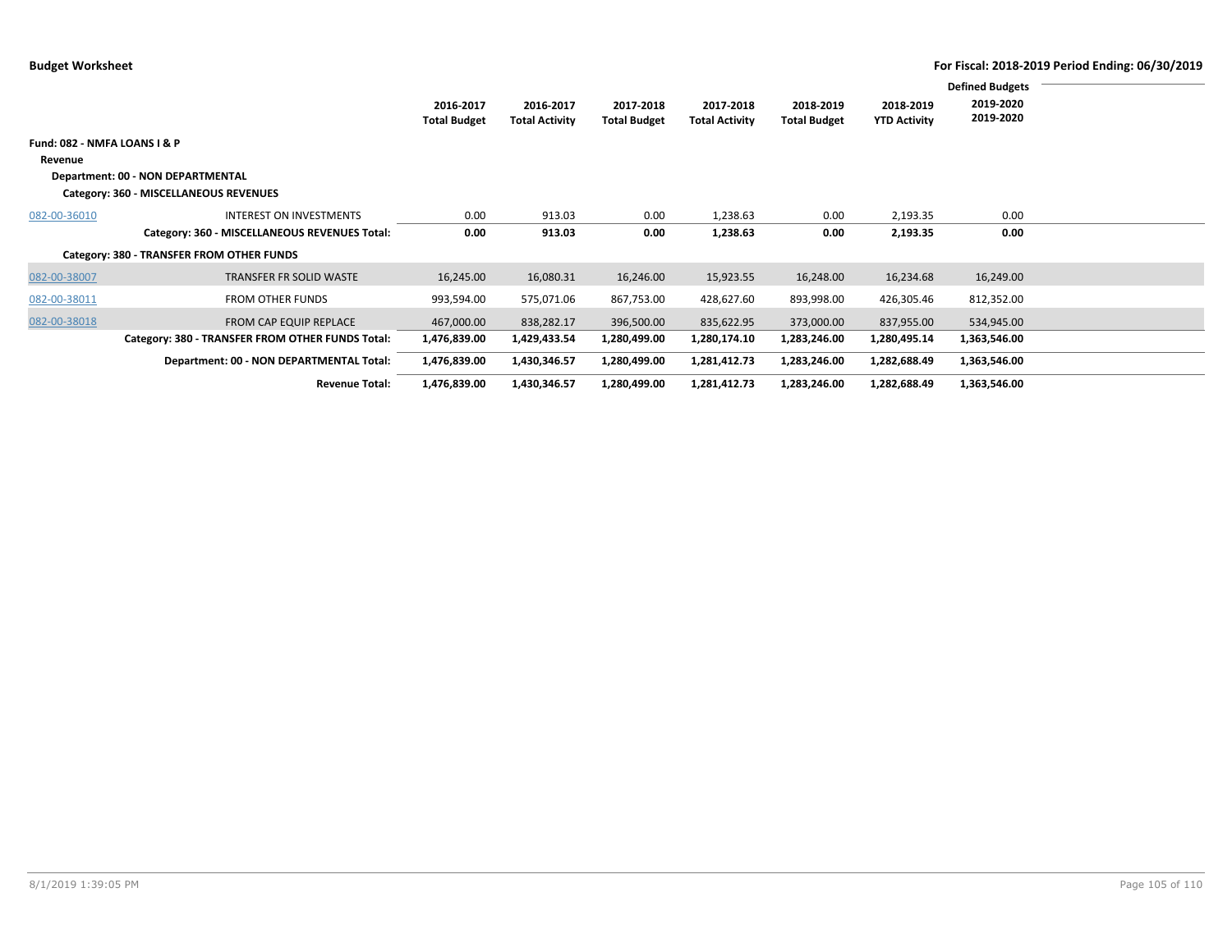|                              |                                                                             |                                  |                                    |                                  |                                    |                                  |                                  | <b>Defined Budgets</b> |  |
|------------------------------|-----------------------------------------------------------------------------|----------------------------------|------------------------------------|----------------------------------|------------------------------------|----------------------------------|----------------------------------|------------------------|--|
|                              |                                                                             | 2016-2017<br><b>Total Budget</b> | 2016-2017<br><b>Total Activity</b> | 2017-2018<br><b>Total Budget</b> | 2017-2018<br><b>Total Activity</b> | 2018-2019<br><b>Total Budget</b> | 2018-2019<br><b>YTD Activity</b> | 2019-2020<br>2019-2020 |  |
| Fund: 082 - NMFA LOANS I & P |                                                                             |                                  |                                    |                                  |                                    |                                  |                                  |                        |  |
| Revenue                      |                                                                             |                                  |                                    |                                  |                                    |                                  |                                  |                        |  |
|                              | Department: 00 - NON DEPARTMENTAL<br>Category: 360 - MISCELLANEOUS REVENUES |                                  |                                    |                                  |                                    |                                  |                                  |                        |  |
| 082-00-36010                 | <b>INTEREST ON INVESTMENTS</b>                                              | 0.00                             | 913.03                             | 0.00                             | 1,238.63                           | 0.00                             | 2,193.35                         | 0.00                   |  |
|                              | Category: 360 - MISCELLANEOUS REVENUES Total:                               | 0.00                             | 913.03                             | 0.00                             | 1,238.63                           | 0.00                             | 2,193.35                         | 0.00                   |  |
|                              | Category: 380 - TRANSFER FROM OTHER FUNDS                                   |                                  |                                    |                                  |                                    |                                  |                                  |                        |  |
| 082-00-38007                 | <b>TRANSFER FR SOLID WASTE</b>                                              | 16,245.00                        | 16,080.31                          | 16,246.00                        | 15,923.55                          | 16,248.00                        | 16,234.68                        | 16,249.00              |  |
| 082-00-38011                 | <b>FROM OTHER FUNDS</b>                                                     | 993,594.00                       | 575,071.06                         | 867,753.00                       | 428,627.60                         | 893,998.00                       | 426,305.46                       | 812,352.00             |  |
| 082-00-38018                 | FROM CAP EQUIP REPLACE                                                      | 467,000.00                       | 838,282.17                         | 396,500.00                       | 835,622.95                         | 373,000.00                       | 837,955.00                       | 534,945.00             |  |
|                              | Category: 380 - TRANSFER FROM OTHER FUNDS Total:                            | 1,476,839.00                     | 1,429,433.54                       | 1,280,499.00                     | 1,280,174.10                       | 1,283,246.00                     | 1,280,495.14                     | 1,363,546.00           |  |
|                              | Department: 00 - NON DEPARTMENTAL Total:                                    | 1,476,839.00                     | 1,430,346.57                       | 1,280,499.00                     | 1,281,412.73                       | 1,283,246.00                     | 1,282,688.49                     | 1,363,546.00           |  |
|                              | <b>Revenue Total:</b>                                                       | 1,476,839.00                     | 1,430,346.57                       | 1,280,499.00                     | 1,281,412.73                       | 1,283,246.00                     | 1,282,688.49                     | 1,363,546.00           |  |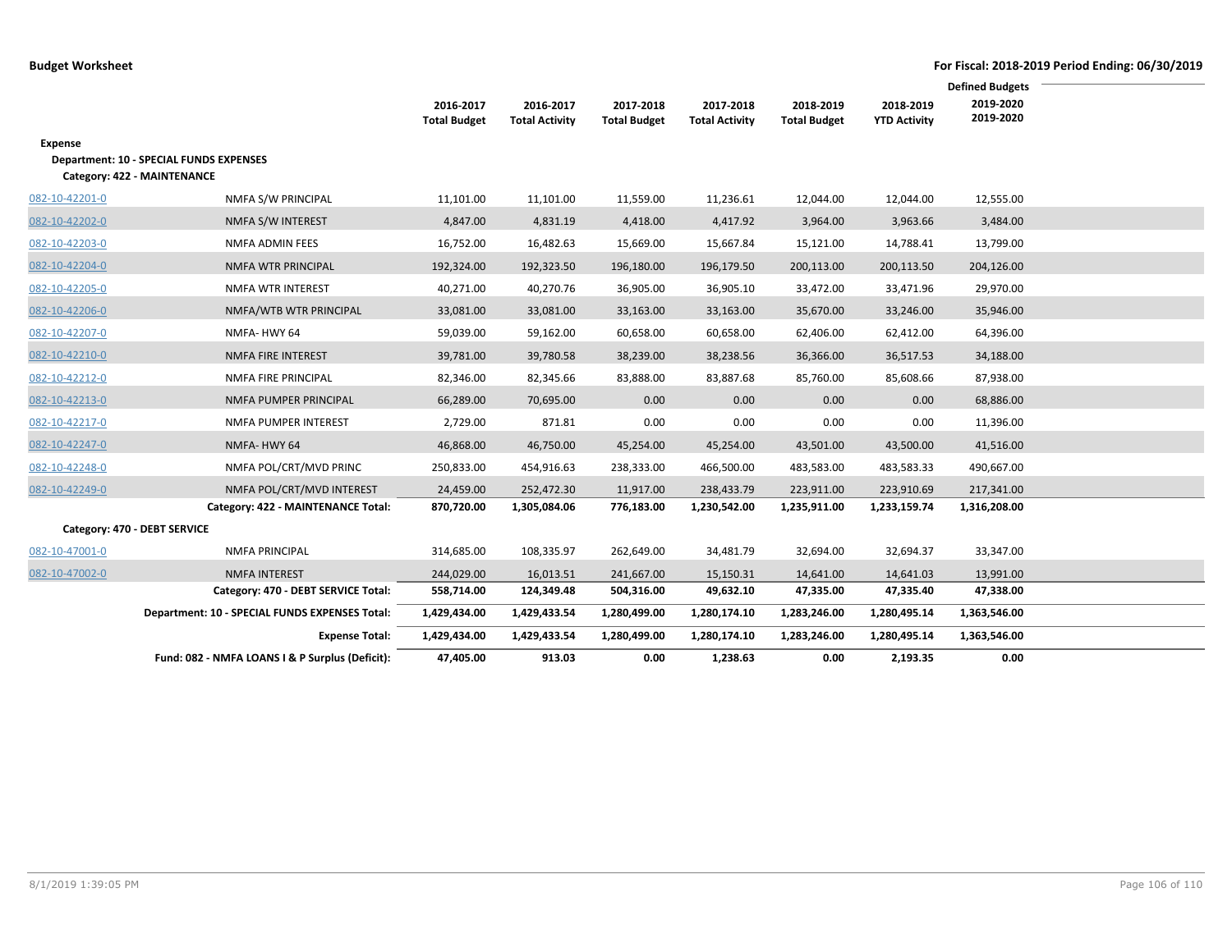**Budget Worksheet For Fiscal: 2018-2019 Period Ending: 06/30/2019**

|                |                                                 |                                  |                                    |                                  |                                    |                                  |                                  | <b>Defined Budgets</b> |  |  |  |
|----------------|-------------------------------------------------|----------------------------------|------------------------------------|----------------------------------|------------------------------------|----------------------------------|----------------------------------|------------------------|--|--|--|
|                |                                                 | 2016-2017<br><b>Total Budget</b> | 2016-2017<br><b>Total Activity</b> | 2017-2018<br><b>Total Budget</b> | 2017-2018<br><b>Total Activity</b> | 2018-2019<br><b>Total Budget</b> | 2018-2019<br><b>YTD Activity</b> | 2019-2020<br>2019-2020 |  |  |  |
| Expense        |                                                 |                                  |                                    |                                  |                                    |                                  |                                  |                        |  |  |  |
|                | <b>Department: 10 - SPECIAL FUNDS EXPENSES</b>  |                                  |                                    |                                  |                                    |                                  |                                  |                        |  |  |  |
|                | Category: 422 - MAINTENANCE                     |                                  |                                    |                                  |                                    |                                  |                                  |                        |  |  |  |
| 082-10-42201-0 | NMFA S/W PRINCIPAL                              | 11,101.00                        | 11,101.00                          | 11,559.00                        | 11,236.61                          | 12,044.00                        | 12,044.00                        | 12,555.00              |  |  |  |
| 082-10-42202-0 | NMFA S/W INTEREST                               | 4,847.00                         | 4,831.19                           | 4,418.00                         | 4,417.92                           | 3,964.00                         | 3,963.66                         | 3,484.00               |  |  |  |
| 082-10-42203-0 | NMFA ADMIN FEES                                 | 16,752.00                        | 16,482.63                          | 15,669.00                        | 15,667.84                          | 15,121.00                        | 14,788.41                        | 13,799.00              |  |  |  |
| 082-10-42204-0 | <b>NMFA WTR PRINCIPAL</b>                       | 192,324.00                       | 192,323.50                         | 196,180.00                       | 196,179.50                         | 200,113.00                       | 200,113.50                       | 204,126.00             |  |  |  |
| 082-10-42205-0 | NMFA WTR INTEREST                               | 40,271.00                        | 40,270.76                          | 36,905.00                        | 36,905.10                          | 33,472.00                        | 33,471.96                        | 29,970.00              |  |  |  |
| 082-10-42206-0 | NMFA/WTB WTR PRINCIPAL                          | 33,081.00                        | 33,081.00                          | 33,163.00                        | 33,163.00                          | 35,670.00                        | 33,246.00                        | 35,946.00              |  |  |  |
| 082-10-42207-0 | NMFA-HWY 64                                     | 59,039.00                        | 59,162.00                          | 60,658.00                        | 60,658.00                          | 62,406.00                        | 62,412.00                        | 64,396.00              |  |  |  |
| 082-10-42210-0 | NMFA FIRE INTEREST                              | 39,781.00                        | 39,780.58                          | 38,239.00                        | 38,238.56                          | 36,366.00                        | 36,517.53                        | 34,188.00              |  |  |  |
| 082-10-42212-0 | <b>NMFA FIRE PRINCIPAL</b>                      | 82,346.00                        | 82,345.66                          | 83,888.00                        | 83,887.68                          | 85,760.00                        | 85,608.66                        | 87,938.00              |  |  |  |
| 082-10-42213-0 | NMFA PUMPER PRINCIPAL                           | 66,289.00                        | 70,695.00                          | 0.00                             | 0.00                               | 0.00                             | 0.00                             | 68,886.00              |  |  |  |
| 082-10-42217-0 | NMFA PUMPER INTEREST                            | 2,729.00                         | 871.81                             | 0.00                             | 0.00                               | 0.00                             | 0.00                             | 11,396.00              |  |  |  |
| 082-10-42247-0 | NMFA-HWY 64                                     | 46,868.00                        | 46,750.00                          | 45,254.00                        | 45,254.00                          | 43,501.00                        | 43,500.00                        | 41,516.00              |  |  |  |
| 082-10-42248-0 | NMFA POL/CRT/MVD PRINC                          | 250,833.00                       | 454,916.63                         | 238,333.00                       | 466,500.00                         | 483,583.00                       | 483,583.33                       | 490,667.00             |  |  |  |
| 082-10-42249-0 | NMFA POL/CRT/MVD INTEREST                       | 24,459.00                        | 252,472.30                         | 11,917.00                        | 238,433.79                         | 223,911.00                       | 223,910.69                       | 217,341.00             |  |  |  |
|                | Category: 422 - MAINTENANCE Total:              | 870,720.00                       | 1,305,084.06                       | 776,183.00                       | 1,230,542.00                       | 1,235,911.00                     | 1,233,159.74                     | 1,316,208.00           |  |  |  |
|                | Category: 470 - DEBT SERVICE                    |                                  |                                    |                                  |                                    |                                  |                                  |                        |  |  |  |
| 082-10-47001-0 | <b>NMFA PRINCIPAL</b>                           | 314,685.00                       | 108,335.97                         | 262,649.00                       | 34,481.79                          | 32,694.00                        | 32,694.37                        | 33,347.00              |  |  |  |
| 082-10-47002-0 | <b>NMFA INTEREST</b>                            | 244,029.00                       | 16,013.51                          | 241,667.00                       | 15,150.31                          | 14,641.00                        | 14,641.03                        | 13,991.00              |  |  |  |
|                | Category: 470 - DEBT SERVICE Total:             | 558,714.00                       | 124,349.48                         | 504,316.00                       | 49,632.10                          | 47,335.00                        | 47,335.40                        | 47,338.00              |  |  |  |
|                | Department: 10 - SPECIAL FUNDS EXPENSES Total:  | 1,429,434.00                     | 1,429,433.54                       | 1,280,499.00                     | 1,280,174.10                       | 1,283,246.00                     | 1,280,495.14                     | 1,363,546.00           |  |  |  |
|                | <b>Expense Total:</b>                           | 1,429,434.00                     | 1,429,433.54                       | 1,280,499.00                     | 1,280,174.10                       | 1,283,246.00                     | 1,280,495.14                     | 1,363,546.00           |  |  |  |
|                | Fund: 082 - NMFA LOANS I & P Surplus (Deficit): | 47,405.00                        | 913.03                             | 0.00                             | 1,238.63                           | 0.00                             | 2.193.35                         | 0.00                   |  |  |  |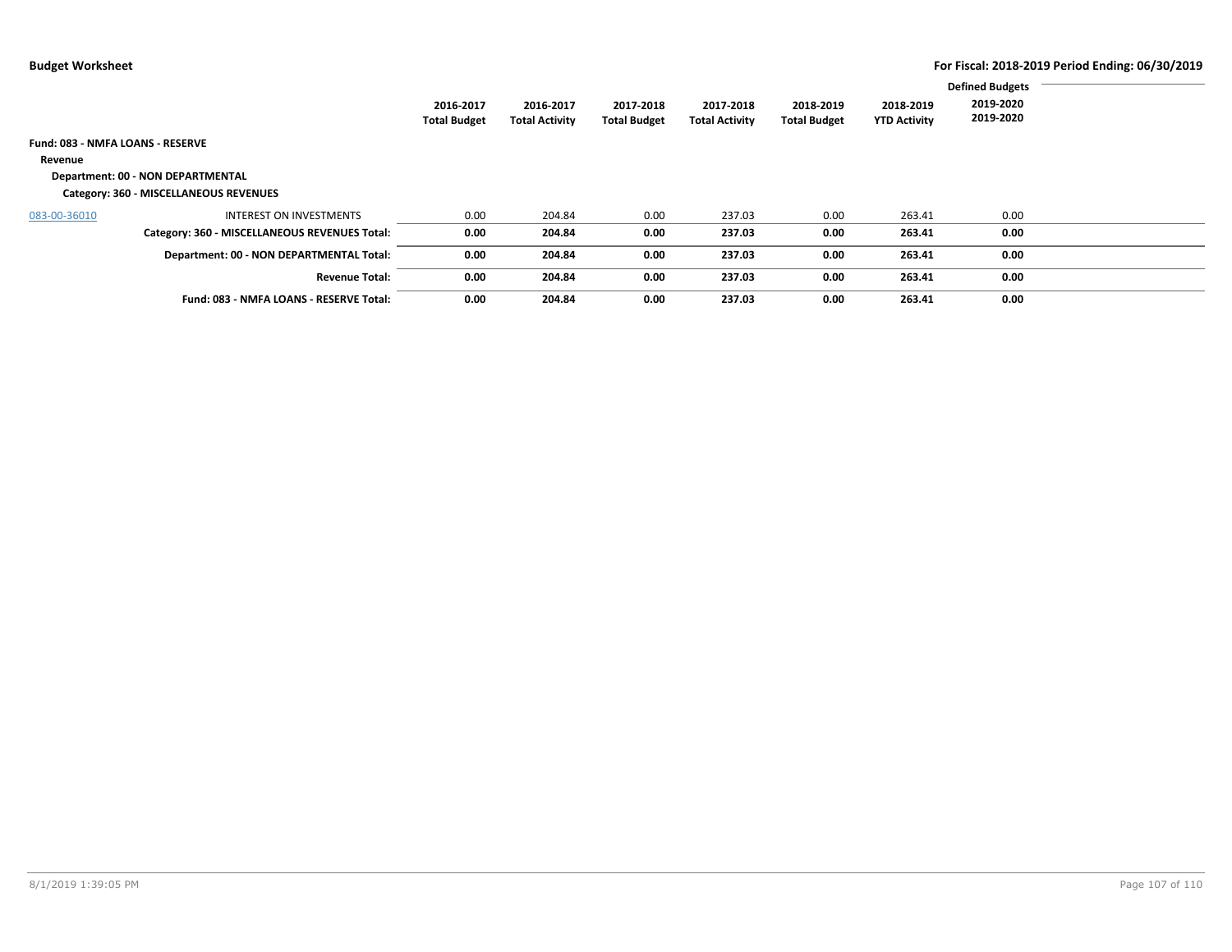| Fund: 083 - NMFA LOANS - RESERVE<br>Revenue | Department: 00 - NON DEPARTMENTAL                                        | 2016-2017<br><b>Total Budget</b> | 2016-2017<br><b>Total Activity</b> | 2017-2018<br><b>Total Budget</b> | 2017-2018<br><b>Total Activity</b> | 2018-2019<br><b>Total Budget</b> | 2018-2019<br><b>YTD Activity</b> | <b>Defined Budgets</b><br>2019-2020<br>2019-2020 |  |
|---------------------------------------------|--------------------------------------------------------------------------|----------------------------------|------------------------------------|----------------------------------|------------------------------------|----------------------------------|----------------------------------|--------------------------------------------------|--|
| 083-00-36010                                | Category: 360 - MISCELLANEOUS REVENUES<br><b>INTEREST ON INVESTMENTS</b> | 0.00                             | 204.84                             | 0.00                             | 237.03                             | 0.00                             | 263.41                           | 0.00                                             |  |
|                                             | Category: 360 - MISCELLANEOUS REVENUES Total:                            | 0.00                             | 204.84                             | 0.00                             | 237.03                             | 0.00                             | 263.41                           | 0.00                                             |  |
|                                             | Department: 00 - NON DEPARTMENTAL Total:                                 | 0.00                             | 204.84                             | 0.00                             | 237.03                             | 0.00                             | 263.41                           | 0.00                                             |  |
|                                             | <b>Revenue Total:</b>                                                    | 0.00                             | 204.84                             | 0.00                             | 237.03                             | 0.00                             | 263.41                           | 0.00                                             |  |
|                                             | Fund: 083 - NMFA LOANS - RESERVE Total:                                  | 0.00                             | 204.84                             | 0.00                             | 237.03                             | 0.00                             | 263.41                           | 0.00                                             |  |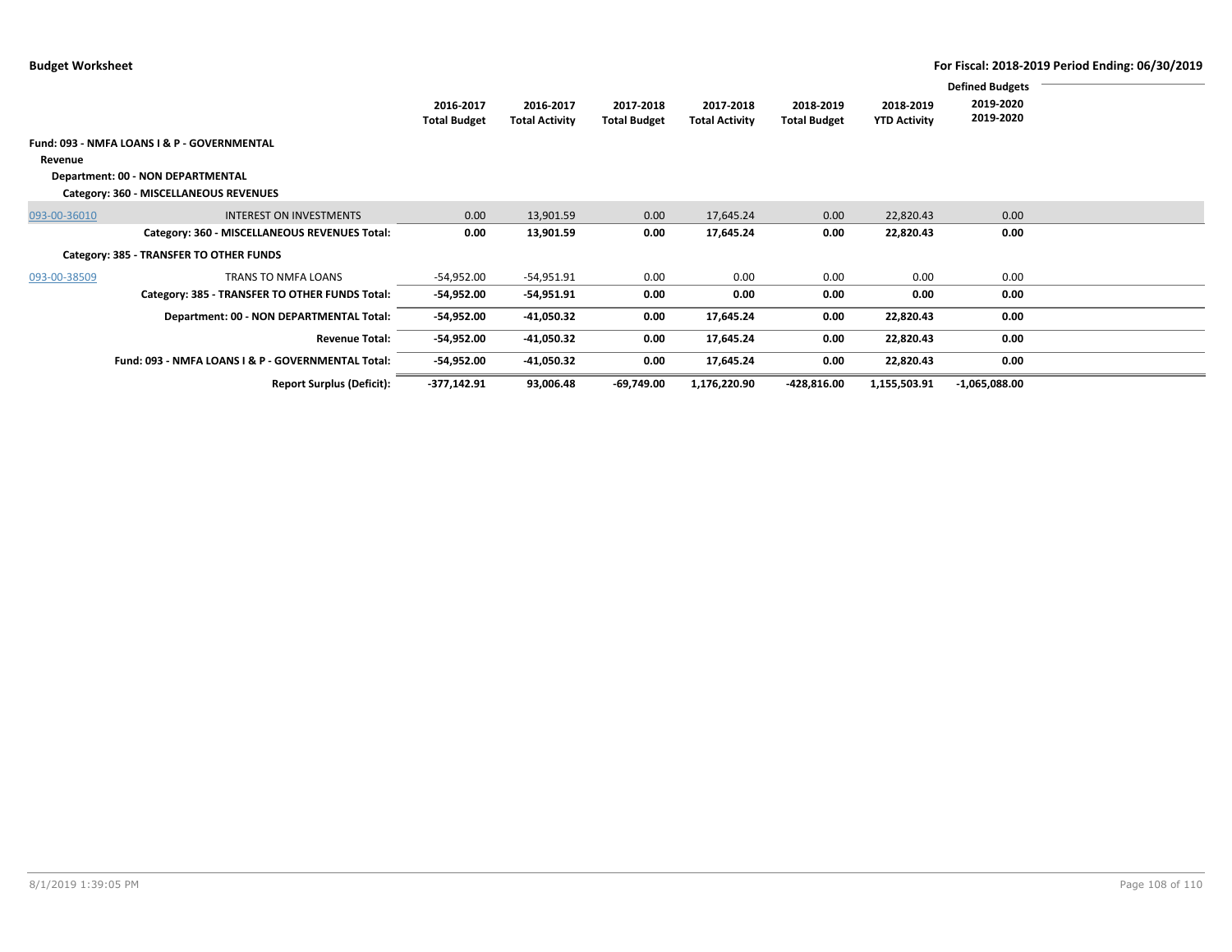|              |                                                    |                                  |                                    |                                  |                                    |                                  |                                  | <b>Defined Budgets</b> |  |
|--------------|----------------------------------------------------|----------------------------------|------------------------------------|----------------------------------|------------------------------------|----------------------------------|----------------------------------|------------------------|--|
|              |                                                    | 2016-2017<br><b>Total Budget</b> | 2016-2017<br><b>Total Activity</b> | 2017-2018<br><b>Total Budget</b> | 2017-2018<br><b>Total Activity</b> | 2018-2019<br><b>Total Budget</b> | 2018-2019<br><b>YTD Activity</b> | 2019-2020<br>2019-2020 |  |
|              | Fund: 093 - NMFA LOANS I & P - GOVERNMENTAL        |                                  |                                    |                                  |                                    |                                  |                                  |                        |  |
| Revenue      |                                                    |                                  |                                    |                                  |                                    |                                  |                                  |                        |  |
|              | Department: 00 - NON DEPARTMENTAL                  |                                  |                                    |                                  |                                    |                                  |                                  |                        |  |
|              | Category: 360 - MISCELLANEOUS REVENUES             |                                  |                                    |                                  |                                    |                                  |                                  |                        |  |
| 093-00-36010 | <b>INTEREST ON INVESTMENTS</b>                     | 0.00                             | 13,901.59                          | 0.00                             | 17,645.24                          | 0.00                             | 22,820.43                        | 0.00                   |  |
|              | Category: 360 - MISCELLANEOUS REVENUES Total:      | 0.00                             | 13,901.59                          | 0.00                             | 17,645.24                          | 0.00                             | 22,820.43                        | 0.00                   |  |
|              | Category: 385 - TRANSFER TO OTHER FUNDS            |                                  |                                    |                                  |                                    |                                  |                                  |                        |  |
| 093-00-38509 | <b>TRANS TO NMFA LOANS</b>                         | $-54,952.00$                     | $-54,951.91$                       | 0.00                             | 0.00                               | 0.00                             | 0.00                             | 0.00                   |  |
|              | Category: 385 - TRANSFER TO OTHER FUNDS Total:     | -54,952.00                       | -54,951.91                         | 0.00                             | 0.00                               | 0.00                             | 0.00                             | 0.00                   |  |
|              | Department: 00 - NON DEPARTMENTAL Total:           | -54,952.00                       | -41,050.32                         | 0.00                             | 17,645.24                          | 0.00                             | 22,820.43                        | 0.00                   |  |
|              | <b>Revenue Total:</b>                              | -54,952.00                       | -41,050.32                         | 0.00                             | 17,645.24                          | 0.00                             | 22,820.43                        | 0.00                   |  |
|              | Fund: 093 - NMFA LOANS I & P - GOVERNMENTAL Total: | -54,952.00                       | -41,050.32                         | 0.00                             | 17,645.24                          | 0.00                             | 22,820.43                        | 0.00                   |  |
|              | <b>Report Surplus (Deficit):</b>                   | $-377,142.91$                    | 93,006.48                          | -69,749.00                       | 1,176,220.90                       | -428,816.00                      | 1,155,503.91                     | $-1,065,088.00$        |  |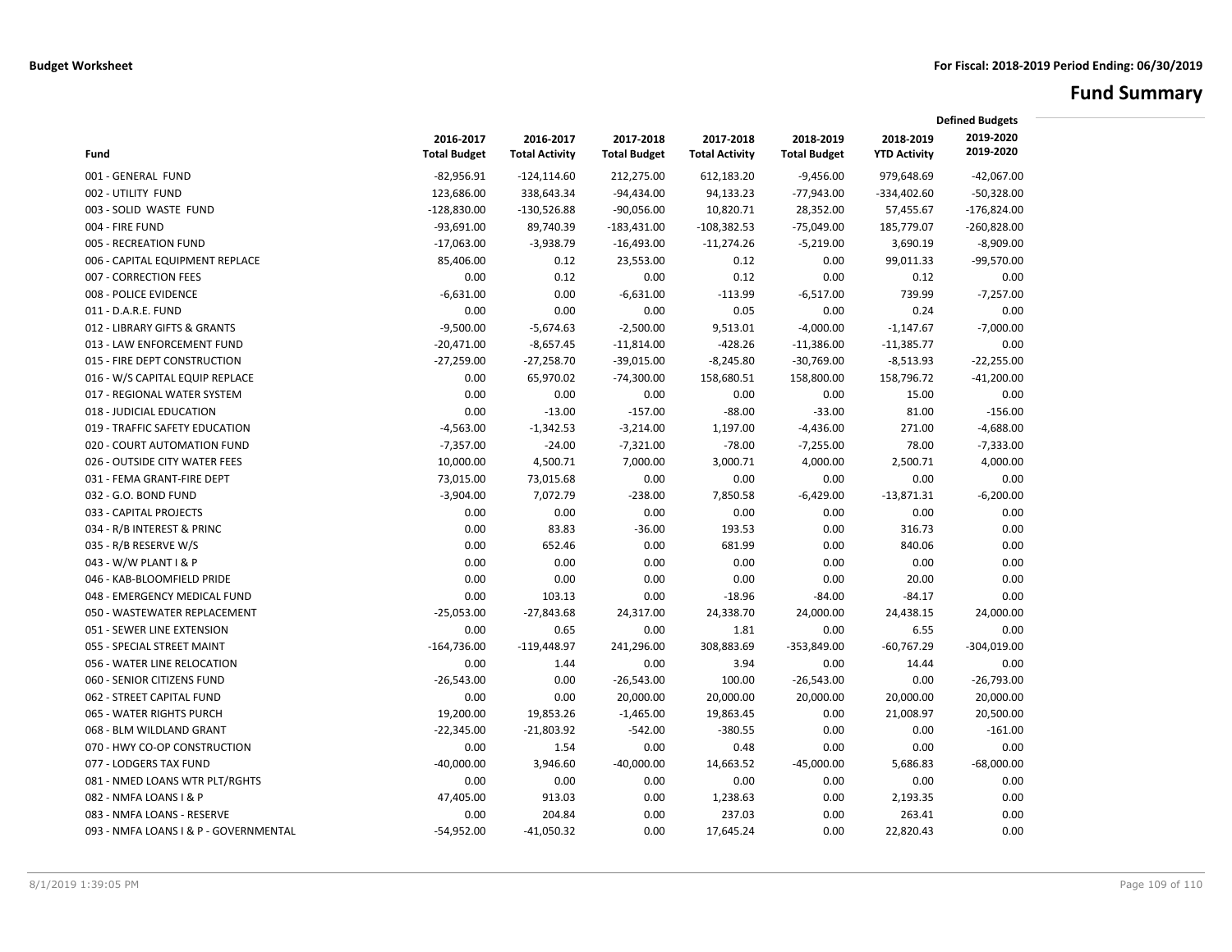# **Fund Summary**

|                                       |                     |                       |                     |                       |                     |                     | <b>Defined Budgets</b> |  |
|---------------------------------------|---------------------|-----------------------|---------------------|-----------------------|---------------------|---------------------|------------------------|--|
|                                       | 2016-2017           | 2016-2017             | 2017-2018           | 2017-2018             | 2018-2019           | 2018-2019           | 2019-2020              |  |
| Fund                                  | <b>Total Budget</b> | <b>Total Activity</b> | <b>Total Budget</b> | <b>Total Activity</b> | <b>Total Budget</b> | <b>YTD Activity</b> | 2019-2020              |  |
| 001 - GENERAL FUND                    | $-82,956.91$        | $-124, 114.60$        | 212,275.00          | 612,183.20            | $-9,456.00$         | 979.648.69          | $-42,067.00$           |  |
| 002 - UTILITY FUND                    | 123,686.00          | 338,643.34            | $-94,434.00$        | 94,133.23             | $-77,943.00$        | $-334,402.60$       | $-50,328.00$           |  |
| 003 - SOLID WASTE FUND                | $-128,830.00$       | $-130,526.88$         | $-90,056.00$        | 10,820.71             | 28,352.00           | 57,455.67           | $-176,824.00$          |  |
| 004 - FIRE FUND                       | $-93,691.00$        | 89,740.39             | $-183,431.00$       | $-108,382.53$         | $-75,049.00$        | 185,779.07          | $-260,828.00$          |  |
| 005 - RECREATION FUND                 | $-17,063.00$        | $-3,938.79$           | $-16,493.00$        | $-11,274.26$          | $-5,219.00$         | 3,690.19            | $-8,909.00$            |  |
| 006 - CAPITAL EQUIPMENT REPLACE       | 85,406.00           | 0.12                  | 23,553.00           | 0.12                  | 0.00                | 99,011.33           | $-99,570.00$           |  |
| 007 - CORRECTION FEES                 | 0.00                | 0.12                  | 0.00                | 0.12                  | 0.00                | 0.12                | 0.00                   |  |
| 008 - POLICE EVIDENCE                 | $-6,631.00$         | 0.00                  | $-6,631.00$         | $-113.99$             | $-6,517.00$         | 739.99              | $-7,257.00$            |  |
| 011 - D.A.R.E. FUND                   | 0.00                | 0.00                  | 0.00                | 0.05                  | 0.00                | 0.24                | 0.00                   |  |
| 012 - LIBRARY GIFTS & GRANTS          | $-9,500.00$         | $-5,674.63$           | $-2,500.00$         | 9,513.01              | $-4,000.00$         | $-1,147.67$         | $-7,000.00$            |  |
| 013 - LAW ENFORCEMENT FUND            | $-20,471.00$        | $-8,657.45$           | $-11,814.00$        | $-428.26$             | $-11,386.00$        | $-11,385.77$        | 0.00                   |  |
| 015 - FIRE DEPT CONSTRUCTION          | $-27,259.00$        | $-27,258.70$          | $-39,015.00$        | $-8,245.80$           | $-30,769.00$        | $-8,513.93$         | $-22,255.00$           |  |
| 016 - W/S CAPITAL EQUIP REPLACE       | 0.00                | 65,970.02             | $-74,300.00$        | 158,680.51            | 158,800.00          | 158,796.72          | $-41,200.00$           |  |
| 017 - REGIONAL WATER SYSTEM           | 0.00                | 0.00                  | 0.00                | 0.00                  | 0.00                | 15.00               | 0.00                   |  |
| 018 - JUDICIAL EDUCATION              | 0.00                | $-13.00$              | $-157.00$           | $-88.00$              | $-33.00$            | 81.00               | $-156.00$              |  |
| 019 - TRAFFIC SAFETY EDUCATION        | $-4,563.00$         | $-1,342.53$           | $-3,214.00$         | 1,197.00              | $-4,436.00$         | 271.00              | $-4,688.00$            |  |
| 020 - COURT AUTOMATION FUND           | $-7,357.00$         | $-24.00$              | $-7,321.00$         | $-78.00$              | $-7,255.00$         | 78.00               | $-7,333.00$            |  |
| 026 - OUTSIDE CITY WATER FEES         | 10,000.00           | 4,500.71              | 7,000.00            | 3,000.71              | 4,000.00            | 2,500.71            | 4,000.00               |  |
| 031 - FEMA GRANT-FIRE DEPT            | 73,015.00           | 73,015.68             | 0.00                | 0.00                  | 0.00                | 0.00                | 0.00                   |  |
| 032 - G.O. BOND FUND                  | $-3,904.00$         | 7,072.79              | $-238.00$           | 7,850.58              | $-6,429.00$         | $-13,871.31$        | $-6,200.00$            |  |
| 033 - CAPITAL PROJECTS                | 0.00                | 0.00                  | 0.00                | 0.00                  | 0.00                | 0.00                | 0.00                   |  |
| 034 - R/B INTEREST & PRINC            | 0.00                | 83.83                 | $-36.00$            | 193.53                | 0.00                | 316.73              | 0.00                   |  |
| 035 - R/B RESERVE W/S                 | 0.00                | 652.46                | 0.00                | 681.99                | 0.00                | 840.06              | 0.00                   |  |
| 043 - W/W PLANT I & P                 | 0.00                | 0.00                  | 0.00                | 0.00                  | 0.00                | 0.00                | 0.00                   |  |
| 046 - KAB-BLOOMFIELD PRIDE            | 0.00                | 0.00                  | 0.00                | 0.00                  | 0.00                | 20.00               | 0.00                   |  |
| 048 - EMERGENCY MEDICAL FUND          | 0.00                | 103.13                | 0.00                | $-18.96$              | $-84.00$            | $-84.17$            | 0.00                   |  |
| 050 - WASTEWATER REPLACEMENT          | $-25,053.00$        | $-27,843.68$          | 24,317.00           | 24,338.70             | 24,000.00           | 24,438.15           | 24,000.00              |  |
| 051 - SEWER LINE EXTENSION            | 0.00                | 0.65                  | 0.00                | 1.81                  | 0.00                | 6.55                | 0.00                   |  |
| 055 - SPECIAL STREET MAINT            | $-164,736.00$       | $-119,448.97$         | 241,296.00          | 308,883.69            | $-353,849.00$       | $-60,767.29$        | $-304,019.00$          |  |
| 056 - WATER LINE RELOCATION           | 0.00                | 1.44                  | 0.00                | 3.94                  | 0.00                | 14.44               | 0.00                   |  |
| 060 - SENIOR CITIZENS FUND            | $-26,543.00$        | 0.00                  | $-26,543.00$        | 100.00                | $-26,543.00$        | 0.00                | $-26,793.00$           |  |
| 062 - STREET CAPITAL FUND             | 0.00                | 0.00                  | 20,000.00           | 20,000.00             | 20,000.00           | 20,000.00           | 20,000.00              |  |
| 065 - WATER RIGHTS PURCH              | 19,200.00           | 19,853.26             | $-1,465.00$         | 19,863.45             | 0.00                | 21,008.97           | 20,500.00              |  |
| 068 - BLM WILDLAND GRANT              | $-22,345.00$        | $-21,803.92$          | $-542.00$           | $-380.55$             | 0.00                | 0.00                | $-161.00$              |  |
| 070 - HWY CO-OP CONSTRUCTION          | 0.00                | 1.54                  | 0.00                | 0.48                  | 0.00                | 0.00                | 0.00                   |  |
| 077 - LODGERS TAX FUND                | $-40,000.00$        | 3,946.60              | $-40,000.00$        | 14,663.52             | $-45,000.00$        | 5,686.83            | $-68,000.00$           |  |
| 081 - NMED LOANS WTR PLT/RGHTS        | 0.00                | 0.00                  | 0.00                | 0.00                  | 0.00                | 0.00                | 0.00                   |  |
| 082 - NMFA LOANS I & P                | 47,405.00           | 913.03                | 0.00                | 1,238.63              | 0.00                | 2,193.35            | 0.00                   |  |
| 083 - NMFA LOANS - RESERVE            | 0.00                | 204.84                | 0.00                | 237.03                | 0.00                | 263.41              | 0.00                   |  |
| 093 - NMFA LOANS I & P - GOVERNMENTAL | $-54,952.00$        | $-41,050.32$          | 0.00                | 17,645.24             | 0.00                | 22,820.43           | 0.00                   |  |